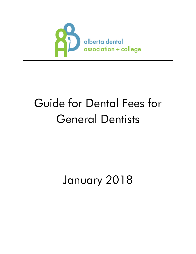

# Guide for Dental Fees for General Dentists

# January 2018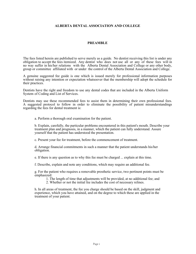## **ALBERTA DENTAL ASSOCIATION AND COLLEGE**

### **PREAMBLE**

The fees listed herein are published to serve merely as a guide. No dentist receiving this list is under any obligation to accept the fees itemized. Any dentist who does not use all or any of these fees will in no way suffer in his/her relations with the Alberta Dental Association and College or any other body, group or committee affiliated with or under the control of the Alberta Dental Association and College.

A genuine suggested fee guide is one which is issued merely for professional information purposes without raising any intention or expectation whatsoever that the membership will adopt the schedule for their practices.

Dentists have the right and freedom to use any dental codes that are included in the Alberta Uniform System of Coding and List of Services.

Dentists may use these recommended fees to assist them in determining their own professional fees. A suggested protocol to follow in order to eliminate the possibility of patient misunderstandings regarding the fees for dental treatment is:

a. Perform a thorough oral examination for the patient.

b. Explain, carefully, the particular problems encountered in this patient's mouth. Describe your treatment plan and prognosis, in a manner, which the patient can fully understand. Assure yourself that the patient has understood the presentation.

c. Present your fee for treatment, before the commencement of treatment.

d. Arrange financial commitments in such a manner that the patient understands his/her obligation.

e. If there is any question as to why this fee must be charged ... explain at this time.

f. Describe, explain and note any conditions, which may require an additional fee.

g. For the patient who requires a removable prosthetic service, two pertinent points must be emphasized:

1. The length of time that adjustments will be provided, at no additional fee; and

2. Whether or not the initial fee includes the cost of necessary relines.

h. In all areas of treatment, the fee you charge should be based on the skill, judgment and experience, which you have attained, and on the degree to which these are applied in the treatment of your patient.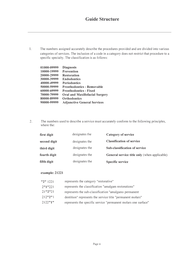1. The numbers assigned accurately describe the procedures provided and are divided into various categories of services. The inclusion of a code in a category does not restrict that procedure to a specific specialty. The classification is as follows:

| 01000-09999 | <b>Diagnosis</b>                   |
|-------------|------------------------------------|
|             |                                    |
| 10000-19999 | <b>Prevention</b>                  |
| 20000-29999 | <b>Restoration</b>                 |
| 30000-39999 | <b>Endodontics</b>                 |
| 40000-49999 | <b>Periodontics</b>                |
| 50000-59999 | <b>Prosthodontics - Removable</b>  |
| 60000-69999 | <b>Prosthodontics - Fixed</b>      |
| 70000-79999 | Oral and Maxillofacial Surgery     |
| 80000-89999 | <b>Orthodontics</b>                |
| 90000-99999 | <b>Adjunctive General Services</b> |
|             |                                    |

2. The numbers used to describe a service must accurately conform to the following principles, where the:

| first digit  | designates the | Category of service                          |
|--------------|----------------|----------------------------------------------|
| second digit | designates the | <b>Classification of service</b>             |
| third digit  | designates the | Sub-classification of service                |
| fourth digit | designates the | General service title only (when applicable) |
| fifth digit  | designates the | Specific service                             |

## example: 21221

| "2"1221   | represents the category "restorative"                          |
|-----------|----------------------------------------------------------------|
| 2"1"221   | represents the classification "amalgam restorations"           |
| 21''2''21 | represents the sub-classification "amalgams permanent"         |
| 212''2''1 | dentition" represents the service title "permanent molars"     |
| 2122"1"   | represents the specific service "permanent molars one surface" |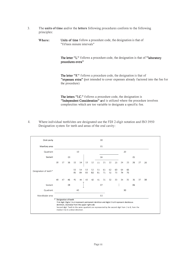- 3. The units of time and/or the letters following procedures conform to the following principles:
	- Where: Units of time follow a procedure code, the designation is that of "fifteen minute intervals"

**The letter "L"** follows a procedure code, the designation is that of "laboratory procedures extra"

**The letter "E"** follows a procedure code, the designation is that of "expenses extra" (not intended to cover expenses already factored into the fee for the procedure)

The letters "I.C." follows a procedure code, the designation is "Independent Consideration" and is utilized where the procedure involves complexities which are too variable to designate a specific fee.

4. Where individual teeth/sites are designated use the FDI 2-digit notation and ISO 3950 Designation system for teeth and areas of the oral cavity:

| Oral cavity           |    |    |                      |          |                                    |                                                                                                                                                   |          |          | 00       |          |          |          |          |                                                                                                    |    |    |
|-----------------------|----|----|----------------------|----------|------------------------------------|---------------------------------------------------------------------------------------------------------------------------------------------------|----------|----------|----------|----------|----------|----------|----------|----------------------------------------------------------------------------------------------------|----|----|
| Maxillary area        |    | 01 |                      |          |                                    |                                                                                                                                                   |          |          |          |          |          |          |          |                                                                                                    |    |    |
| Quadrant              |    |    |                      |          | 10                                 |                                                                                                                                                   |          |          |          |          |          |          | 20       |                                                                                                    |    |    |
| Sextant               |    |    | 03                   |          |                                    |                                                                                                                                                   |          |          | 04       |          |          |          |          | 05                                                                                                 |    |    |
|                       | 18 | 17 | 16                   | 15       | 14                                 | 13                                                                                                                                                | 12       | 11       | 21       | 22       | 23       | 24       | 25       | 26                                                                                                 | 27 | 28 |
| Designation of teeth* |    |    |                      | 55<br>85 | 54<br>84                           | 53<br>83                                                                                                                                          | 52<br>82 | 51<br>81 | 61<br>71 | 62<br>72 | 63<br>73 | 64<br>74 | 65<br>75 |                                                                                                    |    |    |
|                       | 48 | 47 | 46                   | 45       | 44                                 | 43                                                                                                                                                | 42       | 41       | 31       | 32       | 33       | 34       | 35       | 36                                                                                                 | 37 | 38 |
| Sextant               |    |    | 08                   |          |                                    |                                                                                                                                                   |          |          | 07       |          |          |          |          | 06                                                                                                 |    |    |
| Quadrant              |    | 40 |                      |          |                                    | 30                                                                                                                                                |          |          |          |          |          |          |          |                                                                                                    |    |    |
| Mandibular area<br>02 |    |    |                      |          |                                    |                                                                                                                                                   |          |          |          |          |          |          |          |                                                                                                    |    |    |
|                       | ۰  |    | Designation of teeth |          | median line in a distal direction. | First digit: Digits 1 to 4 represent permanent dentition and digits 5 to 8 represent deciduous<br>dentition, clockwise from the upper right side. |          |          |          |          |          |          |          | Second digit: Teeth in the same quadrant are represented by the second digit from 1 to 8, from the |    |    |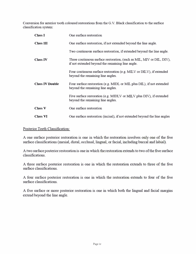Conversion for anterior tooth coloured restorations from the G.V. Black classification to the surface classification system:

| <b>Class I</b>         | One surface restoration                                                                                                   |
|------------------------|---------------------------------------------------------------------------------------------------------------------------|
| <b>Class III</b>       | One surface restoration, if not extended beyond the line angle.                                                           |
|                        | Two continuous surface restoration, if extended beyond the line angle.                                                    |
| <b>Class IV</b>        | Three continuous surface restoration, (such as MIL, MIV or DIL, DIV),<br>if not extended beyond the remaining line angle. |
|                        | Four continuous surface restoration (e.g. MILV or DILV), if extended<br>beyond the remaining line angles.                 |
| <b>Class IV Double</b> | Four surface restoration (e.g. MIDL or MIL plus DIL), if not extended<br>beyond the remaining line angles.                |
|                        | Five surface restoration (e.g. MIDLV or MILV plus DIV), if extended<br>beyond the remaining line angles.                  |
| <b>Class V</b>         | One surface restoration                                                                                                   |
| <b>Class VI</b>        | One surface restoration (incisal), if not extended beyond the line angles                                                 |

# Posterior Teeth Classification:

A one surface posterior restoration is one in which the restoration involves only one of the five surface classifications (mesial, distal, occlusal, lingual, or facial, including buccal and labial).

A two surface posterior restoration is one in which the restoration extends to two of the five surface classifications.

A three surface posterior restoration is one in which the restoration extends to three of the five surface classifications.

A four surface posterior restoration is one in which the restoration extends to four of the five surface classifications.

A five surface or more posterior restoration is one in which both the lingual and facial margins extend beyond the line angle.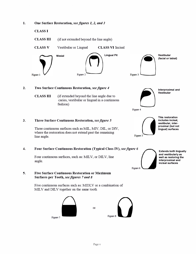l. **One Surface Restoration,** *see figures 1, 2, and 3*

**CLASS I** 

**3.** 

**CLASS III**  (if not extended beyond the line angle)



#### 2. **Two Surface Continuous Restoration,** *see figure 4*

**CLASS III** (if extended beyond the line angle due to caries, vestibular or lingual in a continuous fashion)



**lnterproximal and Vestibular** 

**This restoration includes incisal, vestibular, interproximal (but not lingual) surfaces** 

# **Three Surface Continuous Restoration,** *see figure 5*

Three continuous surfaces such as MIL, MIV, DIL, or DIV, where the restoration does not extend past the remaining line angle.

## 4. **Four Surface Continuous Restoration (Typical Class** IV), *see figure 6*

Four continuous surfaces, such as: MILV, or DILV, line angle.

## **5. Five Surface Continuous Restoration or Maximum Surfaces per Tooth,** *see figures* **7** *and 8*

Five continuous surfaces such as: MIDLV or a combination of MILV and DILV together on the same tooth







Figure 5

**Extends both lingually and vestibularly as well as restoring the interproximal and incisal surfaces** 

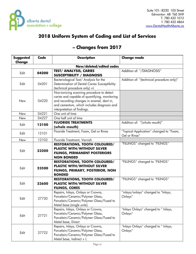

Edit 27722

# **2018 Uniform System of Coding and List of Services**

| <b>Suggested</b><br><b>Change</b> | <b>Code</b> | <b>Description</b>                                                                                                                                                                                                   | <b>Change made</b>                                       |
|-----------------------------------|-------------|----------------------------------------------------------------------------------------------------------------------------------------------------------------------------------------------------------------------|----------------------------------------------------------|
|                                   |             | New/deleted/edited codes                                                                                                                                                                                             |                                                          |
| Edit                              | 04200       | <b>TEST/ ANALYSIS, CARIES</b><br><b>SUSCEPTIBILITY / DIAGNOSIS</b>                                                                                                                                                   | Addition of: "/DIAGNOSIS"                                |
| Edit                              | 04201       | Bacteriological Test/ Analysis for the<br>Determination of Dental Caries Susceptibility<br>(technical procedure only) +L                                                                                             | Addition of: "(technical procedure only)"                |
| New                               | 04220       | Non-ionizing scanning procedure to detect<br>caries and capable of quantifying, monitoring<br>and recording changes in enamel, dent in,<br>and cementum, which includes diagnosis and<br>interpretation of findings. |                                                          |
| New                               | 04221       | One unit of time                                                                                                                                                                                                     |                                                          |
| New                               | 04227       | One half unit of time                                                                                                                                                                                                |                                                          |
| Edit                              | 12100       | <b>FLUORIDE TREATMENTS</b><br>(whole mouth)                                                                                                                                                                          | Addition of: "(whole mouth)"                             |
| Edit                              | 12101       | Fluoride Treatment, Foam, Gel or Rinse                                                                                                                                                                               | "Topical Application" changed to "Foam,<br>Gel or Rinse" |
| New                               | 12103       | Fluoride Treatment, Varnish                                                                                                                                                                                          |                                                          |
| Edit                              | 23200       | <b>RESTORATIONS, TOOTH COLOURED/</b><br><b>PLASTIC WITH/WITHOUT SILVER</b><br><b>FILINGS, PERMANENT POSTERIORS</b><br><b>NON BONDED</b>                                                                              | "FILLINGS" changed to "FILINGS"                          |
| Edit                              | 23500       | <b>RESTORATIONS, TOOTH COLOURED/</b><br><b>PLASTIC WITH/WITHOUT SILVER</b><br>FILINGS, PRIMARY, POSTERIOR, NON<br><b>BONDED</b>                                                                                      | "FILLINGS" changed to "FILINGS"                          |
| Edit                              | 23600       | <b>RESTORATIONS, TOOTH COLOURED/</b><br><b>PLASTIC WITH/WITHOUT SILVER</b><br><b>FILINGS, CORES</b>                                                                                                                  | "FILLINGS" changed to "FILINGS"                          |
| Edit                              | 27720       | Repairs, Inlays, Onlays or Crowns,<br>Porcelain/Ceramic/Polymer Glass,<br>Porcelain/Ceramic/Polymer Glass/Fused to<br>Metal base (single units)                                                                      | "inlays/onlays" changed to "Inlays,<br>Onlays"           |
| Edit                              | 27721       | Repairs, Inlays, Onlays or Crowns,<br>Porcelain/Ceramic/Polymer Glass,<br>Porcelain/Ceramic/Polymer Glass/Fused to<br>Metal base, Direct                                                                             | "Inlays Onlays" changed to " Inlays,<br>Onlays"          |
|                                   |             | Repairs, Inlays, Onlays or Crowns,                                                                                                                                                                                   | "Inlays Onlays" changed to " Inlays,                     |

# **– Changes from 2017**

Onlays"

Porcelain/Ceramic/Polymer Glass,

Metal base, Indirect +  $L$ 

Porcelain/Ceramic/Polymer Glass/Fused to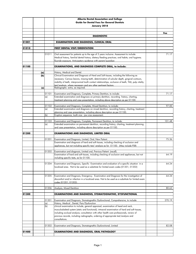|       |     |              | Alberta Dental Association and College<br><b>Guide for Dental Fees for General Dentists</b>                                                                                                                                                                                                                                                                                                                           |        |
|-------|-----|--------------|-----------------------------------------------------------------------------------------------------------------------------------------------------------------------------------------------------------------------------------------------------------------------------------------------------------------------------------------------------------------------------------------------------------------------|--------|
|       |     |              | January 2018                                                                                                                                                                                                                                                                                                                                                                                                          |        |
|       |     |              |                                                                                                                                                                                                                                                                                                                                                                                                                       | Fee    |
|       |     |              | <b>DIAGNOSTIC</b>                                                                                                                                                                                                                                                                                                                                                                                                     |        |
| 01001 |     |              | <b>EXAMINATION AND DIAGNOSIS, CLINICAL ORAL</b>                                                                                                                                                                                                                                                                                                                                                                       |        |
|       |     |              |                                                                                                                                                                                                                                                                                                                                                                                                                       |        |
| 01010 |     |              | <b>FIRST DENTAL VISIT/ORIENTATION</b>                                                                                                                                                                                                                                                                                                                                                                                 |        |
|       |     | 01011        | Oral assessment for patients up to the age of 3 years inclusive. Assessment to include:<br>Medical history, familial dental history; dietary/feeding practices; oral habits; oral hygiene;<br>fluoride exposure. Anticipatory quidance with parent/quardian                                                                                                                                                           | 71.17  |
| 01100 |     |              | <b>EXAMINATIONS, AND DIAGNOSIS COMPLETE ORAL, to include:</b>                                                                                                                                                                                                                                                                                                                                                         |        |
|       | (a) |              | History, Medical and Dental.                                                                                                                                                                                                                                                                                                                                                                                          |        |
|       | (b) |              | Clinical Examination and Diagnosis of Hard and Soft tissues, including the following as<br>necessary: Carious lesions, missing teeth, determination of sulcular depth, gingival contours,<br>mobility of teeth, interproximal tooth contact relationships, occlusion of teeth, TMJ, pulp vitality<br>test/analysis, where necessary and any other pertinent factors:                                                  |        |
|       | (c) |              | Radiographs extra, as required.                                                                                                                                                                                                                                                                                                                                                                                       |        |
|       |     | 01101<br>(a) | Examination and Diagnosis, Complete, Primary Dentition, to include:<br>Extended examination and diagnosis on primary dentition, recording history, charting,<br>treatment planning and case presentation, including above description as per 01100.                                                                                                                                                                   | 71.17  |
|       |     | 01102        | Examination and Diagnosis, Complete, Mixed Dentition, to include:                                                                                                                                                                                                                                                                                                                                                     | 97.00  |
|       |     | (a)          | Extended examination and diagnosis on mixed dentition, recording history, charting, treatment                                                                                                                                                                                                                                                                                                                         |        |
|       |     | (b)          | planning and case presentation, including above description as per 01100.<br>Eruption sequence, tooth size - jaw size assessment.                                                                                                                                                                                                                                                                                     |        |
|       |     |              |                                                                                                                                                                                                                                                                                                                                                                                                                       |        |
|       |     | 01103<br>(a) | Examination and Diagnosis, Complete, Permanent Dentition, to include:<br>Extended examination on permanent dentition, recording history, charting, treatment planning<br>and case presentation, including above description as per 01100.                                                                                                                                                                             | 101.48 |
| 01200 |     |              | <b>EXAMINATIONS AND DIAGNOSIS, LIMITED ORAL</b>                                                                                                                                                                                                                                                                                                                                                                       |        |
|       |     | 01201        | Examination and Diagnosis, Limited, Oral, New Patient.                                                                                                                                                                                                                                                                                                                                                                | 75.36  |
|       |     |              | Examination and diagnosis of hard and soft tissues, including checking of occlusion and<br>appliances, but not including specific test/ analysis as for 01100. (May include PSR)                                                                                                                                                                                                                                      |        |
|       |     | 01202        | Examination and diagnosis, Limited oral, Previous Patient (recall).                                                                                                                                                                                                                                                                                                                                                   |        |
|       |     |              | Examination of hard and soft tissues, including checking of occlusion and appliances, but not<br>including specific tests, as for 01100.                                                                                                                                                                                                                                                                              | 64.19  |
|       |     | 01204        | Examination and Diagnosis, Specific Examination and evaluation of a specific situation in a<br>localized area. Not to be used as a substitute for limited exam codes (01201, 01202)                                                                                                                                                                                                                                   | 64.24  |
|       |     | 01205        | Examination and Diagnosis, Emergency. Examination and Diagnosis for the investigation of<br>discomfort and/or infection in a localized area. Not to be used as a substitute for limited exam<br>codes (01201, 01202)                                                                                                                                                                                                  | 64.24  |
|       |     | 01206        | Analysis, Mixed Dentition                                                                                                                                                                                                                                                                                                                                                                                             | 80.63  |
| 01300 |     |              | <b>EXAMINATIONS AND DIAGNOSIS, STOMATOGNATHIC, DYSFUNCTIONAL</b>                                                                                                                                                                                                                                                                                                                                                      |        |
|       |     | 01301        | Examination and Diagnosis, Stomatognathic Dysfunctional, Comprehensive, to include:                                                                                                                                                                                                                                                                                                                                   | 270.19 |
|       |     | (a)<br>(b)   | History, Medical, Dental, Pain/Dysfunction<br>clinical examination to include, general appraisal, examination of head and neck,<br>musculoskeletal system (static and functional); intraoral examination of hard and soft tissues,<br>including occlusal analysis; consultation with other health care professionals, review of<br>previous records, including radiographs, ordering of appropriate test/analysis and |        |
|       |     |              | consultations.                                                                                                                                                                                                                                                                                                                                                                                                        |        |
|       |     | 01302        | Examination and Diagnosis, Stomatognathic Dysfunctional, Limited                                                                                                                                                                                                                                                                                                                                                      | 82.08  |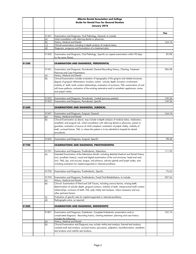|       |              | Alberta Dental Association and College<br><b>Guide for Dental Fees for General Dentists</b><br>January 2018                                                                                            |        |
|-------|--------------|--------------------------------------------------------------------------------------------------------------------------------------------------------------------------------------------------------|--------|
|       |              |                                                                                                                                                                                                        |        |
|       |              |                                                                                                                                                                                                        | Fee    |
|       | 01401        | Examination and Diagnosis, Oral Pathology, General, to include:                                                                                                                                        |        |
|       | (a)          | Initial consultation with referring dentist or physician,                                                                                                                                              |        |
|       | (b)          | History, Medical and Dental                                                                                                                                                                            | 164.16 |
|       | c)           | Clinical examination including in-depth analysis of medical status,                                                                                                                                    |        |
|       | (d)          | Diagnosis, prognosis and formulation of a treatment plan.                                                                                                                                              |        |
|       | 01402        | Examination and Diagnosis, Oral Pathology, Specific (or repeat examination within 90 days<br>for the same illness).                                                                                    | 82.08  |
| 01500 |              | <b>EXAMINATION AND DIAGNOSIS, PERIODONTAL</b>                                                                                                                                                          |        |
|       |              |                                                                                                                                                                                                        |        |
|       | 01501        | Examination and Diagnosis, Periodontal, General Recording History, Charting, Treatment                                                                                                                 | 206.08 |
|       |              | Planning and Case Presentation:                                                                                                                                                                        |        |
|       | (a)<br>(b)   | History, Medical and Dental<br>Clinical Examination includes evaluation of topography of the gingiva and related structures;                                                                           |        |
|       |              | degree of gingival inflammation; location, extent, sulcular depth; furcation involvement,                                                                                                              |        |
|       |              |                                                                                                                                                                                                        |        |
|       |              | mobility of teeth; tooth contact relationships; evaluation of occlusion; TMJ; examination of oral<br>soft tissue pathosis; evaluation of the existing restorative and/or prosthetic appliances; caries |        |
|       |              | and pulpal vitality.                                                                                                                                                                                   |        |
|       |              |                                                                                                                                                                                                        |        |
|       | 01502        | Examination and Diagnosis, Periodontal, Limited (previous patient)                                                                                                                                     | 149.26 |
|       | 01503        | Examination and Diagnosis, Periodontal, Specific                                                                                                                                                       | 149.26 |
|       |              |                                                                                                                                                                                                        |        |
| 01600 |              | <b>EXAMINATIONS AND DIAGNOSIS, SURGICAL</b>                                                                                                                                                            |        |
|       |              |                                                                                                                                                                                                        |        |
|       | 01601<br>(a) | Examination and Diagnosis, Surgical, General<br>History, Medical and Dental                                                                                                                            | 164.16 |
|       | (b)          | Clinical Examination as above, may include in-depth analysis of medical status, medication,                                                                                                            |        |
|       |              | anesthetic and surgical risk, initial consultation with referring dentist or physician, parent or                                                                                                      |        |
|       |              | guardian, evaluation of source of chief complaint, evaluation of pulpal vitality, mobility of                                                                                                          |        |
|       |              | teeth, occlusal factors, TMJ, or where the patient is to be admitted to hospital for dental                                                                                                            |        |
|       |              | procedures.                                                                                                                                                                                            |        |
|       |              |                                                                                                                                                                                                        |        |
|       | 01602        | Examination and Diagnosis, Surgical, Specific                                                                                                                                                          | 98.40  |
|       |              |                                                                                                                                                                                                        |        |
| 01700 |              | <b>EXAMINATIONS AND DIAGNOSIS, PROSTHODONTIC</b>                                                                                                                                                       |        |
|       |              |                                                                                                                                                                                                        |        |
|       | 01701        | Examination and Diagnosis, Prosthodontic, Edentulous<br>Extended Examination of the Edentulous Mouth, including detailed Medical and Dental History                                                    | 111.95 |
|       | (a)          | (incl. prosthetic history), visual and digital examination of the oral structures, head and neck                                                                                                       |        |
|       |              | (incl. TMJ), lips, oral mucosa, tongue, oral pharynx, salivary glands and lymph nodes, and                                                                                                             |        |
|       |              | including evaluation for implant-supported or retained prosthesis.                                                                                                                                     |        |
|       |              |                                                                                                                                                                                                        |        |
|       |              |                                                                                                                                                                                                        |        |
|       | 01702        | Examination and Diagnosis, Prosthodontic, Specific                                                                                                                                                     | 75.63  |
|       | 01703        | Examination and Diagnosis, Prosthodontic, Fixed Oral Rehabilitation, to include:                                                                                                                       | 307.56 |
|       | (a)          | History, Medical and Dental                                                                                                                                                                            |        |
|       | (b)          | Clinical Examination of Hard and Soft Tissues, including carious lesions, missing teeth,                                                                                                               |        |
|       |              | determination of sulcular depth, gingival contours, mobility of teeth, interproximal tooth contact                                                                                                     |        |
|       |              | relationships, occlusion of teeth, TMJ, pulp vitality test/analysis, where necessary and any                                                                                                           |        |
|       |              | other pertinent factors.                                                                                                                                                                               |        |
|       | (c)          | Evaluation of specific sites for implant-supported or retained prosthesis;                                                                                                                             |        |
|       | (d)          | Radiographs extra, as required                                                                                                                                                                         |        |
|       |              |                                                                                                                                                                                                        |        |
| 01800 |              | <b>EXAMINATION AND DIAGNOSIS, ENDODONTIC</b>                                                                                                                                                           |        |
|       | 01801        | Examination and Diagnosis, Endodontic, Complete Endodontic examination and/or                                                                                                                          | 165.16 |
|       |              | complicated diagnosis. Recording history, charting treatment planning and case history.                                                                                                                |        |
|       |              | Includes the following:                                                                                                                                                                                |        |
|       | (a)          | History, Medical and Dental                                                                                                                                                                            |        |
|       | (b)          | Clinical Examination and Diagnosis may include vitality test/analysis, thermal test/analysis,                                                                                                          |        |
|       |              | cracked tooth test/analysis, occlusal exams, percussion, palpation, transillumination, anesthetic                                                                                                      |        |
|       |              | test/analysis and mobility test/analysis.                                                                                                                                                              |        |
|       |              |                                                                                                                                                                                                        |        |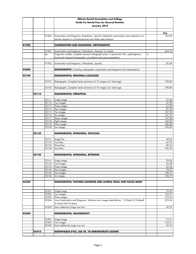|       |       |                    | Alberta Dental Association and College<br><b>Guide for Dental Fees for General Dentists</b><br>January 2018                                                        |    |                  |
|-------|-------|--------------------|--------------------------------------------------------------------------------------------------------------------------------------------------------------------|----|------------------|
|       |       |                    |                                                                                                                                                                    |    |                  |
|       |       | 01802              | Examination and Diagnosis, Endodontic, Specific Endodontic examination and evaluation of a<br>specific situation in a localized area and vitality tests/analysis.  |    | Fee<br>103.08    |
| 01900 |       |                    | <b>EXAMINATION AND DIAGNOSIS, ORTHODONTIC</b>                                                                                                                      |    |                  |
|       |       | 01901              | Examination and Diagnosis, Orthodontic, General. To include:                                                                                                       |    | 424.10           |
|       |       | (a)                | Diagnostic models, complete intraoral radiograph series, or panoramic film, cephalograms,<br>facial and intraoral photographs, consultation and case presentation. | +L |                  |
|       |       | 01902              | Examination and Diagnosis, Orthodontic, Specific                                                                                                                   |    | 85.08            |
| 02000 |       |                    | RADIOGRAPHS (including radiographic examination and diagnosis and interpretation)                                                                                  |    |                  |
| 02100 |       |                    | RADIOGRAPHS, REGIONAL/LOCALIZED                                                                                                                                    |    |                  |
|       |       |                    |                                                                                                                                                                    |    |                  |
|       |       | 02101              | Radiographs, Complete Series (minimum of 12 images incl. bitewings)                                                                                                |    | 198.80           |
|       |       | 02102              | Radiographs, Complete Series (minimum of 16 images incl. bitewings)                                                                                                |    | 198.80           |
|       | 02110 |                    | RADIOGRAPHS, PERIAPICAL                                                                                                                                            |    |                  |
|       |       |                    |                                                                                                                                                                    |    |                  |
|       |       | 02111<br>02112     | Single image<br>Two images                                                                                                                                         |    | 27.60<br>47.50   |
|       |       | 02113              | Three images                                                                                                                                                       |    | 67.40            |
|       |       | 02114              | Four images                                                                                                                                                        |    | 87.30            |
|       |       | 02115              | Five images                                                                                                                                                        |    | 107.20           |
|       |       | 02116              | Six images                                                                                                                                                         |    | 127.10           |
|       |       | 02117              | Seven images                                                                                                                                                       |    | 147.00           |
|       |       | 02118              | Eight images                                                                                                                                                       |    | 166.90           |
|       |       | 02119<br>02120     | Nine images<br>Ten images                                                                                                                                          |    | 186.80<br>196.82 |
|       | 02130 |                    | RADIOGRAPHS, INTRAORAL, OCCLUSAL                                                                                                                                   |    |                  |
|       |       |                    |                                                                                                                                                                    |    |                  |
|       |       | 02131              | Single film                                                                                                                                                        |    | 49.62            |
|       |       | 02132              | Two films                                                                                                                                                          |    | 69.52            |
|       |       | 02133<br>02134     | Three films<br>Four films                                                                                                                                          |    | 89.42<br>109.32  |
|       |       |                    |                                                                                                                                                                    |    |                  |
|       | 02140 |                    | RADIOGRAPHS, INTRAORAL, BITEWING                                                                                                                                   |    |                  |
|       |       | 02141              | Single image                                                                                                                                                       |    | 29.80            |
|       |       | $\overline{021}42$ | Two images                                                                                                                                                         |    | 45.08            |
|       |       | 02143              | Three images                                                                                                                                                       |    | 62.36            |
|       |       | 02144              | Four images                                                                                                                                                        |    | 78.37            |
|       |       | 02145              | Five images                                                                                                                                                        |    | 100.37           |
|       |       | 02146              | Six images                                                                                                                                                         |    | 120.19           |
| 02300 |       |                    | RADIOGRAPHS, POSTERO-ANTERIOR AND LATERAL SKULL AND FACIAL BONE                                                                                                    |    |                  |
|       |       | 02301              | Single image                                                                                                                                                       |    | 74.49            |
|       |       | 02302              | Two images                                                                                                                                                         |    | 124.21           |
|       |       | 02303              | Three images                                                                                                                                                       |    | 173.95           |
|       |       | 02304              | Sinus Examination and Diagnosis - Minimum four images identified as: 1) Waters 2) Caldwell<br>3) Lateral Skull 4) Basal                                            |    | 223.66           |
|       |       | 02309              | Each additional image over four                                                                                                                                    |    | 49.23            |
| 02400 |       |                    | <b>RADIOGRAPHS, SIALOGRAPHY</b>                                                                                                                                    |    |                  |
|       |       |                    |                                                                                                                                                                    |    |                  |
|       |       | 02401              | Single image                                                                                                                                                       |    | 74.51            |
|       |       | 02402              | Two images                                                                                                                                                         |    | 124.21           |
|       |       | 02409              | Each additional image over two                                                                                                                                     |    | 49.23            |
|       | 02410 |                    | <b>RADIOPAQUE DYES, USE OF, TO DEMONSTRATE LESIONS</b>                                                                                                             |    |                  |
|       |       |                    |                                                                                                                                                                    |    |                  |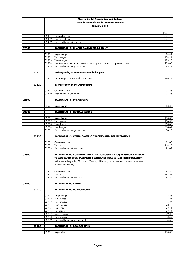|       |       |                | Alberta Dental Association and College                                                                                                |      |                  |
|-------|-------|----------------|---------------------------------------------------------------------------------------------------------------------------------------|------|------------------|
|       |       |                | <b>Guide for Dental Fees for General Dentists</b>                                                                                     |      |                  |
|       |       |                | January 2018                                                                                                                          |      |                  |
|       |       |                |                                                                                                                                       |      |                  |
|       |       |                |                                                                                                                                       |      | Fee              |
|       |       | 02411          | One unit of time                                                                                                                      |      | I.C.             |
|       |       | 02412          | Two units of time                                                                                                                     |      | I.C.             |
|       |       | 02419          | Each additional unit over two                                                                                                         |      | I.C.             |
| 02500 |       |                | RADIOGRAPHS, TEMPOROMANDIBULAR JOINT                                                                                                  |      |                  |
|       |       |                |                                                                                                                                       |      |                  |
|       |       | 02501          | Single image                                                                                                                          |      | 74.49            |
|       |       | 02502          | Two images                                                                                                                            |      | 124.21           |
|       |       | 02503          | Three images                                                                                                                          |      | 173.95           |
|       |       | 02504          | Four images (minimum examination and diagnosis closed and open each side)                                                             |      | 223.66           |
|       |       | 02509          | Each additional image over four                                                                                                       |      | 49.23            |
|       | 02510 |                | Arthrography of Temporo-mandibular joint                                                                                              |      |                  |
|       |       |                |                                                                                                                                       |      |                  |
|       |       | 02511          | Performing the Arthrographic Procedure                                                                                                |      | 246.24           |
|       |       |                |                                                                                                                                       |      |                  |
|       | 02520 |                | Interpretation of the Arthrogram                                                                                                      |      |                  |
|       |       |                |                                                                                                                                       |      |                  |
|       |       | 02521          | One unit of time                                                                                                                      |      | 74.63            |
|       |       | 02529          | Each additional unit of time                                                                                                          |      | 74.63            |
| 02600 |       |                | RADIOGRAPHS, PANORAMIC                                                                                                                |      |                  |
|       |       |                |                                                                                                                                       |      |                  |
|       |       | 02601          | Single image                                                                                                                          |      | 88.32            |
|       |       |                |                                                                                                                                       |      |                  |
| 02700 |       |                | RADIOGRAPHS, CEPHALOMETRIC                                                                                                            |      |                  |
|       |       |                |                                                                                                                                       |      |                  |
|       |       | 02701          | Single image                                                                                                                          |      | 118.87           |
|       |       | 02702          | Two images                                                                                                                            |      | 186.38           |
|       |       | 02703          | Three images                                                                                                                          |      | 250.63<br>310.61 |
|       |       | 02704<br>02709 | Four images<br>Each additional image over four                                                                                        |      | 36.96            |
|       |       |                |                                                                                                                                       |      |                  |
|       | 02750 |                | RADIOGRAPHS, CEPHALOMETRIC, TRACING AND INTERPRETATION                                                                                |      |                  |
|       |       |                |                                                                                                                                       |      |                  |
|       |       | 02751          | One unit of time                                                                                                                      |      | 82.08            |
|       |       | 02752          | Two units                                                                                                                             |      | 164.16           |
|       |       | 02759          | Each additional unit over two                                                                                                         |      | 82.08            |
|       |       |                |                                                                                                                                       |      |                  |
| 02800 |       |                | RADIOGRAPHS, COMPUTERIZED AXIAL TOMOGRAMS (CT), POSITION EMISSION<br>TOMOGRAPHY (PET), MAGNETIC RESONANCE IMAGES (MRI) INTERPRETATION |      |                  |
|       |       |                | (either the radiographs, CT scans, PET scans, MRI scans, or the interpretation must be received                                       |      |                  |
|       |       |                | from another source)                                                                                                                  |      |                  |
|       |       |                |                                                                                                                                       |      |                  |
|       |       | 02801          | One unit of time                                                                                                                      | $+E$ | 91.35            |
|       |       | 02802          | Two units                                                                                                                             | $+E$ | 182.51           |
|       |       | 02809          | Each additional unit over two                                                                                                         | +E   | 91.35            |
|       |       |                |                                                                                                                                       |      |                  |
| 02900 |       |                | <b>RADIOGRAPHS, OTHER</b>                                                                                                             |      |                  |
|       |       |                |                                                                                                                                       |      |                  |
|       | 02910 |                | <b>RADIOGRAPHS, DUPLICATIONS</b>                                                                                                      |      |                  |
|       |       | 02911          | Single image                                                                                                                          |      | 5.66             |
|       |       | 02912          | Two images                                                                                                                            |      | 11.25            |
|       |       | 02913          | Three images                                                                                                                          |      | 16.87            |
|       |       | 02914          | Four images                                                                                                                           |      | 22.49            |
|       |       | 02915          | Five images                                                                                                                           |      | 28.11            |
|       |       | 02916          | Six images                                                                                                                            |      | 33.74            |
|       |       | 02917          | Seven images                                                                                                                          |      | 39.38            |
|       |       |                | Eight images                                                                                                                          |      | 43.59            |
|       |       | 02918          |                                                                                                                                       |      |                  |
|       |       | 02919          | Each additional images over eight                                                                                                     |      | 5.66             |
|       |       |                |                                                                                                                                       |      |                  |
|       | 02930 |                | RADIOGRAPHS, TOMOGRAPHY                                                                                                               |      |                  |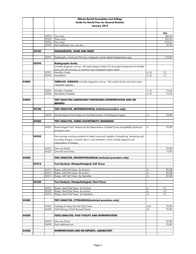|       |       |                | Alberta Dental Association and College                                                             |          |                 |
|-------|-------|----------------|----------------------------------------------------------------------------------------------------|----------|-----------------|
|       |       |                | <b>Guide for Dental Fees for General Dentists</b>                                                  |          |                 |
|       |       |                | January 2018                                                                                       |          |                 |
|       |       |                |                                                                                                    |          |                 |
|       |       |                |                                                                                                    |          | Fee             |
|       |       | 02932          | Two views                                                                                          |          | 186.44          |
|       |       | 02933          | Three views                                                                                        |          | 250.63          |
|       |       | 02934          | Four views                                                                                         |          | 310.61<br>49.23 |
|       |       | 02939          | Each additional view over four                                                                     |          |                 |
|       | 02940 |                | RADIOGRAPHS, HAND AND WRIST                                                                        |          |                 |
|       |       |                |                                                                                                    |          |                 |
|       |       | 02941          | Radiographs, Hand and Wrist (as a diagnostic aid for dental treatment) per case                    |          | 118.87          |
|       |       |                |                                                                                                    |          |                 |
|       | 02950 |                | Radiographic Guide,                                                                                |          |                 |
|       |       |                | (includes diagnostic wax-up, with radio-opaque markers for pre-surgical assessment of alveolar     |          |                 |
|       |       | 02951          | bone and vital structures as potential osseo-integrated implant site(s))<br><b>Maxillary Guide</b> | $+L +E$  | I.C.            |
|       |       | 02952          | Mandibular                                                                                         | $+L +E$  | I.C.            |
|       |       |                |                                                                                                    |          |                 |
| 03000 |       |                | TEMPLATE, SURGICAL (includes diagnostic wax-up. Also used to locate and orient osseo-              |          |                 |
|       |       |                | intearated implants)                                                                               |          |                 |
|       |       |                |                                                                                                    |          |                 |
|       |       | 03001          | Maxillary Template                                                                                 | $+L +E$  | 74.63           |
|       |       | 03002          | Mandibular Template                                                                                | $+L +E$  | 74.63           |
| 04000 |       |                | TEST/ANALYSIS/LABORATORY PROCEDURES/INTERPRETATION AND/OR                                          |          |                 |
|       |       |                | <b>REPORTS</b>                                                                                     |          |                 |
|       |       |                |                                                                                                    |          |                 |
|       | 04100 |                | TEST/ANALYSIS, MICROBIOLOGICAL (technical procedure only)                                          |          |                 |
|       |       |                |                                                                                                    |          |                 |
|       |       | 04101          | Microbiological Test/Analysis for the Determination of Pathological Agents                         | +L       | 70.89           |
|       |       |                |                                                                                                    |          |                 |
|       | 04200 |                | TEST/ANALYSIS, CARIES SUSCEPTIBILITY/DIAGNOSIS                                                     |          |                 |
|       |       | 04201          | Bacteriological Test/ Analysis for the Determination of Dental Caries Susceptibility (technical    | +L       | 70.89           |
|       |       |                | procedure only)                                                                                    |          |                 |
|       |       |                |                                                                                                    |          |                 |
|       | 04220 |                | Non-ionizing scanning procedure to detect caries and capable of quantifying, monitoring and        |          |                 |
|       |       |                | recording changes in enamel, dent in, and cementum, which includes diagnosis and                   |          |                 |
|       |       |                | interpretation of findinas.                                                                        |          |                 |
|       |       | 04221          | One unit of time                                                                                   |          | 29.80           |
|       |       | 04227          | One half unit of time                                                                              |          | 14.90           |
|       |       |                |                                                                                                    |          |                 |
| 04300 |       |                | TEST/ANALYSIS, HISTOPATHOLOGICAL (technical procedure only)                                        |          |                 |
|       |       |                |                                                                                                    |          |                 |
|       | 04310 |                | Test/Analysis, Histopathological, Soft Tissue                                                      |          |                 |
|       |       |                |                                                                                                    |          |                 |
|       |       | 04311<br>04312 | Biopsy, Soft Oral Tissue - by Puncture<br>Biopsy, Soft Oral Tissue - by Incision                   | +L<br>+L | 82.08<br>82.08  |
|       |       | 04313          | Biopsy, Soft Oral Tissue - by Aspiration                                                           | +L       | 82.08           |
|       |       |                |                                                                                                    |          |                 |
|       | 04320 |                | Test/Analysis, Histopathological, Hard Tissue                                                      |          |                 |
|       |       |                |                                                                                                    |          |                 |
|       |       | 04321          | Biopsy, Hard Oral Tissue - by Puncture                                                             | +L       | I.C.            |
|       |       | 04322          | Biopsy, Hard Oral Tissue - by Incision                                                             | $+1$     | I.C.            |
|       |       | 04323          | Biopsy, Hard Oral Tissue - by Aspiration                                                           | +L       | I.C.            |
| 04400 |       |                | TEST/ANALYSIS, CYTOLOGICAL(technical procedure only)                                               |          |                 |
|       |       |                |                                                                                                    |          |                 |
|       |       | 04401          | Cytological Smear from the Oral Cavity                                                             | $+L + E$ | 70.89           |
|       |       | 04402          | Vital Staining of Oral Mucosal Tissues                                                             | +E       | 70.89           |
|       |       |                |                                                                                                    |          |                 |
| 04500 |       |                | <b>TESTS/ANALYSIS, PULP VITALITY AND INTERPRETATION</b>                                            |          |                 |
|       |       |                |                                                                                                    |          |                 |
|       |       | 04501<br>04509 | One unit of time<br>Each additional unit                                                           |          | 70.89<br>70.89  |
|       |       |                |                                                                                                    |          |                 |
| 04600 |       |                | <b>INTERPRETATION AND/OR REPORTS, LABORATORY</b>                                                   |          |                 |
|       |       |                |                                                                                                    |          |                 |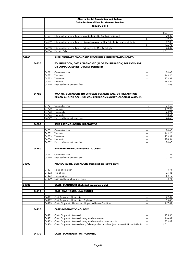|       |       |                | Alberta Dental Association and College                                                    |              |                |
|-------|-------|----------------|-------------------------------------------------------------------------------------------|--------------|----------------|
|       |       |                | <b>Guide for Dental Fees for General Dentists</b>                                         |              |                |
|       |       |                | January 2018                                                                              |              |                |
|       |       |                |                                                                                           |              |                |
|       |       |                |                                                                                           |              | Fee            |
|       |       | 04601          | Interpretation and/or Report, Microbiological by Oral Microbiologist                      | $+1$         | 70.89          |
|       |       |                |                                                                                           | to           | 212.72         |
|       |       | 04602          | Interpretation and/or Report, Histopathological by Oral Pathologist or Microbiologist     | $+1$         | 82.08          |
|       |       |                |                                                                                           | to           | 246.24         |
|       |       | 04603          | Interpretation and/or Report, Cytological by Oral Pathologist                             | $+1$         | 70.89          |
|       |       | 04604          | Reports, Other                                                                            |              | I.C.           |
| 04700 |       |                | SUPPLEMENTARY DIAGNOSTIC PROCEDURES (INTERPRETATION ONLY)                                 |              |                |
|       |       |                |                                                                                           |              |                |
|       | 04710 |                | EQUILIBRATION, CASTS DIAGNOSTIC (PILOT EQUILIBRATION) FOR EXTENSIVE                       |              |                |
|       |       |                | OR COMPLICATED RESTORATIVE DENTISTRY                                                      |              |                |
|       |       |                |                                                                                           |              |                |
|       |       | 04711          | One unit of time                                                                          | $+1$         | 74.63          |
|       |       | 04712          | Two units                                                                                 | $+1$         | 149.26         |
|       |       | 04713          | Three units                                                                               | $+1$         | 223.91         |
|       |       | 04714          | Four units<br>Each additional unit over four                                              | $+1$         | 298.54         |
|       |       | 04719          |                                                                                           | +L           | 74.63          |
|       |       |                |                                                                                           |              |                |
|       | 04720 |                | WAX-UP, DIAGNOSTIC (TO EVALUATE COSMETIC AND/OR PREPARATION                               |              |                |
|       |       |                | DESIGN AND/OR OCCLUSAL CONSIDERATIONS) (GNATHOLOGICAL WAX-UP)                             |              |                |
|       |       |                |                                                                                           |              |                |
|       |       |                |                                                                                           |              |                |
|       |       | 04721          | One unit of time                                                                          | +L           | 74.63          |
|       |       | 04722          | Two units                                                                                 | $+1$         | 149.26         |
|       |       | 04723          | Three units                                                                               | $+1$         | 223.91         |
|       |       | 04724          | Four units                                                                                | $+1$         | 298.54         |
|       |       | 04729          | Each additional unit over four                                                            | +L           | 74.63          |
|       |       |                |                                                                                           |              |                |
|       | 04730 |                | SPLIT CAST MOUNTING, DIAGNOSTIC                                                           |              |                |
|       |       | 04731          | One unit of time                                                                          | +L           | 74.63          |
|       |       | 04732          | Two units                                                                                 | $+1$         | 149.26         |
|       |       | 04733          | Three units                                                                               | $+1$         | 223.91         |
|       |       | 04734          | Four units                                                                                | $+1$         | 298.54         |
|       |       | 04739          | Each additional unit over four                                                            | +L           | 74.63          |
|       |       |                |                                                                                           |              |                |
|       | 04740 |                | <b>INTERPRETATION OF DIAGNOSTIC CASTS</b>                                                 |              |                |
|       |       |                |                                                                                           |              |                |
|       |       | 04741<br>04749 | One unit of time<br>Each additional unit over one                                         |              | 71.89<br>71.89 |
|       |       |                |                                                                                           |              |                |
| 04800 |       |                | PHOTOGRAPHS, DIAGNOSTIC (technical procedure only)                                        |              |                |
|       |       |                |                                                                                           |              |                |
|       |       | 04801          | Single photograph                                                                         |              | 18.71          |
|       |       | 04802          | Two photos                                                                                |              | 35.45          |
|       |       | 04803          | Three photos                                                                              |              | 53.18          |
|       |       | 04809          | Each additional photo over three                                                          |              | 18.71          |
|       |       |                |                                                                                           |              |                |
| 04900 |       |                | <b>CASTS, DIAGNOSTIC (technical procedure only)</b>                                       |              |                |
|       | 04910 |                |                                                                                           |              |                |
|       |       |                | <b>CAST DIAGNOSTIC, UNMOUNTED</b>                                                         |              |                |
|       |       | 04911          | Cast, Diagnostic, Unmounted                                                               | +L           | 79.89          |
|       |       | 04912          | Cast, Diagnostic, Unmounted, Duplicate                                                    | $+1$         | 35.45          |
|       |       | 04913          | Casts, Diagnositc, Unmounted, Upper and Lower Combined                                    | $+1$         | 167.81         |
|       |       |                |                                                                                           |              |                |
|       | 04920 |                | <b>CASTS DIAGNOSTIC MOUNTED</b>                                                           |              |                |
|       |       |                |                                                                                           |              |                |
|       |       | 04921          | Casts, Diagnostic, Mounted                                                                | +L           | 125.36         |
|       |       | 04922          | Casts, Diagnostic, Mounted, using face bow transfer                                       | $+1$         | 166.81         |
|       |       | 04923<br>04924 | Casts, Diagnostic, Mounted, using face bow and occlusal records                           | $+1$<br>$+1$ | 329.42<br>I.C. |
|       |       |                | Casts, Diagnostic, Mounted using fully adjustable articulator (used with 04941 and 04942) |              |                |
|       |       |                |                                                                                           |              |                |
|       | 04930 |                | <b>CASTS DIAGNOSTIC ORTHODONTIC</b>                                                       |              |                |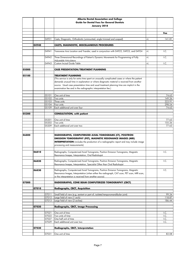|       |       |                | Alberta Dental Association and College<br><b>Guide for Dental Fees for General Dentists</b><br>January 2018                                                                                                                                                                                                                                               |      |                  |
|-------|-------|----------------|-----------------------------------------------------------------------------------------------------------------------------------------------------------------------------------------------------------------------------------------------------------------------------------------------------------------------------------------------------------|------|------------------|
|       |       |                |                                                                                                                                                                                                                                                                                                                                                           |      |                  |
|       |       |                |                                                                                                                                                                                                                                                                                                                                                           |      | Fee              |
|       |       |                |                                                                                                                                                                                                                                                                                                                                                           |      |                  |
|       |       | 04931          | Casts, Diagnostic, Orthodontic (unmounted, angle trimmed and soaped)                                                                                                                                                                                                                                                                                      | +L   | 141.81           |
|       | 04940 |                | <b>CASTS, DIAGNOSTIC, MISCELLANEOUS PROCEDURES</b>                                                                                                                                                                                                                                                                                                        |      |                  |
|       |       |                |                                                                                                                                                                                                                                                                                                                                                           |      |                  |
|       |       | 04941          | Transverse Axis Location and Transfer, used in conjunction with 04922, 04923, and 04924                                                                                                                                                                                                                                                                   | +L   | I.C.             |
|       |       | 04942          | Three Dimensional Recordings of Patient's Dynamic Movements for Programming of Fully<br>Adjustable Articulators                                                                                                                                                                                                                                           | $+1$ | I.C.             |
|       |       | 04943          | Custom Incisal Guide Table                                                                                                                                                                                                                                                                                                                                | +L   | I.C.             |
| 05000 |       |                | <b>CASE PRESENTATION/TREATMENT PLANNING</b>                                                                                                                                                                                                                                                                                                               |      |                  |
|       |       |                |                                                                                                                                                                                                                                                                                                                                                           |      |                  |
| 05100 |       |                | <b>TREATMENT PLANNING</b>                                                                                                                                                                                                                                                                                                                                 |      |                  |
|       |       |                | (This service is only for extra time spent on unusually complicated cases or where the patient<br>demands unusual time in explanation or where diagnostic material is received from another<br>source. Usual case presentation time and usual treatment planning time are implicit in the<br>examination fee and in the radiographic interpretation fee.) |      |                  |
|       |       | 05101          | One unit of time                                                                                                                                                                                                                                                                                                                                          |      | 74.63            |
|       |       | 05102          | Two units                                                                                                                                                                                                                                                                                                                                                 |      | 149.26           |
|       |       | 05103          | Three units                                                                                                                                                                                                                                                                                                                                               |      | 223.91           |
|       |       | 05104<br>05109 | Four units<br>Each additional unit over four                                                                                                                                                                                                                                                                                                              |      | 298.54<br>74.63  |
|       |       |                |                                                                                                                                                                                                                                                                                                                                                           |      |                  |
| 05200 |       |                | <b>CONSULTATION, with patient</b>                                                                                                                                                                                                                                                                                                                         |      |                  |
|       |       | 05201          | One unit of time                                                                                                                                                                                                                                                                                                                                          |      | 77.63            |
|       |       | 05202          | Two units                                                                                                                                                                                                                                                                                                                                                 |      | 155.26           |
|       |       | 05209          | Each additional unit over two                                                                                                                                                                                                                                                                                                                             |      | 77.63            |
|       |       |                |                                                                                                                                                                                                                                                                                                                                                           |      |                  |
| 06800 |       |                | RADIOGRAPHS, COMPUTERIZED AXIAL TOMOGRAMS (CT), POSITRON<br><b>EMISSION TOMOGRAPHY (PET), MAGNETIC RESONANCE IMAGES (MRI)</b><br><b>INTERPRETATION</b> (includes the production of a radiographic report and may include image<br>processing and measurements)                                                                                            |      |                  |
|       | 06810 |                | Radiographs, Computerized Axial Tomograms, Position Emission Tomograms, Magnetic                                                                                                                                                                                                                                                                          |      | I.C.             |
|       |       |                | Resonance Images, Interpretation, Oral Radiologist                                                                                                                                                                                                                                                                                                        |      |                  |
|       | 06820 |                | Radiographs, Computerized Axial Tomograms, Positron Emission Tomograms, Magnetic                                                                                                                                                                                                                                                                          |      |                  |
|       |       |                | Resonance Images, Interpretation, Specialist Other than Oral Radiologist                                                                                                                                                                                                                                                                                  |      | I.C.             |
|       | 06830 |                | Radiographs, Computerized Axial Tomograms, Positron Emission Tomograms, Magnetic<br>Resonance Images, Interpretation (when either the radiograph, CAT scan, PET scan, MRI scan,<br>or the interpretation is received from another source)                                                                                                                 |      | I.C.             |
| 07000 |       |                | RADIOGRAPHS, CONE BEAM COMPUTERIZED TOMOGRAPHY (CBCT)                                                                                                                                                                                                                                                                                                     |      |                  |
|       | 07010 |                | <b>Radiographs, CBCT, Acquisition</b>                                                                                                                                                                                                                                                                                                                     |      |                  |
|       |       |                |                                                                                                                                                                                                                                                                                                                                                           |      |                  |
|       |       | 07011          | Small field of view (e.g. sextant or part of; isolated temporomandibular joint)                                                                                                                                                                                                                                                                           |      | 99.34            |
|       |       | 07012<br>07013 | Large field of view (1 arch)<br>Large field of view (2 arches)                                                                                                                                                                                                                                                                                            |      | 118.87<br>186.44 |
|       |       |                |                                                                                                                                                                                                                                                                                                                                                           |      |                  |
|       | 07020 |                | <b>Radiographs, CBCT, Image Processing</b>                                                                                                                                                                                                                                                                                                                |      |                  |
|       |       | 07021          | One unit of time                                                                                                                                                                                                                                                                                                                                          |      | I.C.             |
|       |       | 07022          | Two units of time                                                                                                                                                                                                                                                                                                                                         |      | I.C.             |
|       |       | 07027          | One half unit of time                                                                                                                                                                                                                                                                                                                                     |      | I.C.             |
|       |       | 07029          | Each additional unit over two                                                                                                                                                                                                                                                                                                                             |      | I.C.             |
|       | 07030 |                | Radiographs, CBCT, Interpretation                                                                                                                                                                                                                                                                                                                         |      |                  |
|       |       |                |                                                                                                                                                                                                                                                                                                                                                           |      |                  |
|       |       | 07031          | One unit of time                                                                                                                                                                                                                                                                                                                                          |      | 82.08            |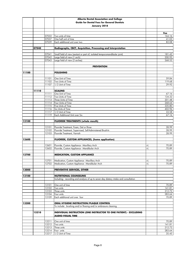|       |       |                | Alberta Dental Association and College                                                                                |      |                    |
|-------|-------|----------------|-----------------------------------------------------------------------------------------------------------------------|------|--------------------|
|       |       |                | <b>Guide for Dental Fees for General Dentists</b>                                                                     |      |                    |
|       |       |                | January 2018                                                                                                          |      |                    |
|       |       |                |                                                                                                                       |      |                    |
|       |       |                |                                                                                                                       |      | Fee                |
|       |       | 07032          | Two units of time                                                                                                     |      | 164.16             |
|       |       | 07037          | One half unit of time                                                                                                 |      | $\overline{4}1.03$ |
|       |       | 07039          | Each additional unit over two                                                                                         |      | 82.08              |
|       | 07040 |                | Radiographs, CBCT, Acquisition, Processing and Interpretation                                                         |      |                    |
|       |       |                |                                                                                                                       |      |                    |
|       |       | 07041          | Small field of view (sextant or part of; isolated temporomandibular joint)                                            |      | 181.42             |
|       |       | 07042          | Large field of view (1 arch)                                                                                          |      | 200.95             |
|       |       | 07043          | Large field of view (2 arches)                                                                                        |      | 268.52             |
|       |       |                |                                                                                                                       |      |                    |
|       |       |                | <b>PREVENTION</b>                                                                                                     |      |                    |
| 11100 |       |                | <b>POLISHING</b>                                                                                                      |      |                    |
|       |       |                |                                                                                                                       |      |                    |
|       |       | 11101          | One Unit of Time                                                                                                      |      | 59.84              |
|       |       | 11102          | Two Units of Time                                                                                                     |      | 119.68             |
|       |       | 11107          | 1/2 Unit of Time                                                                                                      |      | 29.92              |
|       |       |                |                                                                                                                       |      |                    |
|       | 11110 |                | <b>SCALING</b>                                                                                                        |      |                    |
|       |       | 11111          | One Unit of Time<br>Two Units of Time                                                                                 |      | 67.16              |
|       |       | 11112<br>11113 | Three Units of Time                                                                                                   |      | 134.32<br>201.48   |
|       |       | 11114          | Four Units of Time                                                                                                    |      | 268.64             |
|       |       | 11115          | Five Units of Time                                                                                                    |      | 335.80             |
|       |       | 11116          | Six Units of Time                                                                                                     |      | 402.96             |
|       |       | 11117          | 1/2 Unit of Time                                                                                                      |      | 33.58              |
|       |       | 11119          | Each Additional Unit over Six                                                                                         |      | 67.16              |
|       |       |                |                                                                                                                       |      |                    |
| 12100 |       |                | <b>FLUORIDE TREATMENTS (whole mouth)</b>                                                                              |      |                    |
|       |       |                |                                                                                                                       |      |                    |
|       |       | 12101<br>12102 | Fluoride Treatment, Foam, Gel or Rinse<br>Fluoride Treatment, Supervised, Self-Administered Brush-In                  |      | 28.99<br>28.99     |
|       |       | 12103          | Fluoride Treatment, Varnish                                                                                           |      | 28.99              |
|       |       |                |                                                                                                                       |      |                    |
| 12600 |       |                | <b>FLUORIDE, CUSTOM APPLIANCES, (home application)</b>                                                                |      |                    |
|       |       |                |                                                                                                                       |      |                    |
|       |       | 12601          | Fluoride, Custom Appliance - Maxillary Arch                                                                           | +L   | 70.89              |
|       |       | 12602          | Fluoride, Custom Appliance - Mandibular Arch                                                                          | $+1$ | 70.89              |
| 12700 |       |                | <b>MEDICATION, CUSTOM APPLIANCE</b>                                                                                   |      |                    |
|       |       |                |                                                                                                                       |      |                    |
|       |       |                | 12701 Medication, Custom Appliance - Maxillary Arch                                                                   | $+1$ | 70.89              |
|       |       | 12702          | Medication, Custom Appliance - Mandibular Arch                                                                        | $+1$ | 70.89              |
|       |       |                |                                                                                                                       |      |                    |
| 13000 |       |                | PREVENTIVE SERVICES, OTHER                                                                                            |      |                    |
|       |       |                |                                                                                                                       |      |                    |
| 13100 |       |                | <b>NUTRITIONAL COUNSELING</b><br>Including: recording and analysis of up to seven day dietary intake and consultation |      |                    |
|       |       |                |                                                                                                                       |      |                    |
|       |       | 13101          | One unit of time                                                                                                      |      | 70.89              |
|       |       | 13102          | Two units                                                                                                             |      | 141.81             |
|       |       | 13103          | Three units                                                                                                           |      | 212.72             |
|       |       | 13104          | Four units                                                                                                            |      | 283.64             |
|       |       | 13109          | Each additional unit over four                                                                                        |      | 70.89              |
|       |       |                |                                                                                                                       |      |                    |
| 13200 |       |                | <b>ORAL HYGIENE INSTRUCTION/PLAQUE CONTROL</b><br>To include: brushing and/or flossing and/or embrasure cleaning.     |      |                    |
|       |       |                |                                                                                                                       |      |                    |
|       | 13210 |                | INDIVIDUAL INSTRUCTION (ONE INSTRUCTOR TO ONE PATIENT) - EXCLUDING                                                    |      |                    |
|       |       |                | <b>AUDIO-VISUAL TIME</b>                                                                                              |      |                    |
|       |       |                |                                                                                                                       |      |                    |
|       |       | 13211          | One unit of time                                                                                                      |      | 70.89              |
|       |       | 13212          | Two units                                                                                                             |      | 141.81             |
|       |       | 13213          | Three units                                                                                                           |      | 212.72             |
|       |       | 13214<br>13217 | Four units<br>1/2 Unit of Time                                                                                        |      | 283.64<br>35.45    |
|       |       |                |                                                                                                                       |      |                    |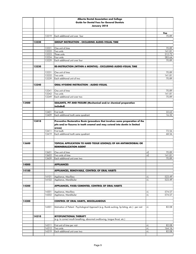|       |       |                | Alberta Dental Association and College                                                            |            |                  |
|-------|-------|----------------|---------------------------------------------------------------------------------------------------|------------|------------------|
|       |       |                | <b>Guide for Dental Fees for General Dentists</b>                                                 |            |                  |
|       |       |                | January 2018                                                                                      |            |                  |
|       |       |                |                                                                                                   |            |                  |
|       |       | 13219          | Each additional unit over four                                                                    |            | Fee<br>70.89     |
|       |       |                |                                                                                                   |            |                  |
|       | 13220 |                | <b>GROUP INSTRUCTION - EXCLUDING AUDIO-VISUAL TIME</b>                                            |            |                  |
|       |       |                |                                                                                                   |            |                  |
|       |       | 13221          | One unit of time                                                                                  |            | 70.89            |
|       |       | 13222          | Two units                                                                                         |            | 141.81           |
|       |       | 13223<br>13224 | Three units<br>Four units                                                                         |            | 212.72<br>283.64 |
|       |       | 13229          | Each additional unit over four                                                                    |            | 70.89            |
|       |       |                |                                                                                                   |            |                  |
|       | 13230 |                | RE-INSTRUCTION (WITHIN 6 MONTHS) - EXCLUDING AUDIO-VISUAL TIME                                    |            |                  |
|       |       |                |                                                                                                   |            |                  |
|       |       | 13231          | One unit of time                                                                                  |            | 70.89            |
|       |       | 13232          | Two units                                                                                         |            | 141.81           |
|       |       | 13239          | Each additional unit of two                                                                       |            | 70.89            |
|       | 13240 |                | ORAL HYGIENE INSTRUCTION - AUDIO-VISUAL                                                           |            |                  |
|       |       |                |                                                                                                   |            |                  |
|       |       | 13241          | One unit of time                                                                                  |            | 70.89            |
|       |       | 13242          | Two units                                                                                         |            | 141.81           |
|       |       | 13249          | Each additional unit over two                                                                     |            | 70.89            |
|       |       |                |                                                                                                   |            |                  |
| 13400 |       |                | SEALANTS, PIT AND FISSURE (Mechanical and/or chemical preparation<br>included)                    |            |                  |
|       |       |                |                                                                                                   |            |                  |
|       |       | 13401          | First tooth                                                                                       |            | 32.63            |
|       |       | 13409          | Each additional tooth same quadrant                                                               |            | 16.32            |
|       |       |                |                                                                                                   |            |                  |
|       | 13410 |                | Preventive Restorative Resin (procedure that involves some preparation of the                     |            |                  |
|       |       |                | pits and/or fissures in tooth enamel and may extend into dentin in limited                        |            |                  |
|       |       |                | areas)                                                                                            |            |                  |
|       |       | 13411<br>13419 | First tooth<br>Each additional tooth same quadrant                                                |            | 72.56<br>68.56   |
|       |       |                |                                                                                                   |            |                  |
|       |       |                |                                                                                                   |            |                  |
| 13600 |       |                | TOPICAL APPLICATION TO HARD TISSUE LESION(S) OF AN ANTIMICROBIAL OR                               |            |                  |
|       |       |                | <b>REMINERALIZATION AGENT</b>                                                                     |            |                  |
|       |       |                |                                                                                                   |            |                  |
|       |       | 13601          | One unit of time<br>Two units of time                                                             | +E         | 70.89            |
|       |       | 13602<br>13609 | Each additional unit over two                                                                     | +E         | 141.81<br>70.89  |
|       |       |                |                                                                                                   |            |                  |
| 14000 |       |                | <b>APPLIANCES</b>                                                                                 |            |                  |
|       |       |                |                                                                                                   |            |                  |
| 14100 |       |                | APPLIANCES, REMOVABLE, CONTROL OF ORAL HABITS                                                     |            |                  |
|       |       |                |                                                                                                   |            |                  |
|       |       | 14101<br>14102 | Appliance, Maxillary<br>Appliance, Mandibular                                                     | +L<br>$+1$ | 523.49<br>523.49 |
|       |       |                |                                                                                                   |            |                  |
| 14200 |       |                | APPLIANCES, FIXED/CEMENTED, CONTROL OF ORAL HABITS                                                |            |                  |
|       |       |                |                                                                                                   |            |                  |
|       |       | 14201          | Appliance, Maxillary                                                                              | +L         | 574.57           |
|       |       | 14202          | Appliance, Mandibular                                                                             | +L         | 574.57           |
|       |       |                |                                                                                                   |            |                  |
| 14300 |       |                | <b>CONTROL OF ORAL HABITS, MISCELLANEOUS</b>                                                      |            |                  |
|       |       | 14301          | Motivation of Patient - Psychological Approach (e.g. thumb sucking, lip biting, etc.) - per visit | +L         | 82.08            |
|       |       |                |                                                                                                   |            |                  |
|       |       |                |                                                                                                   |            |                  |
|       | 14310 |                | <b>MYOFUNCTIONAL THERAPY</b>                                                                      |            |                  |
|       |       |                | (e.g. to correct mouth breathing, abnormal swallowing, tonque thrust, etc.)                       |            |                  |
|       |       | 14311          | First unit of time per visit                                                                      |            | 82.08            |
|       |       | 14312          | Two units                                                                                         | +L<br>$+1$ | 164.16           |
|       |       | 14319          | Each additional unit over two                                                                     | $+1$       | 82.08            |
|       |       |                |                                                                                                   |            |                  |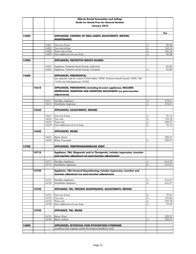|       |       |                | Alberta Dental Association and College                                                  |                  |                  |
|-------|-------|----------------|-----------------------------------------------------------------------------------------|------------------|------------------|
|       |       |                | <b>Guide for Dental Fees for General Dentists</b>                                       |                  |                  |
|       |       |                | January 2018                                                                            |                  |                  |
|       |       |                |                                                                                         |                  |                  |
|       |       |                |                                                                                         |                  | Fee              |
| 14400 |       |                | APPLIANCES, CONTROL OF ORAL HABITS ADJUSTMENTS, REPAIRS,                                |                  |                  |
|       |       |                | <b>MAINTENANCE</b>                                                                      |                  |                  |
|       |       | 14401          | One unit of time                                                                        | +L               | 82.08            |
|       |       | 14402          | Two units of time                                                                       | $+1$             | 164.16           |
|       |       | 14403          | Three units of time                                                                     | $+1$             | 246.24           |
|       |       | 14409          | Each additional unit over three                                                         | $+1$             | 82.08            |
|       |       |                |                                                                                         |                  |                  |
| 14500 |       |                | <b>APPLIANCES, PROTECTIVE MOUTH GUARDS</b>                                              |                  |                  |
|       |       | 14501          | Appliance, Protected Mouth Guards, Preformed                                            |                  | 84.89            |
|       |       | 14502          | Appliance, Protective Mouth Guards, Processed                                           | +L               | 92.89            |
|       |       |                |                                                                                         |                  |                  |
| 14600 |       |                | <b>APPLIANCES, PERIODONTAL</b>                                                          |                  |                  |
|       |       |                | (see separate code for control of Oral Habits 14000, Protective Mouth Guards 14500, TMJ |                  |                  |
|       |       |                | 14700 and TMJ appliances 78700)                                                         |                  |                  |
|       |       |                |                                                                                         |                  |                  |
|       | 14610 |                | APPLIANCES, PERIODONTAL (including bruxism appliance); INCLUDES                         |                  |                  |
|       |       |                | IMPRESSION, INSERTION AND INSERTION ADJUSTMENT (no post-insertion                       |                  |                  |
|       |       |                | adjustments)                                                                            |                  |                  |
|       |       |                |                                                                                         |                  |                  |
|       |       | 14611<br>14612 | <b>Maxillary Appliance</b><br>Mandibular Appliance                                      | +L<br>+L         | 418.61<br>418.61 |
|       |       |                |                                                                                         |                  |                  |
|       | 14620 |                | <b>APPLIANCES, ADJUSTMENTS, REPAIRS</b>                                                 |                  |                  |
|       |       |                |                                                                                         |                  |                  |
|       |       | 14621          | One unit of time                                                                        | +L               | 76.12            |
|       |       | 14622          | Two units                                                                               | $+1$             | 152.25           |
|       |       | 14623          | Three units                                                                             | $+1$             | 228.37           |
|       |       | 14629          | Each additional unit over three                                                         | $+1$             | 76.12            |
|       | 14630 |                | <b>APPLIANCES, RELINE</b>                                                               |                  |                  |
|       |       |                |                                                                                         |                  |                  |
|       |       | 14631          | Reline, Direct                                                                          |                  | 228.37           |
|       |       | 14632          | Reline, Processed                                                                       | +L               | 228.37           |
|       |       |                |                                                                                         |                  |                  |
| 14700 |       |                | APPLIANCES, TEMPOROMANDIBULAR JOINT                                                     |                  |                  |
|       |       |                |                                                                                         |                  |                  |
|       | 14710 |                | Appliance, TMJ, Diagnostic and/or Therapeutic, includes impression, insertion           |                  |                  |
|       |       |                | and insertion adiustment (no post-insertion adiustments)                                |                  |                  |
|       |       | 14711          | Maxillary Appliance                                                                     | $+1$             | 616.27           |
|       |       | 14712          | Mandibular Appliance                                                                    | $+1$             | 616.27           |
|       |       |                |                                                                                         |                  |                  |
|       | 14720 |                | Appliance, TMJ Intraoral Repositioning; includes impression, insertion and              |                  |                  |
|       |       |                | insertion adjustment (no post-insertion adjustments)                                    |                  |                  |
|       |       |                |                                                                                         |                  |                  |
|       |       | 14721          | Maxillary Appliance                                                                     | +L               | 616.27<br>616.27 |
|       |       | 14722          | Mandibular Appliance                                                                    | +L               |                  |
|       | 14730 |                | APPLIANCE, TMJ, PERIODIC MAINTENANCE, ADJUSTMENTS, REPAIRS                              |                  |                  |
|       |       |                |                                                                                         |                  |                  |
|       |       | 14731          | One unit of time                                                                        | $+1$             | 79.92            |
|       |       | 14732          | Two units                                                                               | $\pm 1$          | 159.84           |
|       |       | 14733          | Three units                                                                             | $\pm 1$          | 239.78           |
|       |       | 14739          | Each additional unit over three                                                         | $\pm \mathsf{L}$ | 79.92            |
|       |       |                |                                                                                         |                  |                  |
|       | 14740 |                | <b>APPLIANCE, TMJ, RELINE</b>                                                           |                  |                  |
|       |       | 14741          | Reline, Direct                                                                          |                  | 228.37           |
|       |       | 14742          | Reline, Indirect                                                                        | +L               | 228.37           |
|       |       |                |                                                                                         |                  |                  |
| 14800 |       |                | APPLIANCES, MYOFACIAL PAIN DYSFUNCTION SYNDROME                                         |                  |                  |
|       |       |                | (conditions that originate outside the temporomandibular joint)                         |                  |                  |
|       |       |                |                                                                                         |                  |                  |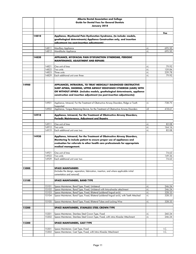|       |       |                | Alberta Dental Association and College                                                     |      |                 |
|-------|-------|----------------|--------------------------------------------------------------------------------------------|------|-----------------|
|       |       |                | <b>Guide for Dental Fees for General Dentists</b>                                          |      |                 |
|       |       |                | January 2018                                                                               |      |                 |
|       |       |                |                                                                                            |      |                 |
|       |       |                |                                                                                            |      | Fee             |
|       | 14810 |                | Appliance, Myofascial Pain Dysfunction Syndrome, (to include: models,                      |      |                 |
|       |       |                | gnathological determinants) Appliance Construction only, and insertion                     |      |                 |
|       |       |                | adjustment (no post-insertion adjustments)                                                 |      |                 |
|       |       | 14811          | Maxillary Appliance                                                                        | +L   | 695.50          |
|       |       | 14812          | Mandibular Appliance                                                                       | $+1$ | 695.50          |
|       |       |                |                                                                                            |      |                 |
|       | 14820 |                | APPLIANCE, MYOFACIAL PAIN DYSFUNCTION SYNDROME, PERIODIC                                   |      |                 |
|       |       |                | <u>MAINTENANCE, ADJUSTMENT AND REPAIRS</u>                                                 |      |                 |
|       |       | 14821          | One unit of time                                                                           | +L   | 79.92           |
|       |       | 14822          | Two units                                                                                  | $+1$ | 159.84          |
|       |       | 14823          | Three units                                                                                | $+1$ | 239.78          |
|       |       | 14829          | Each additional unit over three                                                            | $+1$ | 79.92           |
|       |       |                |                                                                                            |      |                 |
|       |       |                |                                                                                            |      |                 |
| 14900 |       |                | APPLIANCES, INTRAORAL, TO TREAT MEDICALLY DIAGNOSED OBSTRUCTIVE                            |      |                 |
|       |       |                | SLEEP APNEA, SNORING, UPPER AIRWAY RESISTANCE SYNDROM (UARS) WITH                          |      |                 |
|       |       |                | OR WITHOUT APNEA (Includes models, gnathological determinants, appliance                   |      |                 |
|       |       |                | construction and insertion adjustment (no post-insertion adjustments))                     |      |                 |
|       |       |                |                                                                                            |      |                 |
|       |       | 14901          | Appliance, Intraoral, For the Treatment of Obstructive Airway Disorders, Ridge or Tooth    | $+1$ | 738.75          |
|       |       |                | Supported                                                                                  |      |                 |
|       |       | 14902          | Appliance, Tongue Retaining Device, for the Treatment of Obstructive Airway Disorders      | +E   | 418.61          |
|       |       |                |                                                                                            |      |                 |
|       | 14910 |                | Appliance, Intraoral, For the Treatment of Obstructive Airway Disorders,                   |      |                 |
|       |       |                | Periodic Maintenance, Adjustment and Repairs                                               |      |                 |
|       |       | 14911          | One unit of time                                                                           | +L   | 82.08           |
|       |       | 14912          | Two units                                                                                  | $+1$ | 164.16          |
|       |       | 14919          | Each additional unit over two                                                              | $+1$ | 82.08           |
|       |       |                |                                                                                            |      |                 |
|       | 14920 |                | Appliance, Intraoral, For the Treatment of Obstructive Airway Disorders,                   |      |                 |
|       |       |                | Monitoring To include patient to ensure proper use of appliances and                       |      |                 |
|       |       |                | evaluation for referrals to other health care professionals for appropriate                |      |                 |
|       |       |                | medical management.                                                                        |      |                 |
|       |       |                |                                                                                            |      |                 |
|       |       | 14921          | One unit of time                                                                           |      | 74.63           |
|       |       | 14922<br>14929 | Two units<br>Each additional unit over two                                                 |      | 149.26<br>74.63 |
|       |       |                |                                                                                            |      |                 |
|       |       |                |                                                                                            |      |                 |
| 15000 |       |                | <b>SPACE MAINTAINERS</b>                                                                   |      |                 |
|       |       |                | (Includes the design, separation, fabrication, insertion, and where applicable initial     |      |                 |
|       |       |                | cementation and removal)                                                                   |      |                 |
|       |       |                |                                                                                            |      |                 |
| 15100 |       |                | <b>SPACE MAINTAINERS, BAND TYPE</b>                                                        |      |                 |
|       |       | 15101          | Space Maintainer, Band Type, Fixed, Unilateral                                             | +L   | 246.24          |
|       |       | 15102          | Space Maintainer, Band Type, Fixed, Unilateral with Intra-alveolar attachment              | +L   | 246.24          |
|       |       | 15103          | Space Maintainer, Band Type, Fixed, Bilateral (soldered lingual arch)                      | $+1$ | 328.33          |
|       |       | 15104          | Space Maintainer, Band Type, Fixed, Bilateral (soldered lingual arch), with Teeth Attached | $+1$ | 328.33          |
|       |       |                |                                                                                            |      |                 |
|       |       | 15105          | Space Maintainer, Band Type, Fixed, Bilateral Tubes and Locking Wire                       | $+1$ | 328.33          |
|       |       |                |                                                                                            |      |                 |
| 15200 |       |                | SPACE MAINTAINERS, STAINLESS STEEL CROWN TYPE                                              |      |                 |
|       |       | 15201          | Space Maintainer, Stainless Steel Crown Type, Fixed                                        | +L   | 260.24          |
|       |       | 15202          | Space Maintainer, Stainless Steel Crown Type, Fixed, with intra Alveolar Attachment        | $+1$ | 246.24          |
|       |       |                |                                                                                            |      |                 |
| 15300 |       |                | <b>SPACE MAINTAINERS, CAST TYPE</b>                                                        |      |                 |
|       |       |                |                                                                                            |      |                 |
|       |       | 15301          | Space Maintainer, Cast Type, Fixed                                                         |      | I.C.            |
|       |       | 15302          | Space Maintainer, Cast Type, Fixed, with Intra Alveolar Attachment                         |      | I.C.            |
|       |       |                |                                                                                            |      |                 |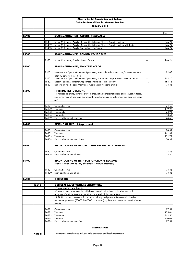|       |         |                | Alberta Dental Association and College                                                                                               |          |                  |
|-------|---------|----------------|--------------------------------------------------------------------------------------------------------------------------------------|----------|------------------|
|       |         |                | <b>Guide for Dental Fees for General Dentists</b>                                                                                    |          |                  |
|       |         |                | January 2018                                                                                                                         |          |                  |
|       |         |                |                                                                                                                                      |          |                  |
|       |         |                |                                                                                                                                      |          | Fee              |
| 15400 |         |                | SPACE MAINTAINERS, ACRYLIC, REMOVABLE                                                                                                |          |                  |
|       |         |                |                                                                                                                                      |          |                  |
|       |         | 15401          | Space Maintainer, Acrylic, Removable, Bilateral Clasps, Retaining Wires                                                              | +L       | 246.24           |
|       |         | 15402<br>15403 | Space Maintainer, Acrylic, Removable, Bilateral Clasps, Retaining Wires with Teeth<br>Space Maintainer, Acrylic Removable, No Clasps | +L<br>+L | 246.24<br>246.24 |
|       |         |                |                                                                                                                                      |          |                  |
| 15500 |         |                | SPACE MAINTAINERS, BONDED, PONTIC TYPE                                                                                               |          |                  |
|       |         |                |                                                                                                                                      |          |                  |
|       |         | 15501          | Space Maintainer, Bonded, Pontic Type + L                                                                                            | +L       | 246.24           |
|       |         |                |                                                                                                                                      |          |                  |
| 15600 |         |                | SPACE MAINTAINERS, MAINTENANCE OF                                                                                                    |          |                  |
|       |         |                |                                                                                                                                      |          |                  |
|       |         | 15601          | Maintenance, Space Maintainer Appliances, to include: adjustment and/or recementation                                                |          | 82.08            |
|       |         | 15602          | after 30 days from insertion<br>Maintenance, Space Maintainer Appliances, addition of clasps and/or activating wires                 | +L       | 164.16           |
|       |         | 15603          | Repairs, Space Maintainer Appliances (including recementation)                                                                       | +L       | 164.16           |
|       |         | 15604          | Removal of Fixed Space Maintainer Appliances by Second Dentist                                                                       |          | 78.35            |
|       |         |                |                                                                                                                                      |          |                  |
| 16100 |         |                | <b>FINISHING RESTORATIONS</b>                                                                                                        |          |                  |
|       |         |                | To include: polishing, removal of overhangs, refining marginal ridges and occlusal surfaces,                                         |          |                  |
|       |         |                | etc. (when restorations were performed by another dentist or restorations are over two years                                         |          |                  |
|       |         |                | (blo                                                                                                                                 |          |                  |
|       |         |                |                                                                                                                                      |          |                  |
|       |         | 16101          | One unit of time                                                                                                                     |          | 74.63            |
|       |         | 16102          | Two units                                                                                                                            |          | 149.26<br>223.91 |
|       |         | 16103<br>16104 | Three units<br>Four units                                                                                                            |          | 298.54           |
|       |         | 16109          | Each additional unit over four                                                                                                       |          | 74.63            |
|       |         |                |                                                                                                                                      |          |                  |
| 16200 |         |                | <b>DISKING OF TEETH, Interproximal</b>                                                                                               |          |                  |
|       |         |                |                                                                                                                                      |          |                  |
|       |         | 16201          | One unit of time                                                                                                                     |          | 70.89            |
|       |         | 16202          | Two units                                                                                                                            |          | 141.81           |
|       |         | 16203          | Three units                                                                                                                          |          | 212.72           |
|       |         | 16209          | Each additional unit over three                                                                                                      |          | 70.89            |
| 16300 |         |                | <b>RECONTOURING OF NATURAL TEETH FOR AESTHETIC REASONS</b>                                                                           |          |                  |
|       |         |                |                                                                                                                                      |          |                  |
|       |         | 16301          | One unit of time                                                                                                                     |          | 78.35            |
|       |         | 16309          | Each additional unit of time                                                                                                         |          | 78.35            |
|       |         |                |                                                                                                                                      |          |                  |
| 16400 |         |                | <b>RECONTOURING OF TEETH FOR FUNCTIONAL REASONS</b>                                                                                  |          |                  |
|       |         |                | (Not associated with delivery of a single or multiple prosthesis)                                                                    |          |                  |
|       |         |                |                                                                                                                                      |          |                  |
|       |         | 16401          | One unit of time                                                                                                                     |          | 78.35            |
|       |         | 16409          | Each additional unit of time                                                                                                         |          | 78.35            |
| 16500 |         |                | <b>OCCLUSION</b>                                                                                                                     |          |                  |
|       |         |                |                                                                                                                                      |          |                  |
|       | 16510   |                | <b>OCCLUSAL ADJUSTMENT/EQUILIBRATION:</b>                                                                                            |          |                  |
|       |         |                | (a) May require several sessions                                                                                                     |          |                  |
|       |         |                | (b) May be used in conjunction with basic restorative treatment only when occlusal                                                   |          |                  |
|       |         |                | adjustment/equilibration is not required as a result of that restoration.                                                            |          |                  |
|       |         |                | (c) Not to be used in conjunction with the delivery and post-insertion care of: fixed or                                             |          |                  |
|       |         |                | removable prosthesis (50000 & 60000 code series) by the same dentist for period of three                                             |          |                  |
|       |         |                | months.                                                                                                                              |          |                  |
|       |         | 16511          | One unit of time                                                                                                                     |          | 87.51            |
|       |         | 16512          | Two units                                                                                                                            |          | 175.04           |
|       |         | 16513          | Three units                                                                                                                          |          | 262.56           |
|       |         | 16514          | Four units                                                                                                                           |          | 350.07           |
|       |         | 16519          | Each additional unit over four                                                                                                       |          | 87.51            |
|       |         |                |                                                                                                                                      |          |                  |
|       |         |                | <b>RESTORATION</b>                                                                                                                   |          |                  |
|       |         |                |                                                                                                                                      |          |                  |
|       | Note 1: |                | Treatment of dental caries includes pulp protection and local anaesthesia.                                                           |          |                  |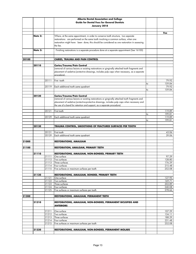|       |         |       | Alberta Dental Association and College                                                                                        |    |        |
|-------|---------|-------|-------------------------------------------------------------------------------------------------------------------------------|----|--------|
|       |         |       | <b>Guide for Dental Fees for General Dentists</b>                                                                             |    |        |
|       |         |       | January 2018                                                                                                                  |    |        |
|       |         |       |                                                                                                                               |    |        |
|       |         |       |                                                                                                                               |    |        |
|       | Note 2: |       | Where, at the same appointment, in order to conserve tooth structure, two separate                                            |    | Fee    |
|       |         |       | restorations are performed on the same tooth involving a common surface, when one                                             |    |        |
|       |         |       |                                                                                                                               |    |        |
|       |         |       | restoration might have been done; this should be considered as one restoration in assessing                                   |    |        |
|       |         |       | the fee.                                                                                                                      |    |        |
|       | Note 3: |       | Finishing restorations is a separate procedure done at a separate appointment (See 16100)                                     |    |        |
|       |         |       |                                                                                                                               |    |        |
|       |         |       |                                                                                                                               |    |        |
| 20100 |         |       | CARIES, TRAUMA AND PAIN CONTROL                                                                                               |    |        |
|       |         |       |                                                                                                                               |    |        |
|       | 20110   |       | Caries/Trauma/Pain Control                                                                                                    |    |        |
|       |         |       | (removal of carious lesions or existing restorations or gingivally attached tooth fragments and                               |    |        |
|       |         |       | placement of sedative/protective dressings, includes pulp caps when necessary, as a separate                                  |    |        |
|       |         |       | procedure).                                                                                                                   |    |        |
|       |         | 20111 |                                                                                                                               |    | 79.92  |
|       |         |       | First tooth                                                                                                                   | to | 159.84 |
|       |         |       |                                                                                                                               |    | 79.92  |
|       |         | 20119 | Each additional tooth same quadrant                                                                                           |    |        |
|       |         |       |                                                                                                                               | to | 159.84 |
|       |         |       |                                                                                                                               |    |        |
|       | 20120   |       | Caries/Trauma/Pain Control<br>(removal of carious lesions or existing restorations or gingivally attached tooth fragments and |    |        |
|       |         |       |                                                                                                                               |    |        |
|       |         |       | placement of sedative/protective-protective dressings, includes pulp caps when necessary and                                  |    |        |
|       |         |       | the use of a band for retention and support, as a separate procedure)                                                         |    |        |
|       |         |       |                                                                                                                               |    | 119.89 |
|       |         | 20121 | First tooth                                                                                                                   |    | 199.81 |
|       |         |       | Each additional tooth same quadrant                                                                                           | to | 119.89 |
|       |         | 20129 |                                                                                                                               |    | 199.81 |
|       |         |       |                                                                                                                               | to |        |
|       | 20130   |       | TRAUMA CONTROL, SMOOTHING OF FRACTURED SURFACES PER TOOTH                                                                     |    |        |
|       |         |       |                                                                                                                               |    |        |
|       |         | 20131 | First tooth                                                                                                                   |    | 43.06  |
|       |         | 20139 | Each additional tooth same quadrant                                                                                           |    | 39.06  |
|       |         |       |                                                                                                                               |    |        |
| 21000 |         |       | <b>RESTORATIONS, AMALGAM</b>                                                                                                  |    |        |
|       |         |       |                                                                                                                               |    |        |
| 21100 |         |       | <b>RESTORATION, AMALGAM, PRIMARY TEETH</b>                                                                                    |    |        |
|       |         |       |                                                                                                                               |    |        |
|       | 21110   |       | RESTORATIONS, AMALGAM, NON-BONDED, PRIMARY TEETH                                                                              |    |        |
|       |         | 21111 | One surface                                                                                                                   |    | 97.29  |
|       |         | 21112 | Two surfaces                                                                                                                  |    | 128.80 |
|       |         | 21113 | Three surfaces                                                                                                                |    | 176.29 |
|       |         | 21114 | Four surfaces                                                                                                                 |    | 215.48 |
|       |         | 21115 | Five surfaces or maximum surfaces per tooth                                                                                   |    | 252.08 |
|       |         |       |                                                                                                                               |    |        |
|       | 21120   |       | <b>RESTORATIONS, AMALGAM, BONDED, PRIMARY TEETH</b>                                                                           |    |        |
|       |         | 21121 | One surface                                                                                                                   |    | 127.95 |
|       |         | 21122 | Two surfaces                                                                                                                  |    | 169.71 |
|       |         | 21123 | Three surfaces                                                                                                                |    | 203.89 |
|       |         | 21124 | Four surfaces                                                                                                                 |    | 240.08 |
|       |         | 21125 | Five surfaces or maximum surfaces per tooth                                                                                   |    | 278.66 |
|       |         |       |                                                                                                                               |    |        |
| 21200 |         |       | <b>RESTORATIONS, AMALGAM, PERMANENT TEETH</b>                                                                                 |    |        |
|       |         |       |                                                                                                                               |    |        |
|       | 21210   |       | RESTORATIONS, AMALGAM, NON-BONDED, PERMANENT BICUSPIDS AND<br><b>ANTERIORS</b>                                                |    |        |
|       |         |       |                                                                                                                               |    |        |
|       |         | 21211 | One surface                                                                                                                   |    | 107.29 |
|       |         | 21212 | Two surfaces                                                                                                                  |    | 134.11 |
|       |         | 21213 | Three surfaces                                                                                                                |    | 188.29 |
|       |         | 21214 | Four surfaces                                                                                                                 |    | 231.48 |
|       |         | 21215 | Five surfaces or maximum surfaces per tooth                                                                                   |    | 252.08 |
|       |         |       |                                                                                                                               |    |        |
|       | 21220   |       | <b>RESTORATIONS, AMALGAM, NON-BONDED, PERMANENT MOLARS</b>                                                                    |    |        |
|       |         |       |                                                                                                                               |    |        |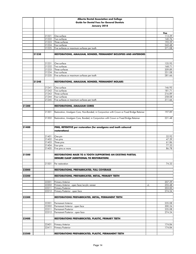|       |       |       | Alberta Dental Association and College                                                                                |    |        |
|-------|-------|-------|-----------------------------------------------------------------------------------------------------------------------|----|--------|
|       |       |       | <b>Guide for Dental Fees for General Dentists</b>                                                                     |    |        |
|       |       |       | January 2018                                                                                                          |    |        |
|       |       |       |                                                                                                                       |    |        |
|       |       |       |                                                                                                                       |    | Fee    |
|       |       | 21221 | One surface                                                                                                           |    | 113.29 |
|       |       | 21222 | Two surfaces                                                                                                          |    | 140.76 |
|       |       | 21223 | Three surfaces                                                                                                        |    | 192.29 |
|       |       | 21224 | Four surfaces                                                                                                         |    | 242.48 |
|       |       | 21225 | Five surfaces or maximum surfaces per tooth                                                                           |    | 271.08 |
|       | 21230 |       | RESTORATIONS, AMALGAM, BONDED, PERMANENT BICUSPIDS AND ANTERIORS                                                      |    |        |
|       |       | 21231 | One surface                                                                                                           |    | 135.95 |
|       |       | 21232 | Two surfaces                                                                                                          |    | 168.71 |
|       |       | 21233 | Three surfaces                                                                                                        |    | 209.89 |
|       |       | 21234 | Four surfaces                                                                                                         |    | 251.08 |
|       |       | 21235 | Five surfaces or maximum surfaces per tooth                                                                           |    | 281.66 |
|       |       |       |                                                                                                                       |    |        |
|       | 21240 |       | <b>RESTORATIONS, AMALGAM, BONDED, PERMANENT MOLARS</b>                                                                |    |        |
|       |       | 21241 | One surface                                                                                                           |    | 146.95 |
|       |       | 21242 | Two surfaces                                                                                                          |    | 181.71 |
|       |       | 21243 | Three surfaces                                                                                                        |    | 216.89 |
|       |       | 21244 | Four surfaces                                                                                                         |    | 258.08 |
|       |       | 21245 | Five surfaces or maximum surfaces per tooth                                                                           |    | 311.66 |
|       |       |       |                                                                                                                       |    |        |
| 21300 |       |       | <b>RESTORATIONS, AMALGAM CORES</b>                                                                                    |    |        |
|       |       | 21301 | Restoration, Amalgam Core, Non-Bonded, in Conjunction with Crown or Fixed Bridge Retainer                             |    | 197.89 |
|       |       | 21302 | Restoration, Amalgam Core, Bonded, in Conjunction with Crown or Fixed Bridge Retainer                                 |    | 221.48 |
| 21400 |       |       | PINS, RETENTIVE per restoration (for amalgams and tooth coloured<br>restorations)                                     |    |        |
|       |       | 21401 | One pin                                                                                                               |    | 32.92  |
|       |       | 21402 | Two pins                                                                                                              |    | 47.39  |
|       |       | 21403 | Three pins                                                                                                            |    | 61.86  |
|       |       | 21404 | Four pins                                                                                                             |    | 77.33  |
|       |       | 21405 | Five pins or more                                                                                                     |    | 86.78  |
| 21500 |       |       | <b>RESTORATIONS MADE TO A TOOTH SUPPORTING AN EXISTING PARTIAL</b><br><b>DENURE CLASP (ADDITIONAL TO RESTORATION)</b> |    |        |
|       |       | 21501 | Per restoration                                                                                                       |    | 74.33  |
| 22000 |       |       | RESTORATIONS, PREFABRICATED, FULL COVERAGE                                                                            |    |        |
|       |       |       |                                                                                                                       |    |        |
| 22200 |       |       | RESTORATIONS, PREFABRICATED, METAL, PRIMARY TEETH                                                                     |    |        |
|       |       |       |                                                                                                                       |    |        |
|       |       | 22201 | <b>Primary Anterior</b>                                                                                               |    | 207.29 |
|       |       | 22202 | Primary Anterior - open face/acrylic veneer                                                                           | +L | 255.48 |
|       |       | 22211 | <b>Primary Posterior</b>                                                                                              |    | 203.00 |
|       |       | 22212 | Primary Posterior - open face                                                                                         |    | 274.24 |
| 22300 |       |       | RESTORATIONS PREFABRICATED, METAL, PERMANENT TEETH                                                                    |    |        |
|       |       | 22301 | <b>Permanent Anterior</b>                                                                                             |    | 235.08 |
|       |       | 22302 | Permanent Anterior - open face                                                                                        |    | 300.24 |
|       |       | 22311 | Permanent Posterior                                                                                                   |    | 235.08 |
|       |       | 22312 | Permanent Posterior - open face                                                                                       |    | 274.24 |
|       |       |       |                                                                                                                       |    |        |
| 22400 |       |       | RESTORATIONS PREFABRICATED, PLASTIC, PRIMARY TEETH                                                                    |    |        |
|       |       | 22401 | <b>Primary Anterior</b>                                                                                               |    | 174.84 |
|       |       | 22411 | <b>Primary Posterior</b>                                                                                              |    | 174.84 |
|       |       |       |                                                                                                                       |    |        |
| 22500 |       |       | <b>RESTORATIONS PREFABRICATED, PLASTIC, PERMANENT TEETH</b>                                                           |    |        |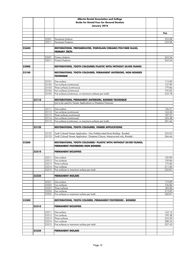|       |       |                | Alberta Dental Association and College                                          |                  |
|-------|-------|----------------|---------------------------------------------------------------------------------|------------------|
|       |       |                | <b>Guide for Dental Fees for General Dentists</b>                               |                  |
|       |       |                | January 2018                                                                    |                  |
|       |       |                |                                                                                 |                  |
|       |       |                |                                                                                 | Fee              |
|       |       |                |                                                                                 |                  |
|       |       | 22501          | <b>Permanent Anterior</b>                                                       | 233.08           |
|       |       | 22511          | <b>Permanent Posterior</b>                                                      | 233.08           |
|       |       |                |                                                                                 |                  |
| 22600 |       |                | RESTORATIONS, PREFABRICATED, PORCELAIN/CERAMIC/POLYMER GLASS,                   |                  |
|       |       |                | <b>PRIMARY TEETH</b>                                                            |                  |
|       |       | 22601          |                                                                                 | 243.54           |
|       |       | 22611          | <b>Primary Anterior</b><br><b>Primary Posterior</b>                             | 243.54           |
|       |       |                |                                                                                 |                  |
| 23000 |       |                | <b>RESTORATIONS, TOOTH COLOURED/PLASTIC WITH/WITHOUT SILVER FILINGS</b>         |                  |
|       |       |                |                                                                                 |                  |
| 23100 |       |                | RESTORATIONS, TOOTH COLOURED, PERMANENT ANTERIORS, NON BONDED                   |                  |
|       |       |                | <b>TECHNIQUE</b>                                                                |                  |
|       |       |                |                                                                                 |                  |
|       |       | 23101          | One surface                                                                     | 112.89           |
|       |       | 23102          | Two surfaces (continuous)<br>Three surfaces (continuous)                        | 127.89<br>179.86 |
|       |       | 23103<br>23104 | Four surfaces (continuous)                                                      | 195.83           |
|       |       | 23105          | Five surfaces (continuous, or maximum surfaces per tooth)                       | 233.78           |
|       |       |                |                                                                                 |                  |
|       | 23110 |                | RESTORATIONS, PERMANENT ANTERIORS, BONDED TECHNIQUE                             |                  |
|       |       |                | (not to be used for Veneer Applications or Diastema Closures)                   |                  |
|       |       |                |                                                                                 |                  |
|       |       | 23111          | One surface                                                                     | 136.51           |
|       |       | 23112          | Two surfaces (continuous)                                                       | 163.40           |
|       |       | 23113          | Three surfaces (continuous)                                                     | 187.57           |
|       |       | 23114          | Four surfaces (continuous)                                                      | 245.48           |
|       |       | 23115          | Five surfaces (continuous, or maximum surfaces per tooth)                       | 301.66           |
|       | 23120 |                | RESTORATIONS, TOOTH COLOURED, VENEER APPLICATIONS                               |                  |
|       |       |                |                                                                                 |                  |
|       |       | 23122          | Tooth Colored Veneer Application - Non Prefabricated Direct Buildup - Bonded    | 333.02           |
|       |       | 23123          | Tooth Colored Veneer Application - Diastema Closure, Interproximal only, Bonded | 266.66           |
|       |       |                |                                                                                 |                  |
| 23200 |       |                | RESTORATIONS, TOOTH COLOURED/ PLASTIC WITH/WITHOUT SILVER FILINGS,              |                  |
|       |       |                | PERMANENT POSTERIORS NON BONDED                                                 |                  |
|       |       |                |                                                                                 |                  |
|       | 23210 |                | <b>PERMANENT BICUSPIDS</b>                                                      |                  |
|       |       | 23211          | One surface                                                                     | 109.89           |
|       |       |                | 23212 Two surfaces                                                              | 139.86           |
|       |       |                | 23213 Three surfaces                                                            | 175.84           |
|       |       | 23214          | Four surfaces                                                                   | 211.83           |
|       |       | 23215          | Five surfaces or maximum surface per tooth                                      | 222.81           |
|       |       |                |                                                                                 |                  |
|       | 23220 |                | <b>PERMANENT MOLARS</b>                                                         |                  |
|       |       |                |                                                                                 |                  |
|       |       | 23221          | One surface                                                                     | 119.89           |
|       |       | 23222<br>23223 | Two surfaces<br>Three surfaces                                                  | 156.86<br>183.84 |
|       |       | 23224          | Four surfaces                                                                   | 213.83           |
|       |       | 23225          | Five surfaces or maximum surface per tooth                                      | 268.81           |
|       |       |                |                                                                                 |                  |
| 23300 |       |                | <b>RESTORATIONS, TOOTH COLORED, PERMANENT POSTERIORS - BONDED</b>               |                  |
|       |       |                |                                                                                 |                  |
|       | 23310 |                | <b>PERMANENT BICUSPIDS</b>                                                      |                  |
|       |       |                |                                                                                 |                  |
|       |       | 23311          | One surface                                                                     | 143.12           |
|       |       | 23312          | Two surfaces                                                                    | 199.38           |
|       |       | 23313          | Three surfaces                                                                  | 233.50           |
|       |       | 23314<br>23315 | Four surfaces<br>Five surfaces or maximum surface per tooth                     | 288.24<br>327.42 |
|       |       |                |                                                                                 |                  |
|       | 23320 |                | <b>PERMANENT MOLARS</b>                                                         |                  |
|       |       |                |                                                                                 |                  |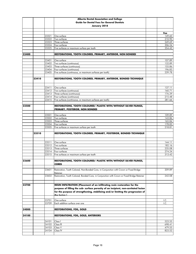|       |       |                | Alberta Dental Association and College                                                               |                  |
|-------|-------|----------------|------------------------------------------------------------------------------------------------------|------------------|
|       |       |                | <b>Guide for Dental Fees for General Dentists</b>                                                    |                  |
|       |       |                | January 2018                                                                                         |                  |
|       |       |                |                                                                                                      |                  |
|       |       |                |                                                                                                      | Fee              |
|       |       | 23321          | One surface                                                                                          | 149.60           |
|       |       | 23322          | Two surfaces                                                                                         | 210.90           |
|       |       | 23323          | Three surfaces                                                                                       | 249.69           |
|       |       | 23324          | Four surfaces                                                                                        | 306.24           |
|       |       | 23325          | Five surfaces or maximum surface per tooth                                                           | 354.42           |
| 23400 |       |                | RESTORATIONS, TOOTH COLORED, PRIMARY, ANTERIOR, NON BONDED                                           |                  |
|       |       |                |                                                                                                      |                  |
|       |       | 23401          | One surface                                                                                          | 107.89           |
|       |       | 23402<br>23403 | Two surfaces (continuous)<br>Three surfaces (continuous)                                             | 132.89<br>155.86 |
|       |       | 23404          | Four surfaces (continuous)                                                                           | 196.83           |
|       |       | 23405          | Five surfaces (continuous, or maximum surfaces per tooth)                                            | 239.78           |
|       |       |                |                                                                                                      |                  |
|       | 23410 |                | RESTORATIONS, TOOTH COLORED, PRIMARY, ANTERIOR, BONDED TECHNIQUE                                     |                  |
|       |       | 23411          | One surface                                                                                          | 137.11           |
|       |       | 23412          | Two surfaces (continuous)                                                                            | 160.71           |
|       |       | 23413          | Three surfaces (continuous)                                                                          | 176.29           |
|       |       | 23414          | Four surfaces (continuous)                                                                           | 215.48           |
|       |       | 23415          | Five surfaces (continuous, or maximum surfaces per tooth)                                            | 281.66           |
|       |       |                |                                                                                                      |                  |
| 23500 |       |                | RESTORATIONS, TOOTH COLOURED/ PLASTIC WITH/WITHOUT SILVER FILINGS,<br>PRIMARY, POSTERIOR, NON BONDED |                  |
|       |       |                |                                                                                                      |                  |
|       |       | 23501          | One surface                                                                                          | 109.89           |
|       |       | 23502          | Two surfaces                                                                                         | 143.86           |
|       |       | 23503          | Three surfaces                                                                                       | 165.84           |
|       |       | 23504          | Four surfaces                                                                                        | 178.83           |
|       |       | 23505          | Five surfaces or maximum surface per tooth                                                           | 218.81           |
|       | 23510 |                | RESTORATIONS, TOOTH COLORED, PRIMARY, POSTERIOR, BONDED TECHNIQUE                                    |                  |
|       |       |                |                                                                                                      |                  |
|       |       | 23511          | One surface                                                                                          | 144.11           |
|       |       | 23512<br>23513 | Two surfaces<br>Three surfaces                                                                       | 182.16<br>235.08 |
|       |       | 23514          | Four surfaces                                                                                        | 274.24           |
|       |       | 23515          | Five surfaces or maximum surface per tooth                                                           | 313.42           |
|       |       |                |                                                                                                      |                  |
| 23600 |       |                | RESTORATIONS, TOOTH COLOURED/ PLASTIC WITH/WITHOUT SILVER FILINGS,<br><b>CORES</b>                   |                  |
|       |       |                |                                                                                                      |                  |
|       |       | 23601          | Restoration, Tooth Colored, Non-Bonded Core, in Conjunction with Crown or Fixed Bridge<br>Retainer   | 209.89           |
|       |       | 23602          | Restoration, Tooth Colored, Bonded Core, in Conjunction with Crown or Fixed Bridge Retainer          | 242.08           |
| 23700 |       |                | RESIN INFILTRATION (Placement of an infiltrating resin restoration for the                           |                  |
|       |       |                | purpose of filling the sub- surface porosity of an incipient, non-cavitated lesion                   |                  |
|       |       |                | for the purpose of strengthening, stabilizing and/or limiting the progression of                     |                  |
|       |       |                | the lesion <b>L</b>                                                                                  |                  |
|       |       | 23701          | One surface                                                                                          | I.C.             |
|       |       | 23709          | Each addition surface over one                                                                       | I.C.             |
| 24000 |       |                | <b>RESTORATIONS, FOIL, GOLD</b>                                                                      |                  |
|       |       |                |                                                                                                      |                  |
| 24100 |       |                | <b>RESTORATIONS, FOIL, GOLD, ANTERIORS</b>                                                           |                  |
|       |       | 24101          | Class I                                                                                              | 523.55           |
|       |       | 24102          | Class III                                                                                            | 698.41           |
|       |       | 24103          | Class V                                                                                              | 479.55           |
|       |       | 24104          | Class IV                                                                                             | 823.52           |
|       |       |                |                                                                                                      |                  |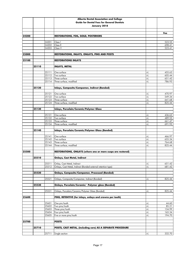|       |       |                | Alberta Dental Association and College                        |            |                  |
|-------|-------|----------------|---------------------------------------------------------------|------------|------------------|
|       |       |                | <b>Guide for Dental Fees for General Dentists</b>             |            |                  |
|       |       |                | January 2018                                                  |            |                  |
|       |       |                |                                                               |            |                  |
|       |       |                |                                                               |            | Fee              |
| 24200 |       |                | <b>RESTORATIONS, FOIL, GOLD, POSTERIORS</b>                   |            |                  |
|       |       |                |                                                               |            |                  |
|       |       | 24201          | Class                                                         |            | 523.55           |
|       |       | 24202          | Class II                                                      |            | 698.41           |
|       |       | 24203          | Class V                                                       |            | 523.41           |
| 25000 |       |                | <b>RESTORATIONS, INLAYS, ONLAYS, PINS AND POSTS</b>           |            |                  |
|       |       |                |                                                               |            |                  |
| 25100 |       |                | <b>RESTORATIONS INLAYS</b>                                    |            |                  |
|       |       |                |                                                               |            |                  |
|       | 25110 |                | <b>INLAYS, METAL</b>                                          |            |                  |
|       |       |                |                                                               |            |                  |
|       |       | 25111          | One surface                                                   | +L         | 455.63           |
|       |       | 25112          | Two surface<br>Three surface                                  | $+1$       | 605.44<br>651.42 |
|       |       | 25113<br>25114 | Three surface, modified                                       | +L<br>$+1$ | 786.93           |
|       |       |                |                                                               |            |                  |
|       | 25120 |                | Inlays, Composite/Compomer, Indirect (Bonded)                 |            |                  |
|       |       |                |                                                               |            |                  |
|       |       | 25121          | One surface                                                   | +L         | 470.97           |
|       |       | 25122          | Two surface                                                   | $+1$       | 549.34           |
|       |       | 25123          | Three surface                                                 | $+1$       | 641.68           |
|       |       | 25124          | Three surface, modified                                       | $+1$       | 825.44           |
|       |       |                |                                                               |            |                  |
|       | 25130 |                | Inlays, Porcelain/Ceramic/Polymer Glass                       |            |                  |
|       |       | 25131          | One surface                                                   | +L         | 436.63           |
|       |       | 25132          | Two surface                                                   | $+1$       | 489.55           |
|       |       | 25133          | Three surface                                                 | +L         | 661.47           |
|       |       | 25134          | Three surface, modified                                       | $+1$       | 691.93           |
|       |       |                |                                                               |            |                  |
|       | 25140 |                | Inlays, Porcelain/Ceramic/Polymer Glass (Bonded)              |            |                  |
|       |       |                |                                                               |            |                  |
|       |       | 25141<br>25142 | One surface<br>Two surface                                    | +L         | 466.97           |
|       |       | 25143          | Three surface                                                 | +L<br>+L   | 655.34<br>764.68 |
|       |       | 25144          | Three surface, modified                                       | $+1$       | 825.44           |
|       |       |                |                                                               |            |                  |
| 25500 |       |                | RESTORATIONS, ONLAYS (where one or more cusps are restored)   |            |                  |
|       |       |                |                                                               |            |                  |
|       | 25510 |                | <b>Onlays, Cast Metal, Indirect</b>                           |            |                  |
|       |       |                |                                                               |            |                  |
|       |       | 25511<br>25512 | Onlay, Cast Metal, Indirect                                   | $+1$       | 651.42           |
|       |       |                | Onlays, Cast Metal, Indirect (Bonded external retention type) | $+1$       | 681.42           |
|       | 25520 |                | <b>Onlays, Composite/Compomer, Processed (Bonded)</b>         |            |                  |
|       |       |                |                                                               |            |                  |
|       |       | 25521          | Onlays, Composite/Compomer, Indirect (Bonded)                 | +L         | 825.44           |
|       |       |                |                                                               |            |                  |
|       | 25530 |                | Onlays, Porcelain/Ceramic/ Polymer glass (Bonded)             |            |                  |
|       |       |                |                                                               |            |                  |
|       |       | 25531          | Onlays, Porcelain/Ceramic/Polymer Glass (Bonded)              | +L         | 825.44           |
|       |       |                |                                                               |            |                  |
| 25600 |       |                | PINS, RETENTIVE (for inlays, onlays and crowns per tooth)     |            |                  |
|       |       | 25601          | One pin/tooth                                                 | +L         | 44.60            |
|       |       | 25602          | Two pins/tooth                                                | $+1$       | 85.21            |
|       |       | 25603          | Three pins/tooth                                              | $+1$       | 134.99           |
|       |       | 25604          | Four pins/tooth                                               | +L         | 165.34           |
|       |       | 25605          | Five or more pins/tooth                                       | +L         | 194.70           |
|       |       |                |                                                               |            |                  |
| 25700 |       |                | <b>POSTS</b>                                                  |            |                  |
|       |       |                |                                                               |            |                  |
|       | 25710 |                | POSTS, CAST METAL, (including core) AS A SEPARATE PROCEDURE   |            |                  |
|       |       | 25711          | Single section                                                | +L         | 332.70           |
|       |       |                |                                                               |            |                  |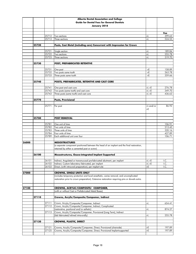|       |       |                | Alberta Dental Association and College                                                                         |                    |                  |
|-------|-------|----------------|----------------------------------------------------------------------------------------------------------------|--------------------|------------------|
|       |       |                | <b>Guide for Dental Fees for General Dentists</b>                                                              |                    |                  |
|       |       |                | January 2018                                                                                                   |                    |                  |
|       |       |                |                                                                                                                |                    |                  |
|       |       |                |                                                                                                                |                    | Fee              |
|       |       | 25712          | Two sections                                                                                                   | +L                 | 399.63           |
|       |       | 25713          | Three sections                                                                                                 | +L                 | 524.55           |
|       |       |                |                                                                                                                |                    |                  |
|       | 25720 |                | Posts, Cast Metal (including core) Concurrent with Impression for Crown                                        |                    |                  |
|       |       |                |                                                                                                                |                    |                  |
|       |       | 25721<br>25722 | Single section<br>Two sections                                                                                 | +L<br>$+1$         | 189.84<br>255.78 |
|       |       | 25723          | Three sections                                                                                                 | $+1$               | 319.70           |
|       |       |                |                                                                                                                |                    |                  |
|       | 25730 |                | POST, PREFABRICATED RETENTIVE                                                                                  |                    |                  |
|       |       |                |                                                                                                                |                    |                  |
|       |       | 25731          | One post                                                                                                       | $+E$               | 158.89           |
|       |       | 25732          | Two posts same tooth                                                                                           | $+E$               | 263.78           |
|       |       | 25733          | Three posts same tooth                                                                                         | $+E$               | 359.66           |
|       |       |                |                                                                                                                |                    |                  |
|       | 25740 |                | POSTS, PREFABRICATED, RETENTIVE AND CAST CORE                                                                  |                    |                  |
|       |       |                |                                                                                                                |                    |                  |
|       |       | 25741<br>25742 | One post and cast core<br>Two posts (same tooth) and cast core                                                 | $+L +E$<br>$+L +E$ | 276.78<br>349.70 |
|       |       | 25743          | Three posts (same tooth) and cast core                                                                         | $+L +E$            | 436.63           |
|       |       |                |                                                                                                                |                    |                  |
|       | 25770 |                | Posts, Provisional                                                                                             |                    |                  |
|       |       |                |                                                                                                                |                    |                  |
|       |       | 25771          | Per post                                                                                                       | +L and/or          | 86.92            |
|       |       |                |                                                                                                                | $+E$               |                  |
|       |       |                |                                                                                                                |                    |                  |
|       |       |                |                                                                                                                |                    |                  |
|       | 25780 |                | <b>POST REMOVAL</b>                                                                                            |                    |                  |
|       |       |                |                                                                                                                |                    |                  |
|       |       | 25781          | One unit of time                                                                                               |                    | 106.91           |
|       |       | 25782          | Two units of time<br>Three units of time                                                                       |                    | 213.45<br>320.16 |
|       |       | 25783<br>25784 | Four units of time                                                                                             |                    | 427.89           |
|       |       | 25789          | Each additional unit over four                                                                                 |                    | 106.71           |
|       |       |                |                                                                                                                |                    |                  |
| 26000 |       |                | <b>MESOSTRUCTURES</b>                                                                                          |                    |                  |
|       |       |                | (a separate component positioned between the head of an implant and the final restoration,                     |                    |                  |
|       |       |                | retained by either a cemented post or screw)                                                                   |                    |                  |
|       |       |                |                                                                                                                |                    |                  |
|       | 26100 |                | Mesostructures, Osseo-integrated Implant Supported                                                             |                    |                  |
|       |       |                |                                                                                                                |                    |                  |
|       |       |                | 26101  Indirect, Angulated or transmucosal pre-fabricated abutment, per implant                                | $+L +E$            | I.C.             |
|       |       | 26102<br>26103 | Indirect, Custom laboratory fabricated, per implant<br>Direct, (with intra-oral preparation), per implant site | $+L +E$<br>$+E$    | I.C.<br>I.C.     |
|       |       |                |                                                                                                                |                    |                  |
| 27000 |       |                | <b>CROWNS, SINGLE UNITS ONLY</b>                                                                               |                    |                  |
|       |       |                | (includes temporary protection and local anesthetic, caries removal, and uncomplicated                         |                    |                  |
|       |       |                | restoration prior to crown preparation). Extensive restoration requiring pins or dowels extra.                 |                    |                  |
|       |       |                |                                                                                                                |                    |                  |
|       |       |                |                                                                                                                |                    |                  |
| 27100 |       |                | CROWNS, ACRYLIC/COMPOSITE/ COMPOMER,                                                                           |                    |                  |
|       |       |                | (with or without Cast or Prefabricated Metal Bases)                                                            |                    |                  |
|       |       |                |                                                                                                                |                    |                  |
|       | 27110 |                | Crowns, Acrylic/Composite/Compomer, Indirect                                                                   |                    |                  |
|       |       |                |                                                                                                                |                    | 654.41           |
|       |       | 27111<br>27112 | Crown, Acrylic/Composite/Compomer, Indirect<br>Crown, Acrylic/Composite/Compomer, Indirect, Complicated        | +L                 |                  |
|       |       |                | (restorative, positional and/or esthetic)                                                                      | +L                 | 874.27           |
|       |       | 27113          | Crown, Acrylic/Composite/Compomer, Provisional [Long Term], Indirect                                           |                    |                  |
|       |       |                | (lab fabricated/relined intra-orally)                                                                          | +L                 | 255.78           |
|       |       |                |                                                                                                                |                    |                  |
|       | 27120 |                | <b>CROWNS, PLASTIC, DIRECT</b>                                                                                 |                    |                  |
|       |       |                |                                                                                                                |                    |                  |
|       |       | 27121          | Crowns, Acrylic/Composite/Compomer, Direct, Provisional (chairside)                                            | +E                 | 197.89           |
|       |       | 27125          | Crowns, Acrylic/Composite/Compomer, Direct, Provisional Implant-supported                                      | +E                 | 197.89           |
|       |       |                |                                                                                                                |                    |                  |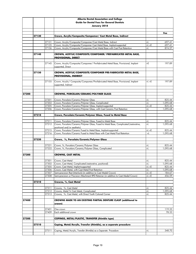|       |       |                | Alberta Dental Association and College                                                                     |                 |                    |
|-------|-------|----------------|------------------------------------------------------------------------------------------------------------|-----------------|--------------------|
|       |       |                | <b>Guide for Dental Fees for General Dentists</b>                                                          |                 |                    |
|       |       |                | January 2018                                                                                               |                 |                    |
|       |       |                |                                                                                                            |                 |                    |
|       |       |                |                                                                                                            |                 | Fee                |
|       | 27130 |                | Crown, Acrylic/Composite/Compomer/ Cast Metal Base, Indirect                                               |                 |                    |
|       |       |                |                                                                                                            |                 |                    |
|       |       | 27131          | Crown, Acrylic/Composite/Compomer/Cast Metal Base, Indirect                                                | +L              | 697.41             |
|       |       | 27135          | Crown, Acrylic/Composite/Compomer Cast Metal Base, Implant-supported                                       | $+L +E$         | 697.41             |
|       |       | 27136          | Crown, Acrylic/Composite/Compomer/Cast Metal Base with Cast Post Retention                                 | +L              | 874.27             |
|       |       |                |                                                                                                            |                 |                    |
|       | 27140 |                | CROWN, ACRYLIC/COMPOSITE/COMPOMER/ PREFABRICATED METAL BASE,<br><b>PROVISIONAL, DIRECT</b>                 |                 |                    |
|       |       | 27145          | Crown, Acrylic/Composite/Compomer/ Pre-fabricated Metal Base, Provisional, Implant-<br>supported, Direct   | +E              | 197.89             |
|       | 27150 |                | CROWN, ACRYLIC/COMPOSITE/COMPOMER PRE-FABRICATED METAL BASE,<br><b>PROVISIONAL, INDIRECT</b>               |                 |                    |
|       |       | 27155          | Crown, Acrylic/ Composite/Compomer/Pre-fabricated Metal Base, Provisional, Implant-<br>supported, Indirect | $+L +E$         | 197.89             |
| 27200 |       |                | <b>CROWNS, PORCELAIN/CERAMIC/POLYMER GLASS</b>                                                             |                 |                    |
|       |       |                |                                                                                                            |                 |                    |
|       |       | 27201          | Crown, Porcelain/Ceramic/Polymer Glass                                                                     | +L              | 825.44             |
|       |       | 27202          | Crown, Porcelain/Ceramic/Polymer Glass, Complicated                                                        | $+1$            | 1,095.68           |
|       |       | 27205          | Crown, Porcelain/Ceramic/Polymer Glass, Implant-supported                                                  | $+L +E$         | 825.44             |
|       |       | 27206          | Crown, Porcelain/Ceramic/Polymer Glass, with Cast Ceramic Post Retention                                   | +L              | 1,095.68           |
|       | 27210 |                | Crown, Porcelain/Ceramic/Polymer Glass, Fused to Metal Base                                                |                 |                    |
|       |       |                | Crown, Porcelain/Ceramic/Polymer Glass, Fused to Metal Base                                                | +L              | 825.44             |
|       |       | 27211<br>27212 | Crown, Porcelain/Ceramic/Polymer Glass, Fused to Metal Base, Complicated (restorative,                     | $+1$            | 1,095.68           |
|       |       |                | positional and/or aesthetic)                                                                               |                 |                    |
|       |       | 27215          | Crown, Porcelain/Ceramic Fused to Metal Base, Implant-supported                                            | $+L +E$         | 825.44             |
|       |       | 27216          | Crown, Porcelain/Ceramic Fused to Metal Base with Cast Metal Post Retention                                | $+1$            | 1,095.68           |
|       |       |                |                                                                                                            |                 |                    |
|       | 27220 |                | Crown, 3/4, Porcelain/Ceramic/Polymer Glass                                                                |                 |                    |
|       |       |                |                                                                                                            |                 |                    |
|       |       | 27221          | Crown, 34, Porcelain/Ceramic/Polymer Glass                                                                 | +L              | 825.44             |
|       |       | 27222          | Crown, 34, Porcelain/Ceramic/Polymer Glass, Complicated                                                    | +L              | 1,095.68           |
|       |       |                |                                                                                                            |                 |                    |
| 27300 |       |                | <b>CROWNS, CAST METAL</b>                                                                                  |                 |                    |
|       |       |                |                                                                                                            |                 |                    |
|       |       |                | 27301 Crown, Cast Metal<br>Crown, Cast Metal, Complicated (restorative, positional)                        | $+1$            | 825.44             |
|       |       | 27302<br>27305 | Crown, Cast Metal, Implant-supported                                                                       | $+1$<br>$+L +E$ | 1,095.68<br>825.44 |
|       |       | 27306          | Crown, Cast Metal, with Cast Metal Post Retention                                                          | +L              | 1,095.68           |
|       |       | 27307          | Semi-precision Rest (Interlock) (in addition to Cast Medal Crown)                                          | +L +E           | 184.67             |
|       |       | 27308          | Semi-precision or Precision Attachment RPD Retainer (in addition to Cast Medal Crown)                      | +L +E           | 456.59             |
|       |       |                |                                                                                                            |                 |                    |
|       | 27310 |                | Crowns, 3/4, Cast Metal                                                                                    |                 |                    |
|       |       | 27311          | Crowns, <sup>3/4</sup> , Cast Metal                                                                        | +L              | 825.44             |
|       |       | 27312          | Crowns, Metal 3/4 Cast Metal, Complicated                                                                  | +L              | 1,095.68           |
|       |       | 27313          | Crowns, 3/4, Cast Metal, with Direct Tooth Colored Corner                                                  | +L              | 825.44             |
| 27400 |       |                | CROWNS MADE TO AN EXISTING PARTIAL DENTURE CLASP (additional to<br>crown)                                  |                 |                    |
|       |       |                |                                                                                                            |                 |                    |
|       |       | 27401          | One crown                                                                                                  |                 | 119.33             |
|       |       | 27409          | Each additional crown                                                                                      |                 | 78.33              |
| 27500 |       |                | COPINGS, METAL/PLASTIC, TRANSFER (thimble type)                                                            |                 |                    |
|       |       |                |                                                                                                            |                 |                    |
|       | 27510 |                | Coping, Metal/Acrylic, Transfer (thimble), as a separate procedure                                         |                 |                    |
|       |       | 27511          | Coping, Metal/Acrylic, Transfer (thimble) as a Separate Procedure                                          | +L              | 348.70             |
|       |       |                |                                                                                                            |                 |                    |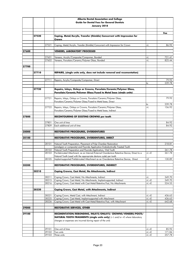|       |       |                | Alberta Dental Association and College                                                                                                           |                    |                 |
|-------|-------|----------------|--------------------------------------------------------------------------------------------------------------------------------------------------|--------------------|-----------------|
|       |       |                | <b>Guide for Dental Fees for General Dentists</b>                                                                                                |                    |                 |
|       |       |                | January 2018                                                                                                                                     |                    |                 |
|       |       |                |                                                                                                                                                  |                    |                 |
|       |       |                |                                                                                                                                                  |                    | Fee             |
|       | 27520 |                | Coping, Metal/Acrylic, Transfer (thimble) Concurrent with Impression for<br>Crown                                                                |                    |                 |
|       |       | 27521          | Coping, Metal/Acrylic, Transfer (thimble) Concurrent with Impression for Crown                                                                   | +L                 | 86.92           |
|       |       |                |                                                                                                                                                  |                    |                 |
| 27600 |       |                | <b>VENEERS, LABORATORY PROCESSED</b>                                                                                                             |                    |                 |
|       |       | 27601          | Veneers, Acrylic/Composite/Compomer, Bonded                                                                                                      | +L                 | 721.41          |
|       |       | 27602          | Veneers, Porcelain/Ceramic/Polymer Glass, Bonded                                                                                                 | +L                 | 825.44          |
|       |       |                |                                                                                                                                                  |                    |                 |
| 27700 |       |                |                                                                                                                                                  |                    |                 |
|       | 27710 |                | REPAIRS, (single units only, does not include removal and recementation)                                                                         |                    |                 |
|       |       | 27711          | Repairs, Acrylic/Composite/Compomer, Direct                                                                                                      |                    | 79.92           |
|       |       |                |                                                                                                                                                  | to                 | 239.78          |
|       |       |                |                                                                                                                                                  |                    |                 |
|       | 27720 |                | Repairs, Inlays, Onlays or Crowns, Porcelain/Ceramic/Polymer Glass,<br>Porcelain/Ceramic/Polymer Glass/Fused to Metal base (sinale units)        |                    |                 |
|       |       |                |                                                                                                                                                  |                    |                 |
|       |       | 27721          | Repairs, Inlays, Onlays or Crowns, Porcelain/Ceramic/Polymer Glass,<br>Porcelain/Ceramic/Polymer Glass/Fused to Metal base, Direct               |                    | 79.92           |
|       |       |                |                                                                                                                                                  | to                 | 239.78          |
|       |       | 27722          | Repairs, Inlays, Onlays or Crowns, Porcelain/Ceramic/Polymer Glass,                                                                              | $+1$               | 156.92          |
|       |       |                | Porcelain/Ceramic/Polymer Glass/Fused to Metal base, Indirect                                                                                    |                    |                 |
| 27800 |       |                | RECONTOURING OF EXISTING CROWNS per tooth                                                                                                        |                    |                 |
|       |       | 27801          | One unit of time                                                                                                                                 |                    | 84.92           |
|       |       | 27809          | Each additional unit of time                                                                                                                     |                    | 84.92           |
| 28000 |       |                |                                                                                                                                                  |                    |                 |
|       |       |                | <b>RESTORATIVE PROCEDURES, OVERDENTURES</b>                                                                                                      |                    |                 |
| 28100 |       |                | RESTORATIVE PROCEDURES, OVERDENTURES, DIRECT                                                                                                     |                    |                 |
|       |       |                |                                                                                                                                                  |                    |                 |
|       |       | 28101          | Natural Tooth Preparation, Placement of Pulp Chamber Restoration<br>(amalgam or composite) and Fluoride Application Endodontically Treated Tooth |                    | 218.81          |
|       |       | 28102          | Natural Tooth Preparation and Fluoride Application, Vital Tooth                                                                                  |                    | 261.78          |
|       |       | 28103          | Pre-fabricated Attachment, as an Internal/External Overdenture Retentive Device, Direct to a                                                     | $+L +E$            | 261.78          |
|       |       |                | Natural Tooth (used with the appropriate denture code) per tooth                                                                                 |                    |                 |
|       |       | 28105          | Implant-supported Prefabricated Attachment as an Overdenture Retentive Device, Direct                                                            | $+E$               | 130.89          |
| 28200 |       |                | <b>RESTORATIVE PROCEDURES, OVERDENTURES, INDIRECT</b>                                                                                            |                    |                 |
|       | 28210 |                | Coping Crowns, Cast Metal, No Attachments, Indirect                                                                                              |                    |                 |
|       |       | 28211          | Coping Crown, Cast Metal, No Attachments, Indirect                                                                                               | +L                 | 349.70          |
|       |       | 28215          | Coping Crown, Cast Metal, No Attachments, Implant-supported, Indirect                                                                            | $+L +E$            | 349.70          |
|       |       | 28216          | Coping Crown, Cast Metal with Cast Metal Retentive Post, No Attachments                                                                          | $+L +E$            | 524.55          |
|       | 28220 |                | <b>Coping Crown, Cast Metal, with Attachments, Indirect</b>                                                                                      |                    |                 |
|       |       | 28221          | Coping Crown, Metal Cast, with Attachment, Indirect                                                                                              | +L +E              | 436.63          |
|       |       | 28225          | Coping Crown, Cast Metal, Implant-supported with Attachment                                                                                      | $+L +E$            | 436.63          |
|       |       | 28226          | Coping Crown, Cast Metal with Cast Metal Retentive Post, with Attachment                                                                         | $+L +E$            | 642.68          |
| 29000 |       |                | <b>RESTORATIVE SERVICES, OTHER</b>                                                                                                               |                    |                 |
| 29100 |       |                | RECEMENTATION/REBONDING, INLAYS/ONLAYS/ CROWNS/VENEERS/POSTS/                                                                                    |                    |                 |
|       |       |                | NATURAL TOOTH FRAGMENTS (single units only) (+ L and/or +E where laboratory                                                                      |                    |                 |
|       |       |                | charges or expenses are incurred during repair of the unit)                                                                                      |                    |                 |
|       |       |                |                                                                                                                                                  |                    |                 |
|       |       | 29101<br>29102 | One unit of time<br>Two units                                                                                                                    | $+L +E$<br>$+L +E$ | 85.92<br>171.84 |
|       |       | 29103          | Three units                                                                                                                                      | $+L +E$            | 257.78          |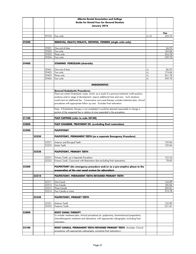|       |       |                | Alberta Dental Association and College                                                                                          |       |                  |
|-------|-------|----------------|---------------------------------------------------------------------------------------------------------------------------------|-------|------------------|
|       |       |                | <b>Guide for Dental Fees for General Dentists</b>                                                                               |       |                  |
|       |       |                | January 2018                                                                                                                    |       |                  |
|       |       |                |                                                                                                                                 |       |                  |
|       |       |                |                                                                                                                                 |       | Fee              |
|       |       | 29104          | Four units                                                                                                                      | +L +E | 343.70           |
|       |       |                |                                                                                                                                 |       |                  |
| 29300 |       |                | REMOVAL, INLAYS/ONLAYS, CROWNS, VENEERS (single units only)                                                                     |       |                  |
|       |       |                |                                                                                                                                 |       |                  |
|       |       | 29301          | One unit of time                                                                                                                |       | 84.92            |
|       |       | 29302<br>29303 | Two units                                                                                                                       |       | 169.84           |
|       |       | 29304          | Three units<br>Four units                                                                                                       |       | 254.78<br>339.70 |
|       |       |                |                                                                                                                                 |       |                  |
| 29400 |       |                | <b>STAINING PORCELAIN (chairside)</b>                                                                                           |       |                  |
|       |       |                |                                                                                                                                 |       |                  |
|       |       | 29401          | One unit of time                                                                                                                | +L    | 86.92            |
|       |       | 29402          | Two units                                                                                                                       | $+1$  | 174.84           |
|       |       | 29403          | Three units                                                                                                                     | $+1$  | 261.78           |
|       |       | 29404          | Four units                                                                                                                      | +L    | 349.70           |
|       |       |                |                                                                                                                                 |       |                  |
|       |       |                | <b>ENDODONTICS</b>                                                                                                              |       |                  |
|       |       |                |                                                                                                                                 |       |                  |
|       |       |                | <b>General Endodontic Procedures</b>                                                                                            |       |                  |
|       |       |                | There are certain Endodontic cases, which, as a result of a previous treatment, tooth position,                                 |       |                  |
|       |       |                | anatomy and/or stage of development, require additional time and care. Such situations                                          |       |                  |
|       |       |                | could merit an additional fee. Conservative root canal therapy includes treatment plan, clinical                                |       |                  |
|       |       |                | procedures with appropriate follow up care. Excludes final restoration.                                                         |       |                  |
|       |       |                | Note: If Endodontic therapy is not completed it would be deemed reasonable to charge a                                          |       |                  |
|       |       |                | portion of the suggested fee in relation to time expended in the procedure.                                                     |       |                  |
|       |       |                |                                                                                                                                 |       |                  |
| 31100 |       |                | PULP CAPPING (refer to code 20100)                                                                                              |       |                  |
|       |       |                |                                                                                                                                 |       |                  |
| 32000 |       |                | PULP CHAMBER, TREATMENT OF, (excluding final restoration)                                                                       |       |                  |
|       |       |                |                                                                                                                                 |       |                  |
| 32200 |       |                | <b>PULPOTOMY</b>                                                                                                                |       |                  |
|       |       |                |                                                                                                                                 |       |                  |
|       | 32220 |                | PULPOTOMY, PERMANENT TEETH (as a separate Emergency Procedure)                                                                  |       |                  |
|       |       | 32221          | Anterior and Bicuspid Teeth                                                                                                     |       | 159.84           |
|       |       | 32222          | Molar Teeth                                                                                                                     |       | 159.84           |
|       |       |                |                                                                                                                                 |       |                  |
|       | 32230 |                | PULPOTOMY, PRIMARY TEETH                                                                                                        |       |                  |
|       |       |                |                                                                                                                                 |       |                  |
|       |       | 32231          | Primary Tooth, as a Separate Procedure                                                                                          |       | 152.25           |
|       |       |                | 32232 Primary Tooth, Concurrent with Restoration (but excluding final restoration)                                              |       | 78.85            |
|       |       |                |                                                                                                                                 |       |                  |
| 32300 |       |                | PULPECTOMY (An emergency procedure and/or as a pre-emptive phase to the<br>preparation of the root canal system for obturation) |       |                  |
|       | 32310 |                | PULPECTOMY, PERMANENT TEETH/RETAINED PRIMARY TEETH                                                                              |       |                  |
|       |       |                |                                                                                                                                 |       |                  |
|       |       | 32311          | One Canal                                                                                                                       |       | 144.89           |
|       |       | 32312          | <b>Two Canals</b>                                                                                                               |       | 185.84           |
|       |       | 32313          | <b>Three Canals</b>                                                                                                             |       | 250.81           |
|       |       | 32314          | Four Canals or more                                                                                                             |       | 274.78           |
|       | 32320 |                |                                                                                                                                 |       |                  |
|       |       |                | <b>PULPECTOMY, PRIMARY TEETH</b>                                                                                                |       |                  |
|       |       | 32321          | Anterior Tooth                                                                                                                  |       | 122.89           |
|       |       | 32322          | Posterior Tooth                                                                                                                 |       | 221.81           |
|       |       |                |                                                                                                                                 |       |                  |
| 33000 |       |                | <b>ROOT CANAL THERAPY</b>                                                                                                       |       |                  |
|       |       |                | To include: treatment plan, clinical procedures (ie. pulpectomy, biomechanical preparation,                                     |       |                  |
|       |       |                | chemotherapeutic treatment and obturation), with appropriate radiographs, excluding final                                       |       |                  |
|       |       |                | restoration.                                                                                                                    |       |                  |
|       |       |                |                                                                                                                                 |       |                  |
| 33100 |       |                | ROOT CANALS, PERMANENT TEETH/RETAINED PRIMARY TEETH (Includes: Clinical                                                         |       |                  |
|       |       |                | procedures with appropriate radiographs, excluding final restoration.)                                                          |       |                  |
|       |       |                |                                                                                                                                 |       |                  |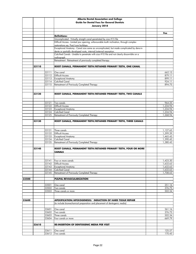|       |       |                | Alberta Dental Association and College                                                                                                                          |                      |
|-------|-------|----------------|-----------------------------------------------------------------------------------------------------------------------------------------------------------------|----------------------|
|       |       |                | <b>Guide for Dental Fees for General Dentists</b>                                                                                                               |                      |
|       |       |                | January 2018                                                                                                                                                    |                      |
|       |       |                |                                                                                                                                                                 |                      |
|       |       |                |                                                                                                                                                                 | Fee                  |
|       |       |                | <b>Definitions:</b>                                                                                                                                             |                      |
|       |       |                | Uncomplicated - Virtually straight canal penetrated by size #15 file                                                                                            |                      |
|       |       |                | Difficult Access - Limited jaw opening, unfavourable tooth inclination, through complex                                                                         |                      |
|       |       |                | restorations eq. Post/core buildups.                                                                                                                            |                      |
|       |       |                | Exceptional Anatomy - Canal size same as uncomplicated, but made complicated by dens-in-                                                                        |                      |
|       |       |                | dente or partially developed roots, internal/external resorption.<br>Calcified Canals - Unable to penetrate with size #10 file and not clearly discernible on a |                      |
|       |       |                | radiograph                                                                                                                                                      |                      |
|       |       |                | Retreatment - Retreatment of previously completed therapy                                                                                                       |                      |
|       |       |                |                                                                                                                                                                 |                      |
|       | 33110 |                | ROOT CANALS, PERMANENT TEETH/RETAINED PRIMARY TEETH, ONE CANAL                                                                                                  |                      |
|       |       |                |                                                                                                                                                                 |                      |
|       |       | 33111          | One canal                                                                                                                                                       | 662.15               |
|       |       | 33112          | Difficult Access<br><b>Exceptional Anatomy</b>                                                                                                                  | 879.11<br>899.11     |
|       |       | 33113<br>33114 | <b>Calcified Canal</b>                                                                                                                                          | 924.11               |
|       |       | 33115          | Retreatment of Previously Completed Therapy                                                                                                                     | 894.75               |
|       |       |                |                                                                                                                                                                 |                      |
|       |       |                |                                                                                                                                                                 |                      |
|       | 33120 |                | ROOT CANALS, PERMANENT TEETH/RETAINED PRIMARY TEETH, TWO CANALS                                                                                                 |                      |
|       |       |                |                                                                                                                                                                 |                      |
|       |       |                |                                                                                                                                                                 |                      |
|       |       | 33121          | Two canals<br><b>Difficult Access</b>                                                                                                                           | 964.25               |
|       |       | 33122<br>33123 | <b>Exceptional Anatomy</b>                                                                                                                                      | 1,234.94<br>1,234.94 |
|       |       | 33124          | <b>Calcified Canal</b>                                                                                                                                          | 1,234.94             |
|       |       | 33125          | Retreatment of Previously Completed Therapy                                                                                                                     | 1,268.94             |
|       |       |                |                                                                                                                                                                 |                      |
|       | 33130 |                | ROOT CANALS, PERMANENT TEETH/RETAINED PRIMARY TEETH, THREE CANALS                                                                                               |                      |
|       |       |                |                                                                                                                                                                 |                      |
|       |       |                |                                                                                                                                                                 |                      |
|       |       | 33131<br>33132 | Three canals<br>Difficult Access                                                                                                                                | 1,127.65<br>1,399.39 |
|       |       | 33133          | <b>Exceptional Anatomy</b>                                                                                                                                      | 1,465.45             |
|       |       | 33134          | <b>Calcified Canal</b>                                                                                                                                          | 1,390.45             |
|       |       | 33135          | Retreatment of Previously Completed Therapy                                                                                                                     | 1,380.45             |
|       |       |                |                                                                                                                                                                 |                      |
|       | 33140 |                | ROOT CANALS, PERMANENT TEETH/RETAINED PRIMARY TEETH, FOUR OR MORE                                                                                               |                      |
|       |       |                | <b>CANALS</b>                                                                                                                                                   |                      |
|       |       |                |                                                                                                                                                                 |                      |
|       |       |                | 33141 Four or more canals                                                                                                                                       | 1,423.30             |
|       |       | 33142          | <b>Difficult Access</b>                                                                                                                                         | 1,632.63             |
|       |       | 33143          | <b>Exceptional Anatomy</b>                                                                                                                                      | 1,632.63             |
|       |       | 33144          | <b>Calcified Canal</b>                                                                                                                                          | 1,632.63             |
|       |       | 33145          | Retreatment of Previously Completed Therapy                                                                                                                     | 1,708.63             |
|       |       |                |                                                                                                                                                                 |                      |
| 33500 |       |                | PULPAL REVASCULARIZATION                                                                                                                                        |                      |
|       |       | 33501          | One canal                                                                                                                                                       | 251.16               |
|       |       | 33502          | Two canals                                                                                                                                                      | 376.75               |
|       |       | 33503          | Three canals or more                                                                                                                                            | 502.34               |
|       |       |                |                                                                                                                                                                 |                      |
|       |       |                |                                                                                                                                                                 |                      |
| 33600 |       |                | <b>APEXIFICATION/APEXOGENESIS/ INDUCTION OF HARD TISSUE REPAIR</b>                                                                                              |                      |
|       |       |                | (to include biomechanical preparation and placement of dentogenic media)                                                                                        |                      |
|       |       |                |                                                                                                                                                                 |                      |
|       |       | 33601<br>33602 | One canal<br>Two canals                                                                                                                                         | 261.16<br>376.75     |
|       |       | 33603          | Three canals                                                                                                                                                    | 502.34               |
|       |       | 33604          | Four canals or more                                                                                                                                             | 669.79               |
|       |       |                |                                                                                                                                                                 |                      |
|       | 33610 |                | <b>RE-INSERTION OF DENTOGENIC MEDIA PER VISIT</b>                                                                                                               |                      |
|       |       |                |                                                                                                                                                                 |                      |
|       |       | 33611          | One canal                                                                                                                                                       | 125.57               |
|       |       | 33612          | Two canals                                                                                                                                                      | 170.45               |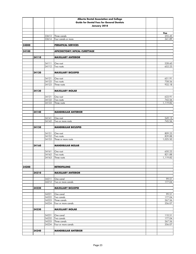|       |       |                | Alberta Dental Association and College            |                  |
|-------|-------|----------------|---------------------------------------------------|------------------|
|       |       |                | <b>Guide for Dental Fees for General Dentists</b> |                  |
|       |       |                | January 2018                                      |                  |
|       |       |                |                                                   |                  |
|       |       |                |                                                   | Fee              |
|       |       | 33613          | Three canals                                      | 255.45           |
|       |       | 33614          | Four canals or more                               | 341.89           |
| 34000 |       |                | <b>PERIAPICAL SERVICES</b>                        |                  |
|       |       |                |                                                   |                  |
| 34100 |       |                | <b>APICOECTOMY/APICAL CURETTAGE</b>               |                  |
|       |       |                |                                                   |                  |
|       | 34110 |                | <b>MAXILLARY ANTERIOR</b>                         |                  |
|       |       | 34111          | One root                                          | 528.60           |
|       |       | 34112          | Two roots                                         | 652.23           |
|       |       |                |                                                   |                  |
|       | 34120 |                | <b>MAXILLARY BICUSPID</b>                         |                  |
|       |       |                |                                                   |                  |
|       |       | 34121          | One root                                          | 651.91           |
|       |       | 34122<br>34123 | Two roots<br>Three roots                          | 758.56<br>932.18 |
|       |       |                |                                                   |                  |
|       | 34130 |                | <b>MAXILLARY MOLAR</b>                            |                  |
|       |       |                |                                                   |                  |
|       |       | 34131          | One root                                          | 633.91           |
|       |       | 34132          | Two roots                                         | 742.56           |
|       |       | 34133          | Three roots                                       | 1,119.82         |
|       |       |                |                                                   |                  |
|       | 34140 |                | <b>MANDIBULAR ANTERIOR</b>                        |                  |
|       |       |                |                                                   |                  |
|       |       | 34141          | One root                                          | 549.13           |
|       |       | 34142          | Two or more roots                                 | 745.56           |
|       |       |                |                                                   |                  |
|       | 34150 |                | <b>MANDIBULAR BICUSPID</b>                        |                  |
|       |       | 34151          | One root                                          | 809.23           |
|       |       | 34152          | Two roots                                         | 839.88           |
|       |       | 34153          | Three or more roots                               | 1,025.50         |
|       |       |                |                                                   |                  |
|       | 34160 |                | <b>MANDIBULAR MOLAR</b>                           |                  |
|       |       | 34161          | One root                                          | 650.23           |
|       |       | 34162          | Two roots                                         | 821.88           |
|       |       | 34163          | Three roots                                       | 1,119.82         |
|       |       |                |                                                   |                  |
|       |       |                |                                                   |                  |
| 34200 |       |                | <b>RETROFILLING</b>                               |                  |
|       | 34210 |                | <b>MAXILLARY ANTERIOR</b>                         |                  |
|       |       |                |                                                   |                  |
|       |       | 34211          | One canal                                         | 99.51            |
|       |       | 34212          | Two or more canals                                | 177.04           |
|       |       |                |                                                   |                  |
|       | 34220 |                | <b>MAXILLARY BICUSPID</b>                         |                  |
|       |       | 34221          | One canal                                         | 99.51            |
|       |       | 34222          | Two canals                                        | 177.04           |
|       |       | 34223          | Three canals                                      | 267.56           |
|       |       | 34224          | Four or more canals                               | 356.07           |
|       |       |                |                                                   |                  |
|       | 34230 |                | <b>MAXILLARY MOLAR</b>                            |                  |
|       |       | 34231          | One canal                                         | 110.51           |
|       |       | 34232          | Two canals                                        | 177.04           |
|       |       | 34233          | Three canals                                      | 267.56           |
|       |       | 34234          | Four or more canals                               | 356.07           |
|       |       |                |                                                   |                  |
|       | 34240 |                | <b>MANDIBULAR ANTERIOR</b>                        |                  |
|       |       |                |                                                   |                  |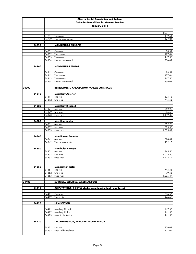|       |       |                | Alberta Dental Association and College                           |                      |
|-------|-------|----------------|------------------------------------------------------------------|----------------------|
|       |       |                | <b>Guide for Dental Fees for General Dentists</b>                |                      |
|       |       |                | January 2018                                                     |                      |
|       |       |                |                                                                  |                      |
|       |       |                |                                                                  | <b>Fee</b>           |
|       |       | 34241          | One canal                                                        | 112.51               |
|       |       | 34242          | Two or more canals                                               | 177.04               |
|       |       |                |                                                                  |                      |
|       | 34250 |                | <b>MANDIBULAR BICUSPID</b>                                       |                      |
|       |       | 34251          | One canal                                                        | 88.51                |
|       |       | 34252          | Two canals                                                       | 177.04               |
|       |       | 34253          | Three canals                                                     | 267.56               |
|       |       | 34254          | Four or more canals                                              | 356.07               |
|       |       |                |                                                                  |                      |
|       | 34260 |                | <b>MANDIBULAR MOLAR</b>                                          |                      |
|       |       |                |                                                                  |                      |
|       |       | 34261          | One canal                                                        | 88.51                |
|       |       | 34262          | Two canals                                                       | 177.04               |
|       |       | 34263<br>34264 | Three canals<br>Four or more canals                              | 267.56<br>356.07     |
|       |       |                |                                                                  |                      |
| 34300 |       |                | RETREATMENT, APICOECTOMY/APICAL CURETTAGE                        |                      |
|       |       |                |                                                                  |                      |
|       | 34310 |                | <b>Maxillary Anterior</b>                                        |                      |
|       |       | 34311          | one root                                                         | 535.13               |
|       |       | 34312          | two roots                                                        | 745.56               |
|       |       |                |                                                                  |                      |
|       | 34320 |                | <b>Maxillary Bicuspid</b>                                        |                      |
|       |       | 34321          | one root                                                         | 652.23               |
|       |       | 34322          | two roots                                                        | 885.53               |
|       |       | 34323          | three roots                                                      | 1,119.82             |
|       |       |                |                                                                  |                      |
|       | 34330 | 34331          | <b>Maxillary Molar</b><br>one root                               | 652.23               |
|       |       | 34332          | two roots                                                        | 885.53               |
|       |       | 34333          | three roots                                                      | 1,305.47             |
|       |       |                |                                                                  |                      |
|       | 34340 |                | <b>Mandibular Anterior</b>                                       |                      |
|       |       | 34341          | one root                                                         | 670.42               |
|       |       | 34342          | Two or more roots                                                | 932.18               |
|       |       |                |                                                                  |                      |
|       | 34350 |                | <b>Manibular Bicuspid</b>                                        |                      |
|       |       | 34351          | one root                                                         | 745.56               |
|       |       | 34352<br>34353 | two roots<br>three roots                                         | 1,025.50<br>1,212.14 |
|       |       |                |                                                                  |                      |
|       |       |                |                                                                  |                      |
|       | 34360 |                | Mandibular Molar                                                 |                      |
|       |       | 34361          | one root                                                         | 745.56               |
|       |       | 34362          | two roots                                                        | 979.56               |
|       |       | 34363          | three roots                                                      | 1,305.47             |
|       |       |                |                                                                  |                      |
| 34400 |       |                | SURGICAL SERVICES, MISCELLANEOUS                                 |                      |
|       |       |                |                                                                  |                      |
|       | 34410 |                | <b>AMPUTATIONS, ROOT (includes recontouring tooth and furca)</b> |                      |
|       |       | 34411          | One root                                                         | 366.56               |
|       |       | 34412          | Two roots                                                        | 446.60               |
|       |       |                |                                                                  |                      |
|       | 34420 |                | <b>HEMISECTION</b>                                               |                      |
|       |       |                |                                                                  |                      |
|       |       | 34421          | <b>Maxillary Bicuspid</b>                                        | 267.56               |
|       |       | 34422          | Maxillary Molar                                                  | 261.56               |
|       |       | 34423          | Mandibular Molar                                                 | 261.56               |
|       |       |                |                                                                  |                      |
|       | 34430 |                | <b>DECOMPRESSION, PERIO-RADICULAR LESION</b>                     |                      |
|       |       |                |                                                                  |                      |
|       |       | 34431          | First visit                                                      | 356.07               |
|       |       | 34432          | Each Additional visit                                            | 177.04               |
|       |       |                |                                                                  |                      |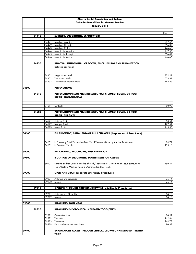|       |       |                | <b>Alberta Dental Association and College</b>                                                            |                  |
|-------|-------|----------------|----------------------------------------------------------------------------------------------------------|------------------|
|       |       |                | <b>Guide for Dental Fees for General Dentists</b>                                                        |                  |
|       |       |                | January 2018                                                                                             |                  |
|       |       |                |                                                                                                          |                  |
|       |       |                |                                                                                                          | Fee              |
|       | 34440 |                | SURGERY, ENDODONTIC, EXPLORATORY                                                                         |                  |
|       |       |                |                                                                                                          |                  |
|       |       | 34441          | Maxillary Anterior                                                                                       | 267.56           |
|       |       | 34442          | <b>Maxillary Bicuspid</b>                                                                                | 356.07           |
|       |       | 34443          | Maxillary Molar                                                                                          | 446.60           |
|       |       | 34444<br>34445 | Mandibular Anterior<br>Mandibular Bicuspid                                                               | 267.56<br>356.07 |
|       |       | 34446          | Mandibular Molar                                                                                         | 446.60           |
|       |       |                |                                                                                                          |                  |
|       | 34450 |                | REMOVAL, INTENTIONAL, OF TOOTH, APICAL FILLING AND REPLANTATION                                          |                  |
|       |       |                | (splinting additional)                                                                                   |                  |
|       |       |                |                                                                                                          |                  |
|       |       |                |                                                                                                          |                  |
|       |       | 34451          | Single rooted tooth                                                                                      | 372.27           |
|       |       | 34452          | Two rooted tooth                                                                                         | 559.91           |
|       |       | 34453          | Three rooted tooth or more                                                                               | 745.56           |
|       |       |                |                                                                                                          |                  |
| 34500 |       |                | <b>PERFORATIONS</b>                                                                                      |                  |
|       |       |                |                                                                                                          |                  |
|       | 34510 |                | PERFORATION/RESORPTIVE DEFECT(S), PULP CHAMBER REPAIR, OR ROOT                                           |                  |
|       |       |                | <b>REPAIR, NON-SURGICAL</b>                                                                              |                  |
|       |       |                |                                                                                                          |                  |
|       |       | 34511          | per tooth                                                                                                | 80.92            |
|       |       |                |                                                                                                          |                  |
|       | 34520 |                | PERFORATION/RESORPTIVE DEFECT(S), PULP CHAMBER REPAIR, OR ROOT                                           |                  |
|       |       |                | <b>REPAIR, SURGICAL</b>                                                                                  |                  |
|       |       |                |                                                                                                          |                  |
|       |       | 34521          | Anterior Tooth                                                                                           | 88.51            |
|       |       | 34522          | <b>Bicuspid Tooth</b>                                                                                    | 177.51           |
|       |       | 34523          | Molar Tooth                                                                                              | 265.56           |
|       |       |                |                                                                                                          |                  |
| 34600 |       |                | <b>ENLARGEMENT, CANAL AND/OR PULP CHAMBER (Preparation of Post Space)</b>                                |                  |
|       |       |                |                                                                                                          |                  |
|       |       |                |                                                                                                          |                  |
|       |       | 34601<br>34602 | In Previously Filled Tooth when Root Canal Treatment Done by Another Practitioner<br>In Calcified Canals | 84.71<br>255.16  |
|       |       |                |                                                                                                          |                  |
| 39000 |       |                | <b>ENDODONTIC, PROCEDURES, MISCELLANEOUS</b>                                                             |                  |
|       |       |                |                                                                                                          |                  |
| 39100 |       |                | <b>ISOLATION OF ENDODONTIC TOOTH/TEETH FOR ASEPSIS</b>                                                   |                  |
|       |       |                |                                                                                                          |                  |
|       |       | 39101          | Banding and/or Coronal Buildup of Tooth/Teeth and/or Contouring of Tissue Surrounding                    | 159.84           |
|       |       |                | Tooth/Teeth to Maintain Aseptic Operating Field (per tooth)                                              |                  |
|       |       |                |                                                                                                          |                  |
| 39200 |       |                | <b>OPEN AND DRAIN (Separate Emergency Procedures)</b>                                                    |                  |
|       |       |                |                                                                                                          |                  |
|       |       | 39201          | Anteriors and Bicuspids                                                                                  | 76.14            |
|       |       | 39202          | Molars                                                                                                   | 76.14            |
|       |       |                |                                                                                                          |                  |
|       | 39210 |                | <b>OPENING THROUGH ARTIFICIAL CROWN (In addition to Procedures)</b>                                      |                  |
|       |       | 39211          | Anteriors and Bicuspids                                                                                  |                  |
|       |       | 39212          | Molars                                                                                                   | 84.13<br>84.13   |
|       |       |                |                                                                                                          |                  |
| 39300 |       |                | <b>BLEACHING, NON VITAL</b>                                                                              |                  |
|       |       |                |                                                                                                          |                  |
|       | 39310 |                | <b>BLEACHING ENDODONTICALLY TREATED TOOTH/TEETH</b>                                                      |                  |
|       |       |                |                                                                                                          |                  |
|       |       | 39311          | One unit of time                                                                                         | 80.92            |
|       |       | 39312          | Two units                                                                                                | 162.84           |
|       |       | 39313          | Three units                                                                                              | 244.78           |
|       |       | 39319          | Each additional unit over three                                                                          | 80.92            |
|       |       |                |                                                                                                          |                  |
| 39400 |       |                | <b>EXPLORATORY ACCESS THROUGH CLINICAL CROWN OF PREVIOUSLY TREATED</b>                                   |                  |
|       |       |                | <b>TOOTH</b>                                                                                             |                  |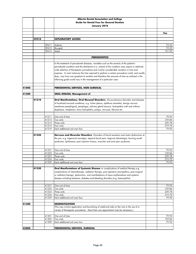|       |       |                | Alberta Dental Association and College                                                             |                  |
|-------|-------|----------------|----------------------------------------------------------------------------------------------------|------------------|
|       |       |                | <b>Guide for Dental Fees for General Dentists</b>                                                  |                  |
|       |       |                | January 2018                                                                                       |                  |
|       |       |                |                                                                                                    |                  |
|       |       |                |                                                                                                    | Fee              |
|       |       |                |                                                                                                    |                  |
|       | 39410 |                | <b>EXPLORATORY ACCESS</b>                                                                          |                  |
|       |       | 39411          |                                                                                                    | 72.33            |
|       |       | 39412          | Anterior<br>Bicuspid                                                                               | 72.33            |
|       |       | 39413          | Molar                                                                                              | 151.92           |
|       |       |                |                                                                                                    |                  |
|       |       |                | <b>PERIODONTICS</b>                                                                                |                  |
|       |       |                |                                                                                                    |                  |
|       |       |                | In the treatment of periodontal diseases, variables such as the severity of the patient's          |                  |
|       |       |                | periodontal condition and the distribution (i.e. extent) of the condition may require a relatively |                  |
|       |       |                | wide selection of therapeutic procedures and involve considerable variation in time and            |                  |
|       |       |                | expense. In most instances the time required to perform a certain procedure could, and usually     |                  |
|       |       |                | does, vary from one quadrant to another and therefore the amounts of time as outlined in the       |                  |
|       |       |                | following guide could vary in the management of a particular case.                                 |                  |
|       |       |                |                                                                                                    |                  |
| 41000 |       |                | PERIODONTAL SERVICES, NON SURGICAL                                                                 |                  |
|       |       |                |                                                                                                    |                  |
| 41200 |       |                | <b>ORAL DISEASE, Management of</b>                                                                 |                  |
|       |       |                |                                                                                                    |                  |
|       | 41210 |                | Oral Manifestations, Oral Mucosal Disorders, Mucocutaneous disorders and diseases                  |                  |
|       |       |                | of localized mucosal conditions, e.g. lichen planus, aphthous stomatitis, benign mucous            |                  |
|       |       |                | membrane pemphigoid, pemphigus, salivary gland tumours, leukoplakia with and without               |                  |
|       |       |                | dysphasia, neoplasms, hairy leukoplakia, polyps, verrucae, fibroma etc.                            |                  |
|       |       |                |                                                                                                    |                  |
|       |       | 41211          | One unit of time                                                                                   | 79.92            |
|       |       | 41212          | Two units                                                                                          | 159.84           |
|       |       | 41213          | Three units                                                                                        | 239.78           |
|       |       | 41214          | Four units                                                                                         | 319.70           |
|       |       | 41219          | Each additional unit over four                                                                     | 79.92            |
|       | 41220 |                | Nervous and Muscular Disorders, Disorders of facial sensation and motor dysfunction at             |                  |
|       |       |                | the jaw, e.g. trigeminal neuralgia, atypical facial pain, atypical odontologia, burning mouth      |                  |
|       |       |                | syndrome, dyskenesia, post injection trismus, muscular and joint pain syndrome                     |                  |
|       |       |                |                                                                                                    |                  |
|       |       |                |                                                                                                    |                  |
|       |       | 41221          | One unit of time                                                                                   | 79.92            |
|       |       | 41222          | Two units                                                                                          | 159.84           |
|       |       | 41223          | Three units                                                                                        | 239.78           |
|       |       | 41224          | Four units                                                                                         | 319.70           |
|       |       | 41229          | Each additional unit over four                                                                     | 79.92            |
|       | 41230 |                | Oral Manifestations of Systemic Disease or complications of medical therapy e.g.                   |                  |
|       |       |                | complications of chemotherapy, radiation therapy, post operative neuropathics, post surgical       |                  |
|       |       |                | or radiation therapy, dysfunction, oral manifestations of lupus erythematosis and systemic         |                  |
|       |       |                | disease including leukemia, diabetes and bleeding disorders (e.g. haemophilia)                     |                  |
|       |       |                |                                                                                                    |                  |
|       |       |                |                                                                                                    |                  |
|       |       | 41231          | One unit of time                                                                                   | 79.92            |
|       |       | 41232<br>41233 | Two units<br>Three units                                                                           | 159.84<br>239.78 |
|       |       | 41234          | Four units                                                                                         | 319.70           |
|       |       | 41239          | Each additional unit over four                                                                     | 79.92            |
|       |       |                |                                                                                                    |                  |
| 41300 |       |                | <b>DESENSITIZATION</b>                                                                             |                  |
|       |       |                | (This may involve application and burnishing of medicinal aids on the root or the use of a         |                  |
|       |       |                | variety of therapeutic procedures. More than one appointment may be necessary.)                    |                  |
|       |       |                |                                                                                                    |                  |
|       |       | 41301          | One unit of time                                                                                   | 79.92            |
|       |       | 41302          | Two units                                                                                          | 159.84           |
|       |       | 41309          | Each additional unit over two                                                                      | 79.92            |
| 42000 |       |                | PERIODONTAL SERVICES, SURGICAL                                                                     |                  |
|       |       |                |                                                                                                    |                  |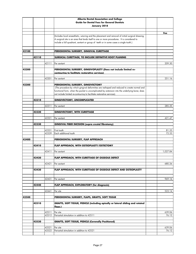|       |       |       | Alberta Dental Association and College                                                            |          |
|-------|-------|-------|---------------------------------------------------------------------------------------------------|----------|
|       |       |       | <b>Guide for Dental Fees for General Dentists</b>                                                 |          |
|       |       |       | January 2018                                                                                      |          |
|       |       |       |                                                                                                   |          |
|       |       |       |                                                                                                   | Fee      |
|       |       |       | (Includes local anaesthetic, suturing and the placement and removal of initial surgical dressing. |          |
|       |       |       | A surgical site is an area that lends itself to one or more procedures. It is considered to       |          |
|       |       |       | include a full quadrant, sextant or group of teeth or in some cases a single tooth.)              |          |
|       |       |       |                                                                                                   |          |
|       |       |       |                                                                                                   |          |
| 42100 |       |       | PERIODONTAL SURGERY, GINGIVAL CURETTAGE                                                           |          |
|       | 42110 |       | SURGICAL CURETTAGE, TO INCLUDE DEFINITIVE ROOT PLANING                                            |          |
|       |       |       |                                                                                                   |          |
|       |       | 42111 | Per sextant                                                                                       | 209.30   |
|       |       |       |                                                                                                   |          |
| 42200 |       |       | PERIODONTAL SURGERY, GINGIVOPLASTY (Does not include limited re-                                  |          |
|       |       |       | contouring to facilitate restorative services)                                                    |          |
|       |       | 42201 |                                                                                                   | 251.16   |
|       |       |       | Per sextant                                                                                       |          |
| 42300 |       |       | PERIODONTAL SURGERY, GINGIVECTOMY                                                                 |          |
|       |       |       | (The procedure by which gingival deformities are reshaped and reduced to create normal and        |          |
|       |       |       | functional form, when the pocket is uncomplicated by extension into the underlying bone; does     |          |
|       |       |       | not include limited re-contouring to facilitate restorative services).                            |          |
|       |       |       |                                                                                                   |          |
|       | 42310 |       | <b>GINGIVECTOMY, UNCOMPLICATED</b>                                                                |          |
|       |       |       |                                                                                                   |          |
|       |       | 42311 | Per sextant                                                                                       | 285.35   |
|       | 42320 |       |                                                                                                   |          |
|       |       |       | <b>GINGIVECTOMY, WITH CURETTAGE</b>                                                               |          |
|       |       | 42321 | Per sextant                                                                                       | 421.47   |
|       |       |       |                                                                                                   |          |
|       | 42330 |       | <b>GINGIVAL FIBER INCISION (supra crestal fibrotomy)</b>                                          |          |
|       |       |       |                                                                                                   |          |
|       |       | 42331 | First tooth                                                                                       | 81.33    |
|       |       | 42339 | Each additional tooth                                                                             | 72.33    |
| 42400 |       |       | PERIODONTAL SURGERY, FLAP APPROACH                                                                |          |
|       |       |       |                                                                                                   |          |
|       | 42410 |       | FLAP APPROACH, WITH OSTEOPLASTY/OSTECTOMY                                                         |          |
|       |       |       |                                                                                                   |          |
|       |       | 42411 | Per sextant                                                                                       | 1,027.84 |
|       |       |       |                                                                                                   |          |
|       | 42420 |       | FLAP APPROACH, WITH CURETTAGE OF OSSEOUS DEFECT                                                   |          |
|       |       |       |                                                                                                   |          |
|       |       | 42421 | Per sextant                                                                                       | 680.26   |
|       | 42430 |       | FLAP APPROACH, WITH CURETTAGE OF OSSEOUS DEFECT AND OSTEOPLASTY                                   |          |
|       |       |       |                                                                                                   |          |
|       |       |       |                                                                                                   |          |
|       |       | 42431 | Per sextant                                                                                       | 969.16   |
|       |       |       |                                                                                                   |          |
|       | 42440 |       | FLAP APPROACH, EXPLORATORY (for diagnosis)                                                        |          |
|       |       |       |                                                                                                   |          |
|       |       | 42441 | Per site                                                                                          | 523.14   |
| 42500 |       |       | PERIODONTAL SURGERY, FLAPS, GRAFTS, SOFT TISSUE                                                   |          |
|       |       |       |                                                                                                   |          |
|       | 42510 |       | GRAFTS, SOFT TISSUE, PEDICLE (including apically or lateral sliding and rotated                   |          |
|       |       |       | flaps.)                                                                                           |          |
|       |       |       |                                                                                                   |          |
|       |       | 42511 | Per site                                                                                          | 639.06   |
|       |       | 42512 | Periostial stimulation in addition to 42511                                                       | 76.12    |
|       |       |       |                                                                                                   |          |
|       | 42520 |       | <b>GRAFTS, SOFT TISSUE, PEDICLE (Coronally Positioned)</b>                                        |          |
|       |       | 42521 | Per site                                                                                          | 639.06   |
|       |       | 42522 | Periostial stimulation in addition to 42521                                                       | 76.12    |
|       |       |       |                                                                                                   |          |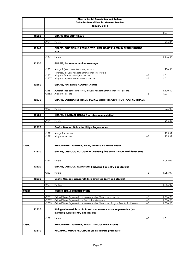|       |       |       | Alberta Dental Association and College                                                                            |      |          |
|-------|-------|-------|-------------------------------------------------------------------------------------------------------------------|------|----------|
|       |       |       | <b>Guide for Dental Fees for General Dentists</b>                                                                 |      |          |
|       |       |       | January 2018                                                                                                      |      |          |
|       |       |       |                                                                                                                   |      |          |
|       | 42530 |       | <b>GRAFTS FREE SOFT TISSUE</b>                                                                                    |      | Fee      |
|       |       |       |                                                                                                                   |      |          |
|       |       | 42531 | Per site                                                                                                          |      | 965.06   |
|       |       |       |                                                                                                                   |      |          |
|       | 42540 |       | GRAFTS, SOFT TISSUE, PEDICLE, WITH FREE GRAFT PLACED IN PEDICLE DONOR<br><b>SITE</b>                              |      |          |
|       |       | 42541 | Per site                                                                                                          |      | 1,166.56 |
|       | 42550 |       | <b>GRAFTS, For root or implant coverage</b>                                                                       |      |          |
|       |       | 42551 | Autograft (free connective tissue), for root                                                                      |      | 916.56   |
|       |       |       | coverage, includes harvesting from donor site - Per site                                                          |      |          |
|       |       | 42552 | Allograft, for root coverage - per site                                                                           | +E   | I.C.     |
|       |       | 42557 | Allograft, adjacent to an implant - per site                                                                      | +E   | I.C.     |
|       | 42560 |       |                                                                                                                   |      |          |
|       |       |       | <b>GRAFTS, FOR RIDGE AUGMENTATION</b>                                                                             |      |          |
|       |       | 42561 | Autograft (free connective tissue), includes harvesting from donor site - per site.                               |      | 1,130.32 |
|       |       | 42562 | Allograft - per site                                                                                              | +E   | I.C.     |
|       | 42570 |       | GRAFTS, CONNECTIVE TISSUE, PEDICLE WITH FREE GRAFT FOR ROOT COVERAGE                                              |      |          |
|       |       |       |                                                                                                                   |      |          |
|       |       | 42571 | Per site                                                                                                          |      | 875.08   |
|       | 42580 |       | <b>GRAFTS, GINGIVAL ONLAY (for ridge augmentation)</b>                                                            |      |          |
|       |       |       |                                                                                                                   |      |          |
|       |       | 42581 | Per site                                                                                                          |      | 905.32   |
|       | 42590 |       | Grafts, Dermal, Onlay, for Ridge Augmenation                                                                      |      |          |
|       |       |       |                                                                                                                   |      |          |
|       |       | 42591 | Autograft - per site                                                                                              |      | 905.32   |
|       |       | 42592 | Allograft - per site                                                                                              | +E   | 905.32   |
|       |       |       |                                                                                                                   |      |          |
| 42600 |       |       | PERIODONTAL SURGERY, FLAPS, GRAFTS, OSSEOUS TISSUE                                                                |      |          |
|       | 42610 |       | GRAFTS, OSSEOUS, AUTOGRAFT (Including flap entry, closure and donor site)                                         |      |          |
|       |       |       | 42611 Per site                                                                                                    |      | 1,065.09 |
|       |       |       |                                                                                                                   |      |          |
|       | 42620 |       | <b>GRAFTS, OSSEOUS, ALLOGRAFT (Including flap entry and closure)</b>                                              |      |          |
|       |       | 42621 | Per site                                                                                                          | +E   | 1,065.09 |
|       | 42630 |       | Grafts, Osseous, Xenograft (Including Flap Entry and Closure)                                                     |      |          |
|       |       | 42631 | Per Site                                                                                                          | +E   | 1,065.09 |
| 42700 |       |       | <b>GUIDED TISSUE REGENERATION</b>                                                                                 |      |          |
|       |       | 42701 | Guided Tissue Regeneration - Non-resorbable Membrane - per site                                                   | +E   | 1,616.98 |
|       |       | 42702 | Guided Tissue Regeneration - Resorbable Membrane                                                                  | $+E$ | 1,616.98 |
|       |       | 42703 | Guided Tissue Regeneration - Non-resorbable Membrane, Surgical Re-entry for Removal                               | $+E$ | 1,616.98 |
|       | 42720 |       | Biological materials to aid in soft and osseous tissue regeneration (not<br>including surgical entry and closure) |      |          |
|       |       |       |                                                                                                                   |      |          |
|       |       | 42721 | Per site                                                                                                          | +E   | I.C.     |
| 42800 |       |       | PERIODONTAL SURGERY, MISCELLANEOUS PROCEDURES                                                                     |      |          |
|       |       |       |                                                                                                                   |      |          |
|       | 42810 |       | PROXIMAL WEDGE PROCEDURE (as a separate procedure)                                                                |      |          |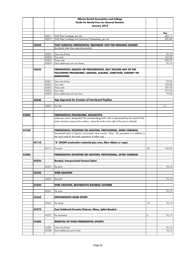|       |       |                | Alberta Dental Association and College                                                                                                                                                           |    |                 |
|-------|-------|----------------|--------------------------------------------------------------------------------------------------------------------------------------------------------------------------------------------------|----|-----------------|
|       |       |                | <b>Guide for Dental Fees for General Dentists</b>                                                                                                                                                |    |                 |
|       |       |                | January 2018                                                                                                                                                                                     |    |                 |
|       |       |                |                                                                                                                                                                                                  |    |                 |
|       |       |                |                                                                                                                                                                                                  |    | Fee             |
|       |       | 42811          | With Flap Curettage, per site                                                                                                                                                                    |    | 485.11          |
|       |       | 42819          | With Flap Curettage and Osectomy/Osteoplasty, per site                                                                                                                                           |    | 585.80          |
|       |       |                |                                                                                                                                                                                                  |    |                 |
|       | 42820 |                | POST SURGICAL PERIODONTAL TREATMENT VISIT PER DRESSING CHANGE<br>(by dentist other than operating dentist)                                                                                       |    |                 |
|       |       |                |                                                                                                                                                                                                  |    |                 |
|       |       | 42821          | One unit of time                                                                                                                                                                                 |    | 76.12           |
|       |       | 42822          | Two units                                                                                                                                                                                        |    | 152.25          |
|       |       | 42823          | Three units                                                                                                                                                                                      |    | 228.37          |
|       |       | 42829          | Each additional unit over three                                                                                                                                                                  |    | 76.12           |
|       |       |                |                                                                                                                                                                                                  |    |                 |
|       | 42830 |                | PERIODONTAL ABSCESS OR PERICORONITIS, MAY INCLUDE ANY OF THE<br>FOLLOWING PROCEDURES: LANCING, SCALING, CURETTAGE, SURGERY OR<br><b>MEDICATION</b>                                               |    |                 |
|       |       |                | One unit of time                                                                                                                                                                                 |    |                 |
|       |       | 42831<br>42832 | Two units                                                                                                                                                                                        |    | 79.92<br>159.84 |
|       |       | 42833          | Three units                                                                                                                                                                                      |    | 239.78          |
|       |       | 42834          | Four units                                                                                                                                                                                       |    | 319.70          |
|       |       | 42839          | Each additional unit over four                                                                                                                                                                   |    | 79.92           |
|       |       |                |                                                                                                                                                                                                  |    |                 |
|       | 42840 |                | Flap Approach for Creation of Interdental Papillae                                                                                                                                               |    |                 |
|       |       |                |                                                                                                                                                                                                  |    |                 |
|       |       | 42841          | Per Site                                                                                                                                                                                         |    | I.C.            |
|       |       |                |                                                                                                                                                                                                  |    |                 |
|       |       |                |                                                                                                                                                                                                  |    |                 |
| 43000 |       |                | PERIODONTAL PROCEDURES, ADJUNCTIVE                                                                                                                                                               |    |                 |
|       |       |                | (when per joint is designated, the corresponding tooth code is represented by the mesial of the<br>tooth involved, except at the midline, where the tooth to the right of the joint is utilized) |    |                 |
|       |       |                |                                                                                                                                                                                                  |    |                 |
|       |       |                |                                                                                                                                                                                                  |    |                 |
| 43100 |       |                | PERIODONTAL SPLINTING OR LIGATION, PROVISIONAL, INTRA CORONAL                                                                                                                                    |    |                 |
|       |       |                | Periodontal Splint or ligation, provisional, intra coronal. Note: This procedure is in addition to                                                                                               |    |                 |
|       |       |                | the usual code for the tooth restoration of either side.                                                                                                                                         |    |                 |
|       |       |                |                                                                                                                                                                                                  |    |                 |
|       | 43110 |                | "A" SPLINT (restorative material plus wire, fibre ribbon or rope)                                                                                                                                |    |                 |
|       |       |                |                                                                                                                                                                                                  |    |                 |
|       |       | 43111          | Per joint                                                                                                                                                                                        | +E | 154.25          |
| 43200 |       |                | PERIODONTAL SPLINTING OR LIGATION, PROVISIONAL, EXTRA CORONAL                                                                                                                                    |    |                 |
|       |       |                |                                                                                                                                                                                                  |    |                 |
|       | 43220 |                | <b>Bonded, Interproximal Enamel Splint</b>                                                                                                                                                       |    |                 |
|       |       |                |                                                                                                                                                                                                  |    |                 |
|       |       | 43221          | Per joint                                                                                                                                                                                        |    | 76.12           |
|       |       |                |                                                                                                                                                                                                  |    |                 |
|       | 43230 |                | <b>WIRE LIGATION</b>                                                                                                                                                                             |    |                 |
|       |       | 43231          |                                                                                                                                                                                                  |    | 76.12           |
|       |       |                | Per joint                                                                                                                                                                                        |    |                 |
|       | 43240 |                | <b>WIRE LIGATION, RESTORATIVE MATERIAL COVERED</b>                                                                                                                                               |    |                 |
|       |       |                |                                                                                                                                                                                                  |    |                 |
|       |       | 43241          | Per joint                                                                                                                                                                                        |    | 76.12           |
|       |       |                |                                                                                                                                                                                                  |    |                 |
|       | 43260 |                | <b>ORTHODONTIC BAND SPLINT</b>                                                                                                                                                                   |    |                 |
|       |       |                |                                                                                                                                                                                                  |    |                 |
|       |       | 43261          | Per band                                                                                                                                                                                         | +E | 76.12           |
|       | 43270 |                | Cast/Soldered/Ceramic/Polymer Glass, Splint Bonded                                                                                                                                               |    |                 |
|       |       |                |                                                                                                                                                                                                  |    |                 |
|       |       | 43271          | Per abutment                                                                                                                                                                                     | +L | 76.12           |
|       |       |                |                                                                                                                                                                                                  |    |                 |
|       | 43280 |                | REMOVAL OF FIXED PERIODONTAL SPLINTS                                                                                                                                                             |    |                 |
|       |       |                |                                                                                                                                                                                                  |    |                 |
|       |       | 43281          | One unit of time                                                                                                                                                                                 |    | 76.12           |
|       |       | 43289          | Each additional unit of time                                                                                                                                                                     |    | 76.12           |
|       |       |                |                                                                                                                                                                                                  |    |                 |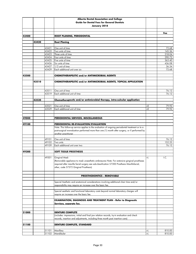|       |       |                | Alberta Dental Association and College                                                                                                                                                                                                                 |    |                  |
|-------|-------|----------------|--------------------------------------------------------------------------------------------------------------------------------------------------------------------------------------------------------------------------------------------------------|----|------------------|
|       |       |                | <b>Guide for Dental Fees for General Dentists</b>                                                                                                                                                                                                      |    |                  |
|       |       |                | January 2018                                                                                                                                                                                                                                           |    |                  |
|       |       |                |                                                                                                                                                                                                                                                        |    |                  |
|       |       |                |                                                                                                                                                                                                                                                        |    | Fee              |
| 43400 |       |                | <b>ROOT PLANING, PERIODONTAL</b>                                                                                                                                                                                                                       |    |                  |
|       | 43420 |                | <b>Root Planing</b>                                                                                                                                                                                                                                    |    |                  |
|       |       |                |                                                                                                                                                                                                                                                        |    |                  |
|       |       | 43421          | One unit of time                                                                                                                                                                                                                                       |    | 72.68            |
|       |       | 43422          | Two units of time                                                                                                                                                                                                                                      |    | 145.36           |
|       |       | 43423          | Three units of time                                                                                                                                                                                                                                    |    | 218.04           |
|       |       | 43424          | Four units of time                                                                                                                                                                                                                                     |    | 290.72<br>363.40 |
|       |       | 43425<br>43426 | Five units of time<br>Six units of time                                                                                                                                                                                                                |    | 436.08           |
|       |       | 43427          | 1/2 unit of time                                                                                                                                                                                                                                       |    | 36.34            |
|       |       | 43429          | Each additional unit over six                                                                                                                                                                                                                          |    | 72.68            |
|       |       |                |                                                                                                                                                                                                                                                        |    |                  |
| 43500 |       |                | <b>CHEMOTHERAPEUTIC and/or ANTIMICROBIAL AGENTS</b>                                                                                                                                                                                                    |    |                  |
|       | 43510 |                | CHEMOTHERAPEUTIC and/or ANTIMICROBIAL AGENTS, TOPICAL APPLICATION                                                                                                                                                                                      |    |                  |
|       |       | 43511          | One unit of time                                                                                                                                                                                                                                       |    | 76.12            |
|       |       | 43519          | Each additional unit of time                                                                                                                                                                                                                           |    | 76.12            |
|       |       |                |                                                                                                                                                                                                                                                        |    |                  |
|       | 43520 |                | Chemotherapeutic and/or antimicrobial therapy, intra-sulcular application                                                                                                                                                                              |    |                  |
|       |       | 43521          | One unit of time                                                                                                                                                                                                                                       | +E | 79.92            |
|       |       | 43529          | Each additional unit of time                                                                                                                                                                                                                           | +E | 79.92            |
|       |       |                |                                                                                                                                                                                                                                                        |    |                  |
| 49000 |       |                |                                                                                                                                                                                                                                                        |    |                  |
|       |       |                | PERIODONTAL SERVICES, MISCELLANEOUS                                                                                                                                                                                                                    |    |                  |
| 49100 |       |                | PERIODONTAL RE-EVALUATION/EVALUATION                                                                                                                                                                                                                   |    |                  |
|       |       |                | Note: This follow-up service applies to the evaluation of ongoing periodontal treatment or to a                                                                                                                                                        |    |                  |
|       |       |                | post-surgical re-evaluation performed more than one (1) month after surgery, or if performed by                                                                                                                                                        |    |                  |
|       |       |                | another practitioner                                                                                                                                                                                                                                   |    |                  |
|       |       |                |                                                                                                                                                                                                                                                        |    |                  |
|       |       | 49101<br>49102 | One unit of time<br>Two units                                                                                                                                                                                                                          |    | 76.12<br>152.25  |
|       |       | 49109          | Each additional unit over two                                                                                                                                                                                                                          |    | 76.12            |
|       |       |                |                                                                                                                                                                                                                                                        |    |                  |
| 49300 |       |                | <b>SOFT TISSUE PROSTHESIS</b>                                                                                                                                                                                                                          |    |                  |
|       |       |                |                                                                                                                                                                                                                                                        |    |                  |
|       |       | 49301          | Gingival Mask<br>(Removable appliance to mask unaesthetic embrasures Note: For extensive gingival prostheses<br>required after maxilla facial surgery see sub-classification 57300 Prosthesis Maxillofacial,<br>other, code 57372 Gingival Prosthesis) | +L | I.C.             |
|       |       |                |                                                                                                                                                                                                                                                        |    |                  |
|       |       |                | <b>PROSTHODONTICS - REMOVABLE</b>                                                                                                                                                                                                                      |    |                  |
|       |       |                | Special Aesthetic and anatomical considerations involving additional chair time and/or<br>responsibility may require an increase over the basic fee.                                                                                                   |    |                  |
|       |       |                | Special aesthetic and functional laboratory costs beyond normal laboratory charges will<br>require an increase over the basic fee.                                                                                                                     |    |                  |
|       |       |                | <b>EXAMINATION, DIAGNOSIS AND TREATMENT PLAN - Refer to Diagnostic</b><br>Services, separate fee.                                                                                                                                                      |    |                  |
|       |       |                |                                                                                                                                                                                                                                                        |    |                  |
|       |       |                |                                                                                                                                                                                                                                                        |    |                  |
| 51000 |       |                | <b>DENTURE COMPLETE</b><br>(includes: impressions, initial and final jaw relation records, try-in evaluation and check                                                                                                                                 |    |                  |
|       |       |                | records, insertion and adjustments, including three month post insertion care)                                                                                                                                                                         |    |                  |
| 51100 |       |                | <b>DENTURE COMPLETE, STANDARD</b>                                                                                                                                                                                                                      |    |                  |
|       |       |                |                                                                                                                                                                                                                                                        |    |                  |
|       |       | 51101          | Maxillary                                                                                                                                                                                                                                              | +L | 810.00           |
|       |       | 51102          | Mandibular                                                                                                                                                                                                                                             | +L | 810.00           |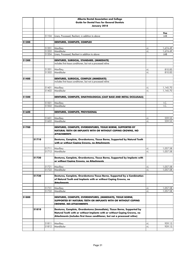|       |       |                | Alberta Dental Association and College                                                                                                                         |          |                      |
|-------|-------|----------------|----------------------------------------------------------------------------------------------------------------------------------------------------------------|----------|----------------------|
|       |       |                | <b>Guide for Dental Fees for General Dentists</b>                                                                                                              |          |                      |
|       |       |                | January 2018                                                                                                                                                   |          |                      |
|       |       |                |                                                                                                                                                                |          | Fee                  |
|       |       | 51104          | Liners, Processed, Resilient, in addition to above                                                                                                             |          | LAB                  |
|       |       |                |                                                                                                                                                                |          |                      |
| 51200 |       |                | <b>DENTURES, COMPLETE, COMPLEX</b>                                                                                                                             |          |                      |
|       |       | 51201          | Maxillary                                                                                                                                                      | +L       | 1,674.49             |
|       |       | 51202          | Mandibular                                                                                                                                                     | $+1$     | 1,674.49             |
|       |       | 51204          | Liners, Processed, Resilient in addition to above                                                                                                              |          | LAB                  |
| 51300 |       |                | DENTURES, SURGICAL, STANDARD, (IMMEDIATE)                                                                                                                      |          |                      |
|       |       |                | includes first tissue conditioner, but not a processed reline                                                                                                  |          |                      |
|       |       | 51301          | Maxillary                                                                                                                                                      | +L       | 810.00               |
|       |       | 51302          | Mandibular                                                                                                                                                     | +L       | 810.00               |
|       |       |                |                                                                                                                                                                |          |                      |
| 51400 |       |                | DENTURES, SURGICAL, COMPLEX (IMMEDIATE)                                                                                                                        |          |                      |
|       |       |                | includes first tissue conditioner, but not a processed reline                                                                                                  |          |                      |
|       |       | 51401          | Maxillary                                                                                                                                                      | +L       | 1,145.70             |
|       |       | 51402          | Mandibular                                                                                                                                                     | +L       | 1,145.70             |
| 51500 |       |                | DENTURES, COMPLETE, GNATHOLOGICAL (CAST BASE AND METAL OCCLUSALS)                                                                                              |          |                      |
|       |       |                |                                                                                                                                                                |          |                      |
|       |       | 51501          | Maxillary                                                                                                                                                      |          | I.C.                 |
|       |       | 51502          | Mandibular                                                                                                                                                     |          | I.C.                 |
| 51600 |       |                | DENTURES, COMPLETE, PROVISIONAL                                                                                                                                |          |                      |
|       |       |                |                                                                                                                                                                |          |                      |
|       |       | 51601          | Maxillary                                                                                                                                                      | +L       | 559.53               |
|       |       | 51602          | Mandibular                                                                                                                                                     | $+1$     | 559.53               |
| 51700 |       |                | DENTURES, COMPLETE, OVERDENTURES, TISSUE BORNE, SUPPORTED BY<br>NATURAL TEETH OR IMPLANTS WITH OR WITHOUT COPING CROWNS, NO<br><b>ATTACHMENTS</b>              |          |                      |
|       | 51710 |                | Dentures, Complete, Overdentures, Tissue Borne, Supported by Natural Teeth<br>with or without Copina Crowns, no Attachments                                    |          |                      |
|       |       |                |                                                                                                                                                                |          |                      |
|       |       | 51711<br>51712 | Maxillary<br>Mandibular                                                                                                                                        | +L<br>+L | 1,057.58<br>1,057.58 |
|       |       |                |                                                                                                                                                                |          |                      |
|       | 51720 |                | Dentures, Complete, Overdentures, Tissue Borne, Supported by Implants with<br><u>or without Coping Crowns, no Attachments</u>                                  |          |                      |
|       |       | 51721          | Maxillary                                                                                                                                                      | +L       | 1,057.58             |
|       |       | 51722          | Mandibular                                                                                                                                                     | $+1$     | 1,057.58             |
|       |       |                |                                                                                                                                                                |          |                      |
|       | 51730 |                | Dentures, Complete, Overdentures Tissue Borne, Supported by a Combination<br>of Natural Teeth and Implants with or without Coping Crowns, no<br>Attachments    |          |                      |
|       |       | 51731          | Maxillary                                                                                                                                                      | +L       | 1,057.58             |
|       |       | 51732          | Mandibular                                                                                                                                                     | +L       | 1,057.58             |
| 51800 |       |                | DENTURES, COMPLETE, OVERDENTURES, (IMMEDIATE), TISSUE BORNE,<br>SUPPORTED BY NATURAL TEETH OR IMPLANTS WITH OR WITHOUT COPING<br><b>CROWNS, NO ATTACHMENTS</b> |          |                      |
|       |       |                |                                                                                                                                                                |          |                      |
|       |       |                |                                                                                                                                                                |          |                      |
|       | 51810 |                | Dentures, Complete, Overdentures (Immediate), Tissue Borne, Supported by<br>Natural Teeth with or without Implants with or without Coping Crowns, no           |          |                      |
|       |       |                | Attachments (includes first tissue conditioner, but not a processed reline)                                                                                    |          |                      |
|       |       | 51811          | Maxillary                                                                                                                                                      | +L       | 959.13               |
|       |       | 51812          | Mandibular                                                                                                                                                     | $+1$     | 959.13               |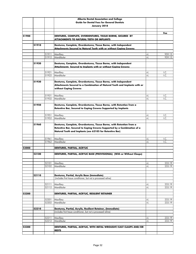|       |       |       | Alberta Dental Association and College                                     |      |        |
|-------|-------|-------|----------------------------------------------------------------------------|------|--------|
|       |       |       | <b>Guide for Dental Fees for General Dentists</b>                          |      |        |
|       |       |       |                                                                            |      |        |
|       |       |       | January 2018                                                               |      |        |
|       |       |       |                                                                            |      |        |
|       |       |       |                                                                            |      | Fee    |
| 51900 |       |       | DENTURES, COMPLETE, OVERDENTURES, TISSUE BORNE, SECURED BY                 |      |        |
|       |       |       | <b>ATTACHMENTS TO NATURAL TEETH OR IMPLANTS</b>                            |      |        |
|       |       |       |                                                                            |      |        |
|       | 51910 |       | Dentures, Complete, Overdentures, Tissue Borne, with Independent           |      |        |
|       |       |       | Attachments Secured to Natural Teeth with or without Copina Crowns         |      |        |
|       |       |       |                                                                            |      |        |
|       |       | 51911 | Maxillary                                                                  | +L   | 959.13 |
|       |       | 51912 | Mandibular                                                                 | +L   | 959.13 |
|       |       |       |                                                                            |      |        |
|       | 51920 |       | Dentures, Complete, Overdentures, Tissue Borne, with Independent           |      |        |
|       |       |       | Attachments Secured to Implants with or without Copina Crowns              |      |        |
|       |       |       |                                                                            |      |        |
|       |       | 51921 | Maxillary                                                                  | +L   | I.C.   |
|       |       | 51922 | Mandibular                                                                 | $+1$ | I.C.   |
|       |       |       |                                                                            |      |        |
|       | 51930 |       | Dentures, Complete, Overdentures, Tissue Borne, with Independent           |      |        |
|       |       |       | Attachments Secured to a Combination of Natural Teeth and Implants with or |      |        |
|       |       |       | without Coping Crowns                                                      |      |        |
|       |       |       |                                                                            |      |        |
|       |       |       |                                                                            |      |        |
|       |       | 51931 | Maxillary                                                                  | +L   | I.C.   |
|       |       | 51932 | Mandibular                                                                 | $+1$ | L.C.   |
|       |       |       |                                                                            |      |        |
|       | 51950 |       | Dentures, Complete, Overdentures, Tissue Borne, with Retention from a      |      |        |
|       |       |       | Retentive Bar, Secured to Coping Crowns Supported by Implants              |      |        |
|       |       |       |                                                                            |      |        |
|       |       | 51951 | Maxillary                                                                  | +L   | I.C.   |
|       |       | 51952 | Mandibular                                                                 | +L   | I.C.   |
|       |       |       |                                                                            |      |        |
|       | 51960 |       | Dentures, Complete, Overdentures, Tissue Borne, with Retention from a      |      |        |
|       |       |       |                                                                            |      |        |
|       |       |       | Retentive Bar, Secured to Coping Crowns Supported by a Combination of a    |      |        |
|       |       |       | Natural Teeth and Implants (see 62105 for Retentive Bar)                   |      |        |
|       |       |       |                                                                            |      |        |
|       |       | 51961 | Maxillary                                                                  | +L   | I.C.   |
|       |       | 51962 | Mandibular                                                                 | $+1$ | I.C.   |
|       |       |       |                                                                            |      |        |
| 52000 |       |       | DENTURES, PARTIAL, ACRYLIC                                                 |      |        |
|       |       |       |                                                                            |      |        |
|       | 52100 |       | DENTURES, PARTIAL, ACRYLIC BASE (PROVISIONAL) (With or Without Clasps)     |      |        |
|       |       |       |                                                                            |      |        |
|       |       |       |                                                                            |      |        |
|       |       | 52101 | Maxillary                                                                  | $+1$ | 233.19 |
|       |       | 52102 | Mandibular                                                                 | $+1$ | 233.19 |
|       |       |       |                                                                            |      |        |
|       |       |       |                                                                            |      |        |
|       |       |       |                                                                            |      |        |
|       | 52110 |       | Dentures, Partial, Acrylic Base (Immediate)                                |      |        |
|       |       |       | (includes first tissue conditioner, but not a processed reline)            |      |        |
|       |       |       |                                                                            |      |        |
|       |       | 52111 | Maxillary                                                                  | +L   | 233.19 |
|       |       | 52112 | Mandibular                                                                 | $+1$ | 233.19 |
|       |       |       |                                                                            |      |        |
| 52200 |       |       | DENTURES, PARTIAL, ACRYLIC, RESILIENT RETAINER                             |      |        |
|       |       |       |                                                                            |      |        |
|       |       | 52201 | Maxillary                                                                  | +L   | 233.19 |
|       |       | 52202 | Mandibular                                                                 | $+1$ | 233.19 |
|       |       |       |                                                                            |      |        |
|       | 52210 |       | Dentures, Partial, Acrylic, Resilient Retainer, (Immediate)                |      |        |
|       |       |       | (includes first tissue conditioner, but not a processed reline)            |      |        |
|       |       |       |                                                                            |      |        |
|       |       | 52211 | Maxillary                                                                  | +L   | 233.19 |
|       |       | 52212 | Mandibular                                                                 | $+1$ | 233.19 |
|       |       |       |                                                                            |      |        |
| 52300 |       |       | DENTURES, PARTIAL, ACRYLIC, WITH METAL WROUGHT/CAST CLASPS AND/OR          |      |        |
|       |       |       | <b>RESTS</b>                                                               |      |        |
|       |       |       |                                                                            |      |        |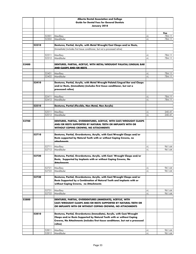|       |       |                | Alberta Dental Association and College                                         |            |                  |
|-------|-------|----------------|--------------------------------------------------------------------------------|------------|------------------|
|       |       |                | <b>Guide for Dental Fees for General Dentists</b>                              |            |                  |
|       |       |                | January 2018                                                                   |            |                  |
|       |       |                |                                                                                |            |                  |
|       |       |                |                                                                                |            | Fee              |
|       |       | 52301          | Maxillary                                                                      | +L         | 784.11           |
|       |       | 52302          | Mandibular                                                                     | +L         | 784.11           |
|       |       |                |                                                                                |            |                  |
|       | 52310 |                | Dentures, Partial, Acrylic, with Metal Wrought/Cast Clasps and/or Rests,       |            |                  |
|       |       |                | (Immediate) (includes first tissue conditioner, but not a processed reline)    |            |                  |
|       |       |                |                                                                                |            |                  |
|       |       | 52311          | Maxillary                                                                      | +L         | 784.11           |
|       |       | 52312          | Mandibular                                                                     | $+1$       | 784.11           |
|       |       |                |                                                                                |            |                  |
| 52400 |       |                | DENTURES, PARTIAL, ACRYLIC, WITH METAL/WROUGHT PALATAL/LINGUAL BAR             |            |                  |
|       |       |                | <b>AND CLASPS AND/OR RESTS</b>                                                 |            |                  |
|       |       | 52401          | Maxillary                                                                      | +L         | 784.11           |
|       |       | 52402          | Mandibular                                                                     | +L         | 784.11           |
|       |       |                |                                                                                |            |                  |
|       | 52410 |                | Dentures, Partial, Acrylic, with Metal Wrought Palatal/Lingual Bar and Clasps  |            |                  |
|       |       |                | and/or Rests, (Immediate) (includes first tissue conditioner, but not a        |            |                  |
|       |       |                | processed reline)                                                              |            |                  |
|       |       |                |                                                                                |            |                  |
|       |       |                |                                                                                |            |                  |
|       |       | 52411<br>52412 | Maxillary<br>Mandibular                                                        | +L<br>$+1$ | 784.11<br>784.11 |
|       |       |                |                                                                                |            |                  |
|       | 52510 |                | Dentures, Partial (Flexible, Non Metal, Non Acrylic)                           |            |                  |
|       |       |                |                                                                                |            |                  |
|       |       | 52511          | Maxillary                                                                      | +L         | 240.41           |
|       |       | 52512          | Mandibular                                                                     | +L         | 240.41           |
|       |       |                |                                                                                |            |                  |
| 52700 |       |                | DENTURES, PARTIAL, OVERDENTURES, ACRYLIC, WITH CAST/WROUGHT CLASPS             |            |                  |
|       |       |                | AND/OR RESTS SUPPORTED BY NATURAL TEETH OR IMPLANTS WITH OR                    |            |                  |
|       |       |                | <b>WITHOUT COPING CROWNS, NO ATTACHMENTS</b>                                   |            |                  |
|       |       |                |                                                                                |            |                  |
|       | 52710 |                | Dentures, Partial, Overdentures, Acrylic, with Cast/Wrought Clasps and/or      |            |                  |
|       |       |                | Rests supported by Natural Teeth with or without Coping Crowns, no             |            |                  |
|       |       |                | attachments                                                                    |            |                  |
|       |       |                |                                                                                |            |                  |
|       |       | 52711          | Maxillary                                                                      | +L         | 961.64           |
|       |       | 52712          | Mandibular                                                                     | $+1$       | 961.64           |
|       |       |                |                                                                                |            |                  |
|       | 52720 |                | Dentures, Partial, Overdentures, Acrylic, with Cast/ Wrought Clasps and/or     |            |                  |
|       |       |                | Rests, Supported by Implants with or without Coping Crowns, No                 |            |                  |
|       |       |                | <b>Attachments</b>                                                             |            |                  |
|       |       | 52721          | Maxillary                                                                      | +L         | 961.64           |
|       |       | 52722          | Mandibular                                                                     | +L         | 961.64           |
|       |       |                |                                                                                |            |                  |
|       | 52730 |                | Dentures, Partial, Overdentures, Acrylic, with Cast/Wrought Clasps and/or      |            |                  |
|       |       |                | Rests Supported by a Combination of Natural Teeth and Implants with or         |            |                  |
|       |       |                | without Coping Crowns, no Attachments                                          |            |                  |
|       |       |                |                                                                                |            |                  |
|       |       | 52731          | Maxillary                                                                      | +L         | 961.64           |
|       |       | 52732          | Mandibular                                                                     | +L         | 961.64           |
|       |       |                |                                                                                |            |                  |
| 52800 |       |                | DENTURES, PARTIAL, OVERDENTURES (IMMEDIATE), ACRYLIC, WITH                     |            |                  |
|       |       |                | CAST/WROUGHT CLASPS AND/OR RESTS SUPPORTED BY NATURAL TEETH OR                 |            |                  |
|       |       |                | OR IMPLANTS WITH OR WITHOUT COPING CROWNS, NO ATTACHMENTS                      |            |                  |
|       |       |                |                                                                                |            |                  |
|       | 52810 |                | Dentures, Partial, Overdentures (Immediate), Acrylic, with Cast/Wrought        |            |                  |
|       |       |                | Clasps and/or Rests Supported by Natural Teeth with or without Coping          |            |                  |
|       |       |                | Crowns, No Attachments (includes first tissue conditioner, but not a processed |            |                  |
|       |       |                | reline)                                                                        |            |                  |
|       |       |                |                                                                                |            |                  |
|       |       | 52811          | Maxillary                                                                      | +L         | 961.64           |
|       |       | 52812          | Mandibular                                                                     | +L         | 961.64           |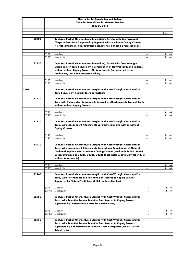|       |       |       | Alberta Dental Association and College<br><b>Guide for Dental Fees for General Dentists</b>                                                                                                                                                                                                                                             |      |        |
|-------|-------|-------|-----------------------------------------------------------------------------------------------------------------------------------------------------------------------------------------------------------------------------------------------------------------------------------------------------------------------------------------|------|--------|
|       |       |       | January 2018                                                                                                                                                                                                                                                                                                                            |      |        |
|       |       |       |                                                                                                                                                                                                                                                                                                                                         |      | Fee    |
|       |       |       |                                                                                                                                                                                                                                                                                                                                         |      |        |
|       | 52820 |       | Dentures, Partial, Overdentures (Immediate), Acrylic, with Cast/Wrought                                                                                                                                                                                                                                                                 |      |        |
|       |       |       | Clasps and/or Rests Supported by Implants with or without Coping Crowns,<br>No Attachments (includes first tissue conditioner, but not a processed reline)                                                                                                                                                                              |      |        |
|       |       | 52821 | Maxillary                                                                                                                                                                                                                                                                                                                               | +L   | 961.64 |
|       |       | 52822 | Mandibular                                                                                                                                                                                                                                                                                                                              | +L   | 961.64 |
|       | 52830 |       | Dentures, Partial, Overdentures (Immediate), Acrylic with Cast/Wrought<br>Clasps and/or Rests Secured by a Combination of Natural Teeth and Implants<br>with or without Coping Crowns, No Attachments (includes first tissue<br>conditioner, but not a processed reline)                                                                |      |        |
|       |       | 52831 | Maxillary                                                                                                                                                                                                                                                                                                                               | +L   | 961.64 |
|       |       | 52832 | Mandibular                                                                                                                                                                                                                                                                                                                              | +L   | 961.64 |
| 52900 |       |       | Dentures, Partial, Overdentures, Acrylic, with Cast/Wrought Clasps and/or<br><b>Rests Secured by Natural Teeth or Implants</b>                                                                                                                                                                                                          |      |        |
|       | 52910 |       | Dentures, Partial, Overdentures, Acrylic, with Cast/Wrought Clasps and/or<br>Rests with Independent Attachments Secured by Attachments to Natural Teeth<br>with or without Coping Crowns                                                                                                                                                |      |        |
|       |       | 52911 | Maxillary                                                                                                                                                                                                                                                                                                                               | +L   | 961.64 |
|       |       | 52912 | Mandibular                                                                                                                                                                                                                                                                                                                              | $+1$ | 961.64 |
|       | 52920 |       | Dentures, Partial, Overdentures, Acrylic, with Cast/Wrought Clasps and/or<br>Rests, with Independent Attachments Secured to Implants with or without<br><b>Coping Crowns</b>                                                                                                                                                            |      |        |
|       |       | 52921 | Maxillary                                                                                                                                                                                                                                                                                                                               | +L   | 961.64 |
|       |       | 52922 | Mandibular                                                                                                                                                                                                                                                                                                                              | +L   | 961.64 |
|       | 52930 |       | Dentures, Partial, Overdentures, Acrylic, with Cast/Wrought Clasps and/or<br>Rests, with Independent Attachments Secured to a Combination of Natural<br>Teeth and Implants with or without Coping Crowns [used with 26101, 26103<br>(Mesostructures); or 28221, 28225, 28226 (Cast Metal Coping Crowns) with or<br>without Attachments] |      |        |
|       |       | 52931 | Maxillary                                                                                                                                                                                                                                                                                                                               | +L   | 961.64 |
|       |       | 52932 | Mandibular                                                                                                                                                                                                                                                                                                                              | $+1$ | 961.64 |
|       | 52940 |       | Dentures, Partial, Overdentures, Acrylic, with Cast/Wrought Clasps and/or<br>Rests, with Retention from a Retentive Bar, Secured to Coping Crowns<br>Supported by Natural Teeth (see 62104 for Retentive Bar)                                                                                                                           |      |        |
|       |       | 52941 | Maxillary                                                                                                                                                                                                                                                                                                                               | +L   | 961.64 |
|       |       | 52942 | Mandibular                                                                                                                                                                                                                                                                                                                              | +L   | 961.64 |
|       | 52950 |       | Dentures, Partial, Overdentures, Acrylic, with Cast/Wrought Clasps and/or<br>Rests, with Retention from a Retentive Bar, Secured to Coping Crowns<br>Supported by Implants (see 62105 for Retentive Bar)                                                                                                                                |      |        |
|       |       | 52951 | Maxillary                                                                                                                                                                                                                                                                                                                               | +L   | 961.64 |
|       |       | 52952 | Mandibular                                                                                                                                                                                                                                                                                                                              | +L   | 961.64 |
|       | 52960 |       | Dentures, Partial, Overdentures, Acrylic, with Cast/Wrought Clasps and/or<br>Rests, with Retention from a Retentive Bar, Secured to Coping Crowns<br>Supported by a combination of Natural Teeth or Implants (see 62105 for<br><b>Retentive Bar)</b>                                                                                    |      |        |
|       |       |       |                                                                                                                                                                                                                                                                                                                                         |      |        |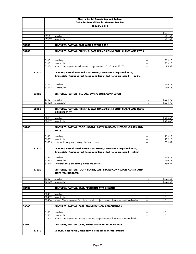|       |       |                   | Alberta Dental Association and College                                                                                                                 |            |          |
|-------|-------|-------------------|--------------------------------------------------------------------------------------------------------------------------------------------------------|------------|----------|
|       |       |                   | <b>Guide for Dental Fees for General Dentists</b>                                                                                                      |            |          |
|       |       |                   | January 2018                                                                                                                                           |            |          |
|       |       |                   |                                                                                                                                                        |            |          |
|       |       |                   |                                                                                                                                                        |            | Fee      |
|       |       | 52961             | Maxillary                                                                                                                                              | +L         | 961.64   |
|       |       | 52962             | Mandibular                                                                                                                                             | +L         | 961.64   |
| 53000 |       |                   | DENTURES, PARTIAL, CAST WITH ACRYLIC BASE                                                                                                              |            |          |
|       |       |                   |                                                                                                                                                        |            |          |
| 53100 |       |                   | DENTURES, PARTIAL, FREE END, CAST FRAME/CONNECTOR, CLASPS AND RESTS                                                                                    |            |          |
|       |       | 53101             | Maxillary                                                                                                                                              | +L         | 809.10   |
|       |       | $\frac{1}{53102}$ | Mandibular                                                                                                                                             | +L         | 809.10   |
|       |       | 53104             | Altered Cast Impression technique in conjunction with 53101 and 53102                                                                                  | $+1$       | 85.92    |
|       | 53110 |                   | Dentures, Partial, Free End, Cast Frame/Connector, Clasps and Rests,<br>(Immediate) (includes first tissue conditioner, but not a processed<br>reline) |            |          |
|       |       | 53111             | Maxillary                                                                                                                                              | +L         | 959.13   |
|       |       | 53112             | Mandibular                                                                                                                                             | $+1$       | 959.13   |
|       |       |                   |                                                                                                                                                        |            |          |
|       | 53120 |                   | <b>DENTURES, PARTIAL FREE END, SWING LOCK/CONNECTOR</b>                                                                                                |            |          |
|       |       | 53121             | Maxillary                                                                                                                                              | +L         | 1,004.70 |
|       |       | 53122             | Mandibular                                                                                                                                             | +L         | 1,004.70 |
|       |       |                   |                                                                                                                                                        |            |          |
|       | 53130 |                   | DENTURES, PARTIAL, FREE END, CAST FRAME/CONNECTOR, CLASPS AND RESTS<br>(EQUILIBRATED)                                                                  |            |          |
|       |       | 53131             | Maxillary                                                                                                                                              | +L         | 1,925.66 |
|       |       | 53132             | Mandibular                                                                                                                                             | +L         | 1,925.66 |
|       |       |                   |                                                                                                                                                        |            |          |
| 53200 |       |                   | DENTURES, PARTIAL, TOOTH-BORNE, CAST FRAME/CONNECTOR, CLASPS AND<br><b>RESTS</b>                                                                       |            |          |
|       |       | 53201             | Maxillary                                                                                                                                              |            | 959.13   |
|       |       | 53202             | Mandibular                                                                                                                                             | +L<br>$+1$ | 959.13   |
|       |       | 53205             | Unilateral, one piece casting, clasps and pontics                                                                                                      | +L         | 559.47   |
|       |       |                   |                                                                                                                                                        |            |          |
|       | 53210 |                   | Dentures, Partial, Tooth Borne, Cast Frame/Connector, Clasps and Rests,                                                                                |            |          |
|       |       |                   | (Immediate) (includes first tissue conditioner, but not a processed<br>reline)                                                                         |            |          |
|       |       | 53211             | Maxillary                                                                                                                                              | +L         | 959.13   |
|       |       |                   | 53212 Mandibular                                                                                                                                       | $+1$       | 959.13   |
|       |       | 53215             | Unilateral, one piece casting, clasps and pontics                                                                                                      | $+1$       | 559.47   |
|       |       |                   |                                                                                                                                                        |            |          |
|       | 53220 |                   | DENTURES, PARTIAL, TOOTH BORNE, CAST FRAME/CONNECTOR, CLASPS AND<br><b>RESTS (EQUILIBRATED)</b>                                                        |            |          |
|       |       | 53221             | Maxillary                                                                                                                                              | +L         | 1,925.66 |
|       |       | 53222             | Mandibular                                                                                                                                             | $+1$       | 1,925.66 |
|       |       |                   |                                                                                                                                                        |            |          |
| 53400 |       |                   | DENTURES, PARTIAL, CAST, PRECISION ATTACHMENTS                                                                                                         |            |          |
|       |       | 53401             | Maxillary                                                                                                                                              | +L         | I.C.     |
|       |       | 53402             | Mandibular                                                                                                                                             | $+1$       | I.C.     |
|       |       | 53404             | Altered Cast Impression Technique done in conjunction with the above mentioned codes                                                                   | +L         | I.C.     |
| 53500 |       |                   | DENTURES, PARTIAL, CAST, SEMI-PRECISION ATTACHMENTS                                                                                                    |            |          |
|       |       | 53501             | Maxillary                                                                                                                                              | +L         | I.C.     |
|       |       | 53502             | Mandibular                                                                                                                                             | +L         | I.C.     |
|       |       | 53504             | Altered Cast Impression Technique done in conjunction with the above mentioned codes                                                                   |            | I.C.     |
| 53600 |       |                   | DENTURES, PARTIAL, CAST, STRESS BREAKER ATTACHMENTS                                                                                                    |            |          |
|       |       |                   |                                                                                                                                                        |            |          |
|       | 53610 |                   | Denture, Cast Partial, Maxillary, Stress Breaker Attachments                                                                                           |            |          |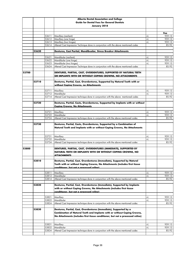|       |       |                | Alberta Dental Association and College                                                                                                                                                                                          |              |                 |
|-------|-------|----------------|---------------------------------------------------------------------------------------------------------------------------------------------------------------------------------------------------------------------------------|--------------|-----------------|
|       |       |                | <b>Guide for Dental Fees for General Dentists</b>                                                                                                                                                                               |              |                 |
|       |       |                | January 2018                                                                                                                                                                                                                    |              |                 |
|       |       |                |                                                                                                                                                                                                                                 |              |                 |
|       |       |                |                                                                                                                                                                                                                                 |              | Fee             |
|       |       | 53611          | Maxillary (resilient)                                                                                                                                                                                                           | +L           | 959.13          |
|       |       | 53612          | Maxillary (one hinge)                                                                                                                                                                                                           | +L           | 959.13          |
|       |       | 53613          | Maxillary (two hinges)                                                                                                                                                                                                          | $+1$         | 959.13          |
|       |       | 53614          | Altered Cast Impression Technique done in conjunction with the above mentioned codes                                                                                                                                            |              | 85.92           |
|       | 53620 |                | Dentures, Cast Partial, Mandibualar, Stress Breaker Attachments                                                                                                                                                                 |              |                 |
|       |       |                |                                                                                                                                                                                                                                 |              |                 |
|       |       | 53621          | Mandibular (resilient)                                                                                                                                                                                                          | +L           | 959.13          |
|       |       | 53622          | Mandibular (one hinge)<br>Mandibular (two hinges)                                                                                                                                                                               | $+1$<br>$+1$ | 959.13          |
|       |       | 53623<br>53624 | Altered Cast Impression Technique done in conjunction with the above mentioned codes                                                                                                                                            |              | 959.13<br>85.92 |
|       |       |                |                                                                                                                                                                                                                                 |              |                 |
| 53700 |       |                | DENTURES, PARTIAL, CAST, OVERDENTURES, SUPPORTED BY NATURAL TEETH<br>OR IMPLANTS WITH OR WITHOUT COPING CROWNS, NO ATTACHMENTS                                                                                                  |              |                 |
|       | 53710 |                | Dentures, Partial, Cast, Overdentures, Supported by Natural Teeth with or<br>without Coping Crowns, no Attachments                                                                                                              |              |                 |
|       |       |                |                                                                                                                                                                                                                                 |              |                 |
|       |       | 53711          | Maxillary                                                                                                                                                                                                                       | +L           | 959.13          |
|       |       | 53712          | Mandibular                                                                                                                                                                                                                      | +L           | 959.13          |
|       |       | 53714          | Altered Cast Impression technique done in conjunction with the above mentioned codes                                                                                                                                            |              | 85.92           |
|       | 53720 |                | Dentures, Partial, Casts, Overdentures, Supported by Implants with or without<br><b>Coping Crowns, No Attachments</b>                                                                                                           |              |                 |
|       |       |                |                                                                                                                                                                                                                                 |              |                 |
|       |       | 53721          | Maxillary                                                                                                                                                                                                                       | +L           | 959.13          |
|       |       | 53722          | Mandibular                                                                                                                                                                                                                      | $+1$         | 959.13          |
|       |       | 53724          | Altered Cast Impression technique done in conjunction with the above mentioned codes                                                                                                                                            |              | 85.92           |
|       | 53730 |                | Dentures, Partial, Casts, Overdentures, Supported by a Combination of<br>Natural Teeth and Implants with or without Coping Crowns, No Attachments                                                                               |              |                 |
|       |       | 53731          | Maxillary                                                                                                                                                                                                                       | +L           | 959.13          |
|       |       | 53732          | Mandibular                                                                                                                                                                                                                      | $+1$         | 959.13          |
|       |       | 53734          | Altered Cast Impression technique done in conjunction with the above mentioned codes                                                                                                                                            |              | 85.92           |
|       |       |                |                                                                                                                                                                                                                                 |              |                 |
| 53800 |       |                | DENTURES, PARTIAL, CAST, OVERDENTURES (IMMEDIATE), SUPPORTED BY<br><b>NATURAL TEETH OR IMPLANTS WITH OR WITHOUT COPING CROWNS, NO</b><br>ΔΤΤΔCΗΜΕΝΤS                                                                            |              |                 |
|       | 53810 |                | Dentures, Partial, Cast, Overdentures (Immediate), Supported by Natural<br>Teeth with or without Coping Crowns, No Attachments (includes first tissue                                                                           |              |                 |
|       |       |                | conditioner, but not a processed reline)                                                                                                                                                                                        |              |                 |
|       |       | 53811          | Maxillary                                                                                                                                                                                                                       | +L           | 959.13          |
|       |       | 53812          | Mandibular                                                                                                                                                                                                                      | +L           | 959.13          |
|       |       | 53814          | Altered Cast Impression technique done in conjunction with the above mentioned codes                                                                                                                                            |              | 85.92           |
|       | 53820 |                | Dentures, Partial, Cast, Overdentures (Immediate), Supported by Implants                                                                                                                                                        |              |                 |
|       |       |                | with or without Coping Crowns, No Attachments (includes first tissue<br>conditioner, but not a processed reline).                                                                                                               |              |                 |
|       |       | 53821          | Maxillary                                                                                                                                                                                                                       | +L           | 959.13          |
|       |       | 53822          | Mandibular                                                                                                                                                                                                                      | +L           | 959.13          |
|       |       | 53824          | Altered Cast Impression technique done in conjunction with the above mentioned codes                                                                                                                                            |              | 85.92           |
|       | 53830 |                | Dentures, Partial, Cast, Overdentures (Immediate), Supported by a<br>Combination of Natural Teeth and Implants with or without Coping Crowns,<br>No Attachments (includes first tissue conditioner, but not a processed reline) |              |                 |
|       |       | 53831          | Maxillary                                                                                                                                                                                                                       | +L           | 959.13          |
|       |       | 53832          | Mandibular                                                                                                                                                                                                                      | +L           | 959.13          |
|       |       | 53834          | Altered Cast Impression technique done in conjunction with the above mentioned codes                                                                                                                                            |              | 85.92           |
|       |       |                |                                                                                                                                                                                                                                 |              |                 |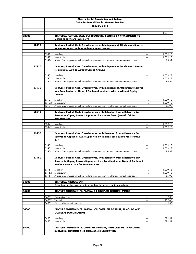|       |       |                | Alberta Dental Association and College                                                             |          |                      |
|-------|-------|----------------|----------------------------------------------------------------------------------------------------|----------|----------------------|
|       |       |                | <b>Guide for Dental Fees for General Dentists</b>                                                  |          |                      |
|       |       |                | January 2018                                                                                       |          |                      |
|       |       |                |                                                                                                    |          |                      |
|       |       |                |                                                                                                    |          | Fee                  |
| 53900 |       |                | DENTURES, PARTIAL, CAST, OVERDENTURES, SECURED BY ATTACHMENTS TO                                   |          |                      |
|       |       |                | <b>NATURAL TEETH OR IMPLANTS</b>                                                                   |          |                      |
|       |       |                |                                                                                                    |          |                      |
|       | 53910 |                | Dentures, Partial, Cast, Overdentures, with Independent Attachments Secured                        |          |                      |
|       |       |                | to Natural Teeth, with or without Copina Crowns                                                    |          |                      |
|       |       |                |                                                                                                    |          |                      |
|       |       | 53911          | Maxillary                                                                                          | +L       | 1,039.13             |
|       |       | 53912          | Mandibular                                                                                         | +L       | 1,039.13             |
|       |       | 53914          | Altered Cast Impression technique done in conjunction with the above mentioned codes               |          | 85.92                |
|       |       |                |                                                                                                    |          |                      |
|       | 53920 |                | Dentures, Partial, Cast, Overdentures, with Independent Attachments Secured                        |          |                      |
|       |       |                | to Implants, with or without Copina Crowns                                                         |          |                      |
|       |       | 53921          | Maxillary                                                                                          | +L       | 1,039.13             |
|       |       | 53922          | Mandibular                                                                                         | +L       | 1,039.13             |
|       |       | 53924          | Altered Cast Impression technique done in conjunction with the above mentioned codes               |          | 85.92                |
|       |       |                |                                                                                                    |          |                      |
|       | 53930 |                | Dentures, Partial, Cast, Overdentures, with Independent Attachments Secured                        |          |                      |
|       |       |                | to a Combination of Natural Teeth and Implants, with or without Coping                             |          |                      |
|       |       |                | <b>Crowns</b>                                                                                      |          |                      |
|       |       |                |                                                                                                    |          |                      |
|       |       | 53931          | Maxillary                                                                                          | +L       | 1,039.13             |
|       |       | 53932          | Mandibular                                                                                         | $+1$     | 1,039.13             |
|       |       | 53934          | Altered Cast Impression technique done in conjunction with the above mentioned codes               |          | 85.92                |
|       |       |                |                                                                                                    |          |                      |
|       | 53940 |                | Dentures, Partial, Cast, Overdentures, with Retention from a Retentive Bar,                        |          |                      |
|       |       |                | Secured to Coping Crowns Supported by Natural Teeth (see 62104 for                                 |          |                      |
|       |       |                | <b>Retentive Bar)</b>                                                                              |          |                      |
|       |       |                |                                                                                                    |          |                      |
|       |       | 53941<br>53942 | Maxillary<br>Mandibular                                                                            | +L<br>+L | 1,039.13<br>1,039.13 |
|       |       |                |                                                                                                    |          |                      |
|       | 53950 |                | Dentures, Partial, Cast, Overdentures, with Retention from a Retentive Bar,                        |          |                      |
|       |       |                | Secured to Coping Crowns Supported by Implants (see 62105 for Retentive                            |          |                      |
|       |       |                | Bar)                                                                                               |          |                      |
|       |       |                |                                                                                                    |          |                      |
|       |       | 53951          | Maxillary                                                                                          | +L       | 1,039.13             |
|       |       | 53952          | Mandibular                                                                                         | +L       | 1,039.13             |
|       |       | 53954          | Altered Cast Impression technique done in conjunction with the above mentioned codes               |          | 85.92                |
|       |       |                |                                                                                                    |          |                      |
|       | 53960 |                | Dentures, Partial, Cast, Overdentures, with Retention from a Retentive Bar,                        |          |                      |
|       |       |                | Secured to Coping Crowns Supported by a Combination of Natural Teeth and                           |          |                      |
|       |       |                | Implants (see 62105 for Retentive Bar)                                                             |          |                      |
|       |       |                |                                                                                                    |          |                      |
|       |       | 53961          | Maxillary                                                                                          | +L       | 1,039.13             |
|       |       | 53962<br>53964 | Mandibular<br>Altered Cast Impression technique done in conjunction with the above mentioned codes | $+1$     | 1,039.13<br>85.92    |
|       |       |                |                                                                                                    |          |                      |
| 54000 |       |                | <b>DENTURES, ADJUSTMENT</b>                                                                        |          |                      |
|       |       |                | (after three month's insertion or by other than the dentist providing prosthesis)                  |          |                      |
|       |       |                |                                                                                                    |          |                      |
| 54200 |       |                | DENTURE ADJUSTMENTS, PARTIAL OR COMPLETE DENTURE, MINOR                                            |          |                      |
|       |       |                |                                                                                                    |          |                      |
|       |       | 54201          | One unit of time                                                                                   | +L       | 69.80                |
|       |       | 54202          | Two units                                                                                          | $+1$     | 139.60               |
|       |       | 54209          | Each additional unit over two                                                                      |          | 69.80                |
|       |       |                |                                                                                                    |          |                      |
| 54300 |       |                | DENTURE ADJUSTMENTS, PARTIAL, OR COMPLETE DENTURE, REMOUNT AND                                     |          |                      |
|       |       |                | <b>OCCLUSAL EQUILIBRATION</b>                                                                      |          |                      |
|       |       |                |                                                                                                    |          |                      |
|       |       | 54301          | Maxillary                                                                                          | +L       | 692.41               |
|       |       | 54302          | Mandibular                                                                                         | $+1$     | 692.41               |
|       |       |                |                                                                                                    |          |                      |
| 54400 |       |                | DENTURE ADJUSTMENTS, COMPLETE DENTURE, WITH CAST METAL OCCLUSAL                                    |          |                      |
|       |       |                | <b>SURFACES, REMOUNT AND OCCLUSAL EQUILIBRATION</b>                                                |          |                      |
|       |       |                |                                                                                                    |          |                      |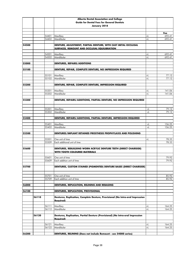|       |       |                   | Alberta Dental Association and College                                         |      |                |
|-------|-------|-------------------|--------------------------------------------------------------------------------|------|----------------|
|       |       |                   | <b>Guide for Dental Fees for General Dentists</b>                              |      |                |
|       |       |                   | January 2018                                                                   |      |                |
|       |       |                   |                                                                                |      |                |
|       |       |                   |                                                                                |      | Fee            |
|       |       | 54401             | Maxillary                                                                      | +L   | 692.41         |
|       |       | 54402             | Mandibular                                                                     | $+1$ | 692.41         |
| 54500 |       |                   | DENTURE, ADJUSTMENT, PARTIAL DENTURE, WITH CAST METAL OCCLUSAL                 |      |                |
|       |       |                   | <b>SURFACES, REMOUNT AND OCCLUSAL EQUILIBRATION</b>                            |      |                |
|       |       |                   |                                                                                |      |                |
|       |       | 54501             | Maxillary                                                                      | +L   | 692.41         |
|       |       | 54502             | Mandibular                                                                     | $+1$ | 692.41         |
|       |       |                   |                                                                                |      |                |
| 55000 |       |                   | <b>DENTURES, REPAIRS/ADDITIONS</b>                                             |      |                |
| 55100 |       |                   | DENTURE, REPAIR, COMPLETE DENTURE, NO IMPRESSION REQUIRED                      |      |                |
|       |       |                   |                                                                                |      |                |
|       |       | 55101             | Maxillary                                                                      | +L   | 77.12          |
|       |       | 55102             | Mandibular                                                                     | $+1$ | 77.12          |
|       |       |                   |                                                                                |      |                |
| 55200 |       |                   | DENTURE, REPAIR, COMPLETE DENTURE, IMPRESSION REQUIRED                         |      |                |
|       |       | 55201             | Maxillary                                                                      | +L   | 141.06         |
|       |       | 55202             | Mandibular                                                                     | $+1$ | 141.06         |
|       |       |                   |                                                                                |      |                |
| 55300 |       |                   | DENTURE, REPAIRS/ADDITIONS, PARTIAL DENTURE, NO IMPRESSION REQUIRED            |      |                |
|       |       |                   |                                                                                |      |                |
|       |       |                   |                                                                                |      |                |
|       |       | 55301             | Maxillary                                                                      | $+1$ | 79.12          |
|       |       | 55302             | Mandibular                                                                     | $+1$ | 79.12          |
| 55400 |       |                   | DENTURE, REPAIRS/ADDITIONS, PARTIAL DENTURE, IMPRESSION REQUIRED               |      |                |
|       |       |                   |                                                                                |      |                |
|       |       | 55401             | Maxillary                                                                      | $+1$ | 156.25         |
|       |       | 55402             | Mandibular                                                                     | $+1$ | 156.25         |
|       |       |                   |                                                                                |      |                |
| 55500 |       |                   | DENTURES/IMPLANT RETAINED PROSTHESIS PROPHYLAXIS AND POLISHING                 |      |                |
|       |       |                   |                                                                                |      |                |
|       |       | 55501<br>55509    | One unit of time<br>Each additional unit of time                               | +L   | 78.33<br>78.33 |
|       |       |                   |                                                                                |      |                |
| 55600 |       |                   | DENTURES, REBUILDING WORN ACRYLIC DENTURE TEETH (DIRECT CHAIRSIDE)             |      |                |
|       |       |                   | <b>WITH TOOTH COLOURED MATERIALS</b>                                           |      |                |
|       |       |                   |                                                                                |      |                |
|       |       | 55601             | One unit of time                                                               |      | 79.92          |
|       |       |                   | 55609 Each addition unit of time                                               |      | 79.92          |
| 55700 |       |                   | <b>DENTURES, CUSTOM STAINED (PIGMENTED) DENTURE BASES (DIRECT CHAIRSIDE)</b>   |      |                |
|       |       |                   |                                                                                |      |                |
|       |       |                   |                                                                                |      |                |
|       |       | 55701             | One unit of time                                                               |      | 85.92          |
|       |       | 55709             | Each addition unit of time                                                     |      | 85.92          |
|       |       |                   |                                                                                |      |                |
| 56000 |       |                   | DENTURES, REPLICATION, RELINING AND REBASING                                   |      |                |
|       |       |                   |                                                                                |      |                |
| 56100 |       |                   | DENTURES, REPLICATION, PROVISIONAL                                             |      |                |
|       | 56110 |                   | Dentures, Replication, Complete Denture, Provisional (No Intra-oral Impression |      |                |
|       |       |                   | Reauired)                                                                      |      |                |
|       |       |                   |                                                                                |      |                |
|       |       | 56111             | Maxillary                                                                      | +L   | 164.25         |
|       |       | $\frac{1}{66112}$ | Mandibular                                                                     | $+1$ | 164.25         |
|       | 56120 |                   | Dentures, Replication, Partial Denture (Provisional) (No Intra-oral Impression |      |                |
|       |       |                   |                                                                                |      |                |
|       |       |                   | Reauired)                                                                      |      |                |
|       |       | 56121             | Maxillary                                                                      | $+1$ | 164.25         |
|       |       | 56122             | Mandibular                                                                     | $+1$ | 164.25         |
|       |       |                   |                                                                                |      |                |
| 56200 |       |                   | DENTURES, RELINING (Does not include Remount - see 54000 series)               |      |                |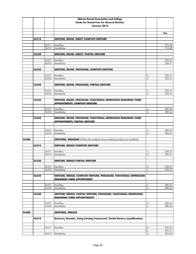|       |       |                | <b>Alberta Dental Association and College</b>                                                             |            |                  |
|-------|-------|----------------|-----------------------------------------------------------------------------------------------------------|------------|------------------|
|       |       |                | <b>Guide for Dental Fees for General Dentists</b>                                                         |            |                  |
|       |       |                | January 2018                                                                                              |            |                  |
|       |       |                |                                                                                                           |            |                  |
|       |       |                |                                                                                                           |            | Fee              |
|       | 56210 |                | DENTURE, RELINE, DIRECT COMPLETE DENTURE                                                                  |            |                  |
|       |       |                |                                                                                                           |            |                  |
|       |       | 56211          | Maxillary                                                                                                 |            | 210.68           |
|       |       | 56212          | Mandibular                                                                                                |            | 210.68           |
|       |       |                |                                                                                                           |            |                  |
|       | 56220 |                | DENTURE, RELINE, DIRECT, PARTIAL DENTURE                                                                  |            |                  |
|       |       | 56221          | Maxillary                                                                                                 |            | 228.37           |
|       |       | 56222          | Mandibular                                                                                                |            | 228.37           |
|       |       |                |                                                                                                           |            |                  |
|       | 56230 |                | DENTURE, RELINE, PROCESSED, COMPLETE DENTURE                                                              |            |                  |
|       |       |                |                                                                                                           |            |                  |
|       |       | 56231          | Maxillary                                                                                                 | +L         | 228.37           |
|       |       | 56232          | Mandibular                                                                                                | $+1$       | 228.37           |
|       | 56240 |                | DENTURE, RELINE, PROCESSED, PARTIAL DENTURE                                                               |            |                  |
|       |       |                |                                                                                                           |            |                  |
|       |       | 56241          | Maxillary                                                                                                 | +L         | 228.37           |
|       |       | 56242          | Mandibular                                                                                                | $+1$       | 228.37           |
|       |       |                |                                                                                                           |            |                  |
|       | 56250 |                | DENTURE, RELINE, PROCESSED, FUNCTIONAL IMPRESSION REQUIRING THREE                                         |            |                  |
|       |       |                | <b>APPOINTMENTS, COMPLETE DENTURE</b>                                                                     |            |                  |
|       |       | 56251          | Maxillary                                                                                                 | $+1$       | 380.64           |
|       |       | 56252          | Mandibular                                                                                                | $+1$       | 380.64           |
|       |       |                |                                                                                                           |            |                  |
|       | 56260 |                | DENTURE, RELINE, PROCESSED, FUNCTIONAL IMPRESSION REQUIRING THREE                                         |            |                  |
|       |       |                | <b>APPOINTMENTS, PARTIAL DENTURE</b>                                                                      |            |                  |
|       |       |                |                                                                                                           |            |                  |
|       |       |                |                                                                                                           |            |                  |
|       |       | 56261<br>56262 | Maxillary<br>Mandibular                                                                                   | +L<br>$+1$ | 380.64<br>380.64 |
|       |       |                |                                                                                                           |            |                  |
| 56300 |       |                | DENTURES, REBASING (Where the vestibular tissue-contacting surfaces are modified)                         |            |                  |
|       |       |                |                                                                                                           |            |                  |
|       | 56310 |                | DENTURE, REBASE COMPLETE DENTURE                                                                          |            |                  |
|       |       |                |                                                                                                           |            |                  |
|       |       | 56311<br>56312 | Maxillary<br>Mandibular                                                                                   | +L<br>$+1$ | 228.37<br>228.37 |
|       |       |                |                                                                                                           |            |                  |
|       | 56320 |                | <b>DENTURE, REBASE PARTIAL DENTURE</b>                                                                    |            |                  |
|       |       |                |                                                                                                           |            |                  |
|       |       | 56321          | Maxillary                                                                                                 | $+1$       | 228.37           |
|       |       | 56322          | Mandibular                                                                                                | $+1$       | 228.37           |
|       | 56330 |                |                                                                                                           |            |                  |
|       |       |                | DENTURE, REBASE, COMPLETE DENTURE, PROCESSED, FUNCTIONAL IMPRESSION<br><b>REQUIRING THREE APPOINTMENT</b> |            |                  |
|       |       |                |                                                                                                           |            |                  |
|       |       | 56331          | Maxillary                                                                                                 | +L         | 380.64           |
|       |       | 56332          | Mandibular                                                                                                | +L         | 380.64           |
|       |       |                |                                                                                                           |            |                  |
|       | 56340 |                | DENTURE, REBASE, PARTIAL DENTURE, PROCESSED, FUNCTIONAL IMPRESSION,                                       |            |                  |
|       |       |                | <b>REQUIRING THREE APPOINTMENTS</b>                                                                       |            |                  |
|       |       | 56341          | Maxillary                                                                                                 | $+1$       | 380.64           |
|       |       | 56342          | Mandibular                                                                                                | $+1$       | 380.64           |
|       |       |                |                                                                                                           |            |                  |
| 56400 |       |                | <b>DENTURES, REMAKE</b>                                                                                   |            |                  |
|       |       |                |                                                                                                           |            |                  |
|       | 56410 |                | Dentures, Remake, Using Existing Framework, Partial Denture (equilibration)                               |            |                  |
|       |       |                |                                                                                                           |            |                  |
|       |       | 56411          | Maxillary                                                                                                 | +L         | 304.52           |
|       |       |                |                                                                                                           | to         | 495.37           |
|       |       | 56412          | Mandibular                                                                                                | $+1$       | 304.52           |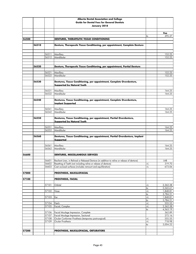|       |       |                | Alberta Dental Association and College                                                            |                  |                      |
|-------|-------|----------------|---------------------------------------------------------------------------------------------------|------------------|----------------------|
|       |       |                | <b>Guide for Dental Fees for General Dentists</b>                                                 |                  |                      |
|       |       |                | January 2018                                                                                      |                  |                      |
|       |       |                |                                                                                                   |                  |                      |
|       |       |                |                                                                                                   |                  | Fee                  |
|       |       |                |                                                                                                   | to               | 495.37               |
| 56500 |       |                | DENTURES, THERAPEUTIC TISSUE CONDITIONING                                                         |                  |                      |
|       |       |                |                                                                                                   |                  |                      |
|       | 56510 |                | Denture, Therapeutic Tissue Conditioning, per appointment, Complete Denture                       |                  |                      |
|       |       |                |                                                                                                   |                  |                      |
|       |       | 56511          | Maxillary                                                                                         |                  | 152.25               |
|       |       | 56512          | Mandibular                                                                                        |                  | 152.25               |
|       |       |                |                                                                                                   |                  |                      |
|       |       |                |                                                                                                   |                  |                      |
|       | 56520 |                | Denture, Therapeutic Tissue Conditioning, per appointment, Partial Denture                        |                  |                      |
|       |       | 56521          | Maxillary                                                                                         |                  | 152.25               |
|       |       | 56522          | Mandibular                                                                                        |                  | 152.25               |
|       |       |                |                                                                                                   |                  |                      |
|       | 56530 |                | Dentures, Tissue Conditioning, per appointment, Complete Overdenture,                             |                  |                      |
|       |       |                | <b>Supported by Natural Teeth</b>                                                                 |                  |                      |
|       |       |                |                                                                                                   |                  |                      |
|       |       | 56531          | Maxillary                                                                                         |                  | 164.25               |
|       |       | 56532          | Mandibular                                                                                        |                  | 164.25               |
|       | 56540 |                | Dentures, Tissue Conditioning, per appointment, Complete Overdenture,                             |                  |                      |
|       |       |                | <b>Implant Supported</b>                                                                          |                  |                      |
|       |       |                |                                                                                                   |                  |                      |
|       |       | 56541          | Maxillary                                                                                         |                  | 164.25               |
|       |       | 56542          | Mandibular                                                                                        |                  | 164.25               |
|       |       |                |                                                                                                   |                  |                      |
|       | 56550 |                | Dentures, Tissue Conditioning, per appointment, Partial Overdenture,                              |                  |                      |
|       |       |                | <b>Supported by Natural Teeth</b>                                                                 |                  |                      |
|       |       | 56551          | Maxillary                                                                                         |                  | 164.25               |
|       |       | 56552          | Mandibular                                                                                        |                  | 164.25               |
|       |       |                |                                                                                                   |                  |                      |
|       | 56560 |                | Dentures, Tissue Conditioning, per appointment, Partial Overdenture, Implant                      |                  |                      |
|       |       |                | Supported                                                                                         |                  |                      |
|       |       | 56561          | Maxillary                                                                                         |                  | 164.25               |
|       |       | 56562          | Mandibular                                                                                        |                  | 164.25               |
|       |       |                |                                                                                                   |                  |                      |
| 56600 |       |                | <b>DENTURES, MISCELLANEOUS SERVICES</b>                                                           |                  |                      |
|       |       |                |                                                                                                   |                  |                      |
|       |       |                | 56601 Resilient Liner, in Relined or Rebased Denture (in addition to reline or rebase of denture) |                  | LAB                  |
|       |       | 56602          | Resetting of Teeth (not including reline or rebase of denture)                                    | $\pm \mathsf{L}$ | 319.70               |
|       |       | 56603          | Cast occlusal surfaces (includes remount and equilibration)                                       | $+1$             | 673.06               |
| 57000 |       |                | PROSTHESIS, MAXILLOFACIAL                                                                         |                  |                      |
|       |       |                |                                                                                                   |                  |                      |
| 57100 |       |                | <b>PROSTHESIS, FACIAL</b>                                                                         |                  |                      |
|       |       |                |                                                                                                   |                  |                      |
|       |       | 57101          | Orbital                                                                                           | +L               | 2,362.38             |
|       |       |                |                                                                                                   | to               | 5,565.61             |
|       |       | 57102          | Nose                                                                                              | $+1$<br>to       | 1,848.81<br>3,784.21 |
|       |       | 57103          | Ear                                                                                               | $+1$             | 1,848.81             |
|       |       |                |                                                                                                   | to               | 3,784.21             |
|       |       | 57104          | Patch                                                                                             | $+1$             | 555.55               |
|       |       | 57105          | Facial, Complex                                                                                   | $+1$             | 2,362.38             |
|       |       |                |                                                                                                   | to               | 4,563.19             |
|       |       | 57106          | Facial Moulage Impression, Complete                                                               |                  | 362.89               |
|       |       | 57107<br>57108 | Facial Moulage Impression, Sectional                                                              |                  | 272.16<br>555.55     |
|       |       | 57109          | Ocular Conformer Prosthesis (temporary post-surgical)<br>Ocular Prosthesis                        | +L<br>$+1$       | 718.98               |
|       |       |                |                                                                                                   | to               | 3,004.22             |
|       |       |                |                                                                                                   |                  |                      |
| 57200 |       |                | PROSTHESIS, MAXILLOFACIAL, OBTURATORS                                                             |                  |                      |
|       |       |                |                                                                                                   |                  |                      |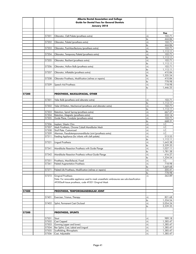|       |       | Alberta Dental Association and College                                                                                                            |               |                      |
|-------|-------|---------------------------------------------------------------------------------------------------------------------------------------------------|---------------|----------------------|
|       |       | <b>Guide for Dental Fees for General Dentists</b>                                                                                                 |               |                      |
|       |       | January 2018                                                                                                                                      |               |                      |
|       |       |                                                                                                                                                   |               |                      |
|       | 57201 | Obturator, Cleft Palate (prosthesis extra)                                                                                                        | +L            | Fee<br>102.71        |
|       |       |                                                                                                                                                   | to            | 444.84               |
|       | 57202 | Obturator, Palatal (prosthesis extra)                                                                                                             | +L            | 102.71               |
|       |       |                                                                                                                                                   | to            | 444.84               |
|       | 57203 | Obturator, Post-Maxillectomy (prosthesis extra)                                                                                                   | $+1$          | 102.71               |
|       | 57204 | Obturator, Temporary Palatal (prosthesis extra)                                                                                                   | to<br>$+1$    | 1,112.11<br>102.71   |
|       |       |                                                                                                                                                   | to            | 1,112.11             |
|       | 57205 | Obturator, Resilient (prosthesis extra)                                                                                                           | $+1$          | 102.71               |
|       |       |                                                                                                                                                   | to            | 1,112.11             |
|       | 57206 | Obturator, Hollow Bulb (prosthesis extra)                                                                                                         | $+1$<br>to    | 102.71<br>1,112.11   |
|       | 57207 | Obturator, Inflatable (prosthesis extra)                                                                                                          | $+1$          | 410.84               |
|       |       |                                                                                                                                                   | to            | 1,335.54             |
|       | 57208 | Obturator Prosthesis, Modification (relines or repairs)                                                                                           | $+1$          | 410.84               |
|       |       |                                                                                                                                                   | to            | 778.98               |
|       | 57209 | Speech Aid Prosthesis                                                                                                                             | $+1$<br>to    | 718.98<br>1,446.25   |
|       |       |                                                                                                                                                   |               |                      |
| 57300 |       | PROSTHESIS, MAXILLOFACIAL, OTHER                                                                                                                  |               |                      |
|       |       |                                                                                                                                                   |               |                      |
|       | 57301 | Velar Bulb (prosthesis and obturator extra)                                                                                                       | +L            | 102.71               |
|       | 57302 |                                                                                                                                                   | to<br>+L      | 1,112.11<br>102.71   |
|       |       | Velar Lift Button, Mechanical (prosthesis and obturator extra)                                                                                    | to            | 1,112.11             |
|       | 57303 | Retention, Spiral Spring (prosthesis extra)                                                                                                       | +L            | 667.27               |
|       | 57304 | Retention, Magnetic (prosthesis extra)                                                                                                            | $+1$          | 332.14               |
|       | 57305 | Guide Plane, Condylar (prosthesis extra)                                                                                                          | +L            | 102.71               |
|       | 57306 |                                                                                                                                                   | to<br>$+1$    | 668.31<br>I.C.       |
|       | 57307 | Implant, Silastic Chin<br>Mesh Prosthesis, Chrome Cobalt Mandibular Mesh                                                                          | +L            | I.C.                 |
|       | 57308 | Skull Plate, Customized                                                                                                                           | $+1$          | I.C.                 |
|       | 57309 | Akerman, Pseudotemporomandibular Joint (prosthesis extra)                                                                                         | $+1$          | I.C.                 |
|       | 57311 | Feeding Appliance (for infants with cleft palate)                                                                                                 | +L            | 513.55               |
|       |       | Lingual Prosthesis                                                                                                                                | to<br>$+1$    | 1,112.11<br>1,643.38 |
|       | 57321 |                                                                                                                                                   | to            | 3,339.35             |
|       | 57341 | Mandibular Resection Prosthesis with Guide Flange                                                                                                 | +L            | 1,027.11             |
|       |       |                                                                                                                                                   | to            | 1,781.38             |
|       | 57342 | Mandibular Resection Prosthesis without Guide Flange                                                                                              | $+1$          | 616.27               |
|       |       | 57351 Prosthesis, Maxillofacial, Fixed                                                                                                            | to<br>$\pm 1$ | 1,334.54<br>I.C.     |
|       | 57361 | <b>Palatal Augmentation Prosthesis</b>                                                                                                            | $+1$          | 718.98               |
|       |       |                                                                                                                                                   | to            | 1,669.68             |
|       | 57371 | Palatal Life Prosthesis, Modification (relines or repairs)                                                                                        | $+1$          | 205.41               |
|       |       |                                                                                                                                                   | to            | 778.98               |
|       | 57372 | Gingival Prosthesis                                                                                                                               | +L            | 362.89               |
|       |       | Note: For removable appliance used to mask unaesthetic embrasures see sub-classification<br>49300soft tissue prosthesis, code 49301 Gingival Mask |               |                      |
|       |       |                                                                                                                                                   |               |                      |
|       |       |                                                                                                                                                   |               |                      |
| 57400 |       | PROSTHESIS, TEMPOROMANDIBULAR JOINT                                                                                                               |               |                      |
|       | 57401 | Exerciser, Trismus, Therapy                                                                                                                       | +L            | 821.68               |
|       |       |                                                                                                                                                   | to            | 1,334.54             |
|       | 57402 | Splint, Permanent Cast Occlusal                                                                                                                   | +L            | 2,054.24             |
|       |       |                                                                                                                                                   | to            | 3,339.35             |
|       |       |                                                                                                                                                   |               |                      |
| 57500 |       | <b>PROSTHESIS, SPLINTS</b>                                                                                                                        |               |                      |
|       | 57501 | Stout                                                                                                                                             | +L            | 989.18               |
|       | 57502 | Cast Capped                                                                                                                                       | +L            | 1,385.47             |
|       | 57503 | Gunning (upper and lower)                                                                                                                         | $+1$          | 1,385.47             |
|       | 57504 | Bar Splint, Cast, Labial and Lingual                                                                                                              | $+1$          | 1,385.47             |
|       | 57505 | Scaffolding, Rhinoplastic                                                                                                                         | +L            | 1,385.47             |
|       | 57506 | Cast, Adjustable                                                                                                                                  | +L            | 1,385.47             |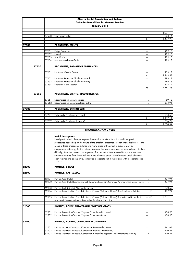|       |       |                | Alberta Dental Association and College                                                                                                                                                 |          |                    |
|-------|-------|----------------|----------------------------------------------------------------------------------------------------------------------------------------------------------------------------------------|----------|--------------------|
|       |       |                | <b>Guide for Dental Fees for General Dentists</b>                                                                                                                                      |          |                    |
|       |       |                | January 2018                                                                                                                                                                           |          |                    |
|       |       |                |                                                                                                                                                                                        |          |                    |
|       |       |                |                                                                                                                                                                                        |          | Fee                |
|       |       | 57508          | Commisure Splint                                                                                                                                                                       | +L       | 308.14             |
|       |       |                |                                                                                                                                                                                        | to       | 1,447.25           |
| 57600 |       |                | <b>PROSTHESIS, STENTS</b>                                                                                                                                                              |          |                    |
|       |       |                |                                                                                                                                                                                        |          |                    |
|       |       | 57601          | Ridge Extension                                                                                                                                                                        | +L       | 989.18             |
|       |       | 57602          | Palatal                                                                                                                                                                                | +L       | 989.18             |
|       |       | 57603          | Skin Grafts                                                                                                                                                                            | +L       | 989.18             |
|       |       | 57604          | Mucous Membrane Grafts                                                                                                                                                                 | +L       | 989.18             |
|       | 57650 |                | PROSTHESIS, RADIATION APPLIANCES                                                                                                                                                       |          |                    |
|       |       |                |                                                                                                                                                                                        |          |                    |
|       |       | 57651          | <b>Radiation Vehicle Carrier</b>                                                                                                                                                       | +L       | 913.18             |
|       |       |                |                                                                                                                                                                                        | to       | 2,969.58           |
|       |       | 57652          | Radiation Protection Shield (extraoral)                                                                                                                                                | +L       | 989.18             |
|       |       | 57653          | Radiation Protection Shield (intraoral)                                                                                                                                                | +L       | 989.18             |
|       |       | 57654          | <b>Radiation Cone Locator</b>                                                                                                                                                          | +L<br>to | 308.14<br>1,781.38 |
|       |       |                |                                                                                                                                                                                        |          |                    |
|       | 57660 |                | PROSTHESIS, STENTS, DECOMPRESSION                                                                                                                                                      |          |                    |
|       |       |                |                                                                                                                                                                                        |          |                    |
|       |       | 57661          | Decompression Stent, Localized                                                                                                                                                         | +L       | 989.18             |
|       |       | 57662          | Decompression Stent, (prosthesis extra)                                                                                                                                                | +L       | 593.91             |
|       |       |                |                                                                                                                                                                                        |          |                    |
| 57700 |       |                | PROSTHESIS, ORTHOPEDIC                                                                                                                                                                 |          |                    |
|       |       | 57701          | Orthopedic Prosthesis (extraoral)                                                                                                                                                      | +L       | 513.55             |
|       |       |                |                                                                                                                                                                                        | to       | 1,112.11           |
|       |       | 57702          | Orthopedic Prosthesis (intraoral)                                                                                                                                                      | $+1$     | 616.27             |
|       |       |                |                                                                                                                                                                                        | to       | 1,334.54           |
|       |       |                |                                                                                                                                                                                        |          |                    |
|       |       |                |                                                                                                                                                                                        |          |                    |
|       |       |                | <b>PROSTHODONTICS - FIXED</b>                                                                                                                                                          |          |                    |
|       |       |                |                                                                                                                                                                                        |          |                    |
|       |       |                | Initial description:                                                                                                                                                                   |          |                    |
|       |       |                | Fixed prosthodontic therapy requires the use of a variety of technical and therapeutic<br>procedures depending on the nature of the problems presented in each individual case.<br>The |          |                    |
|       |       |                | range of these procedures extends into many areas of treatment in order to provide                                                                                                     |          |                    |
|       |       |                | comprehensive therapy for the patient. Many of the procedures used vary considerably in their                                                                                          |          |                    |
|       |       |                | difficulty, time, involvement and expense. The amount of time involved in a procedure may                                                                                              |          |                    |
|       |       |                | vary considerably from those outlined in the following guide. Fixed Bridges (each abutment,                                                                                            |          |                    |
|       |       |                | each retainer and each pontic, constitutes a separate unit in the bridge, with a separate code                                                                                         |          |                    |
|       |       |                |                                                                                                                                                                                        |          |                    |
| 62000 |       |                | <b>PONTICS, BRIDGE</b>                                                                                                                                                                 |          |                    |
|       |       |                |                                                                                                                                                                                        |          |                    |
| 62100 |       |                | PONTICS, CAST METAL                                                                                                                                                                    |          |                    |
|       |       |                |                                                                                                                                                                                        |          |                    |
|       |       | 62101          | Pontics, Cast Metal                                                                                                                                                                    | +L       | 437.94             |
|       |       | 62102          | Pontics, Cast Metal Framework with Separate Porcelain/Ceramic/Polymer Glass Jacket Pontic                                                                                              | +L       | 437.94             |
|       |       | 62103          | Pontics, Prefabricated Attachable Facing                                                                                                                                               | +L       | 340.62             |
|       |       | 62104          | Pontics, Retentive Bar, Pre-fabricated or Custom (Dolder or Hader) Bar Attached to Retainer                                                                                            | $+L +E$  | 437.94             |
|       |       |                |                                                                                                                                                                                        |          |                    |
|       |       | 62105          | Pontics, Retentive Bar, Pre-fabricated or Custom (Dolder or Hader) Bar, Attached to Implant-                                                                                           | +L +E    | I.C.               |
|       |       |                | supported Retainer to Retain Removable Prosthesis. Each Bar                                                                                                                            |          |                    |
|       |       |                |                                                                                                                                                                                        |          |                    |
| 62500 |       |                | PONTICS, PORCELAIN/CERAMIC/POLYMER GLASS                                                                                                                                               |          |                    |
|       |       | 62501          | Pontics, Porcelain/Ceramic/Polymer Glass, Fused to Metal                                                                                                                               | +L       | 438.90             |
|       |       | 62502          | Pontics, Porcelain/Ceramic/Polymer Glass, Aluminous                                                                                                                                    | +L       | 438.90             |
|       |       |                |                                                                                                                                                                                        |          |                    |
| 62700 |       |                | PONTICS, ACRYLIC/COMPOSITE / COMPOMER                                                                                                                                                  |          |                    |
|       |       |                |                                                                                                                                                                                        |          |                    |
|       |       | 62701<br>62702 | Pontics, Acrylic/Composite/Compomer, Processed to Metal<br>Pontics, Acrylic/Composite/Compomer, Indirect (Provisional)                                                                 | +L<br>+L | 341.62<br>100.51   |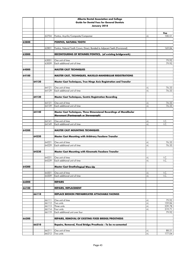|       |       |       | Alberta Dental Association and College                                       |      |        |
|-------|-------|-------|------------------------------------------------------------------------------|------|--------|
|       |       |       | <b>Guide for Dental Fees for General Dentists</b>                            |      |        |
|       |       |       | January 2018                                                                 |      |        |
|       |       |       |                                                                              |      |        |
|       |       |       |                                                                              |      | Fee    |
|       |       | 62704 | Pontics, Acyrilic/Composite/Compomer                                         | +L   | 100.51 |
|       |       |       |                                                                              |      |        |
| 62800 |       |       | PONTICS, NATURAL TOOTH                                                       |      |        |
|       |       | 62801 | Pontics, Natural Tooth Crown, Direct, Bonded to Adjacent Teeth (Provisional) |      | 169.84 |
|       |       |       |                                                                              |      |        |
| 63000 |       |       | RECONTOURING OF RETAINER/PONTICS, (of existing bridgework)                   |      |        |
|       |       |       |                                                                              |      |        |
|       |       | 63001 | One unit of time                                                             |      | 79.92  |
|       |       | 63009 | Each additional unit of time                                                 |      | 79.92  |
|       |       |       |                                                                              |      |        |
| 64000 |       |       | <b>MASTER CAST TECHNIQUES</b>                                                |      |        |
| 64100 |       |       | MASTER CAST, TECHNIQUES, MAXILLO-MANDIBULAR REGISTRATIONS                    |      |        |
|       |       |       |                                                                              |      |        |
|       | 64120 |       | Master Cast Techniques, True Hinge Axis Registration and Transfer            |      |        |
|       |       |       |                                                                              |      |        |
|       |       | 64121 | One unit of time                                                             | +L   | 76.33  |
|       |       | 64129 | Each additional unit of time                                                 | +L   | 76.33  |
|       |       |       |                                                                              |      |        |
|       | 64130 |       | <b>Master Cast Techniques, Centric Registration Recording</b>                |      |        |
|       |       | 64131 | One unit of time                                                             | +L   | 76.33  |
|       |       | 64139 | Each additional unit of time                                                 | +L   | 76.33  |
|       |       |       |                                                                              |      |        |
|       | 64140 |       | Master Cast Techniques, Three Dimensional Recordings of Mandibular           |      |        |
|       |       |       | Movement (Pantograph or Stereograph)                                         |      |        |
|       |       |       |                                                                              |      |        |
|       |       | 64141 | One unit of time                                                             | +L   | I.C.   |
|       |       | 64149 | Each additional unit of time                                                 | +L   | I.C.   |
| 64200 |       |       | <b>MASTER CAST MOUNTING TECHNIQUES</b>                                       |      |        |
|       |       |       |                                                                              |      |        |
|       | 64220 |       | <b>Master Cast Mounting with Arbitrary Facebow Transfer</b>                  |      |        |
|       |       |       |                                                                              |      |        |
|       |       | 64221 | One unit of time                                                             | +L   | 76.33  |
|       |       | 64229 | Each additional unit of time                                                 | +L   | 76.33  |
|       |       |       |                                                                              |      |        |
|       | 64230 |       | <b>Master Cast Mounting with Kinematic Facebow Transfer</b>                  |      |        |
|       |       | 64231 | One unit of time                                                             | +L   | I.C.   |
|       |       |       | 64239 Each additional unit of time                                           | $+1$ | I.C.   |
|       |       |       |                                                                              |      |        |
| 64300 |       |       | Master Cast Gnathological Wax-Up                                             |      |        |
|       |       |       |                                                                              |      |        |
|       |       | 64301 | One unit of time                                                             | +L   | I.C.   |
|       |       | 64309 | Each additional unit of time                                                 | +L   | I.C.   |
|       |       |       |                                                                              |      |        |
| 66000 |       |       | <b>REPAIRS</b>                                                               |      |        |
| 66100 |       |       | <b>REPAIRS, REPLACEMENT</b>                                                  |      |        |
|       |       |       |                                                                              |      |        |
|       | 66110 |       | REPLACE BROKEN PREFABRICATED ATTACHABLE FACINGS                              |      |        |
|       |       |       |                                                                              |      |        |
|       |       | 66111 | One unit of time                                                             | +L   | 79.92  |
|       |       | 66112 | Two units                                                                    | +L   | 159.84 |
|       |       | 66113 | Three units                                                                  | +L   | 239.78 |
|       |       | 66114 | Four units                                                                   | +L   | 319.71 |
|       |       | 66119 | Each additional unit over four                                               |      | 79.92  |
| 66200 |       |       | REPAIRS, REMOVAL OF EXISTING FIXED BRIDGE/PROSTHESIS                         |      |        |
|       |       |       |                                                                              |      |        |
|       | 66210 |       | Repairs, Removal, Fixed Bridge/Prosthesis - To be re-cemented                |      |        |
|       |       |       |                                                                              |      |        |
|       |       | 66211 | One unit of time                                                             | +L   | 88.51  |
|       |       | 66212 | Two units                                                                    | $+1$ | 177.04 |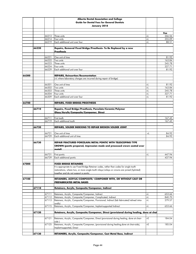|       |       |                | Alberta Dental Association and College                                                             |            |                 |
|-------|-------|----------------|----------------------------------------------------------------------------------------------------|------------|-----------------|
|       |       |                | <b>Guide for Dental Fees for General Dentists</b>                                                  |            |                 |
|       |       |                | January 2018                                                                                       |            |                 |
|       |       |                |                                                                                                    |            |                 |
|       |       |                |                                                                                                    |            | Fee             |
|       |       | 66213          | Three units                                                                                        | +L         | 266.56          |
|       |       | 66214          | Four units                                                                                         | $+1$       | 355.09          |
|       |       | 66219          | Each additional unit over four                                                                     | +L         | 88.51           |
|       |       |                |                                                                                                    |            |                 |
|       | 66220 |                | Repairs, Removal Fixed Bridge/Prosthesis- To Be Replaced by a new                                  |            |                 |
|       |       |                | <b>Prosthesis</b>                                                                                  |            |                 |
|       |       | 66221          | One unit of time                                                                                   |            | 81.92           |
|       |       | 66222          | Two units                                                                                          |            | 163.84          |
|       |       | 66223          | Three units                                                                                        |            | 245.78          |
|       |       | 66224          | Four units                                                                                         |            | 327.71          |
|       |       | 66229          | Each additional unit over four                                                                     |            | 81.92           |
|       |       |                |                                                                                                    |            |                 |
| 66300 |       |                | <b>REPAIRS, Reinsertion/Recementation</b>                                                          |            |                 |
|       |       |                | (+L where laboratory charges are incurred during repair of bridge)                                 |            |                 |
|       |       |                |                                                                                                    |            |                 |
|       |       | 66301          | One unit of time                                                                                   | +L         | 81.92           |
|       |       | 66302          | Two units                                                                                          | $+1$       | 163.84          |
|       |       | 66303          | Three units                                                                                        | $+1$       | 245.78          |
|       |       | 66304<br>66309 | Four units<br>Each additional unit over four                                                       | $+1$<br>+L | 327.71<br>81.92 |
|       |       |                |                                                                                                    |            |                 |
| 66700 |       |                | <b>REPAIRS, FIXED BRIDGE/PROSTHESIS</b>                                                            |            |                 |
|       |       |                |                                                                                                    |            |                 |
|       | 66710 |                | Repairs, Fixed Bridge/Prosthesis, Porcelain/Ceramic/Polymer                                        |            |                 |
|       |       |                | Glass/Acrylic/Composite/Compomer, Direct                                                           |            |                 |
|       |       |                |                                                                                                    |            |                 |
|       |       | 66711          | First tooth                                                                                        |            | 167.45          |
|       |       | 66719          | Each additional tooth                                                                              |            | 167.45          |
|       |       |                |                                                                                                    |            |                 |
|       | 66720 |                | REPAIRS, SOLDER INDEXING TO REPAIR BROKEN SOLDER JOINT                                             |            |                 |
|       |       |                |                                                                                                    |            |                 |
|       |       | 66721<br>66729 | One unit of time<br>Each additional unit of time                                                   | $+1$       | 84.92           |
|       |       |                |                                                                                                    |            | 84.92           |
|       | 66730 |                | <b>REPAIR FRACTURED PORCELAIN/METAL PONTIC WITH TELESCOPING TYPE</b>                               |            |                 |
|       |       |                | CROWN (pontic prepared, impression made and processed crown seated over                            |            |                 |
|       |       |                | metal)                                                                                             |            |                 |
|       |       |                |                                                                                                    |            |                 |
|       |       | 66731          | First pontic                                                                                       | +L         | 447.94          |
|       |       | 66739          | Each additional pontic                                                                             |            | 437.94          |
|       |       |                |                                                                                                    |            |                 |
| 67000 |       |                | <b>FIXED BRIDGE RETAINERS</b>                                                                      |            |                 |
|       |       |                | It is appropriate to use Fixed Bridge Retainer codes, rather than codes for single tooth           |            |                 |
|       |       |                | restorations, where two, or more single tooth inlays/onlays or crowns are joined (Splinted)        |            |                 |
|       |       |                | <u>together and do not support a pontic</u>                                                        |            |                 |
|       |       |                |                                                                                                    |            |                 |
| 67100 |       |                | RETAINERS, ACRYLIC/COMPOSITE/ COMPOMER WITH, OR WITHOUT CAST OR                                    |            |                 |
|       |       |                | <b>PREFABRICATED METAL BASES</b>                                                                   |            |                 |
|       | 67110 |                | Retainers, Acrylic, Composite/Compomer, Indirect                                                   |            |                 |
|       |       |                |                                                                                                    |            |                 |
|       |       | 67111          | Retainers, Acrylic, Composite/Compomer, Indirect                                                   | +L         | 653.66          |
|       |       | 67112          | Retainers, Acrylic, Composite/Compomer, Complicated, Indirect                                      | $+1$       | 840.70          |
|       |       | 67113          | Retainers, Acrylic, Composite/Compomer, Provisional, Indirect (lab fabricated/relined intra-       | +L         | 279.57          |
|       |       |                | orally)                                                                                            |            |                 |
|       |       | 67115          | Retainers, Acrylic, Composite/Compomer, Implant-supported Indirect                                 | $+1$       | 653.66          |
|       |       |                |                                                                                                    |            |                 |
|       | 67120 |                | Retainers, Acrylic, Composite/Compomer, Direct (provisional during healing, done at chai           |            |                 |
|       |       |                |                                                                                                    |            |                 |
|       |       | 67121          | Retainers, Acrylic, Composite/Compomer, Direct (provisional during healing, done at chair-         | +E         | 184.04          |
|       |       | 67125          | side)<br>Retainers, Acrylic, Composite/Compomer, (provisional during healing, done at chair-side), | $+E$       | 185.04          |
|       |       |                | Implant-supported, Direct                                                                          |            |                 |
|       |       |                |                                                                                                    |            |                 |
|       | 67130 |                | RETAINERS, Acrylic, Composite/Compomer, Cast Metal Base, Indirect                                  |            |                 |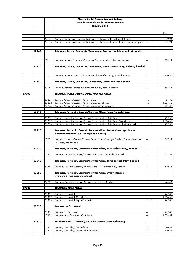|       |       |       | Alberta Dental Association and College                                                      |            |          |
|-------|-------|-------|---------------------------------------------------------------------------------------------|------------|----------|
|       |       |       | <b>Guide for Dental Fees for General Dentists</b>                                           |            |          |
|       |       |       | January 2018                                                                                |            |          |
|       |       |       |                                                                                             |            |          |
|       |       |       |                                                                                             |            | Fee      |
|       |       |       |                                                                                             |            |          |
|       |       | 67131 | Retainer, Compomer/Composite Resin/Acrylic, Processed to Cast Metal, Indirect               | +L         | 639.24   |
|       |       | 67135 | Retainer, Compomer/Composite Resin/Acrylic, Processed to Metal, Indirect, Implant-supported | $+L +E$    | 681.24   |
|       |       |       |                                                                                             |            |          |
|       |       |       |                                                                                             |            |          |
|       | 67160 |       | Retainers, Acrylic/Composite/Compomer, Two surface Inlay, indirect bonded                   |            |          |
|       |       |       |                                                                                             |            |          |
|       |       | 67161 | Retainers, Acrylic/Composite/Compomer, Two surface Inlay, bonded, Indirect                  | +L         | 584.92   |
|       |       |       |                                                                                             |            |          |
|       | 67170 |       | Retainers, Acrylic/Composite/Compomer, Three surface Inlay, Indirect, bonded                |            |          |
|       |       |       |                                                                                             |            |          |
|       |       |       |                                                                                             |            |          |
|       |       | 67171 | Retainers, Acrylic/Composite/Compomer, Three surface Inlay, bonded, Indirect                | +L         | 720.95   |
|       |       |       |                                                                                             |            |          |
|       | 67180 |       | Retainers, Acrylic/Composite/Compomer, Onlay, Indirect, bonded                              |            |          |
|       |       | 67181 | Retainers, Acrylic/Composite/Compomer, Onlay, bonded, Indirect                              | +L         | 857.88   |
|       |       |       |                                                                                             |            |          |
| 67200 |       |       | RETAINER, PORCELAIN/CERAMIC/POLYMER GLASS                                                   |            |          |
|       |       |       |                                                                                             |            |          |
|       |       | 67201 | Retainer, Porcelain/Ceramic/Polymer Glass                                                   | +L         | 987.88   |
|       |       | 67202 | Retainer, Porcelain/Ceramic/Polymer Glass, Complicated                                      | $+1$       | 1,004.52 |
|       |       | 67205 | Retainer, Porcelain/Ceramic/Polymer Glass, Implant-supported                                | $+L +E$    | 987.88   |
|       |       |       |                                                                                             |            |          |
|       | 67210 |       | Retainers, Porcelain/Ceramic/Polymer Glass, Fused To Metal Base                             |            |          |
|       |       | 67211 | Retainers, Porcelain/Ceramic/Polymer Glass, Fused to Metal Base                             |            | 902.50   |
|       |       | 67212 | Retainers, Porcelain/Ceramic/Polymer Glass, Fused to Metal Base, Complicated                | +L<br>$+1$ | 1,004.52 |
|       |       | 67215 | Retainers, Porcelain/Ceramic/Polymer Glass, Fused to Metal Base, Implant-supported          | $+L +E$    | 902.50   |
|       |       |       |                                                                                             |            |          |
|       | 67220 |       | Retainers, Porcelain/Ceramic/Polymer Glass, Partial Coverage, Bonded                        |            |          |
|       |       |       | <u>(External Retention- e.a. "Marvland Bridae")</u>                                         |            |          |
|       |       |       |                                                                                             |            |          |
|       |       | 67221 | Retainer, Porcelain/Ceramic/Polymer Glass, Partial Coverage, Bonded (External Retention-    | $+1$       | 547.92   |
|       |       |       | e.g. "Maryland Bridge")                                                                     |            |          |
|       |       |       |                                                                                             |            |          |
|       | 67230 |       | Retainers, Porcelain/Ceramic/Polymer Glass, Two surface Inlay, Bonded                       |            |          |
|       |       | 67231 | Retainers, Porcelain/Ceramic/Polymer Glass, Two surface Inlay, Bonded                       | +L         | 632.58   |
|       |       |       |                                                                                             |            |          |
|       | 67240 |       | Retainers, Porcelain/Ceramic/Polymer Glass, Three surface Inlay, Bonded                     |            |          |
|       |       |       |                                                                                             |            |          |
|       |       | 67241 | Retainers, Porcelain/Ceramic/Polymer Glass, Three surface Inlay, Bonded                     | +L         | 779.56   |
|       |       |       |                                                                                             |            |          |
|       | 67250 |       | Retainers, Porcelain/Ceramic/Polymer Glass, Onlay, Bonded                                   |            |          |
|       |       |       | (where one or more cusps are restored)                                                      |            |          |
|       |       | 67251 | Retainers, Porcelain/Ceramic/Polymer Glass, Onlay, Bonded                                   | +L         | 925.54   |
|       |       |       |                                                                                             |            |          |
| 67300 |       |       | <b>RETAINERS, CAST METAL</b>                                                                |            |          |
|       |       |       |                                                                                             |            |          |
|       |       | 67301 | Retainers, Cast Metal                                                                       | +L         | 942.00   |
|       |       | 67302 | Retainers, Cast Metal, Complicated                                                          | $+1$       | 1,004.52 |
|       |       | 67305 | Retainers, Cast Metal, Implant-Supported                                                    | $+L +E$    | 942.00   |
|       | 67310 |       | Retainer, 3/4 Cast Metal                                                                    |            |          |
|       |       |       |                                                                                             |            |          |
|       |       | 67311 | Retainers, 3/4, Cast Metal                                                                  | +L         | 942.00   |
|       |       | 67312 | Retainers, 3/4, Cast Metal, Complicated                                                     | +L         | 1,004.52 |
|       |       |       |                                                                                             |            |          |
|       | 67320 |       | <b>RETAINERS, METAL INLAY (used with broken stress technique)</b>                           |            |          |
|       |       |       |                                                                                             |            |          |
|       |       | 67321 | Retainer, Metal Inlay, Two Surfaces                                                         | +L         | 680.91   |
|       |       | 67322 | Retainer, Metal Inlay, Three or More Surfaces                                               | +L         | 900.88   |
|       |       |       |                                                                                             |            |          |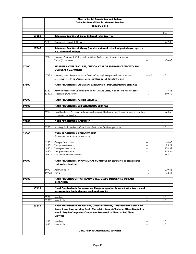|       |       |       | Alberta Dental Association and College                                                                 |         |        |
|-------|-------|-------|--------------------------------------------------------------------------------------------------------|---------|--------|
|       |       |       | <b>Guide for Dental Fees for General Dentists</b>                                                      |         |        |
|       |       |       | January 2018                                                                                           |         |        |
|       |       |       |                                                                                                        |         |        |
|       |       |       |                                                                                                        |         | Fee    |
|       | 67330 |       | Retainers, Cast Metal Onlay (internal retention type)                                                  |         |        |
|       |       |       |                                                                                                        |         |        |
|       |       | 67331 | Retainers, Cast Metal, Onlay                                                                           | +L      | 942.00 |
|       |       |       |                                                                                                        |         |        |
|       | 67340 |       | Retainers, Cast Metal, Onlay (bonded external retention/partial coverage - -                           |         |        |
|       |       |       | e.g. Maryland Bridge)                                                                                  |         |        |
|       |       | 67341 | Retainer, Cast Metal, Onlay, with or without Perforations, Bonded to Abutment                          |         |        |
|       |       |       | Tooth, (Pontic extra)                                                                                  | +L      | 456.60 |
|       |       |       |                                                                                                        |         |        |
| 67400 |       |       | RETAINERS, OVERDENTURES, CUSTOM CAST OR PRE-FABRICATED WITH NO                                         |         |        |
|       |       |       | <b>OCCLUSAL COMPONENT</b>                                                                              |         |        |
|       |       |       |                                                                                                        |         |        |
|       |       | 67415 | Retainer, Metal, Pre-fabricated or Custom Cast, Implant-supported, with or without                     | $+L +E$ | I.C.   |
|       |       |       | Mesostructure with no Occlusal Component (see 62105 for retentive bar)                                 |         |        |
| 67500 |       |       | FIXED PROSTHETICS, ABUTMENTS/RETAINERS, MISCELLANEOUS SERVICES                                         |         |        |
|       |       |       |                                                                                                        |         |        |
|       |       | 67501 | Abutment Preparation Under Existing Partial Denture Clasp, in addition to retainer codes               | +L      | 76.33  |
|       |       | 67502 | Telescoping Crown Unit                                                                                 | $+1$    | 340.70 |
|       |       |       |                                                                                                        |         |        |
| 69000 |       |       | FIXED PROSTHETICS, OTHER SERVICES                                                                      |         |        |
| 69100 |       |       | FIXED PROSTHETICS, MISCELLANEOUS SERVICES                                                              |         |        |
|       |       |       |                                                                                                        |         |        |
|       |       | 69101 | Fixed Prosthesis, Porcelain, to Replace a Substantial Portion of the Alveolar Process (in addition  +L |         | 973.60 |
|       |       |       | to retainer and pontics)                                                                               |         |        |
|       |       |       |                                                                                                        |         |        |
| 69200 |       |       | FIXED PROSTHETICS, SPLINTING                                                                           |         |        |
|       |       |       |                                                                                                        |         |        |
|       |       | 69201 | Splinting, for Extensive or Complicated Restorative Dentistry (per tooth)                              |         | I.C.   |
|       |       |       |                                                                                                        |         |        |
| 69300 |       |       | FIXED PROSTHETICS, RETENTIVE PINS<br>(for retainers in addition to restoration)                        |         |        |
|       |       |       |                                                                                                        |         |        |
|       |       | 69301 | One pin/restoration                                                                                    | +L      | 44.60  |
|       |       | 69302 | Two pins/restoration                                                                                   | +L      | 85.21  |
|       |       | 69303 | Three pins/restoration                                                                                 | +L      | 134.99 |
|       |       | 69304 | Four pins/restoration                                                                                  | $+1$    | 165.34 |
|       |       | 69305 | Five pins or more/restoration                                                                          | $+1$    | 194.70 |
|       |       |       | FIXED PROSTHETICS, PROVISIONAL COVERAGE (in extensive or complicated                                   |         |        |
| 69700 |       |       |                                                                                                        |         |        |
|       |       |       | <u>restorative dentistrv)</u>                                                                          |         |        |
|       |       | 69701 | Abutment Tooth                                                                                         | +L      | 279.56 |
|       |       | 69702 | Pontic                                                                                                 | +L      | 92.51  |
|       |       |       |                                                                                                        |         |        |
| 69800 |       |       | FIXED PROSTHODONTIC FRAMEWORKS, OSSEO-INTEGRATED IMPLANT-                                              |         |        |
|       |       |       | <b>SUPPORTED</b>                                                                                       |         |        |
|       |       |       |                                                                                                        |         |        |
|       | 69810 |       | Fixed Prosthodontic Frameworks, Osseo-Integrated, Attached with Screws and                             |         |        |
|       |       |       | <u>Incorporating Teeth (denture teeth and acrylic)</u>                                                 |         |        |
|       |       | 69811 | Maxillary                                                                                              | +L      | I.C.   |
|       |       | 69812 | Mandibular                                                                                             | $+1$    | I.C.   |
|       |       |       |                                                                                                        |         |        |
|       | 69820 |       | Fixed Prosthodontic Framework, Osseo-Integrated, Attached with Screws Or                               |         |        |
|       |       |       | Cement and Incorporating Teeth (Porcelain/Ceramic/Polymer Glass Bonded to                              |         |        |
|       |       |       | Metal, Acrylic/Composite/Compomer Processed to Metal or Full Metal                                     |         |        |
|       |       |       | Crowns)                                                                                                |         |        |
|       |       | 69821 | Maxillary                                                                                              | +L      | I.C.   |
|       |       | 69822 | Mandibular                                                                                             | +L      | I.C.   |
|       |       |       |                                                                                                        |         |        |
|       |       |       | ORAL AND MAXILLOFACIAL SURGERY                                                                         |         |        |
|       |       |       |                                                                                                        |         |        |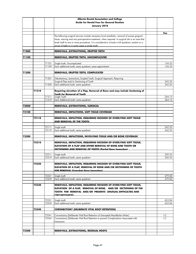|       |       |                | Alberta Dental Association and College                                                            |        |
|-------|-------|----------------|---------------------------------------------------------------------------------------------------|--------|
|       |       |                | <b>Guide for Dental Fees for General Dentists</b>                                                 |        |
|       |       |                | January 2018                                                                                      |        |
|       |       |                |                                                                                                   |        |
|       |       |                |                                                                                                   | Fee    |
|       |       |                | The following surgical services include necessary local anesthetic, removal of excess gingival    |        |
|       |       |                | tissue, suturing and one post-operative treatment, when required. A surgical site is an area that |        |
|       |       |                | lends itself to one or more procedures. It is considered to include a full quadrant, sextant or a |        |
|       |       |                | aroup of teeth or in some cases a sinale tooth.                                                   |        |
| 71000 |       |                | REMOVALS, (EXTRACTIONS), ERUPTED TEETH                                                            |        |
|       |       |                |                                                                                                   |        |
| 71100 |       |                | REMOVALS, ERUPTED TEETH, UNCOMPLICATED                                                            |        |
|       |       |                |                                                                                                   |        |
|       |       | 71101          | Single tooth, Uncomplicated                                                                       | 134.33 |
|       |       | 71109          | Each additional tooth, same quadrant, same appointment                                            | 134.33 |
| 71200 |       |                |                                                                                                   |        |
|       |       |                | REMOVALS, ERUPTED TEETH, COMPLICATED                                                              |        |
|       |       | 71201          | Odontectomy, (extraction), Erupted Tooth, Surgical Approach, Requiring                            |        |
|       |       |                | Surgical Flap and/or Sectioning of Tooth                                                          | 242.25 |
|       |       | 71209          | Each additional tooth, same quadrant                                                              | 242.25 |
|       |       |                |                                                                                                   |        |
|       | 71210 |                | Requiring elevation of a Flap, Removal of Bone and may include Sectioning of                      |        |
|       |       |                | <b>Tooth for Removal of Tooth</b>                                                                 |        |
|       |       | 71211<br>71219 | Single Tooth<br>Each Additional tooth, same quadrant                                              | 264.13 |
|       |       |                |                                                                                                   | 264.13 |
| 72000 |       |                | <b>REMOVALS, (EXTRACTIONS), SURGICAL</b>                                                          |        |
|       |       |                |                                                                                                   |        |
| 72100 |       |                | REMOVALS, IMPACTIONS, SOFT TISSUE COVERAGE                                                        |        |
|       |       |                |                                                                                                   |        |
|       | 72110 |                | REMOVALS, IMPACTION, REQUIRING INCISION OF OVERLYING SOFT TISSUE                                  |        |
|       |       |                | <b>AND REMOVAL OF THE TOOTH</b>                                                                   |        |
|       |       | 72111          | Single tooth                                                                                      | 242.25 |
|       |       | 72119          | Each additional tooth, same quadrant                                                              | 242.25 |
|       |       |                |                                                                                                   |        |
| 72200 |       |                | REMOVALS, IMPACTIONS, INVOLVING TISSUE AND/OR BONE COVERAGE                                       |        |
|       |       |                |                                                                                                   |        |
|       | 72210 |                | REMOVALS, IMPACTION, REQUIRING INCISION OF OVERLYING SOFT TISSUE,                                 |        |
|       |       |                | ELEVATION OF A FLAP AND EITHER REMOVAL OF BONE AND TOOTH OR                                       |        |
|       |       |                | <b>SECTIONING AND REMOVAL OF TOOTH (Partial Bone Impaction)</b>                                   |        |
|       |       | 72211          | Single tooth                                                                                      | 359.23 |
|       |       | 72219          | Each additional tooth, same quadrant                                                              | 359.23 |
|       |       |                |                                                                                                   |        |
|       | 72220 |                | REMOVALS, IMPACTION, REQUIRING INCISION OF OVERLYING SOFT TISSUE,                                 |        |
|       |       |                | ELEVATION OF A FLAP, REMOVAL OF BONE AND/OR SECTIONING OF TOOTH                                   |        |
|       |       |                | <b>FOR REMOVAL (Complete Bone Impaction)</b>                                                      |        |
|       |       |                |                                                                                                   |        |
|       |       | 72221          | Single tooth                                                                                      | 479.00 |
|       |       | 72229          | Each additional tooth, same quadrant                                                              | 479.00 |
|       | 72230 |                | REMOVALS, IMPACTION, REQUIRING INCISION OF OVERLYING SOFT TISSUE,                                 |        |
|       |       |                | ELEVATION OF A FLAP, REMOVAL OF BONE, AND/OR SECTIONING OF THE                                    |        |
|       |       |                | TOOTH FOR REMOVAL AND/OR PRESENTS UNUSUAL DIFFICULTIES AND                                        |        |
|       |       |                | <b>CIDCUMSTANCES</b>                                                                              |        |
|       |       |                |                                                                                                   |        |
|       |       | 72231          | Single tooth                                                                                      | 653.06 |
|       |       | 72239          | Each additional tooth, same quadrant                                                              | 653.06 |
|       |       |                |                                                                                                   |        |
|       | 72240 |                | CORONECTOMY (DELIBERATE VITAL ROOT RETENTION)                                                     |        |
|       |       | 72241          | Coronectomy (Deliberate Vital Root Retention of Unerupted Mandibular Molar)                       | I.C.   |
|       |       | 72242          | Coronectomy (Deliberate Vital Root Retention to prevent Complications Associated with             | I.C.   |
|       |       |                | Extraction)                                                                                       |        |
|       |       |                |                                                                                                   |        |
|       |       |                |                                                                                                   |        |
| 72300 |       |                | REMOVALS, (EXTRACTIONS), RESIDUAL ROOTS                                                           |        |
|       |       |                |                                                                                                   |        |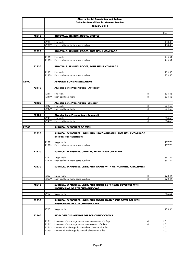|       |       |                | Alberta Dental Association and College                             |      |                  |
|-------|-------|----------------|--------------------------------------------------------------------|------|------------------|
|       |       |                | <b>Guide for Dental Fees for General Dentists</b>                  |      |                  |
|       |       |                | January 2018                                                       |      |                  |
|       |       |                |                                                                    |      |                  |
|       |       |                |                                                                    |      | Fee              |
|       | 72310 |                | REMOVALS, RESIDUAL ROOTS, ERUPTED                                  |      |                  |
|       |       |                |                                                                    |      |                  |
|       |       | 72311<br>72319 | First tooth<br>Each additional tooth, same quadrant                |      | 110.88<br>110.88 |
|       |       |                |                                                                    |      |                  |
|       | 72320 |                | REMOVALS, RESIDUAL ROOTS, SOFT TISSUE COVERAGE                     |      |                  |
|       |       |                |                                                                    |      |                  |
|       |       | 72321          | First tooth                                                        |      | 163.32           |
|       |       | 72329          | Each additional tooth, same quadrant                               |      | 163.32           |
|       |       |                |                                                                    |      |                  |
|       | 72330 |                | REMOVALS, RESIDUAL ROOTS, BONE TISSUE COVERAGE                     |      |                  |
|       |       |                |                                                                    |      |                  |
|       |       | 72331<br>72339 | First tooth<br>Each additional tooth, same quadrant                |      | 239.50<br>239.50 |
|       |       |                |                                                                    |      |                  |
| 72400 |       |                | <b>ALVEOLAR BONE PRESERVATION</b>                                  |      |                  |
|       |       |                |                                                                    |      |                  |
|       | 72410 |                | Alveolar Bone Preservation - Autograft                             |      |                  |
|       |       |                |                                                                    |      |                  |
|       |       | 72411          | First tooth                                                        | +E   | 304.68           |
|       |       | 72419          | Each additional tooth                                              | $+E$ | 304.68           |
|       | 72420 |                | Alveolar Bone Preservation - Allograft                             |      |                  |
|       |       | 72421          | First tooth                                                        | $+E$ | 304.68           |
|       |       | 72429          | Each additional tooth                                              | $+E$ | 304.68           |
|       |       |                |                                                                    |      |                  |
|       | 72430 |                | Alveolar Bone Presevation - Xenograft                              |      |                  |
|       |       | 72431          | First tooth                                                        | $+E$ | 304.68           |
|       |       | 72439          | Each additional tooth                                              | +E   | 304.68           |
| 72500 |       |                |                                                                    |      |                  |
|       |       |                | SURGICAL EXPOSURES OF TEETH                                        |      |                  |
|       | 72510 |                | SURGICAL EXPOSURES, UNERUPTED, UNCOMPLICATED, SOFT TISSUE COVERAGE |      |                  |
|       |       |                | (includes operculectomy)                                           |      |                  |
|       |       |                |                                                                    |      |                  |
|       |       | 72511          | Single tooth                                                       |      | 217.76           |
|       |       | 72519          | Each additional tooth, same quadrant                               |      | 217.76           |
|       |       |                |                                                                    |      |                  |
|       | 72520 |                | <b>SURGICAL EXPOSURES, COMPLEX, HARD TISSUE COVERAGE</b>           |      |                  |
|       |       | 72521          | Single tooth                                                       |      | 391.82           |
|       |       |                | 72529 Each additional tooth, same quadrant                         |      | 391.82           |
|       |       |                |                                                                    |      |                  |
|       | 72530 |                | SURGICAL EXPOSURES, UNERUPTED TOOTH, WITH ORTHODONTIC ATTACHMENT   |      |                  |
|       |       |                |                                                                    |      |                  |
|       |       |                |                                                                    |      |                  |
|       |       | 72531          | Single tooth                                                       | $+E$ | 522.44           |
|       |       | 72539          | Each additional tooth, same quadrant                               | +E   | 522.44           |
|       | 72540 |                | SURGICAL EXPOSURES, UNERUPTED TOOTH, SOFT TISSUE COVERAGE WITH     |      |                  |
|       |       |                | <b>POSITIONING OF ATTACHED GINGIVAE</b>                            |      |                  |
|       |       |                |                                                                    |      |                  |
|       |       | 72541          | Single tooth                                                       |      | 326.64           |
|       |       |                |                                                                    |      |                  |
|       | 72550 |                | SURGICAL EXPOSURES, UNERUPTED TOOTH, HARD TISSUE COVERAGE WITH     |      |                  |
|       |       |                | <b>POSITIONING OF ATTACHED GINGIVAE</b>                            |      |                  |
|       |       | 72551          | Single tooth                                                       |      | 435.55           |
|       |       |                |                                                                    |      |                  |
|       | 72560 |                | <b>RIGID OSSEOUS ANCHORAGE FOR ORTHODONTICS</b>                    |      |                  |
|       |       |                |                                                                    |      |                  |
|       |       | 72561          | Placement of anchorage device without elevation of a flap          | $+E$ | I.C.             |
|       |       | 72562          | Placement of anchorage device with elevation of a flap             | $+E$ | I.C.             |
|       |       | 72563          | Removal of anchorage device without elevation of a flap            |      | I.C.             |
|       |       | 72564          | Removal of anchorage device with elevation of a flap               |      | I.C.             |
|       |       |                |                                                                    |      |                  |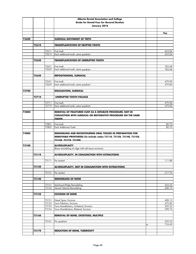|       |       |                | Alberta Dental Association and College                               |    |                  |
|-------|-------|----------------|----------------------------------------------------------------------|----|------------------|
|       |       |                | <b>Guide for Dental Fees for General Dentists</b>                    |    |                  |
|       |       |                | January 2018                                                         |    |                  |
|       |       |                |                                                                      |    |                  |
|       |       |                |                                                                      |    | Fee              |
| 72600 |       |                | <b>SURGICAL MOVEMENT OF TEETH</b>                                    |    |                  |
|       |       |                |                                                                      |    |                  |
|       | 72610 |                | <b>TRANSPLANTATION OF ERUPTED TOOTH</b>                              |    |                  |
|       |       |                |                                                                      |    |                  |
|       |       | 72611<br>72619 | First tooth<br>Each additional tooth, same quadrant                  |    | 653.06<br>653.06 |
|       |       |                |                                                                      |    |                  |
|       | 72620 |                | <b>TRANSPLANTATION OF UNERUPTED TOOTH</b>                            |    |                  |
|       |       |                |                                                                      |    |                  |
|       |       | 72621<br>72629 | First tooth<br>Each additional tooth, same quadrant                  |    | 783.68<br>783.68 |
|       |       |                |                                                                      |    |                  |
|       | 72630 |                | <b>REPOSITIONING, SURGICAL</b>                                       |    |                  |
|       |       |                |                                                                      |    |                  |
|       |       | 72631<br>72639 | First tooth<br>Each additional tooth, same quadrant                  |    | 479.00<br>479.00 |
|       |       |                |                                                                      |    |                  |
| 72700 |       |                | <b>ENUCLEATION, SURGICAL</b>                                         |    |                  |
|       |       |                |                                                                      |    |                  |
|       | 72710 |                | <b>UNERUPTED TOOTH FOLLICLE</b>                                      |    |                  |
|       |       | 72711          | First tooth                                                          |    | 479.00           |
|       |       | 72719          | Each additional tooth, same quadrant                                 |    | 479.00           |
|       |       |                |                                                                      |    |                  |
| 72800 |       |                | REMOVAL OF FRACTURED CUSP AS A SEPARATE PROCEDURE, NOT IN            |    |                  |
|       |       |                | <b>CONJUCTION WITH SURGICAL OR RESTORATIVE PROCEDURE ON THE SAME</b> |    |                  |
|       |       |                | <b>TOOTH</b>                                                         |    |                  |
|       |       | 72801          | First tooth                                                          |    | 80.73            |
|       |       | 72802          | <b>Each Additional Tooth</b>                                         |    | 80.73            |
| 73000 |       |                | <b>REMODELING AND RECONTOURING ORAL TISSUES IN PREPARATION FOR</b>   |    |                  |
|       |       |                | REMOVABLE PROSTHESES (To include codes 73110, 73120, 73140, 73150,   |    |                  |
|       |       |                | 73160. 73170. 73180)                                                 |    |                  |
|       |       |                |                                                                      |    |                  |
| 73100 |       |                | <b>ALVEOLOPLASTY</b>                                                 |    |                  |
|       |       |                | (Bone remodeling of ridge with soft tissue revisions)                |    |                  |
|       | 73110 |                | ALVEOLOPLASTY, IN CONJUNCTION WITH EXTRACTIONS                       |    |                  |
|       |       |                |                                                                      |    |                  |
|       |       |                | 73111 Per sextant                                                    |    | 111.88           |
|       | 73120 |                | <b>ALVEOLOPLASTY, NOT IN CONJUNCTION WITH EXTRACTIONS</b>            |    |                  |
|       |       |                |                                                                      |    |                  |
|       |       | 73121          | Per sextant                                                          |    | 217.76           |
|       |       |                |                                                                      |    |                  |
|       | 73140 |                | <b>REMODELING OF BONE</b>                                            |    |                  |
|       |       | 73141          | Mylohyoid Ridge Remodeling                                           |    | 424.42           |
|       |       | 73142          | Genial Tubercle Remodeling                                           |    | 408.13           |
|       |       |                |                                                                      |    |                  |
|       | 73150 |                | <b>EXCISION OF BONE</b>                                              |    |                  |
|       |       | 73151          | Nasal Spine, Excision                                                |    | 408.13           |
|       |       | 73152          | Torus Palatinus, Excision                                            |    | 479.00           |
|       |       | 73153          | Torus Mandibularis, Unilateral, Excision                             |    | 359.23           |
|       |       | 73154          | Torus Mandibularis, Bilateral, Excision                              |    | 598.73           |
|       | 73160 |                | REMOVAL OF BONE, EXOSTOSIS, MULTIPLE                                 |    |                  |
|       |       |                |                                                                      |    |                  |
|       |       | 73161          | Per quadrant                                                         |    | 359.23           |
|       |       |                |                                                                      | to | 718.49           |
|       | 73170 |                | <b>REDUCTION OF BONE, TUBEROSITY</b>                                 |    |                  |
|       |       |                |                                                                      |    |                  |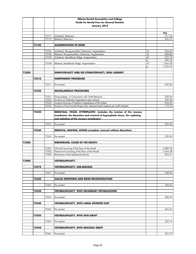|       |       |                | Alberta Dental Association and College                                                          |          |                      |
|-------|-------|----------------|-------------------------------------------------------------------------------------------------|----------|----------------------|
|       |       |                | <b>Guide for Dental Fees for General Dentists</b>                                               |          |                      |
|       |       |                | January 2018                                                                                    |          |                      |
|       |       |                |                                                                                                 |          |                      |
|       |       |                |                                                                                                 |          | Fee                  |
|       |       | 73171<br>73172 | Unilateral, Reduction<br><b>Bilateral, Reduction</b>                                            |          | 217.76<br>435.55     |
|       |       |                |                                                                                                 |          |                      |
|       | 73180 |                | <b>AUGMENTATION OF BONE</b>                                                                     |          |                      |
|       |       |                |                                                                                                 |          |                      |
|       |       | 73181          | Unilateral, Pterygomaxillary Tuberosity, Augmentation                                           | +E       | 424.42               |
|       |       | 73182          | Bilateral, Pterygomaxillary Tuberosity, Augmentation                                            | +E       | 848.86               |
|       |       | 73183          | Unilateral, Mandibular Ridge, Augmentation                                                      | +E<br>to | 522.19<br>696.25     |
|       |       | 73184          | Bilateral, Mandibular Ridge, Augmentation                                                       | $+E$     | 1,044.38             |
|       |       |                |                                                                                                 | to       | 1,392.53             |
|       |       |                |                                                                                                 |          |                      |
| 73200 |       |                | GINGIVOPLASTY AND/OR STOMATOPLASTY, ORAL SURGERY                                                |          |                      |
|       |       |                |                                                                                                 |          |                      |
|       | 73210 |                | <b>INDEPENDENT PROCEDURE</b>                                                                    |          |                      |
|       |       | 73211          | Per sextant                                                                                     |          | 239.50               |
|       |       |                |                                                                                                 |          |                      |
|       | 73220 |                | <b>MISCELLANEOUS PROCEDURES</b>                                                                 |          |                      |
|       |       |                |                                                                                                 |          |                      |
|       |       | 73221          | Gingivoplasty, in Conjunction with Tooth Removal                                                |          | 239.50               |
|       |       | 73222          | Excision of Vestibular Hyperplasia (per sextant)                                                |          | 239.50               |
|       |       | 73223          | Surgical Shaving of Papillary Hyperplasia of the Palate                                         |          | 424.42               |
|       |       | 73224          | Excision of Pericoronal Gingiva (for retained tooth/implant) per tooth/implant                  |          | 119.73               |
|       | 73230 |                | REMOVALS, TISSUE, HYPERPLASTIC (includes the incision of the mucous                             |          |                      |
|       |       |                | membrane, the dissection and removal of hyperplastic tissue, the replacing                      |          |                      |
|       |       |                | and adapting of the mucous membrane)                                                            |          |                      |
|       |       |                |                                                                                                 |          |                      |
|       |       | 73231          | Per sextant                                                                                     |          | 239.50               |
|       | 73240 |                | REMOVAL, MUCOSA, EXCESS (complete removal without dissection)                                   |          |                      |
|       |       |                |                                                                                                 |          |                      |
|       |       | 73241          | Per sextant                                                                                     |          | 239.50               |
|       |       |                |                                                                                                 |          |                      |
| 73300 |       |                | REMODELING, FLOOR OF THE MOUTH                                                                  |          |                      |
|       |       |                |                                                                                                 |          |                      |
|       |       | 73301<br>73302 | Full Arch Lowering of the Floor of the Mouth<br>Partial Arch Lowering of the Floor of the Mouth |          | 2,088.78<br>1,044.38 |
|       |       | 73303          | Reinsertion of the Mylohyoid Muscle                                                             |          | 870.31               |
|       |       |                |                                                                                                 |          |                      |
| 73400 |       |                | <b>VESTIBULOPLASTY</b>                                                                          |          |                      |
|       |       |                |                                                                                                 |          |                      |
|       | 73410 |                | <b>VESTIBULOPLASTY, SUB-MUCOUS</b>                                                              |          |                      |
|       |       |                |                                                                                                 |          |                      |
|       |       | 73411          | Per sextant                                                                                     |          | 228.56               |
|       | 73420 |                | SULCUS DEEPENING AND RIDGE RECONSTRUCTION                                                       |          |                      |
|       |       |                |                                                                                                 |          |                      |
|       |       | 73421          | Per sextant                                                                                     |          | 183.62               |
|       |       |                |                                                                                                 |          |                      |
|       | 73430 |                | VESTIBULOPLASTY, WITH SECONDARY EPITHELIZATION                                                  |          |                      |
|       |       | 73431          | Per sextant                                                                                     |          | 282.94               |
|       |       |                |                                                                                                 |          |                      |
|       | 73440 |                | <b>VESTIBULOPLASTY, WITH LABIAL INVERTED FLAP</b>                                               |          |                      |
|       |       |                |                                                                                                 |          |                      |
|       |       | 73441          | Per sextant                                                                                     |          | 424.42               |
|       |       |                |                                                                                                 |          |                      |
|       | 73450 |                | <b>VESTIBULOPLASTY, WITH SKIN GRAFT</b>                                                         |          |                      |
|       |       | 73451          | Per sextant                                                                                     |          | 522.19               |
|       |       |                |                                                                                                 |          |                      |
|       | 73460 |                | <b>VESTIBULOPLASTY, WITH MUCOSAL GRAFT</b>                                                      |          |                      |
|       |       |                |                                                                                                 |          |                      |
|       |       | 73461          | Per sextant                                                                                     |          | 522.19               |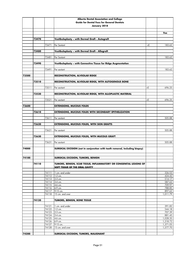|       |       |                | Alberta Dental Association and College                                                               |      |                      |
|-------|-------|----------------|------------------------------------------------------------------------------------------------------|------|----------------------|
|       |       |                | <b>Guide for Dental Fees for General Dentists</b>                                                    |      |                      |
|       |       |                | January 2018                                                                                         |      |                      |
|       |       |                |                                                                                                      |      |                      |
|       |       |                |                                                                                                      |      | Fee                  |
|       | 73470 |                | Vestibuloplasty - with Dermal Graft - Autograft                                                      |      |                      |
|       |       |                |                                                                                                      |      |                      |
|       |       | 73471          | Per Sextant                                                                                          | +E   | 183.62               |
|       |       |                |                                                                                                      |      |                      |
|       | 73480 |                | Vestibuloplasty - with Dermal Graft - Allograft                                                      |      |                      |
|       |       | 73481          | Per Sextant                                                                                          |      | 183.62               |
|       |       |                |                                                                                                      |      |                      |
|       | 73490 |                | Vestibuloplasty - with Connective Tissue for Ridge Augmentation                                      |      |                      |
|       |       |                |                                                                                                      |      |                      |
|       |       | 73491          | Per sextant                                                                                          |      | 183.62               |
|       |       |                |                                                                                                      |      |                      |
| 73500 |       |                | <b>RECONSTRUCTION, ALVEOLAR RIDGE</b>                                                                |      |                      |
|       | 73510 |                | RECONSTRUCTION, ALVEOLAR RIDGE, WITH AUTOGENOUS BONE                                                 |      |                      |
|       |       |                |                                                                                                      |      |                      |
|       |       | 73511          | Per sextant                                                                                          | $+E$ | 696.25               |
|       |       |                |                                                                                                      |      |                      |
|       | 73520 |                | RECONSTRUCTION, ALVEOLAR RIDGE, WITH ALLOPLASTIC MATERIAL                                            |      |                      |
|       |       | 73521          |                                                                                                      |      |                      |
|       |       |                | Per sextant                                                                                          | +E   | 696.25               |
| 73600 |       |                | <b>EXTENSIONS, MUCOUS FOLDS</b>                                                                      |      |                      |
|       |       |                |                                                                                                      |      |                      |
|       | 73610 |                | <b>EXTENSIONS, MUCOUS FOLDS WITH SECONDARY EPITHELIZATION</b>                                        |      |                      |
|       |       |                |                                                                                                      |      |                      |
|       |       | 73611          | Per sextant                                                                                          |      | 505.88               |
|       | 73620 |                | <b>EXTENSIONS, MUCOUS FOLDS, WITH SKIN GRAFTS</b>                                                    |      |                      |
|       |       |                |                                                                                                      |      |                      |
|       |       | 73621          | Per sextant                                                                                          |      | 505.88               |
|       |       |                |                                                                                                      |      |                      |
|       | 73630 |                | <b>EXTENSIONS, MUCOUS FOLDS, WITH MUCOUS GRAFT</b>                                                   |      |                      |
|       |       |                |                                                                                                      |      |                      |
|       |       | 73631          | Per sextant                                                                                          |      | 505.88               |
| 74000 |       |                | SURGICAL EXCISION (not in conjunction with tooth removal, including biopsy)                          |      |                      |
|       |       |                |                                                                                                      |      |                      |
|       |       |                |                                                                                                      |      |                      |
| 74100 |       |                | <b>SURGICAL EXCISION, TUMORS, BENIGN</b>                                                             |      |                      |
|       |       |                |                                                                                                      |      |                      |
|       | 74110 |                | TUMORS, BENIGN, SCAR TISSUE, INFLAMMATORY OR CONGENITAL LESIONS OF<br>SOFT TISSUE OF THE ORAL CAVITY |      |                      |
|       |       |                |                                                                                                      |      |                      |
|       |       | 74111          | 1 cm. and under                                                                                      |      | 326.53               |
|       |       | 74112          | $1-2$ cm.                                                                                            |      | 424.42               |
|       |       | 74113          | 2-3 cm.                                                                                              |      | 514.17               |
|       |       | 74114<br>74115 | 3-4 cm.<br>4-6 cm.                                                                                   |      | 587.62<br>709.97     |
|       |       | 74116          | 6-9 cm.                                                                                              |      | 788.85               |
|       |       | 74117          | 9-15 cm.                                                                                             |      | 897.62               |
|       |       | 74118          | 15 cm. and over                                                                                      |      | 1,011.79             |
|       |       |                |                                                                                                      |      |                      |
|       | 74120 |                | <b>TUMORS, BENIGN, BONE TISSUE</b>                                                                   |      |                      |
|       |       | 74121          | 1 cm. and under                                                                                      |      | 391.82               |
|       |       | 74122          | $1-2$ cm.                                                                                            |      | 544.18               |
|       |       | 74123          | 2-3 cm.                                                                                              |      | 707.39               |
|       |       | 74124          | 3-4 cm.                                                                                              |      | 881.45               |
|       |       | 74125          | 4-6 cm.                                                                                              |      | 1,028.35             |
|       |       | 74126          | 6-9 cm.                                                                                              |      | 1,218.72             |
|       |       | 74127<br>74128 | 9-15 cm.<br>15 cm. and over                                                                          |      | 1,371.05<br>1,577.70 |
|       |       |                |                                                                                                      |      |                      |
| 74200 |       |                | SURGICAL EXCISION, TUMORS, MALIGNANT                                                                 |      |                      |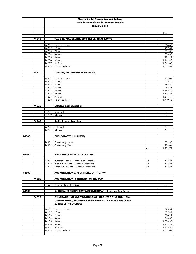|       |       |                | Alberta Dental Association and College                     |      |                      |
|-------|-------|----------------|------------------------------------------------------------|------|----------------------|
|       |       |                | <b>Guide for Dental Fees for General Dentists</b>          |      |                      |
|       |       |                | January 2018                                               |      |                      |
|       |       |                |                                                            |      |                      |
|       |       |                |                                                            |      | Fee                  |
|       |       |                |                                                            |      |                      |
|       | 74210 |                | TUMORS, MALIGNANT, SOFT TISSUE, ORAL CAVITY                |      |                      |
|       |       |                |                                                            |      |                      |
|       |       | 74211          | 1 cm. and under                                            |      | 304.68               |
|       |       | 74212          | 1-2 cm.                                                    |      | 457.01               |
|       |       | 74213          | 2-3 cm.                                                    |      | 631.07<br>788.85     |
|       |       | 74214<br>74215 | 3-4 cm.<br>4-6 cm.                                         |      | 979.19               |
|       |       | 74216          | 6-9 cm.                                                    |      | 1,142.40             |
|       |       | 74217          | 9-15 cm.                                                   |      | 1,349.06             |
|       |       | 74218          | 15 cm. and over                                            |      | 1,517.69             |
|       |       |                |                                                            |      |                      |
|       | 74220 |                | <b>TUMORS, MALIGNANT BONE TISSUE</b>                       |      |                      |
|       |       |                |                                                            |      |                      |
|       |       | 74221          | 1 cm. and under                                            |      | 457.01               |
|       |       | 74222          | 1-2 cm.                                                    |      | 609.36               |
|       |       | 74223<br>74224 | 2-3 cm.<br>3-4 cm.                                         |      | 788.85<br>946.63     |
|       |       | 74225          | 4-6 cm.                                                    |      | 1,142.40             |
|       |       | 74226          | 6-9 cm.                                                    |      | 1,305.61             |
|       |       | 74227          | 9-15 cm.                                                   |      | 1,517.69             |
|       |       | 74228          | 15 cm. and over                                            |      | 1,740.66             |
|       |       |                |                                                            |      |                      |
|       | 74230 |                | Selective neck dissection                                  |      |                      |
|       |       |                |                                                            |      |                      |
|       |       | 74231          | Unilateral                                                 |      | I.C.                 |
|       |       | 74232          | <b>Bilateral</b>                                           |      | I.C.                 |
|       |       |                |                                                            |      |                      |
|       | 74240 |                | <b>Radical neck dissection</b>                             |      |                      |
|       |       | 74241          | Unilateral                                                 |      | I.C.                 |
|       |       | 74242          | <b>Bilateral</b>                                           |      | I.C.                 |
|       |       |                |                                                            |      |                      |
| 74300 |       |                | <b>CHEILOPLASTY (LIP SHAVE)</b>                            |      |                      |
|       |       |                |                                                            |      |                      |
|       |       | 74301          | Cheiloplasty, Partial                                      |      | 609.36               |
|       |       | 74302          | Cheiloplasty, Total                                        |      | 914.04               |
|       |       |                |                                                            | to   | 1,218.72             |
| 74400 |       |                |                                                            |      |                      |
|       |       |                | <b>HARD TISSUE GRAFTS TO THE JAW</b>                       |      |                      |
|       |       |                | 74401 Autograft - per site - Maxilla or Mandible           | $+E$ | 696.25               |
|       |       |                | 74402 Allograft - per site - Maxilla or Mandible           | $+E$ | 696.25               |
|       |       | 74403          | Xenograft - per site - Maxilla or Mandible                 | +E   | 696.25               |
|       |       |                |                                                            |      |                      |
| 74500 |       |                | AUGMENTATIONS, PROSTHETIC, OF THE JAW                      |      |                      |
|       |       |                |                                                            |      |                      |
|       | 74520 |                | AUGMENTATION, SYNTHETIC, OF THE JAW                        |      |                      |
|       |       |                |                                                            |      |                      |
|       |       | 74521          | Augmentation, of the Chin                                  |      | I.C.                 |
| 74600 |       |                | SURGICAL EXCISION, CYSTS/GRANULOMAS (Based on Cyst Size)   |      |                      |
|       |       |                |                                                            |      |                      |
|       | 74610 |                | <b>ENUCLEATION OF CYST/GRANULOMA, ODONTOGENIC AND NON-</b> |      |                      |
|       |       |                | ODONTOGENIC, REQUIRING PRIOR REMOVAL OF BONY TISSUE AND    |      |                      |
|       |       |                | <b>SUBSEQUENT SUTURE(S)</b>                                |      |                      |
|       |       |                |                                                            |      |                      |
|       |       | 74611          | 1 cm. and under                                            |      | 375.54               |
|       |       | 74612          | $1-2$ cm.                                                  |      | 522.44               |
|       |       | 74613          | 2-3 cm.                                                    |      | 680.22               |
|       |       | 74614          | 3-4 cm.                                                    |      | 848.86               |
|       |       | 74615<br>74616 | 4-6 cm.                                                    |      | 1,028.35<br>1,218.72 |
|       |       | 74617          | 6-9 cm.<br>9-15 cm.                                        |      | 1,419.95             |
|       |       | 74618          | 15 cm. and over                                            |      | 1,632.03             |
|       |       |                |                                                            |      |                      |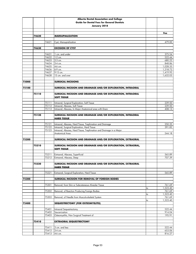|       |       |                | Alberta Dental Association and College                                                                                |    |                      |
|-------|-------|----------------|-----------------------------------------------------------------------------------------------------------------------|----|----------------------|
|       |       |                | <b>Guide for Dental Fees for General Dentists</b>                                                                     |    |                      |
|       |       |                | January 2018                                                                                                          |    |                      |
|       |       |                |                                                                                                                       |    |                      |
|       |       |                |                                                                                                                       |    | Fee                  |
|       | 74620 |                | <b>MARSUPIALIZATION</b>                                                                                               |    |                      |
|       |       |                |                                                                                                                       |    |                      |
|       |       | 74621          | Cyst, Marsupialization                                                                                                |    | 479.00               |
|       | 74630 |                | <b>EXCISION OF CYST</b>                                                                                               |    |                      |
|       |       |                |                                                                                                                       |    |                      |
|       |       | 74631          | 1 cm. and under                                                                                                       |    | 375.54               |
|       |       | 74632          | $1-2$ cm.                                                                                                             |    | 522.44               |
|       |       | 74633          | 2-3 cm.                                                                                                               |    | 680.22               |
|       |       | 74634          | 3-4 cm.                                                                                                               |    | 848.86               |
|       |       | 74635          | 4-6 cm.                                                                                                               |    | 1,028.35             |
|       |       | 74636          | 6-9 cm.                                                                                                               |    | 1,218.72             |
|       |       | 74637<br>74638 | 9-15 cm.<br>15 cm. and over                                                                                           |    | 1,419.95<br>1,632.03 |
|       |       |                |                                                                                                                       |    |                      |
| 75000 |       |                | <b>SURGICAL INCISIONS</b>                                                                                             |    |                      |
|       |       |                |                                                                                                                       |    |                      |
| 75100 |       |                | SURGICAL INCISION AND DRAINAGE AND/OR EXPLORATION, INTRAORAL                                                          |    |                      |
|       |       |                |                                                                                                                       |    |                      |
|       | 75110 |                | SURGICAL INCISION AND DRAINAGE AND/OR EXPLORATION, INTRAORAL                                                          |    |                      |
|       |       |                | <b>SOFT TISSUE</b>                                                                                                    |    |                      |
|       |       | 75111          |                                                                                                                       |    | 239.50               |
|       |       | 75112          | Intraoral, Surgical Exploration, Soft Tissue<br>Intraoral, Abscess, Soft Tissue                                       |    | 239.50               |
|       |       | 75113          | Intraoral, Abscess, In Major Anatomical area with Drain                                                               |    | 408.13               |
|       |       |                |                                                                                                                       |    |                      |
|       | 75120 |                | SURGICAL INCISION AND DRAINAGE AND/OR EXPLORATION, INTRAORAL                                                          |    |                      |
|       |       |                | <b>HARD TISSUE</b>                                                                                                    |    |                      |
|       |       |                |                                                                                                                       |    |                      |
|       |       | 75121          | Intraoral, Abscess, Hard Tissue, Trephination and Drainage                                                            |    | 250.35               |
|       |       | 75122<br>75123 | Intraoral, Surgical Exploration, Hard Tissue<br>Intraoral, Abscess, Hard Tissue, Trephination and Drainage in a Major |    | 391.82               |
|       |       |                | Anatomical Area                                                                                                       |    | 544.18               |
|       |       |                |                                                                                                                       |    |                      |
| 75200 |       |                | SURGICAL INCISION AND DRAINAGE AND/OR EXPLORATION, EXTRAORAL                                                          |    |                      |
|       |       |                |                                                                                                                       |    |                      |
|       | 75210 |                | SURGICAL INCISION AND DRAINAGE AND/OR EXPLORATION, EXTRAORAL,                                                         |    |                      |
|       |       |                | <b>SOFT TISSUE</b>                                                                                                    |    |                      |
|       |       |                |                                                                                                                       |    |                      |
|       |       | 75211<br>75212 | Extraoral, Abscess, Superficial<br>Extraoral, Abscess, Deep                                                           |    | 565.89<br>707.39     |
|       |       |                |                                                                                                                       |    |                      |
|       | 75220 |                | SURGICAL INCISION AND DRAINAGE AND/OR EXPLORATION, EXTRAORAL                                                          |    |                      |
|       |       |                | <b>HARD TISSUE</b>                                                                                                    |    |                      |
|       |       |                |                                                                                                                       |    |                      |
|       |       | 75221          | Extraoral, Surgical Exploration, Hard Tissue                                                                          |    | 565.89               |
|       |       |                |                                                                                                                       |    |                      |
| 75300 |       |                | SURGICAL INCISION FOR REMOVAL OF FOREIGN BODIES                                                                       |    |                      |
|       |       | 75301          | Removal, from Skin or Subcutaneous Alveolar Tissue                                                                    |    | 761.69               |
|       |       |                |                                                                                                                       | to | 1,523.40             |
|       |       | 75302          | Removal, of Reaction Producing Foreign Bodies                                                                         |    | 761.69               |
|       |       |                |                                                                                                                       | to | 1,523.40             |
|       |       | 75303          | Removal, of Needle from Musculo-skeletal System                                                                       |    | 761.69               |
|       |       |                |                                                                                                                       | to | 1,523.40             |
| 75400 |       |                | SEQUESTRECTOMY (FOR OSTEOMYELITIS)                                                                                    |    |                      |
|       |       | 75401          | Intraoral Sequestrectomy                                                                                              |    | 522.44               |
|       |       | 75402          | Saucerization                                                                                                         |    | 914.04               |
|       |       | 75403          | Osteomyelitis, Non Surgical Treatment of                                                                              |    | 195.91               |
|       |       |                |                                                                                                                       |    |                      |
|       | 75410 |                | <b>EXTRAORAL SEQUESTRECTOMY</b>                                                                                       |    |                      |
|       |       |                |                                                                                                                       |    |                      |
|       |       | 75411          | 3 cm. and less                                                                                                        |    | 522.44               |
|       |       | 75412          | 3-4 cm.                                                                                                               |    | 653.06               |
|       |       | 75413          | 4-6 cm.                                                                                                               |    | 816.27               |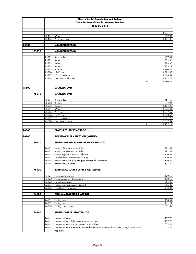|       | Alberta Dental Association and College |                |                                                                                                                                              |    |                      |
|-------|----------------------------------------|----------------|----------------------------------------------------------------------------------------------------------------------------------------------|----|----------------------|
|       |                                        |                | <b>Guide for Dental Fees for General Dentists</b>                                                                                            |    |                      |
|       |                                        |                | January 2018                                                                                                                                 |    |                      |
|       |                                        |                |                                                                                                                                              |    |                      |
|       |                                        |                |                                                                                                                                              |    | Fee                  |
|       |                                        | 75414<br>75415 | 6-9 cm.<br>9 cm. and over                                                                                                                    |    | 952.31<br>1,131.80   |
|       |                                        |                |                                                                                                                                              |    |                      |
| 75500 |                                        |                | <b>MANDIBULECTOMY</b>                                                                                                                        |    |                      |
|       |                                        |                |                                                                                                                                              |    |                      |
|       | 75510                                  |                | <b>MANDIBULECTOMY</b>                                                                                                                        |    |                      |
|       |                                        |                |                                                                                                                                              |    |                      |
|       |                                        | 75511          | 3 cm. or less                                                                                                                                |    | 457.01               |
|       |                                        | 75512          | 3-4 cm.                                                                                                                                      |    | 609.36               |
|       |                                        | 75513<br>75514 | 4-6 cm.<br>6-9 cm.                                                                                                                           |    | 788.85<br>979.19     |
|       |                                        | 75515          | 9-12 cm.                                                                                                                                     |    | 1,180.42             |
|       |                                        | 75516          | 12-15 cm.                                                                                                                                    |    | 1,392.53             |
|       |                                        | 75517          | 15 cm. and over                                                                                                                              |    | 1,566.59             |
|       |                                        | 75518          | <b>Total Mandibulectomy</b>                                                                                                                  |    | 1,914.72             |
|       |                                        |                |                                                                                                                                              | to | 2,480.44             |
|       |                                        |                |                                                                                                                                              |    |                      |
| 75600 |                                        |                | <b>MAXILLECTOMY</b>                                                                                                                          |    |                      |
|       | 75610                                  |                | <b>MAXILLECTOMY</b>                                                                                                                          |    |                      |
|       |                                        |                |                                                                                                                                              |    |                      |
|       |                                        | 75611          | 3 cm. or less                                                                                                                                |    | 761.69               |
|       |                                        | 75612          | 3-4 cm.                                                                                                                                      |    | 914.04               |
|       |                                        | 75613          | 4-6 cm.                                                                                                                                      |    | 1,104.38             |
|       |                                        | 75614          | 6-9 cm.                                                                                                                                      |    | 1,305.61             |
|       |                                        | 75615          | 9-12 cm.                                                                                                                                     |    | 1,517.69             |
|       |                                        | 75616          | 12-15 cm.                                                                                                                                    |    | 1,740.66             |
|       |                                        | 75617<br>75618 | 15 cm. and over<br><b>Total Maxillectomy</b>                                                                                                 |    | 2,001.75<br>2,219.34 |
|       |                                        |                |                                                                                                                                              | to | 2,959.12             |
|       |                                        |                |                                                                                                                                              |    |                      |
| 76000 |                                        |                | <b>FRACTURES, TREATMENT OF</b>                                                                                                               |    |                      |
|       |                                        |                |                                                                                                                                              |    |                      |
|       |                                        |                |                                                                                                                                              |    |                      |
| 76100 |                                        |                | <b>INTERMAXILLARY FIXATION (WIRING)</b>                                                                                                      |    |                      |
|       |                                        |                |                                                                                                                                              |    |                      |
|       | 76110                                  |                | SPLINTS PER ARCH, ONE OR MORE PER JAW                                                                                                        |    |                      |
|       |                                        |                |                                                                                                                                              |    |                      |
|       |                                        | 76111          | Wiring of Dentures or Arch Bar                                                                                                               |    | 391.82               |
|       |                                        | 76112<br>76113 | Acrylic Prosthesis or Cap Splint                                                                                                             |    | 391.82<br>130.59     |
|       |                                        | 76114          | Circumzygomatic Wiring Unilateral<br>Perialveolar or Transpalatal Wiring                                                                     |    | 130.59               |
|       |                                        | 76115          | Intra or Periosseous Splinting for Pericranial Suspension                                                                                    |    | 130.59               |
|       |                                        | 76116          | Intermaxillary Fixation                                                                                                                      |    | 391.82               |
|       |                                        |                |                                                                                                                                              |    |                      |
|       | 76120                                  |                | <b>INTRA MAXILLARY SUSPENSION (Wiring)</b>                                                                                                   |    |                      |
|       |                                        |                |                                                                                                                                              |    |                      |
|       |                                        | 76121<br>76122 | Nasal Spine Wiring<br>Piriform Apertures Suspension                                                                                          |    | 130.59               |
|       |                                        | 76123          | Frontal Suspension                                                                                                                           |    | 130.59<br>565.89     |
|       |                                        | 76124          | Orbital Rim Suspension, Bilateral                                                                                                            |    | 565.89               |
|       |                                        | 76125          | <b>Head Frame Suspension</b>                                                                                                                 |    | 914.04               |
|       |                                        |                |                                                                                                                                              |    |                      |
|       | 76130                                  |                | <b>CIRCUMMANDIBULAR WIRING</b>                                                                                                               |    |                      |
|       |                                        |                |                                                                                                                                              |    |                      |
|       |                                        | 76131          | Wiring, one                                                                                                                                  |    | 130.59               |
|       |                                        | 76132<br>76133 | Wiring, two                                                                                                                                  |    | 261.21<br>391.82     |
|       |                                        |                | Wiring, three or over                                                                                                                        |    |                      |
|       | 76140                                  |                | SPLINTS/WIRES, REMOVAL OF,                                                                                                                   |    |                      |
|       |                                        |                |                                                                                                                                              |    |                      |
|       |                                        | 76141          | Removal of Wire                                                                                                                              |    | 217.76               |
|       |                                        | 76142          | Removal of Arch Splint (one or more per jaw)                                                                                                 |    | 217.76               |
|       |                                        | 76143<br>76144 | Removal of Interosseous Ligature or Bone Plate<br>Removal of Intra or Peri Osseous Rod or Wire for Pericranial Suspension and/or Pericranial |    | 522.44<br>522.44     |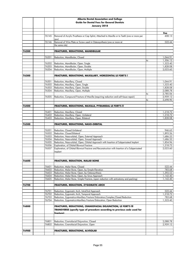|       |                | Alberta Dental Association and College                                                                                                 |    |                      |
|-------|----------------|----------------------------------------------------------------------------------------------------------------------------------------|----|----------------------|
|       |                | <b>Guide for Dental Fees for General Dentists</b>                                                                                      |    |                      |
|       |                | January 2018                                                                                                                           |    |                      |
|       |                |                                                                                                                                        |    |                      |
|       |                |                                                                                                                                        |    | Fee                  |
|       | 76145          | Removal of Acrylic Prosthesis or Cap Splint, Attached to Maxilla or to Teeth (one or more per                                          |    | 408.13               |
|       | 76146          | Removal of Wire Plate or Screw used in Osteosynthesis (one or more at                                                                  |    | 522.44               |
|       |                | the same site)                                                                                                                         |    |                      |
| 76200 |                | <b>FRACTURES, REDUCTIONS, MANDIBULAR</b>                                                                                               |    |                      |
|       |                |                                                                                                                                        |    |                      |
|       | 76201          | Reduction, Mandibular, Closed                                                                                                          |    | 1,044.91             |
|       |                |                                                                                                                                        | to | 1,306.12             |
|       | 76202          | Reduction, Mandibular, Open, Single                                                                                                    |    | 1,523.40             |
|       | 76203<br>76204 | Reduction, Mandibular, Open, Double<br>Reduction, Mandibular, Open, Multiple                                                           |    | 1,828.08<br>2,023.60 |
|       |                |                                                                                                                                        |    |                      |
| 76300 |                | FRACTURES, REDUCTIONS, MAXILLARY, HORIZONTAL LE FORT'S I                                                                               |    |                      |
|       |                |                                                                                                                                        |    |                      |
|       | 76301          | Reduction, Maxillary, Closed                                                                                                           |    | 1,044.91             |
|       | 76302          | Reduction, Maxillary, Open, Single                                                                                                     |    | 1,523.40             |
|       | 76303          | Reduction, Maxillary, Open, Double                                                                                                     |    | 1,828.08             |
|       | 76304          | Reduction, Maxillary, Open, Multiple                                                                                                   |    | 2,088.78             |
|       | 76305          | Reduction, Compound Fracture of Maxilla (requiring reduction and soft tissue repair)                                                   | to | 2,785.06<br>2,959.12 |
|       |                |                                                                                                                                        | to | 3,698.90             |
|       |                |                                                                                                                                        |    |                      |
| 76400 |                | FRACTURES, REDUCTIONS, MAXILLA, PYRAMIDAL LE FORT'S II                                                                                 |    |                      |
|       |                |                                                                                                                                        |    |                      |
|       | 76401          | Reduction, Maxillary, Closed                                                                                                           |    | 1,218.72             |
|       | 76402<br>76403 | Reduction, Maxillary, Open, Unilateral                                                                                                 |    | 1,218.72             |
|       |                | Reduction, Maxillary, Open, Bilateral                                                                                                  |    | 1,828.08             |
| 76500 |                | FRACTURES, REDUCTIONS, NASO-ORBITAL                                                                                                    |    |                      |
|       |                |                                                                                                                                        |    |                      |
|       | 76501          | Reduction, Closed Unilateral                                                                                                           |    | 946.63               |
|       | 76502          | Reduction. Closed Bilateral                                                                                                            |    | 1,893.26             |
|       | 76503          | Reduction, Naso-orbital, Open, External Approach                                                                                       |    | 1,686.33             |
|       | 76504          | Reduction, Naso-orbital, Open, Sinusal Approach                                                                                        |    | 1,686.33             |
|       | 76505<br>76506 | Reduction, Naso-orbital, Open, Orbital Approach with Insertion of Subperiosteal Implant<br>Exploration, of Orbital Blowout Fracture    |    | 1,854.96<br>1,218.72 |
|       | 76507          | Exploration, of Orbital Blowout Fracture and Reconstruction with Insertion of a Subperiosteal                                          |    | 2,023.60             |
|       |                | Implant                                                                                                                                |    |                      |
| 76600 |                | <b>FRACTURES, REDUCTION, MALAR BONE</b>                                                                                                |    |                      |
|       |                |                                                                                                                                        |    |                      |
|       | 76601          | Reduction, Malar Bone, Closed                                                                                                          |    | 522.44               |
|       | 76602          | Reduction, Malar Bone, Open, by Simple Elevation                                                                                       |    | 783.68               |
|       | 76603          | Reduction, Malar Bone, Open, by Osteosynthesis                                                                                         |    | 1,392.53             |
|       | 76604<br>76605 | Reduction, Malar Bone, Open, by Sinus Approach<br>Reduction, Malar Bone, Simple Fracture, (open reduction with antrostomy and packing) |    | 1,142.40<br>1,142.40 |
|       |                |                                                                                                                                        |    |                      |
| 76700 |                | <b>FRACTURES, REDUCTION, ZYGOMATIC ARCH</b>                                                                                            |    |                      |
|       |                |                                                                                                                                        |    |                      |
|       | 76701          | Reduction, Zygomatic Arch, IntraOral Approach                                                                                          |    | 522.44               |
|       | 76702          | Reduction, Zygomatic Arch, Temporal Approach                                                                                           |    | 1,218.72             |
|       | 76703          | Reduction, Zygomatico-Maxillary Fracture Dislocation, Complex, Closed Reduction                                                        |    | 783.68               |
|       | 76704          | Reduction, Zygomatico-Maxillary Fracture Dislocation, Open Reduction                                                                   |    | 1,523.40             |
| 76800 |                | <b>FRACTURES, REDUCTIONS, CRANIOFACIAL DISJUNCTION, LE FORT'S III</b>                                                                  |    |                      |
|       |                | TRANSVERSE (specify type of procedure according to previous code used for<br>fracture)                                                 |    |                      |
|       |                |                                                                                                                                        |    |                      |
|       | 76801          | Reduction, Craniofacial Disjunction, Closed                                                                                            |    | 2,088.78             |
|       | 76802          | Reduction, Craniofacial Disjunction, Open                                                                                              |    | 2,959.12             |
|       |                |                                                                                                                                        |    |                      |
| 76900 |                | <b>FRACTURES, REDUCTIONS, ALVEOLAR</b>                                                                                                 |    |                      |
|       |                |                                                                                                                                        |    |                      |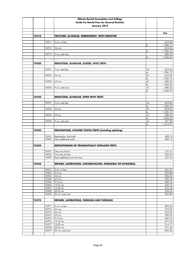|       |                | Alberta Dental Association and College                      |                         |                    |
|-------|----------------|-------------------------------------------------------------|-------------------------|--------------------|
|       |                | <b>Guide for Dental Fees for General Dentists</b>           |                         |                    |
|       |                | January 2018                                                |                         |                    |
|       |                |                                                             |                         |                    |
|       |                |                                                             |                         | Fee                |
| 76910 |                | FRACTURE, ALVEOLAR, DEBRIDEMENT, TEETH REMOVED              |                         |                    |
|       |                |                                                             |                         |                    |
|       | 76911          | 3 cm. or less                                               |                         | 653.06             |
|       | 76912          | 3-6 cm.                                                     | to                      | 1,306.12<br>653.06 |
|       |                |                                                             | to                      | 1,306.12           |
|       | 76913          | 6 cm. and over                                              |                         | 680.22             |
|       |                |                                                             | to                      | 1,360.45           |
|       |                |                                                             |                         |                    |
| 76920 |                | REDUCTION, ALVEOLAR, CLOSED, WITH TEETH                     |                         |                    |
|       |                |                                                             |                         |                    |
|       | 76921          | 3 cm. and less                                              | $+E$                    | 653.06<br>1,306.12 |
|       | 76922          | 3-6 cm.                                                     | to<br>$+E$              | 653.06             |
|       |                |                                                             | to                      | 1,306.12           |
|       | 76923          | 6-9 cm.                                                     | $+E$                    | 680.22             |
|       |                |                                                             | to                      | 1,360.45           |
|       | 76924          | 9 cm. and over                                              | $+E$                    | 680.22             |
|       |                |                                                             | to                      | 1,360.45           |
|       |                |                                                             |                         |                    |
| 76930 |                | REDUCTION, ALVEOLAR, OPEN WITH TEETH                        |                         |                    |
|       | 76931          | 3 cm. and less                                              | $+E$                    | 653.06             |
|       |                |                                                             | to                      | 1,306.12           |
|       | 76932          | 3-6 cm.                                                     | +E                      | 653.06             |
|       |                |                                                             | to                      | 1,306.12           |
|       | 76933          | 6-9 cm.                                                     | $+E$                    | 680.22             |
|       |                |                                                             | $\overline{\mathsf{t}}$ | 1,360.45           |
|       | 76934          | 9 cm. and over                                              | $+E$                    | 707.39             |
|       |                |                                                             | to                      | 1,414.77           |
| 76940 |                | REPLANATION, AVULSED TOOTH/TEETH (including splinting)      |                         |                    |
|       |                |                                                             |                         |                    |
|       | 76941          | Replanation, first tooth                                    |                         | 408.13             |
|       | 76949          | Each additional tooth                                       |                         | 408.13             |
|       |                |                                                             |                         |                    |
| 76950 |                | <b>REPOSITIONING OF TRAUMATICALLY DISPLACED TEETH</b>       |                         |                    |
|       |                | One unit of time                                            |                         | 125.16             |
|       | 76951<br>76952 | Two units of time                                           |                         | 250.35             |
|       | 76959          | Each additional unit over two                               |                         | 125.16             |
|       |                |                                                             |                         |                    |
| 76960 |                | REPAIRS, LACERATIONS, UNCOMPLICATED, INTRAORAL OR EXTRAORAL |                         |                    |
|       |                |                                                             |                         |                    |
|       | 76961          | 2 cm. or less                                               |                         | 261.21             |
|       | 76962          | $\overline{2}$ -4 cm.                                       |                         | 293.88             |
|       | 76963          | 4-6 cm.                                                     |                         | 326.53             |
|       | 76964<br>76965 | 6-9 cm.<br>9-12 cm.                                         |                         | 359.18<br>408.13   |
|       | 76966          | 12-16 cm.                                                   |                         | 442.13             |
|       | 76967          | 16-20 cm.                                                   |                         | 476.16             |
|       | 76968          | 20-25 cm.                                                   |                         | 530.54             |
|       | 76969          | 25 cm. and over                                             |                         | 565.89             |
|       |                |                                                             |                         |                    |
| 76970 |                | <b>REPAIRS, LACERATIONS, THROUGH AND THROUGH</b>            |                         |                    |
|       | 76971          | 2 cm. or less                                               |                         | 282.94             |
|       | 76972          | $2-4$ cm.                                                   |                         | 318.32             |
|       | 76973          | 4-6 cm.                                                     |                         | 353.69             |
|       | 76974          | 6-9 cm.                                                     |                         | 389.04             |
|       | 76975          | 9-12 cm.                                                    |                         | 440.72             |
|       | 76976          | 12-16 cm.                                                   |                         | 477.45             |
|       | 76977          | 16-20 cm.                                                   |                         | 514.17             |
|       | 76978          | 20-25 cm.                                                   |                         | 571.26             |
|       | 76979          | 25 cm. and over                                             |                         | 609.36             |
|       |                |                                                             |                         |                    |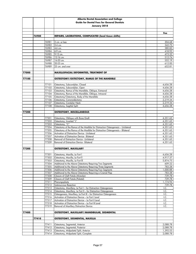|       |       |                | <b>Alberta Dental Association and College</b>                                                                                          |                      |
|-------|-------|----------------|----------------------------------------------------------------------------------------------------------------------------------------|----------------------|
|       |       |                | <b>Guide for Dental Fees for General Dentists</b>                                                                                      |                      |
|       |       |                | January 2018                                                                                                                           |                      |
|       |       |                |                                                                                                                                        |                      |
|       |       |                |                                                                                                                                        | Fee                  |
|       | 76980 |                | <b>REPAIRS, LACERATIONS, COMPLICATED (local tissue shifts)</b>                                                                         |                      |
|       |       |                |                                                                                                                                        |                      |
|       |       | 76981<br>76982 | 2 cm. or less<br>2-4 cm.                                                                                                               | 304.68<br>342.75     |
|       |       | 76983          | 4-6 cm.                                                                                                                                | 380.83               |
|       |       | 76984          | 6-9 cm.                                                                                                                                | 418.93               |
|       |       | 76985          | 9-12 cm.                                                                                                                               | 473.32               |
|       |       | 76986          | 12-16 cm.                                                                                                                              | 512.74               |
|       |       | 76987          | 16-20 cm.                                                                                                                              | 552.19               |
|       |       | 76988          | 20-25 cm.                                                                                                                              | 612.00               |
|       |       | 76989          | 25 cm. and over                                                                                                                        | 652.81               |
|       |       |                |                                                                                                                                        |                      |
| 77000 |       |                | <b>MAXILLOFACIAL DEFORMITIES, TREATMENT OF</b>                                                                                         |                      |
| 77100 |       |                | OSTEOTOMY/OSTECTOMY, RAMUS OF THE MANDIBLE                                                                                             |                      |
|       |       |                |                                                                                                                                        |                      |
|       |       | 77101          | Osteotomy, Subcondylar, Closed                                                                                                         | 4,656.28             |
|       |       | 77102          | Osteotomy, Subcondylar, Open                                                                                                           | 4,656.28             |
|       |       | 77103          | Osteotomy, Ramus of the Mandible, Oblique, Extraoral                                                                                   | 4,656.28             |
|       |       | 77104          | Osteotomy, Ramus of the Mandible, Oblique, Intraoral                                                                                   | 4,656.28             |
|       |       | 77105          | Osteotomy/Ostectomy, Body of the Mandible                                                                                              | 4,656.28             |
|       |       | 77106          | Osteotomy, Coronoidectomy                                                                                                              | 2,219.34             |
|       |       | 77107<br>77108 | Osteotomy, Condylar Neck<br>Osteotomy, Sagittal Split                                                                                  | 2,219.34             |
|       |       |                |                                                                                                                                        | 4,656.28             |
| 77200 |       |                | <b>OSTEOTOMY, MISCELLANEOUS</b>                                                                                                        |                      |
|       |       |                |                                                                                                                                        |                      |
|       |       | 77201          | Osteotomy, Oblique with Bone Graft                                                                                                     | 4,351.65             |
|       |       | 77202          | Osteotomy, Inverted "L"                                                                                                                | 4,351.65             |
|       |       | 77203          | Osteotomy, "C"                                                                                                                         | 4,351.65             |
|       |       | 77204          | Osteotomy of the Ramus of the Madible for Distraction Osteogenesis - Unilateral                                                        | 4,351.65             |
|       |       | 77205          | Osteotomy of the Ramus of the Madible for Distraction Osteogenesis - Bilateral<br>Activation of Distraction Device - Unilateral        | 4,351.65             |
|       |       | 77206<br>77207 | Activation of Distraction Device - Bilateral                                                                                           | 4,351.65<br>4,351.65 |
|       |       | 77208          | Removal of Distraction Device - Unilateral                                                                                             | 4,351.65             |
|       |       | 77209          | Removal of Distraction Device - Bilateral                                                                                              | 4,351.65             |
|       |       |                |                                                                                                                                        |                      |
| 77300 |       |                | <b>OSTEOTOMY, MAXILLARY</b>                                                                                                            |                      |
|       |       |                |                                                                                                                                        |                      |
|       |       | 77301          | Osteotomy, Maxilla, Le Fort I                                                                                                          | 4,656.28             |
|       |       | 77302          | Osteotomy, Maxilla, Le Fort II<br>Osteotomy, Maxilla, Le Fort III                                                                      | 4,917.37             |
|       |       | 77303<br>77304 | Additional to the Above Osteotomy Requiring Two Segments                                                                               | 5.874.75<br>609.22   |
|       |       | 77305          | Additional to the Above Osteotomy Requiring Three Segments                                                                             | 783.28               |
|       |       | 77306          | Additional to the Above Osteotomy Requiring Four Segments                                                                              | 1,000.88             |
|       |       | 77307          | Additional to the Above Osteotomy Requiring a Cranial Flap                                                                             | 783.28               |
|       |       | 77308          | Closure of Cleft Fistula (Alveolar)                                                                                                    | 739.78               |
|       |       | 77309          | Closure of Cleft Fistula (Palatal)                                                                                                     | 739.78               |
|       |       | 77311          | Pharyngoplasty                                                                                                                         | 1,174.94             |
|       |       | 77312          | Submuccous Resection                                                                                                                   | 739.78               |
|       |       | 77313          | Osteotomy, Maxillary, Le Fort I - for Distraction Osteogenesis                                                                         | I.C.                 |
|       |       | 77314<br>77315 | Osteotomy, Maxillary, Le Fort II - for Distraction Osteogenesis<br>Osteogenesis, Maxillary, Le Fort III - for Distraction Osteogenesis | I.C.<br>I.C.         |
|       |       | 77316          | Activation of Distraction Device - Le Fort I Level                                                                                     | I.C.                 |
|       |       | 77317          | Activation of Distraction Device - Le Fort II Level                                                                                    | I.C.                 |
|       |       | 77318          | Activation of Distraction Device - Le Fort III Level                                                                                   | I.C.                 |
|       |       | 77319          | Removal of Maxillary Distraction Device                                                                                                | I.C.                 |
|       |       |                |                                                                                                                                        |                      |
| 77400 |       |                | OSTEOTOMY, MAXILLARY/MANDIBULAR, SEGMENTAL                                                                                             |                      |
|       |       |                |                                                                                                                                        |                      |
|       | 77410 |                | OSTEOTOMY, SEGMENTAL, MAXILLA                                                                                                          |                      |
|       |       | 77411          | Osteotomy, Segmental, Anterior                                                                                                         | 2,088.78             |
|       |       | 77412          | Osteotomy, Segmental, Posterior                                                                                                        | 2,088.78             |
|       |       | 77413          | Osteotomy, Midpalatal Split, Anterior                                                                                                  | 1,392.53             |
|       |       | 77414          | Osteotomy, Midpalatal Split, Complete                                                                                                  | 2,088.78             |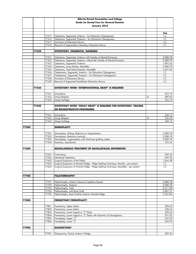|       |       |       | Alberta Dental Association and College                                                                                            |    |                     |
|-------|-------|-------|-----------------------------------------------------------------------------------------------------------------------------------|----|---------------------|
|       |       |       | <b>Guide for Dental Fees for General Dentists</b>                                                                                 |    |                     |
|       |       |       | January 2018                                                                                                                      |    |                     |
|       |       |       |                                                                                                                                   |    |                     |
|       |       |       |                                                                                                                                   |    | Fee                 |
|       |       | 77415 | Osteotomy, Segmental, Anterior - for Distraction Osteogenesis                                                                     |    | I.C.                |
|       |       | 77416 | Osteotomy, Segmental, Posterior - for Distraction Osteogenesis                                                                    |    | I.C.                |
|       |       | 77417 | Activation of Distraction Device                                                                                                  |    | I.C.                |
|       |       | 77418 | Removal of Segmentation Maxillary Distraction Device                                                                              |    | I.C.                |
|       |       |       |                                                                                                                                   |    |                     |
|       | 77420 |       | <b>OSTEOTOMY, SEGMENTAL, MANDIBLE</b>                                                                                             |    |                     |
|       |       | 77421 | Osteotomy, Segmental, Anterior with Transfer of Mental Eminence                                                                   |    | 2,088.78            |
|       |       | 77422 | Osteotomy, Segmental, Anterior, without the Transfer of Mental Eminence                                                           |    | 2,088.78            |
|       |       | 77423 | Osteotomy, Segmental, Posterior                                                                                                   |    | 1,893.26            |
|       |       | 77424 | Osteotomy, Lower Border, Mandible                                                                                                 |    | 2,088.78            |
|       |       | 77425 | Osteotomy, Total Dento-Alveolar, Mandible                                                                                         |    | 4,351.65            |
|       |       | 77426 | Osteteotomy, Segmental, Anterior - for Distraction Osteogenesis                                                                   |    | I.C.                |
|       |       | 77427 | Osteteotomy, Segmental, Posterior - for Distraction Osteogenesis                                                                  |    | I.C.                |
|       |       | 77428 | Activation of Distraction Device                                                                                                  |    | I.C.                |
|       |       | 77429 | Removal of Segmental Mandibular Distraction Device                                                                                |    | I.C.                |
|       |       |       |                                                                                                                                   |    |                     |
|       | 77430 |       | OSTEOTOMY WHEN "INTERPOSITIONAL GRAFT" IS REQUIRED                                                                                |    |                     |
|       |       | 77431 | <b>Using Bone</b>                                                                                                                 |    | 522.19              |
|       |       | 77432 | <b>Using Alloplast</b>                                                                                                            | +E | 489.60              |
|       |       | 77433 | <b>Using Cartilage</b>                                                                                                            |    | 522.19              |
|       |       |       |                                                                                                                                   |    |                     |
|       | 77440 |       | OSTEOTOMY WHEN "ONLAY GRAFT" IS REQUIRED FOR OSTEOTOMY, TRAUMA                                                                    |    |                     |
|       |       |       | OR RECONSTRUCTIVE PROCEDURES                                                                                                      |    |                     |
|       |       |       |                                                                                                                                   |    |                     |
|       |       | 77441 | <b>Using Bone</b>                                                                                                                 |    | 348.13              |
|       |       | 77442 | <b>Using Alloplast</b>                                                                                                            | +E | 326.39              |
|       |       | 77443 | <b>Using Cartilage</b>                                                                                                            |    | 348.13              |
|       |       |       |                                                                                                                                   |    |                     |
| 77500 |       |       | <b>GENIOPLASTY</b>                                                                                                                |    |                     |
|       |       | 77501 | Genioplasty, Sliding, Reduction or Augmentation                                                                                   |    | 2,088.78            |
|       |       | 77502 | Genioplasty, Reduction (vertical)                                                                                                 |    | 2,088.78            |
|       |       | 77503 | Genioplasty, Augmentation with Graft (see grafting codes)                                                                         |    | 2,088.78            |
|       |       | 77504 | Myotomy, Suprahyoid                                                                                                               |    | 522.44              |
|       |       |       |                                                                                                                                   |    |                     |
| 77600 |       |       | MISCELLANEOUS TREATMENT OF MAXILLOFACIAL DEFORMITIES                                                                              |    |                     |
|       |       |       |                                                                                                                                   |    |                     |
|       |       | 77601 | Corticotomy                                                                                                                       |    | 609.36              |
|       |       | 77602 | Interdental Septotomy                                                                                                             |    | 609.36              |
|       |       | 77604 | 77603 Surgical Expansion of the Palate<br>Surgical Expansion of Alveolar Ridge - Ridge Splitting Technique, Maxilla - per sextant |    | 1,044.38            |
|       |       | 77605 | Surgical Expansion of Alveolar Ridge - Ridge Splitting Technique, Mandible - per sextant                                          |    | I.C.<br>$L_{\rm C}$ |
|       |       |       |                                                                                                                                   |    |                     |
|       |       |       |                                                                                                                                   |    |                     |
| 77700 |       |       | <b>PALATORRHAPHY</b>                                                                                                              |    |                     |
|       |       |       |                                                                                                                                   |    |                     |
|       |       | 77701 | Palatorrhaphy, Anterior (closure of palatine fissure)                                                                             |    | 2,088.78            |
|       |       | 77702 | Palatorrhaphy, Posterior                                                                                                          |    | 2,088.78            |
|       |       | 77703 | Palatorrhaphy, Total                                                                                                              |    | 2,611.00            |
|       |       | 77704 | Palatorrhaphy, with Bone Graft                                                                                                    |    | 3,481.31            |
|       |       | 77705 | Palatorrhaphy, Bone Graft to Anterior Alveolar Ridge                                                                              |    | 2,262.84            |
| 77800 |       |       | <b>FRENECTOMY/FRENOPLASTY</b>                                                                                                     |    |                     |
|       |       |       |                                                                                                                                   |    |                     |
|       |       | 77801 | Frenectomy, Upper Labial                                                                                                          |    | 228.62              |
|       |       | 77802 | Frenectomy, Lower Labial                                                                                                          |    | 228.62              |
|       |       | 77803 | Frenectomy, Lower Lingual or "Z" Plasty                                                                                           |    | 228.62              |
|       |       | 77804 | Frenectomy, Lower Lingual or "Z" Plasty with Myotomy of Genioglossus                                                              |    | 391.82              |
|       |       | 77805 | Frenoplasty, Upper "Z"                                                                                                            |    | 342.95              |
|       |       | 77806 | Frenoplasty, Lower "Z"                                                                                                            |    | 342.95              |
|       |       |       |                                                                                                                                   |    |                     |
| 77900 |       |       | <b>GLOSSECTOMY</b>                                                                                                                |    |                     |
|       |       |       |                                                                                                                                   |    |                     |
|       |       | 77901 | Glossectomy, Partial, Anterior Wedge                                                                                              |    | 609.36              |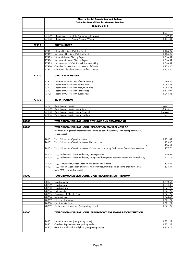|       |       |                | Alberta Dental Association and College                                                                                                           |    |                      |
|-------|-------|----------------|--------------------------------------------------------------------------------------------------------------------------------------------------|----|----------------------|
|       |       |                | <b>Guide for Dental Fees for General Dentists</b>                                                                                                |    |                      |
|       |       |                | January 2018                                                                                                                                     |    |                      |
|       |       |                |                                                                                                                                                  |    |                      |
|       |       |                |                                                                                                                                                  |    | Fee                  |
|       |       | 77902          | Glossectomy, Partial, for Orthodontic Purposes                                                                                                   |    | 609.36               |
|       |       | 77903          | Glossectomy, Full Postero-Anterior Wedge                                                                                                         |    | 1,131.41             |
|       |       |                |                                                                                                                                                  |    |                      |
|       | 77910 |                | <b>CLEFT SURGERY</b>                                                                                                                             |    |                      |
|       |       | 77911          | Primary Unilateral Cleft Lip Repair                                                                                                              |    | 1,174.94             |
|       |       | 77912          | Secondary Unilateral Cleft Lip Repair                                                                                                            |    | 1,174.94             |
|       |       | 77913          | Primary Bilateral Cleft Lip Repair                                                                                                               |    | 1,566.59             |
|       |       | 77914          | Secondary Bilateral Cleft Lip Repair                                                                                                             |    | 1,566.59             |
|       |       | 77915          | Reconstruction of Cleft Lip with Lip Switch Flap                                                                                                 |    | 1,566.59             |
|       |       | 77916          | Complex Reconstruction or Revision of Cleft Lip                                                                                                  |    | 1,958.25             |
|       |       | 77917          | Closure of Alveolar Cleft (see grafting Codes)                                                                                                   |    | 1,958.25             |
|       |       |                |                                                                                                                                                  |    |                      |
|       | 77920 |                | ORAL NASAL FISTULA                                                                                                                               |    |                      |
|       |       | 77921          | Primary Closure at Time of Initial Surgery                                                                                                       |    | 696.25               |
|       |       | 77922          | Secondary Closure with Palatal Flap                                                                                                              |    | 1,044.38             |
|       |       | 77923          | Secondary Closure with Pharyngeal Flap                                                                                                           |    | 1,044.38             |
|       |       | 77924          | Secondary Closure with Tongue Flap                                                                                                               |    | 1,174.94             |
|       |       | 77925          | Secondary Closure with Buccal Flap                                                                                                               |    | 1,044.38             |
|       |       |                |                                                                                                                                                  |    |                      |
|       | 77930 |                | <b>RIGID FIXATION</b>                                                                                                                            |    |                      |
|       |       | 77931          | Rigid Internal Fixation                                                                                                                          |    | Add                  |
|       |       | 77932          | Rigid Internal Fixation using Bone                                                                                                               |    | 25% to               |
|       |       | 77933          | Rigid Internal Fixation using Alloplast                                                                                                          | +E | Surgical             |
|       |       | 77934          | Rigid Internal Fixation using Cartilage                                                                                                          |    | Fee                  |
|       |       |                |                                                                                                                                                  |    |                      |
| 78000 |       |                | <b>TEMPOROMANDIBULAR JOINT DYSFUNCTIONS, TREATMENT OF</b>                                                                                        |    |                      |
|       |       |                |                                                                                                                                                  |    |                      |
| 78100 |       |                | TEMPOROMANDIBULAR JOINT, DISLOCATION MANAGEMENT OF                                                                                               |    |                      |
|       |       |                | (Sedation and general anaesthesia services to be coded separately with appropriate 90000<br>series codes)                                        |    |                      |
|       |       |                |                                                                                                                                                  |    |                      |
|       |       | 78101          | TMJ, Dislocation, Open Reduction                                                                                                                 |    | 1,131.41             |
|       |       | 78102          | TMJ, Dislocation, Closed Reduction, Uncomplicated                                                                                                |    | 103.45               |
|       |       |                |                                                                                                                                                  | to | 206.91               |
|       |       | 78103          | TMJ, Dislocation, Closed Reduction, Complicated (Requiring Sedation or General Anaesthesia)                                                      |    | 217.76               |
|       |       |                |                                                                                                                                                  |    |                      |
|       |       | 78104<br>78105 | TMJ, Subluxation, Closed Reduction, Uncomplicated<br>TMJ, Subluxation, Closed Reduction, Complicated (Requiring Sedation or General Anaesthesia) |    | 206.91               |
|       |       |                |                                                                                                                                                  |    | 217.76               |
|       |       | 78106          | TMJ, Manipulation, under Sedation or General Anaesthesia                                                                                         |    | 326.64               |
|       |       | 78107          | TMJ, Fixation (Application of devices to prevent recurrent dislocation in the short term (arch                                                   |    | 326.64               |
|       |       |                | bars, MMF screws, lvy Loops)                                                                                                                     |    |                      |
|       |       |                |                                                                                                                                                  |    |                      |
| 78200 |       |                | TEMPOROMANDIBULAR JOINT, OPEN PROCEDURES (ARTHROTOMY)                                                                                            |    |                      |
|       |       |                |                                                                                                                                                  |    |                      |
|       |       | 78201          | Condyloplasty                                                                                                                                    |    | 1,740.66             |
|       |       | 78202<br>78203 | Condylotomy<br>Condylectomy                                                                                                                      |    | 1,044.38<br>1,871.22 |
|       |       | 78204          | Eminoplasty                                                                                                                                      |    | 1,871.22             |
|       |       | 78205          | Re-contour of Glenoid Fossa                                                                                                                      |    | 1,871.22             |
|       |       | 78206          | Menisectomy                                                                                                                                      |    | 1,740.66             |
|       |       | 78207          | Plication of Meniscus                                                                                                                            |    | 1,871.22             |
|       |       | 78208          | <b>Repair of Meniscus</b>                                                                                                                        |    | 1,871.22             |
|       |       | 78209          | Replacement of Meniscus (see grafting codes)                                                                                                     |    | 1,871.22             |
|       |       |                |                                                                                                                                                  |    |                      |
| 78300 |       |                | <b>TEMPOROMANDIBULAR JOINT, ARTHROTOMY FOR MAJOR RECONSTRUCTION</b>                                                                              |    |                      |
|       |       |                |                                                                                                                                                  |    |                      |
|       |       | 78301          | Fossa Replacement (see grafting codes)                                                                                                           |    | 1,871.22             |
|       |       | 78302          | Condylar Replacement (see grafting codes)                                                                                                        |    | 1,871.22             |
|       |       | 78303          | Gap, Arthroplasty for Ankylosis (see grafting codes)                                                                                             |    | 2,959.12             |
|       |       |                |                                                                                                                                                  |    |                      |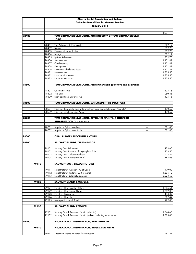|       |       |                | <b>Alberta Dental Association and College</b>                                   |      |                      |
|-------|-------|----------------|---------------------------------------------------------------------------------|------|----------------------|
|       |       |                | <b>Guide for Dental Fees for General Dentists</b>                               |      |                      |
|       |       |                | January 2018                                                                    |      |                      |
|       |       |                |                                                                                 |      |                      |
|       |       |                |                                                                                 |      | Fee                  |
| 78400 |       |                | <b>TEMPOROMANDIBULAR JOINT, ARTHROSCOPY OF TEMPOROMANDIBULAR</b>                |      |                      |
|       |       |                | <b>TNIOL</b>                                                                    |      |                      |
|       |       | 78401          | TMJ Arthroscopic Examination                                                    |      | 522.19               |
|       |       | 78402          | Biopsy                                                                          |      | 739.78               |
|       |       | 78403          | Removal of Loose Bodies                                                         |      | 739.78               |
|       |       | 78404          | Lavage                                                                          |      | 522.19               |
|       |       | 78405          | Lysis of Adhesions                                                              |      | 739.78               |
|       |       | 78406          | Synovectomy                                                                     |      | 1,131.41             |
|       |       | 78407          | Condyloplasty                                                                   |      | 1,131.41             |
|       |       | 78408<br>78409 | Eminoplasty<br>Re-contour of Glenoid Fossa                                      |      | 1,131.41<br>1,131.41 |
|       |       | 78411          | Menisectomy                                                                     |      | 1,305.50             |
|       |       | 78412          | Plication of Meniscus                                                           |      | 1,305.50             |
|       |       | 78413          | Repair of Meniscus                                                              |      | 1,305.50             |
|       |       |                |                                                                                 |      |                      |
| 78500 |       |                | TEMPOROMANDIBULAR JOINT, ARTHROCENTESIS (puncture and aspiration)               |      |                      |
|       |       | 78501          | One unit of time                                                                |      | 125.16               |
|       |       | 78502          | Two units                                                                       |      | 250.35               |
|       |       | 78509          | Each additional unit over two                                                   |      | 125.16               |
|       |       |                |                                                                                 |      |                      |
| 78600 |       |                | <b>TEMPOROMANDIBULAR JOINT, MANAGEMENT BY INJECTIONS</b>                        |      |                      |
|       |       |                |                                                                                 |      |                      |
|       |       | 78601          | Injection, therapeutic drug with or without local anaesthetic drug, "per site", | +E   | 130.59               |
|       |       | 78602          | Injection, with Sclerosing Agent                                                |      | 130.59               |
| 78700 |       |                | TEMPOROMANDIBULAR JOINT, APPLIANCE SPLINTS, ORTHOPEDIC                          |      |                      |
|       |       |                | <b>REHABILITATION</b> (post operative)                                          |      |                      |
|       |       |                |                                                                                 |      |                      |
|       |       | 78701          | Appliance Splint, Maxillary                                                     | +L   | 881.45               |
|       |       | 78702          | Appliance Splint, Mandibular                                                    | $+1$ | 881.45               |
|       |       |                |                                                                                 |      |                      |
| 79000 |       |                | ORAL SURGERY PROCEDURES, OTHER                                                  |      |                      |
| 79100 |       |                | SALIVARY GLANDS, TREATMENT OF                                                   |      |                      |
|       |       |                |                                                                                 |      |                      |
|       |       | 79101          | Salivary Duct, Dilation of                                                      |      | 179.60               |
|       |       | 79102          | Salivary Duct, Insertion of Polyethylene Tube                                   |      | 239.50               |
|       |       | 79103          | Salivary Duct, Sialodochoplasty                                                 |      | 522.44               |
|       |       | 79104          | Salivary Duct, Reconstruction of                                                |      | 783.68               |
|       | 79110 |                | SALIVARY DUCT, SIALOLITHOTOMY                                                   |      |                      |
|       |       |                |                                                                                 |      |                      |
|       |       | 79111          | Sialolithotomy, Anterior 1/3 of Canal                                           |      | 479.00               |
|       |       | 79112          | Sialolithotomy, Posterior 2/3 of Canal                                          |      | 1,306.12             |
|       |       | 79113          | Sialolithotomy, External Approach                                               |      | 2,023.60             |
|       |       |                |                                                                                 |      |                      |
|       | 79120 |                | <b>SALIVARY GLAND, EXCISIONS</b>                                                |      |                      |
|       |       | 79121          | <b>Excision of Submaxillary Gland</b>                                           |      | 1,305.61             |
|       |       | 79122          | <b>Excision of Sublingual Gland</b>                                             |      | 1,632.03             |
|       |       | 79123          | Excision of Mucocele                                                            |      | 163.32               |
|       |       | 79124          | Excision of Ranula                                                              |      | 522.44               |
|       |       | 79125          | Marsupialization of Ranula                                                      |      | 479.00               |
|       |       |                |                                                                                 |      |                      |
|       | 79130 |                | SALIVARY GLAND, REMOVAL                                                         |      |                      |
|       |       | 79131          | Salivary Gland, Removal, Parotid (sub total)                                    |      | 1,740.66             |
|       |       | 79132          | Salivary Gland, Removal, Parotid (radical, including facial nerve)              |      | 2,785.06             |
|       |       |                |                                                                                 |      |                      |
| 79200 |       |                | NEUROLOGICAL DISTURBANCES, TREATMENT OF                                         |      |                      |
|       |       |                |                                                                                 |      |                      |
|       | 79210 |                | NEUROLOGICAL DISTURBANCES, TRIGEMINAL NERVE                                     |      |                      |
|       |       | 79211          | Trigeminal Nerve, Injection for Destruction                                     |      | 261.21               |
|       |       |                |                                                                                 |      |                      |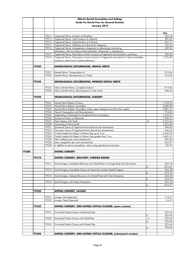|       |       |                | Alberta Dental Association and College                                                                   |      |                    |
|-------|-------|----------------|----------------------------------------------------------------------------------------------------------|------|--------------------|
|       |       |                | <b>Guide for Dental Fees for General Dentists</b>                                                        |      |                    |
|       |       |                | January 2018                                                                                             |      |                    |
|       |       |                |                                                                                                          |      |                    |
|       |       |                |                                                                                                          |      | Fee                |
|       |       | 79212          | Trigeminal Nerve, Avulsion at Periphery                                                                  |      | 544.18             |
|       |       | 79213          | Trigeminal Nerve, Total Avulsion of a Branch                                                             |      | 990.33             |
|       |       | 79214<br>79215 | Trigeminal Nerve, Alcoholization of a Branch<br>Trigeminal Nerve, Infiltration of a Branch for Diagnosis |      | 261.21<br>125.16   |
|       |       | 79216          | Trigeminal Nerve, Intraoperative, diagnostic or physiologic monitoring                                   |      | 239.50             |
|       |       |                | (stimulation with recording evoked potentials, ultrasound, or impedance)                                 |      |                    |
|       |       | 79217          | Trigeminal Nerve, Neurolysis or tumor excision of trigeminal nerve branch in soft tissue                 |      | 783.68             |
|       |       | 79218          | Trigeminal Nerve, Neurolysis or tumor excision of trigeminal nerve branch in bone (mandible,             |      | 1,523.40           |
|       |       |                | maxilla or orbit) (not to include osteotomy)                                                             |      |                    |
|       | 79220 |                | NEUROLOGICAL DISTURBANCES, MENTAL NERVE                                                                  |      |                    |
|       |       |                |                                                                                                          |      |                    |
|       |       | 79221          | Mental Nerve, Transportation of                                                                          |      | 914.04             |
|       |       | 79222          | Mental Nerve, Decompression in Canal                                                                     |      | 914.04             |
|       | 79230 |                | NEUROLOGICAL DISTURBANCES, INFERIOR DENTAL NERVE                                                         |      |                    |
|       |       | 79231          | Inferior Dental Nerve, Complete Avulsion                                                                 |      | 914.04             |
|       |       | 79232          | Inferior Dental Nerve, Decompression in the Canal                                                        |      | 946.63             |
|       |       |                |                                                                                                          |      |                    |
|       | 79240 |                | <b>NEUROLOGICAL DISTURBANCES, SURGERY</b>                                                                |      |                    |
|       |       | 79241          | Injured Nerve Repair, Primary                                                                            |      | 1,218.72           |
|       |       | 79242          | Injured Nerve Repair, Secondary                                                                          |      | 3,089.69           |
|       |       | 79243          | Injured Nerve Repair, Secondary, (when repair delayed more than four weeks)                              |      | 3,481.31           |
|       |       | 79244          | Neural Transposition and Decompression                                                                   |      | 914.04             |
|       |       | 79245          | Implantation of Electrode for Peripheral Nerve Stimulation                                               |      | 1,218.72           |
|       |       | 79246          | Excision of Tumor or Neuroma                                                                             |      | 1,305.61           |
|       |       | 79247          | Nerve Repair with Graft                                                                                  | +E   | 4,351.65           |
|       |       | 79248          | Harvesting of Nerve Graft                                                                                |      | 1,523.40           |
|       |       | 79251          | Epineurial Suture of Trigeminal Nerve Branch per Anastomosis                                             |      | 946.63             |
|       |       | 79252          | Fascicular Suture of Trigeminal Nerve Branch per Anastomosis                                             |      | 946.63             |
|       |       | 79253          | Conduit Implant for Repair of Nerve Gap up to 3 cm.                                                      |      | 2,436.94           |
|       |       | 79254<br>79255 | Conduit Implant for Repair of Nerve Gap greater than 3 cm.                                               |      | 3,481.31<br>609.36 |
|       |       | 79256          | Fibrin adhesive per nerve anastomosis<br>Laser coaqulation per verve anastomosis                         |      | 652.81             |
|       |       | 79258          | In addition to above procedures, when using operating microscopes                                        |      | 130.59             |
|       |       |                |                                                                                                          |      |                    |
| 79300 |       |                | <b>ANTRAL SURGERY</b>                                                                                    |      |                    |
|       | 79310 |                | <b>ANTRAL SURGERY, RECOVERY, FOREIGN BODIES</b>                                                          |      |                    |
|       |       |                |                                                                                                          |      |                    |
|       |       | 79311          | Antral Surgery, Immediate Recovery of a Dental Root or Foreign Body from the Antrum                      |      | 544.18             |
|       |       |                |                                                                                                          | to   | 816.27             |
|       |       | 79312          | Antral Surgery, Immediate Closure of Antrum by Another Dental Surgeon                                    |      | 544.18             |
|       |       |                |                                                                                                          | to   | 816.27             |
|       |       | 79313          | Antral Surgery, Delayed Recovery of a Dental Root with Oral Antrostomy                                   |      | 544.18<br>816.27   |
|       |       | 79314          | Antral Surgery with Nasal Antrostomy                                                                     | to   | 544.18             |
|       |       |                |                                                                                                          | to   | 816.27             |
|       |       |                |                                                                                                          |      |                    |
|       | 79320 |                | <b>ANTRAL SURGERY, LAVAGE</b>                                                                            |      |                    |
|       |       | 79321          |                                                                                                          |      | 114.31             |
|       |       | 79322          | Lavage, Oral Approach<br>Lavage, Nasal Approach                                                          |      | 114.31             |
|       |       |                |                                                                                                          |      |                    |
|       | 79330 |                | ANTRAL SURGERY, ORO-ANTRAL FISTULA CLOSURE, (same session)                                               |      |                    |
|       |       |                |                                                                                                          |      |                    |
|       |       | 79331          | Oro-Antral Fistula Closure with Buccal Flap                                                              | to   | 522.44<br>783.68   |
|       |       | 79332          | Oro-Antral Fistula Closure with Gold Plate                                                               | $+1$ | 522.44             |
|       |       |                |                                                                                                          | to   | 783.68             |
|       |       | 79333          | Oro-Antral Fistula Closure with Palatal Flap                                                             |      | 522.44             |
|       |       |                |                                                                                                          | to   | 783.68             |
|       |       |                |                                                                                                          |      |                    |
|       | 79340 |                | ANTRAL SURGERY, ORO-ANTRAL FISTULA CLOSURE, (subsequent session)                                         |      |                    |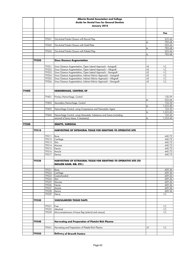|       |       |       | Alberta Dental Association and College                                   |      |                  |
|-------|-------|-------|--------------------------------------------------------------------------|------|------------------|
|       |       |       | <b>Guide for Dental Fees for General Dentists</b>                        |      |                  |
|       |       |       | January 2018                                                             |      |                  |
|       |       |       |                                                                          |      |                  |
|       |       |       |                                                                          |      | Fee              |
|       |       |       |                                                                          |      |                  |
|       |       | 79341 | Oro-Antral Fistula Closure with Buccal Flap                              |      | 522.44           |
|       |       |       |                                                                          | to   | 783.68           |
|       |       | 79342 | Oro-Antral Fistula Closure with Gold Plate                               |      | 522.44           |
|       |       |       |                                                                          | to   | 783.68           |
|       |       | 79343 | Oro-Antral Fistula Closure with Palatal Flap                             | to   | 522.44<br>783.68 |
|       |       |       |                                                                          |      |                  |
|       | 79350 |       | <b>Sinus Osseous Augmentation</b>                                        |      |                  |
|       |       |       |                                                                          |      |                  |
|       |       | 79351 | Sinus Osseous Augmentation, Open Lateral Approach - Autograft            | +E   | I.C.             |
|       |       | 79352 | Sinus Osseous Augmentation, Open Lateral Approach - Allograft            | $+E$ | I.C.             |
|       |       | 79353 | Sinus Osseous Augmentation, Open Lateral Approach - Xenograft            | $+E$ | I.C.             |
|       |       | 79354 | Sinus Osseous Augmentation, Indirect Inferior Approach - Autograft       | $+E$ | I.C.             |
|       |       | 79355 | Sinus Osseous Augmentation, Indirect Inferior Approach - Allograft       | $+E$ | I.C.             |
|       |       | 79356 | Sinus Osseous Augmentation, Indirect Inferior Approach - Xenograft       | $+E$ | I.C.             |
|       |       |       |                                                                          |      |                  |
| 79400 |       |       |                                                                          |      |                  |
|       |       |       | <b>HEMORRHAGE, CONTROL OF</b>                                            |      |                  |
|       |       | 79401 | Primary Hemorrhage, Control                                              |      | 130.59           |
|       |       |       |                                                                          | to   | 522.44           |
|       |       | 79402 | Secondary Hemorrhage, Control                                            |      | 152.33           |
|       |       |       |                                                                          | to   | 1,523.40         |
|       |       | 79403 | Hemorrhage Control, using Compression and Hemostatic Agent               |      | 152.33           |
|       |       |       |                                                                          | to   | 1,523.40         |
|       |       | 79404 | Hemorrhage Control, using Hemostatic Substance and Suture (including     |      | 152.33           |
|       |       |       | removal of bony tissue, if necessary)                                    | to   | 1,523.40         |
|       |       |       |                                                                          |      |                  |
| 79500 |       |       | <b>GRAFTS, SURGICAL</b>                                                  |      |                  |
|       | 79510 |       | <b>HARVESTING OF INTRAORAL TISSUE FOR GRAFTING TO OPERATIVE SITE</b>     |      |                  |
|       |       |       |                                                                          |      |                  |
|       |       | 79511 | Bone                                                                     |      | 440.72           |
|       |       | 79512 | Cartilage                                                                |      | 440.72           |
|       |       | 79513 | Skin                                                                     |      | 440.72           |
|       |       | 79514 | Mucosa                                                                   |      | 440.72           |
|       |       | 79515 | Fascia                                                                   |      | 440.72           |
|       |       | 79516 | Muscle                                                                   |      | 440.72           |
|       |       | 79517 | Dermis                                                                   |      | 440.72           |
|       |       |       |                                                                          |      |                  |
|       | 79520 |       | <b>HARVESTING OF EXTRAORAL TISSUE FOR GRAFTING TO OPERATIVE SITE (TO</b> |      |                  |
|       |       |       | <b>INCLUDE ILIUM. RIB. ETC.)</b>                                         |      |                  |
|       |       | 79521 | Bone                                                                     |      | 609.36           |
|       |       | 79522 | Cartilage                                                                |      | 609.36           |
|       |       | 79523 | Costochondral                                                            |      | 609.36           |
|       |       | 79524 | Skin                                                                     |      | 609.36           |
|       |       | 79525 | Mucosa                                                                   |      | 609.36           |
|       |       | 79526 | Fascia                                                                   |      | 609.36           |
|       |       | 79527 | Muscle                                                                   |      | 609.36           |
|       |       | 79528 | Dermis                                                                   |      | 609.36           |
|       |       | 79529 | Nerve                                                                    |      | I.C.             |
|       | 79530 |       |                                                                          |      |                  |
|       |       |       | <b>VASCULARIZED TISSUE FLAPS</b>                                         |      |                  |
|       |       | 79531 | Free                                                                     |      | I.C.             |
|       |       | 79532 | Attached                                                                 |      | I.C.             |
|       |       | 79539 | Micro-anastomosis of tissue flap (arterial and venous)                   |      | I.C.             |
|       |       |       |                                                                          |      |                  |
|       |       |       |                                                                          |      |                  |
|       | 79540 |       | Harvesting and Preparation of Platelet Rich Plasma                       |      |                  |
|       |       |       |                                                                          |      |                  |
|       |       | 79541 | Harvesting and Preparation of Platelet Rich Plasma                       | $+E$ | I.C.             |
|       | 79550 |       |                                                                          |      |                  |
|       |       |       | <b>Delivery of Growth Factors</b>                                        |      |                  |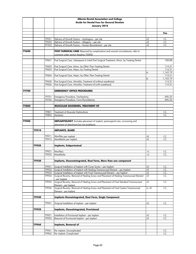|       |       |                | Alberta Dental Association and College                                                                                                                             |            |                    |
|-------|-------|----------------|--------------------------------------------------------------------------------------------------------------------------------------------------------------------|------------|--------------------|
|       |       |                | <b>Guide for Dental Fees for General Dentists</b>                                                                                                                  |            |                    |
|       |       |                | January 2018                                                                                                                                                       |            |                    |
|       |       |                |                                                                                                                                                                    |            |                    |
|       |       |                |                                                                                                                                                                    |            | Fee                |
|       |       |                |                                                                                                                                                                    |            |                    |
|       |       | 79551          | Delivery of Growth Factors - Autologous - per site                                                                                                                 | +E         | I.C.               |
|       |       | 79552          | Delivery of Growth Factors - Allogenic - per site                                                                                                                  | $+E$       | I.C.               |
|       |       | 97553          | Delivery of Growth Factors - Human Recombinant - per site                                                                                                          | +E         | I.C.               |
| 79600 |       |                | POST SURGICAL CARE (Required by complications and unusual circumstances, refer to                                                                                  |            |                    |
|       |       |                | comment under section heading 70000)                                                                                                                               |            |                    |
|       |       |                |                                                                                                                                                                    |            |                    |
|       |       | 79601          | Post Surgical Care, Subsequent to Initial Post Surgical Treatment, Minor, by Treating Dentist                                                                      |            | 108.88             |
|       |       |                |                                                                                                                                                                    |            |                    |
|       |       | 79602          | Post Surgical Care, Minor, by Other Than Treating Dentist                                                                                                          |            | 114.31             |
|       |       | 79603          | Post Surgical Care, Major, by Treating Dentist                                                                                                                     |            | 114.31             |
|       |       |                |                                                                                                                                                                    | to         | 1,143.19           |
|       |       | 79604          | Post Surgical Care, Major, by Other Than Treating Dentist                                                                                                          |            | 114.31             |
|       |       | 79605          | Post Surgical Care, Alveolitis, Treatment of (without anesthesia)                                                                                                  | to         | 1,143.19<br>114.31 |
|       |       | 79606          | Post Surgical Care, Alveolitis, Treatment of (with anesthesia)                                                                                                     |            | 114.31             |
|       |       |                |                                                                                                                                                                    |            |                    |
| 79700 |       |                | <b>EMERGENCY OFFICE PROCEDURES</b>                                                                                                                                 |            |                    |
|       |       |                |                                                                                                                                                                    |            |                    |
|       |       | 79701          | Emergency Procedure, Tracheotomy                                                                                                                                   |            | 696.25             |
|       |       | 79702          | Emergency Procedure, Crico-Thyroidotomy                                                                                                                            |            | 696.25             |
|       |       |                |                                                                                                                                                                    |            |                    |
| 79800 |       |                | MUSCULAR DISORDERS, TREATMENT OF                                                                                                                                   |            |                    |
|       |       | 79801          | <b>Treatment of Muscular Dysfunctions</b>                                                                                                                          |            |                    |
|       |       | 79802          | Myotomy                                                                                                                                                            |            | I.C.<br>I.C.       |
|       |       |                |                                                                                                                                                                    |            |                    |
| 79900 |       |                | <b>IMPLANTOLOGY</b> (Includes placement of implant, post-surgical care, uncovering and                                                                             |            |                    |
|       |       |                | placement of attachment but not prosthesis)                                                                                                                        |            |                    |
|       |       |                |                                                                                                                                                                    |            |                    |
|       | 79910 |                | <b>IMPLANTS, BLADE</b>                                                                                                                                             |            |                    |
|       |       |                |                                                                                                                                                                    |            |                    |
|       |       | 79911          | Maxillary per implant                                                                                                                                              | +E         | I.C.               |
|       |       | 79912          | Mandibular per implant                                                                                                                                             | +E         | I.C.               |
|       | 79920 |                | <b>Implants, Subperiosteal</b>                                                                                                                                     |            |                    |
|       |       |                |                                                                                                                                                                    |            |                    |
|       |       | 79921          | Maxillary                                                                                                                                                          | $+1$       | I.C.               |
|       |       | 79922          | Mandibular                                                                                                                                                         | $+1$       | I.C.               |
|       |       |                |                                                                                                                                                                    |            |                    |
|       | 79930 |                | Implants, Ossenointegrated, Root Form, More than one component                                                                                                     |            |                    |
|       |       |                |                                                                                                                                                                    |            |                    |
|       |       | 79931<br>79932 | Surgical Installation of Implant with Cover Screw - per Implant                                                                                                    | +E         | I.C.               |
|       |       | 79933          | Surgical Installation of Implant with Healing Transmucosal Element - per Implant<br>Surgical Installation of Implant with Final Transmucusal Element - per Implant | $+E$<br>+E | I.C.<br>I.C.       |
|       |       | 79934          | Surgical Re-entry, Removal of Healing Screw and Placement of Healing Transmucosal Element                                                                          | +E         | I.C.               |
|       |       |                | – per Implant                                                                                                                                                      |            |                    |
|       |       | 79935          | Surgical Re-entry, Removal of Healing Screw and Placement of Final Standard Transmucosal                                                                           | +E         | I.C.               |
|       |       |                | Element - per Implant                                                                                                                                              |            |                    |
|       |       | 79936          | Surgical Re-entry, Removal of Healing Screw and Placement of Final Custom Transmucosal                                                                             | $+L +E$    | I.C.               |
|       |       |                | Element – per Implant                                                                                                                                              |            |                    |
|       |       |                |                                                                                                                                                                    |            |                    |
|       | 79940 |                | <b>Implants Osseointegrated, Root Form, Single Component</b>                                                                                                       |            |                    |
|       |       | 79941          | Surgical Installation of Implant - per Implant                                                                                                                     | +E         | I.C.               |
|       |       |                |                                                                                                                                                                    |            |                    |
|       | 79950 |                | <b>Implants, Osseointegrated, Provisional</b>                                                                                                                      |            |                    |
|       |       |                |                                                                                                                                                                    |            |                    |
|       |       | 79951          | Installation of Provisional Implant - per Implant                                                                                                                  | +E         | I.C.               |
|       |       | 79952          | Removal of Provisional Implant - per Implant                                                                                                                       | +E         | I.C.               |
|       |       |                |                                                                                                                                                                    |            |                    |
|       | 79960 |                | <b>Implants, Removal of</b>                                                                                                                                        |            |                    |
|       |       | 79961          | Per implant, Uncomplicated                                                                                                                                         |            | I.C.               |
|       |       | 79962          | Per implant, Complicated                                                                                                                                           |            | I.C.               |
|       |       |                |                                                                                                                                                                    |            |                    |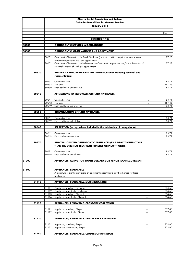|       |       |       | Alberta Dental Association and College                                                                                                        |      |        |
|-------|-------|-------|-----------------------------------------------------------------------------------------------------------------------------------------------|------|--------|
|       |       |       | <b>Guide for Dental Fees for General Dentists</b>                                                                                             |      |        |
|       |       |       | January 2018                                                                                                                                  |      |        |
|       |       |       |                                                                                                                                               |      |        |
|       |       |       |                                                                                                                                               |      | Fee    |
|       |       |       | <b>ORTHODONTICS</b>                                                                                                                           |      |        |
|       |       |       |                                                                                                                                               |      |        |
| 80000 |       |       | <b>ORTHODONTIC SERVICES, MISCELLANEOUS</b>                                                                                                    |      |        |
|       |       |       |                                                                                                                                               |      |        |
| 80600 |       |       | ORTHODONTIC, OBSERVATIONS AND ADJUSTMENTS                                                                                                     |      |        |
|       |       | 80601 | Orthodontic Observation - for Tooth Guidance (i.e. tooth position, eruption sequence, serial<br>extraction supervision, etc.) per appointment |      | 77.28  |
|       |       | 80602 | Orthodontic Observation and adjustment - to Orthodontic Appliances and/or the Reduction of                                                    |      | 77.28  |
|       |       |       | Proximal Surfaces of Teeth per appointment                                                                                                    |      |        |
|       |       |       |                                                                                                                                               |      |        |
|       | 80630 |       | REPAIRS TO REMOVABLE OR FIXED APPLIANCES (not including removal and<br>recementation)                                                         |      |        |
|       |       |       |                                                                                                                                               |      |        |
|       |       | 80631 | One unit of time                                                                                                                              | +L   | 83.71  |
|       |       | 80632 | Two units                                                                                                                                     | +L   | 167.45 |
|       |       | 80639 | Each additional unit over two                                                                                                                 |      | 83.71  |
|       | 80640 |       | <b>ALTERATIONS TO REMOVABLE OR FIXED APPLIANCES</b>                                                                                           |      |        |
|       |       |       |                                                                                                                                               |      |        |
|       |       | 80641 | One unit of time                                                                                                                              | +L   | 83.71  |
|       |       | 80642 | Two units                                                                                                                                     | $+1$ | 167.45 |
|       |       | 80649 | Each additional unit over two                                                                                                                 |      | 83.71  |
|       | 80650 |       | <b>RECEMENTATION OF FIXED APPLIANCES</b>                                                                                                      |      |        |
|       |       |       |                                                                                                                                               |      |        |
|       |       | 80651 | One unit of time                                                                                                                              |      | 83.71  |
|       |       | 80659 | Each additional unit of time                                                                                                                  |      | 83.71  |
|       |       |       |                                                                                                                                               |      |        |
|       | 80660 |       | SEPARATION (except where included in the fabrication of an appliance)                                                                         |      |        |
|       |       | 80661 | One unit of time                                                                                                                              |      | 83.71  |
|       |       | 80669 | Each addition unit of time                                                                                                                    |      | 83.71  |
|       |       |       |                                                                                                                                               |      |        |
|       | 80670 |       | REMOVAL OF FIXED ORTHODONTIC APPLIANCES (BY A PRACTITIONER OTHER<br>THAN THE ORIGINAL TREATMENT PRACTICE OR PRACTITIONER)                     |      |        |
|       |       |       |                                                                                                                                               |      |        |
|       |       | 80671 | One unit of time                                                                                                                              |      | 83.71  |
|       |       | 80679 | Each additional unit of time                                                                                                                  |      | 83.71  |
| 81000 |       |       | APPLIANCES, ACTIVE, FOR TOOTH GUIDANCE OR MINOR TOOTH MOVEMENT                                                                                |      |        |
|       |       |       |                                                                                                                                               |      |        |
| 81100 |       |       | <b>APPLIANCES, REMOVABLE</b>                                                                                                                  |      |        |
|       |       |       | A maximum of eight observations or adjustment appointments may be charged for these                                                           |      |        |
|       |       |       | appliances.                                                                                                                                   |      |        |
|       |       |       |                                                                                                                                               |      |        |
|       | 81110 |       | APPLIANCES, REMOVABLE, SPACE REGAINING                                                                                                        |      |        |
|       |       | 81111 | Appliance, Maxillary, Unilateral                                                                                                              | +L   | 334.65 |
|       |       | 81112 | Appliance, Mandibular, Unilateral                                                                                                             | $+1$ | 334.65 |
|       |       | 81113 | Appliance, Maxillary, Bilateral                                                                                                               | $+1$ | 334.65 |
|       |       | 81114 | Appliance, Mandibular, Bilateral                                                                                                              | $+1$ | 334.65 |
|       | 81120 |       | APPLIANCES, REMOVABLE, CROSS-BITE CORRECTION                                                                                                  |      |        |
|       |       |       |                                                                                                                                               |      |        |
|       |       | 81121 | Appliance, Maxillary, Simple                                                                                                                  | +L   | 317.40 |
|       |       | 81122 | Appliance, Mandibular, Simple                                                                                                                 | $+1$ | 317.40 |
|       |       |       |                                                                                                                                               |      |        |
|       | 81130 |       | APPLIANCES, REMOVABLE, DENTAL ARCH EXPANSION                                                                                                  |      |        |
|       |       | 81131 | Appliance, Maxillary, Simple                                                                                                                  | $+1$ | 334.65 |
|       |       | 81132 | Appliances, Mandibular, Simple                                                                                                                | $+1$ | 334.65 |
|       |       |       |                                                                                                                                               |      |        |
|       | 81140 |       | APPLIANCES, REMOVABLE, CLOSURE OF DIASTEMAS                                                                                                   |      |        |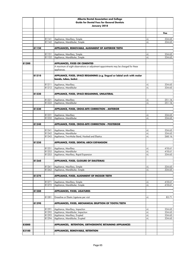|       |       |                | Alberta Dental Association and College                                                                                      |          |                  |
|-------|-------|----------------|-----------------------------------------------------------------------------------------------------------------------------|----------|------------------|
|       |       |                | <b>Guide for Dental Fees for General Dentists</b>                                                                           |          |                  |
|       |       |                | January 2018                                                                                                                |          |                  |
|       |       |                |                                                                                                                             |          |                  |
|       |       |                |                                                                                                                             |          | Fee              |
|       |       |                |                                                                                                                             |          |                  |
|       |       | 81141<br>81142 | Appliance, Maxillary, Simple<br>Appliance, Mandibular, Simple                                                               | +L<br>+L | 334.65<br>334.65 |
|       |       |                |                                                                                                                             |          |                  |
|       | 81150 |                | APPLIANCES, REMOVABLE, ALIGNMENT OF ANTERIOR TEETH                                                                          |          |                  |
|       |       |                |                                                                                                                             |          |                  |
|       |       | 81151          | Appliance, Maxillary, Simple                                                                                                | +L       | 334.65           |
|       |       | 81152          | Appliance, Mandibular, Simple                                                                                               | +L       | 334.65           |
|       |       |                |                                                                                                                             |          |                  |
| 81200 |       |                | <b>APPLIANCES, FIXED OR CEMENTED</b><br>A maximum of eight observations or adjustment appointments may be charged for these |          |                  |
|       |       |                | appliances.                                                                                                                 |          |                  |
|       |       |                |                                                                                                                             |          |                  |
|       | 81210 |                | APPLIANCE, FIXED, SPACE REGAINING (e.g. lingual or labial arch with molar                                                   |          |                  |
|       |       |                | bands, tubes, locks)                                                                                                        |          |                  |
|       |       |                |                                                                                                                             |          |                  |
|       |       | 81211          | Appliance, Maxillary                                                                                                        | +L       | 334.65           |
|       |       | 81212          | Appliance, Mandibular                                                                                                       | +L       | 334.65           |
|       | 81220 |                | APPLIANCE, FIXED, SPACE REGAINING, UNILATERAL                                                                               |          |                  |
|       |       |                |                                                                                                                             |          |                  |
|       |       | 81221          | Appliance, Maxillary                                                                                                        | +L       | 251.16           |
|       |       | 81222          | Appliance, Mandibular                                                                                                       | +L       | 251.16           |
|       |       |                |                                                                                                                             |          |                  |
|       | 81230 |                | APPLIANCE, FIXED, CROSS-BITE CORRECTION - ANTERIOR                                                                          |          |                  |
|       |       |                |                                                                                                                             |          |                  |
|       |       | 81231<br>81232 | Appliance, Maxillary<br>Appliance, Mandibular                                                                               | +L       | 334.65           |
|       |       |                |                                                                                                                             | +L       | 334.65           |
|       | 81240 |                | APPLIANCE, FIXED, CROSS-BITE CORRECTION - POSTERIOR                                                                         |          |                  |
|       |       |                |                                                                                                                             |          |                  |
|       |       | 81241          | Appliance, Maxillary                                                                                                        | +L       | 334.65           |
|       |       | 81242          | Appliance, Mandibular                                                                                                       | $+1$     | 334.65           |
|       |       | 81243          | Appliance, Two-Molar Band, Hooked and Elastics                                                                              | +L       | 268.16           |
|       |       |                |                                                                                                                             |          |                  |
|       | 81250 |                | <b>APPLIANCE, FIXED, DENTAL ARCH EXPANSION</b>                                                                              |          |                  |
|       |       | 81251          | Appliance, Maxillary                                                                                                        | +L       | 418.61           |
|       |       | 81252          | Appliance, Mandibular                                                                                                       | $+1$     | 418.61           |
|       |       | 81253          | Appliance, Maxillary, Rapid Expansion                                                                                       | $+1$     | 334.65           |
|       |       |                |                                                                                                                             |          |                  |
|       | 81260 |                | <b>APPLIANCE, FIXED, CLOSURE OF DIASTEMAS</b>                                                                               |          |                  |
|       |       |                |                                                                                                                             |          |                  |
|       |       | 81261          | Appliance, Maxillary, Simple                                                                                                | +L       | 334.65           |
|       |       | 81262          | Appliance, Mandibular, Simple                                                                                               | $+1$     | 334.65           |
|       | 81270 |                | APPLIANCE, FIXED, ALIGNMENT OF INCISOR TEETH                                                                                |          |                  |
|       |       |                |                                                                                                                             |          |                  |
|       |       | 81271          | Appliance, Maxillary, Simple                                                                                                | +L       | 418.61           |
|       |       | 81272          | Appliance, Mandibular, Simple                                                                                               | $+1$     | 418.61           |
|       |       |                |                                                                                                                             |          |                  |
|       | 81280 |                | <b>APPLIANCES, FIXED, LIGATURES</b>                                                                                         |          |                  |
|       |       |                |                                                                                                                             |          |                  |
|       |       | 81281          | Grassline or Elastic Ligatures per visit                                                                                    | +L       | 83.71            |
|       | 81290 |                | APPLIANCES, FIXED, MECHANICAL ERUPTION OF TOOTH/TEETH                                                                       |          |                  |
|       |       |                |                                                                                                                             |          |                  |
|       |       | 81291          | Appliance, Maxillary, Impaction                                                                                             | +L       | 334.65           |
|       |       | 81292          | Appliance, Mandibular, Impaction                                                                                            | $+1$     | 334.65           |
|       |       | 81293          | Appliance, Maxillary, Erupted                                                                                               | +L       | 334.65           |
|       |       | 81294          | Appliance, Mandibular, Erupted                                                                                              | $+1$     | 334.65           |
|       |       |                |                                                                                                                             |          |                  |
| 83000 |       |                | APPLIANCES, RETENTION, ORTHODONTIC RETAINING APPLIANCES                                                                     |          |                  |
| 83100 |       |                | <b>APPLIANCES, REMOVABLE, RETENTION</b>                                                                                     |          |                  |
|       |       |                |                                                                                                                             |          |                  |
|       |       |                |                                                                                                                             |          |                  |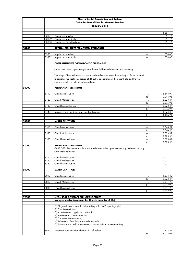|       |       | Alberta Dental Association and College                                                           |            |                       |
|-------|-------|--------------------------------------------------------------------------------------------------|------------|-----------------------|
|       |       | <b>Guide for Dental Fees for General Dentists</b>                                                |            |                       |
|       |       | January 2018                                                                                     |            |                       |
|       |       |                                                                                                  |            |                       |
|       |       |                                                                                                  |            | Fee                   |
|       | 83101 | Appliance, Maxillary                                                                             | +L         | 251.16                |
|       | 83102 | Appliance, Mandibular                                                                            | $+1$       | 251.16                |
|       | 83103 | Appliance, Tooth Positioner                                                                      | +L         | 251.16                |
| 83200 |       | APPLIANCES, FIXED/CEMENTED, RETENTION                                                            |            |                       |
|       |       |                                                                                                  |            |                       |
|       | 83201 | Appliance, Maxillary                                                                             | +L         | 334.65                |
|       | 83202 | Appliance, Mandibular                                                                            | $+1$       | 334.65                |
|       |       |                                                                                                  |            |                       |
|       |       | <b>COMPREHENSIVE ORTHODONTIC TREATMENT</b>                                                       |            |                       |
|       |       |                                                                                                  |            |                       |
|       |       | CASE TYPE - Fixed Appliance (includes formal full banded treatment and retention)                |            |                       |
|       |       | The range of fees with these procedure codes reflects such variables as length of time required  |            |                       |
|       |       | to complete the treatment, degree of difficulty, co-operation of the patient, etc. and the fee   |            |                       |
|       |       | charged should be determined accordingly.                                                        |            |                       |
|       |       |                                                                                                  |            |                       |
| 84000 |       | <b>PERMANENT DENTITION</b>                                                                       |            |                       |
|       |       |                                                                                                  |            |                       |
|       | 84101 | Class   Malocclusion                                                                             | +L         | 3,348.99              |
|       |       |                                                                                                  | to         | 10,046.96<br>5,023.47 |
|       | 84201 | Class II Malocclusion                                                                            | $+1$<br>to | 13,395.96             |
|       | 84301 | <b>Class III Malocclusions</b>                                                                   | $+1$       | 5,023.47              |
|       |       |                                                                                                  | to         | 13,395.96             |
|       | 84401 | Malocclusions Not Requiring Complete Banding                                                     | $+1$       | 1,674.48              |
|       |       |                                                                                                  | to         | 4,186.24              |
|       |       |                                                                                                  |            |                       |
| 85000 |       | <b>MIXED DENTITION</b>                                                                           |            |                       |
|       | 85101 | Class   Malocclusion                                                                             | $+1$       | 3,348.99              |
|       |       |                                                                                                  | to         | 10,046.96             |
|       | 85201 | Class II Malocclusion                                                                            | $+1$       | 5,023.47              |
|       |       |                                                                                                  | to         | 13,395.96             |
|       | 85301 | Class III Malocclusion                                                                           | $+1$       | 5,023.47              |
|       |       |                                                                                                  | to         | 13,395.96             |
| 87000 |       | PERMANENT DENTITION                                                                              |            |                       |
|       |       | CASE TYPE - Removable Appliances (includes removable appliance therapy and retention; e.g.       |            |                       |
|       |       | functional appliances)                                                                           |            |                       |
|       | 87101 | <b>Class   Malocclusion</b>                                                                      | +L         | I.C.                  |
|       |       | 87201 Class II Malocclusion                                                                      | $+1$       | I.C.                  |
|       | 87301 | Class III Malocclusion                                                                           | $+1$       | I.C.                  |
|       |       |                                                                                                  |            |                       |
| 88000 |       | <b>MIXED DENTITION</b>                                                                           |            |                       |
|       |       |                                                                                                  |            |                       |
|       | 88101 | Class   Malocclusion                                                                             | +L         | 1,674.48              |
|       | 88201 | Class II Malocclusion                                                                            | to<br>$+1$ | 5,023.47<br>2,511.73  |
|       |       |                                                                                                  | to         | 6,697.97              |
|       | 88301 | Class III Malocclusion                                                                           | $+1$       | 2,511.73              |
|       |       |                                                                                                  | to         | 6,697.97              |
|       |       |                                                                                                  |            |                       |
| 89500 |       | <b>NEONATAL DENTO-FACIAL ORTHOPEDICS</b>                                                         |            |                       |
|       |       | (comprehensive treatment for first six months of life)                                           |            |                       |
|       |       |                                                                                                  |            |                       |
|       |       | (1) Diagnostic procedures (includes radiographs and/or photographs);<br>(2) Parent consultation; |            |                       |
|       |       | (3) Impression and appliance construction                                                        |            |                       |
|       |       | (4) Insertion and parent instruction;                                                            |            |                       |
|       |       | (5) Post treatment evaluation;                                                                   |            |                       |
|       |       | (6) Adjustment of appliances (includes soft relin                                                |            |                       |
|       |       | (7) Reconstruction and/or reevaluation (may include up to two remakes)                           |            |                       |
|       |       |                                                                                                  |            |                       |
|       | 89501 | Expansion Appliance for Infants with Cleft Palate                                                | +L         | 334.89                |
|       |       |                                                                                                  | to         | 3,014.07              |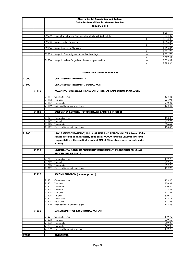|       |       |                | Alberta Dental Association and College                                             |            |                      |
|-------|-------|----------------|------------------------------------------------------------------------------------|------------|----------------------|
|       |       |                | <b>Guide for Dental Fees for General Dentists</b>                                  |            |                      |
|       |       |                | January 2018                                                                       |            |                      |
|       |       |                |                                                                                    |            |                      |
|       |       |                |                                                                                    |            | Fee                  |
|       |       | 89502          | Extra Oral Retraction Appliance for Infants with Cleft Palate                      | +L         | 334.89<br>3,014.07   |
|       |       | 89503          | Stage   - Initial Expansion                                                        | to<br>$+1$ | 1,255.86             |
|       |       |                |                                                                                    | to         | 2,511.73             |
|       |       | 89504          | Stage II - Anterior Alignment                                                      | $+1$       | 1,255.86             |
|       |       |                |                                                                                    | to         | 2,511.73             |
|       |       | 89505          | Stage III - Final Alignment (complete banding)                                     | $+1$       | 2,511.73             |
|       |       |                |                                                                                    | to         | 6,697.97<br>5,023.47 |
|       |       | 89506          | Stage III - Where Stage I and II were not provided for                             | $+1$<br>to | 13,395.96            |
|       |       |                |                                                                                    |            |                      |
|       |       |                |                                                                                    |            |                      |
|       |       |                | <b>ADJUNCTIVE GENERAL SERVICES</b>                                                 |            |                      |
|       |       |                |                                                                                    |            |                      |
| 91000 |       |                | <b>UNCLASSIFIED TREATMENTS</b>                                                     |            |                      |
| 91100 |       |                | UNCLASSIFIED TREATMENT, DENTAL PAIN                                                |            |                      |
|       |       |                |                                                                                    |            |                      |
|       | 91110 |                | PALLIATIVE (emergency) TREATMENT OF DENTAL PAIN, MINOR PROCEDURE                   |            |                      |
|       |       |                |                                                                                    |            |                      |
|       |       | 91111          | One unit of time                                                                   |            | 103.45               |
|       |       | 91112          | Two units                                                                          |            | 206.91               |
|       |       | 91113<br>91119 | Three units<br>Each additional unit over three                                     |            | 310.36<br>103.45     |
|       |       |                |                                                                                    |            |                      |
|       | 91120 |                | <b>EMERGENCY SERVICES NOT OTHERWISE SPECIFIED IN GUIDE</b>                         |            |                      |
|       |       |                |                                                                                    |            |                      |
|       |       | 91121          | One unit of time                                                                   |            | 108.88               |
|       |       | 91122          | Two units                                                                          |            | 217.76               |
|       |       | 91123          | Three units                                                                        |            | 326.64               |
|       |       | 91129          | Each additional unit over three                                                    |            | 108.88               |
| 91200 |       |                | UNCLASSIFIED TREATMENT, UNUSUAL TIME AND RESPONSIBILITIES (Note: If the            |            |                      |
|       |       |                | service affected is anaesthesia, code series 92000, and the unusual time and       |            |                      |
|       |       |                | responsibility is the result of a patient BMI of 35 or above, refer to code series |            |                      |
|       |       |                | 92900)                                                                             |            |                      |
|       |       |                |                                                                                    |            |                      |
|       | 91210 |                | UNUSUAL TIME AND RESPONSIBILITY REQUIREMENT, IN ADDITION TO USUAL                  |            |                      |
|       |       |                | <b>PROCEDURES IN GUIDE</b>                                                         |            |                      |
|       |       | 91211          |                                                                                    |            | 119.73               |
|       |       | 91212          | One unit of time<br>Two units                                                      |            | 239.50               |
|       |       | 91213          | Three units                                                                        |            | 359.23               |
|       |       | 91219          | Each additional unit over three                                                    |            | 119.73               |
|       |       |                |                                                                                    |            |                      |
|       | 91220 |                | <b>SECOND SURGEON (team approach)</b>                                              |            |                      |
|       |       |                |                                                                                    |            |                      |
|       |       | 91221<br>91222 | One unit of time<br>Two units                                                      |            | 103.45<br>206.91     |
|       |       | 91223          | Three units                                                                        |            | 310.36               |
|       |       | 91224          | Four units                                                                         |            | 413.81               |
|       |       | 91225          | Five units                                                                         |            | 517.27               |
|       |       | 91226          | Six units                                                                          |            | 620.72               |
|       |       | 91227          | Seven units                                                                        |            | 724.17               |
|       |       | 91228<br>91229 | Eight units<br>Each additional unit over eight                                     |            | 827.63<br>103.45     |
|       |       |                |                                                                                    |            |                      |
|       | 91230 |                | <b>MANAGEMENT OF EXCEPTIONAL PATIENT</b>                                           |            |                      |
|       |       |                |                                                                                    |            |                      |
|       |       | 91231          | One unit of time                                                                   |            | 119.73               |
|       |       | 91232          | Two units                                                                          |            | 239.50               |
|       |       | 91233<br>91234 | Three units<br>Four units                                                          |            | 359.23<br>479.00     |
|       |       | 91239          | Each additional unit over four                                                     |            | 119.73               |
|       |       |                |                                                                                    |            |                      |
| 92000 |       |                | <b>ANESTHESIA</b>                                                                  |            |                      |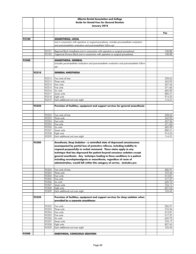|       |       |       | Alberta Dental Association and College                                                            |        |
|-------|-------|-------|---------------------------------------------------------------------------------------------------|--------|
|       |       |       | <b>Guide for Dental Fees for General Dentists</b>                                                 |        |
|       |       |       | January 2018                                                                                      |        |
|       |       |       |                                                                                                   |        |
|       |       |       |                                                                                                   | Fee    |
|       |       |       |                                                                                                   |        |
| 92100 |       |       | <b>ANAESTHESIA, LOCAL</b>                                                                         |        |
|       |       |       | (not in conjunction with operative or surgical procedures, includes pre-anaesthetic evaluation    |        |
|       |       |       | and post-anaesthetic evaluation and post-anaesthetic follow-up)                                   |        |
|       |       | 92101 | Regional Block Anesthesia (not in conjunction with operative or surgical procedures)              | 108.88 |
|       |       | 92102 | Trigeminal Division Block (not in conjunction with operative or surgical procedures)              | 108.88 |
|       |       |       |                                                                                                   |        |
| 92200 |       |       | <b>ANAESTHESIA, GENERAL</b>                                                                       |        |
|       |       |       | (includes pre-anaesthetic evaluation and post-anaesthetic evaluation and post-anaesthetic follow- |        |
|       |       |       | up)                                                                                               |        |
|       |       |       |                                                                                                   |        |
|       | 92210 |       | <b>GENERAL ANESTHESIA</b>                                                                         |        |
|       |       | 92212 | Two units of time                                                                                 | 228.62 |
|       |       | 92213 | Three units                                                                                       | 342.95 |
|       |       | 92214 | Four units                                                                                        | 457.26 |
|       |       | 92215 | Five units                                                                                        | 571.60 |
|       |       | 92216 | Six units                                                                                         | 685.90 |
|       |       | 92217 | Seven units                                                                                       | 800.21 |
|       |       | 92218 | Eight units                                                                                       | 914.55 |
|       |       | 92219 | Each additional unit over eight                                                                   | 114.31 |
|       |       |       |                                                                                                   |        |
|       | 92220 |       | Provision of facilities, equipment and support services for general anaesthesia                   |        |
|       |       |       |                                                                                                   |        |
|       |       | 92222 | Two units of time                                                                                 | 228.62 |
|       |       | 92223 | Three units                                                                                       | 342.95 |
|       |       | 92224 | Four units                                                                                        | 457.26 |
|       |       | 92225 | Five units                                                                                        | 571.60 |
|       |       | 92226 | Six units                                                                                         | 685.90 |
|       |       | 92227 | Seven units                                                                                       | 800.21 |
|       |       | 92228 | Eight units                                                                                       | 914.55 |
|       |       | 92229 | Each additional unit over eight                                                                   | 114.31 |
|       | 92300 |       | Anesthesia, Deep Sedation - a controlled state of depressed consciousness                         |        |
|       |       |       | accompanied by partial loss of protective reflexes, including inability to                        |        |
|       |       |       | respond purposefully to verbal command. These states apply to any                                 |        |
|       |       |       | technique that has depressed the patient beyond conscious sedation except                         |        |
|       |       |       | general anesthesia. Any technique leading to these conditions in a patient                        |        |
|       |       |       | including neuroleptanalgesia or anaesthesia, regardless of route of                               |        |
|       |       |       | administration, would fall within this category of service. (includes pre-                        |        |
|       |       |       |                                                                                                   |        |
|       |       | 92302 | Two units of time                                                                                 | 206.91 |
|       |       | 92303 | Three units                                                                                       | 310.36 |
|       |       | 92304 | Four units                                                                                        | 413.81 |
|       |       | 92305 | Five units                                                                                        | 517.27 |
|       |       | 92306 | Six units                                                                                         | 620.72 |
|       |       | 92307 | Seven units                                                                                       | 724.17 |
|       |       | 92308 | Eight units                                                                                       | 827.63 |
|       |       | 92309 | Each additional unit over eight                                                                   | 103.45 |
|       |       |       |                                                                                                   |        |
|       | 92320 |       | Provision of facilities, equipment and support services for deep sedation when                    |        |
|       |       |       | provided by a separate practitioner                                                               |        |
|       |       | 92322 | Two units                                                                                         | 206.91 |
|       |       | 92323 | Three units                                                                                       | 310.36 |
|       |       | 92324 | Four units                                                                                        | 413.81 |
|       |       | 92325 | Five units                                                                                        | 517.27 |
|       |       | 92326 | Six units                                                                                         | 620.72 |
|       |       | 92327 | Seven units                                                                                       | 724.17 |
|       |       | 92328 | Eight units                                                                                       | 827.63 |
|       |       | 92329 | Each additional unit over eight                                                                   | 103.45 |
|       |       |       |                                                                                                   |        |
| 92400 |       |       | <b>ANESTHESIA, CONSCIOUS SEDATION</b>                                                             |        |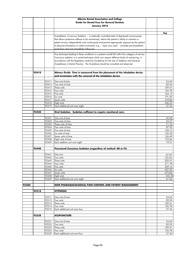|       |       |                | Alberta Dental Association and College                                                                                                                                      |                  |
|-------|-------|----------------|-----------------------------------------------------------------------------------------------------------------------------------------------------------------------------|------------------|
|       |       |                | <b>Guide for Dental Fees for General Dentists</b>                                                                                                                           |                  |
|       |       |                | January 2018                                                                                                                                                                |                  |
|       |       |                |                                                                                                                                                                             |                  |
|       |       |                |                                                                                                                                                                             | Fee              |
|       |       |                | Anaesthesia, Conscious Sedation - a medically controlled state of depressed consciousness                                                                                   |                  |
|       |       |                | that allows protective reflexes to be maintained, retains the patient's ability to maintain a                                                                               |                  |
|       |       |                | patent airway independently and continuously and permits appropriate response by the patient                                                                                |                  |
|       |       |                | to physical stimulation or verbal command, e.g, "open your eyes". (includes pre-anaesthetic                                                                                 |                  |
|       |       |                | evaluation and nost anaesthetic follow-un)                                                                                                                                  |                  |
|       |       |                |                                                                                                                                                                             |                  |
|       |       |                | Any technique leading to these conditions in a patient would fall within this category of service.                                                                          |                  |
|       |       |                | Conscious sedation is a varied technique which can require different levels of monitoring, in                                                                               |                  |
|       |       |                | accordance with the Regulatory Authority Guidelines for the Use of Sedation and General<br>Anaesthesia in Dental Practice. The Guidelines should be consulted and observed. |                  |
|       |       |                |                                                                                                                                                                             |                  |
|       |       |                |                                                                                                                                                                             |                  |
|       | 92410 |                | Nitrous Oxide Time is measured from the placement of the inhalation device                                                                                                  |                  |
|       |       |                | <u>and terminates with the removal of the inhalation device</u>                                                                                                             |                  |
|       |       |                |                                                                                                                                                                             |                  |
|       |       | 92411          | One unit of time                                                                                                                                                            | 54.69            |
|       |       | 92412<br>92413 | Two units of time<br>Three units                                                                                                                                            | 82.05<br>109.41  |
|       |       | 92414          | Four units                                                                                                                                                                  | 136.78           |
|       |       | 92415          | Five units                                                                                                                                                                  | 164.14           |
|       |       | 92416          | Six units                                                                                                                                                                   | 191.50           |
|       |       | 92417          | Seven units                                                                                                                                                                 | 218.86           |
|       |       | 92418          | Eight units                                                                                                                                                                 | 246.22           |
|       |       | 92419          | Each additional unit over eight                                                                                                                                             | 27.36            |
|       |       |                |                                                                                                                                                                             |                  |
|       | 92420 |                | Oral Sedation Sedation sufficient to require monitored care.                                                                                                                |                  |
|       |       |                | One unit of time                                                                                                                                                            |                  |
|       |       | 92421<br>92422 | Two units of time                                                                                                                                                           | 49.40<br>55.57   |
|       |       | 92423          | Three units of time                                                                                                                                                         | 71.76            |
|       |       | 92424          | Four units of time                                                                                                                                                          | 87.93            |
|       |       | 92425          | Five units of time                                                                                                                                                          | 104.13           |
|       |       | 92426          | Six units of time                                                                                                                                                           | 120.30           |
|       |       | 92427          | Seven units of time                                                                                                                                                         | 136.49           |
|       |       | 92428          | Eight units of time                                                                                                                                                         | 152.66           |
|       |       | 92429          | Each addition unit over eight                                                                                                                                               | 19.01            |
|       | 92440 |                | Parenteral Conscious Sedation (regardless of method -IM or IV)                                                                                                              |                  |
|       |       |                |                                                                                                                                                                             |                  |
|       |       | 92441          | One unit                                                                                                                                                                    | 67.69            |
|       |       | 92442          | Two units                                                                                                                                                                   | 135.05           |
|       |       |                | 92443 Three units                                                                                                                                                           | 203.41           |
|       |       | 92444          | Four units                                                                                                                                                                  | 271.78           |
|       |       | 92445          | Five units                                                                                                                                                                  | 339.14           |
|       |       | 92446          | Six units                                                                                                                                                                   | 407.50           |
|       |       | 92447<br>92448 | Seven units<br>Eight units                                                                                                                                                  | 475.86<br>543.22 |
|       |       | 92449          | Each additional unit over eight                                                                                                                                             | 67.36            |
|       |       |                |                                                                                                                                                                             |                  |
| 92500 |       |                | NON PHARAMACOLOGICAL PAIN CONTROL AND PATIENT MANAGEMENT                                                                                                                    |                  |
|       |       |                |                                                                                                                                                                             |                  |
|       | 92510 |                | <b>HYPNOSIS</b>                                                                                                                                                             |                  |
|       |       |                |                                                                                                                                                                             |                  |
|       |       | 92511          | One unit of time                                                                                                                                                            | 54.69            |
|       |       | 92512          | Two units                                                                                                                                                                   | 82.05            |
|       |       | 92513<br>92514 | Three units<br>Four units                                                                                                                                                   | 109.41<br>136.78 |
|       |       | 92519          | Each additional unit over four                                                                                                                                              | 27.36            |
|       |       |                |                                                                                                                                                                             |                  |
|       | 92520 |                | <b>ACUPUNCTURE</b>                                                                                                                                                          |                  |
|       |       |                |                                                                                                                                                                             |                  |
|       |       | 92521          | One unit of time                                                                                                                                                            | 54.69            |
|       |       | 92522          | Two units                                                                                                                                                                   | 82.05            |
|       |       | 92523          | Three units                                                                                                                                                                 | 109.41           |
|       |       | 92524          | Four units                                                                                                                                                                  | 136.78           |
|       |       | 92529          | Each additional unit over four                                                                                                                                              | 27.36            |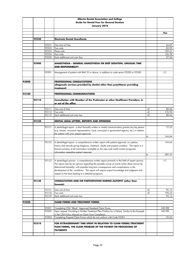|       |       |                | Alberta Dental Association and College                                                                                                                                                                                                                                                                                                                                                                                                              |      |                  |
|-------|-------|----------------|-----------------------------------------------------------------------------------------------------------------------------------------------------------------------------------------------------------------------------------------------------------------------------------------------------------------------------------------------------------------------------------------------------------------------------------------------------|------|------------------|
|       |       |                | <b>Guide for Dental Fees for General Dentists</b>                                                                                                                                                                                                                                                                                                                                                                                                   |      |                  |
|       |       |                | January 2018                                                                                                                                                                                                                                                                                                                                                                                                                                        |      |                  |
|       |       |                |                                                                                                                                                                                                                                                                                                                                                                                                                                                     |      |                  |
|       |       |                |                                                                                                                                                                                                                                                                                                                                                                                                                                                     |      | Fee              |
|       |       |                |                                                                                                                                                                                                                                                                                                                                                                                                                                                     |      |                  |
|       | 92530 |                | <b>Electronic Dental Anesthesia</b>                                                                                                                                                                                                                                                                                                                                                                                                                 |      |                  |
|       |       |                |                                                                                                                                                                                                                                                                                                                                                                                                                                                     |      |                  |
|       |       | 92531          | One Unit of Time                                                                                                                                                                                                                                                                                                                                                                                                                                    |      | 54.69            |
|       |       | 92532          | Two units                                                                                                                                                                                                                                                                                                                                                                                                                                           |      | 82.05            |
|       |       | 92533<br>92534 | Three units<br>Four units                                                                                                                                                                                                                                                                                                                                                                                                                           |      | 109.41<br>136.78 |
|       |       | 92539          | Each additional unit over four                                                                                                                                                                                                                                                                                                                                                                                                                      |      | 27.36            |
|       |       |                |                                                                                                                                                                                                                                                                                                                                                                                                                                                     |      |                  |
|       | 92900 |                | ANAESTHESIA - GENERAL ANAESTHESIA OR DEEP SEDATION, UNUSUAL TIME<br><u>and responsibility</u>                                                                                                                                                                                                                                                                                                                                                       |      |                  |
|       |       | 92901          | Management of patient with BMI 35 or above, in addition to code series 92200 or 92300                                                                                                                                                                                                                                                                                                                                                               |      | I.C.             |
|       |       |                |                                                                                                                                                                                                                                                                                                                                                                                                                                                     |      |                  |
| 93000 |       |                | <b>PROFESSIONAL CONSULTATIONS</b><br>(diagnostic services provided by dentist other than practitioner providing                                                                                                                                                                                                                                                                                                                                     |      |                  |
|       |       |                | treatment)                                                                                                                                                                                                                                                                                                                                                                                                                                          |      |                  |
| 93100 |       |                | <b>PROFESSIONAL COMMUNICATIONS</b>                                                                                                                                                                                                                                                                                                                                                                                                                  |      |                  |
|       | 93110 |                | Consultation with Member of the Profession or other Healthcare Providers, in                                                                                                                                                                                                                                                                                                                                                                        |      |                  |
|       |       |                | or out of the office                                                                                                                                                                                                                                                                                                                                                                                                                                |      |                  |
|       |       | 93111          | One unit of time                                                                                                                                                                                                                                                                                                                                                                                                                                    | $+E$ | 88.46            |
|       |       | 93112          | Two units                                                                                                                                                                                                                                                                                                                                                                                                                                           | $+E$ | 176.94           |
|       |       | 93119          | Each additional unit over two                                                                                                                                                                                                                                                                                                                                                                                                                       | $+E$ | 88.46            |
|       |       |                |                                                                                                                                                                                                                                                                                                                                                                                                                                                     |      |                  |
|       | 93120 |                | DENTAL LEGAL LETTERS, REPORTS AND OPINIONS                                                                                                                                                                                                                                                                                                                                                                                                          |      |                  |
|       |       | 93121          | A dental-legal report - a short factually written or verbal communication givento any lay person<br>(e.g. lawyer, insurance representative, local, municipal or government agency, etc.) in relation<br>the patient with prior patient approval.                                                                                                                                                                                                    |      | 72.33            |
|       |       |                |                                                                                                                                                                                                                                                                                                                                                                                                                                                     | to   | 144.66           |
|       |       |                |                                                                                                                                                                                                                                                                                                                                                                                                                                                     |      |                  |
|       |       | 93122          | A dental-legal report - a comprehensive written report with patient approval, on systems,<br>history and records giving diagnosis, treatment, results and present condition. The report is a<br>factual summary of all information available on the case and could contain prognostic<br>information reaardina patient response.                                                                                                                    |      | 144.66           |
|       |       |                |                                                                                                                                                                                                                                                                                                                                                                                                                                                     | to   | 289.32           |
|       |       |                |                                                                                                                                                                                                                                                                                                                                                                                                                                                     |      |                  |
|       |       |                | 93123 A dental-legal opinion - a comprehensive written report primarily in the field of expert opinion.<br>The report may be an opinion regarding the possible course of events (when these cannot be<br>determined factually), with possible long term consequences and complications in the<br>development of the conditions. The report will require expert knowledge and judgment with<br>respect to the facts leading to a detailed prognosis. |      | I.C.             |
|       | 93130 |                | CONSULTATION AND/OR PARTICIPATION DURING AUTOPSY (other than<br>forensic)                                                                                                                                                                                                                                                                                                                                                                           |      |                  |
|       |       | 93131          | One unit of time                                                                                                                                                                                                                                                                                                                                                                                                                                    | +E   | 95.12            |
|       |       | 93132          | Two units                                                                                                                                                                                                                                                                                                                                                                                                                                           | $+E$ | 190.23           |
|       |       | 93139          | Each additional unit over two                                                                                                                                                                                                                                                                                                                                                                                                                       |      | 95.12            |
|       |       |                |                                                                                                                                                                                                                                                                                                                                                                                                                                                     |      |                  |
| 93300 |       |                | <b>CLAIM FORMS AND TREATMENT FORMS</b>                                                                                                                                                                                                                                                                                                                                                                                                              |      |                  |
|       |       |                |                                                                                                                                                                                                                                                                                                                                                                                                                                                     |      |                  |
|       |       | 93301          | Completing CDA "Blank" Approved Standard Claim Forms.                                                                                                                                                                                                                                                                                                                                                                                               |      | NO FEE           |
|       |       | 93302          | Upon request, Providing a Written Treatment Plan/Outline for a Patient, Similar to the Example                                                                                                                                                                                                                                                                                                                                                      |      | NO FEE           |
|       |       |                | in the CDA Policy Manual on Claim Form Completion.                                                                                                                                                                                                                                                                                                                                                                                                  |      |                  |
|       |       | 93303          | Completing Prepaid Claim Forms which do not conform with Code 93301                                                                                                                                                                                                                                                                                                                                                                                 |      | 25.62            |
|       | 93310 |                | FOR EXTRAORDINARY TIME SPENT IN RELATION TO CLAIM FORMS/TREATMENT<br>PLAN FORMS, THE CLAIM PROBLEM OF THE PATIENT OR PROCESSING OF<br><b>PAYMENTS</b>                                                                                                                                                                                                                                                                                               |      |                  |
|       |       |                |                                                                                                                                                                                                                                                                                                                                                                                                                                                     |      |                  |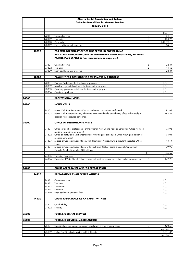|       |       |                | Alberta Dental Association and College                                                                           |      |              |
|-------|-------|----------------|------------------------------------------------------------------------------------------------------------------|------|--------------|
|       |       |                | <b>Guide for Dental Fees for General Dentists</b>                                                                |      |              |
|       |       |                | January 2018                                                                                                     |      |              |
|       |       |                |                                                                                                                  |      |              |
|       |       |                |                                                                                                                  |      | Fee          |
|       |       | 93311          | One unit of time                                                                                                 | +E   | 84.13        |
|       |       | 93312          | Two units                                                                                                        | +E   | 168.26       |
|       |       | 93318          | Zero units                                                                                                       | +E   | NO FEE       |
|       |       | 93319          | Each additional unit over two                                                                                    |      | 84.13        |
|       | 93320 |                | FOR EXTRAORDINARY OFFICE TIME SPENT, IN FORWARDING                                                               |      |              |
|       |       |                | PREDETERMINATION RECORDS, IN PREDETERMINATION SITUATIONS, TO THIRD                                               |      |              |
|       |       |                | PARTIES PLUS EXPENSES (i.e. registration, postage, etc.)                                                         |      |              |
|       |       |                |                                                                                                                  |      |              |
|       |       | 93321          | One unit of time                                                                                                 | +E   | 22.34        |
|       |       | 93322          | Two units                                                                                                        | +E   | 44.68        |
|       |       | 93329          | Each additional unit over two                                                                                    |      | 22.34        |
|       |       |                |                                                                                                                  |      |              |
|       | 93330 |                | <b>PAYMENT FOR ORTHODONTIC TREATMENT IN PROGRESS</b>                                                             |      |              |
|       |       |                |                                                                                                                  |      |              |
|       |       | 93331          | Payment/Installment for treatment in progress                                                                    |      | I.C.         |
|       |       | 93332<br>93333 | Monthly payment/Instalments for treatment in progress<br>Quarterly payment/installment for treatment in progress |      | I.C.<br>I.C. |
|       |       | 93334          | One time appliance                                                                                               |      | I.C.         |
|       |       |                |                                                                                                                  |      |              |
| 94000 |       |                | <b>PROFESSIONAL VISITS</b>                                                                                       |      |              |
|       |       |                |                                                                                                                  |      |              |
| 94100 |       |                | <b>HOUSE CALLS</b>                                                                                               |      |              |
|       |       |                |                                                                                                                  |      |              |
|       |       | 94101          | House Call, Non Emergency Visit (in addition to procedures performed)                                            |      | 91.68        |
|       |       | 94102          | House Call, Emergency Visit, when one must immediately leave home, office or hospital (in                        |      | 183.39       |
|       |       |                | addition to procedures performed)                                                                                |      |              |
| 94300 |       |                | OFFICE OR INSTITUTIONAL VISITS                                                                                   |      |              |
|       |       |                |                                                                                                                  |      |              |
|       |       | 94301          | Office (of another professional) or Institutional Visit, During Regular Scheduled Office Hours (in               |      | 75.95        |
|       |       |                | addition to services performed)                                                                                  |      |              |
|       |       | 94302          | Office or Institutional Visit Unscheduled, After Regular Scheduled Office Hours (in addition to                  |      | 94.01        |
|       |       |                | services performed)                                                                                              |      |              |
|       |       | 94303          | Missed or Canceled Appointment, with Insufficient Notice, During Regular Scheduled Office                        |      | 48.14        |
|       |       | 94304          | Hours<br>Missed or Canceled Appointment with insufficient Notice, being a Special Appointment                    |      | 79.92        |
|       |       |                | Outside Reaular Scheduled Office Hours                                                                           |      |              |
|       |       |                |                                                                                                                  | to   | 335.69       |
|       |       | 94305          | <b>Traveling Expenses</b>                                                                                        |      | I.C.         |
|       |       | 94306          | Professional Visits Out of Office, plus actual services performed, out of pocket expenses, etc.                  | +E   | 142.23       |
|       |       |                |                                                                                                                  |      |              |
| 94400 |       |                |                                                                                                                  |      |              |
|       |       |                | <b>COURT APPEARANCE AND/OR PREPARATION</b>                                                                       |      |              |
|       | 94410 |                | <b>PREPARATION AS AN EXPERT WITNESS</b>                                                                          |      |              |
|       |       |                |                                                                                                                  |      |              |
|       |       | 94411          | One unit of time                                                                                                 |      | I.C.         |
|       |       | 94412          | Two units                                                                                                        |      | I.C.         |
|       |       | 94413          | Three units                                                                                                      |      | I.C.         |
|       |       | 94414          | Four units                                                                                                       |      | I.C.         |
|       |       | 94419          | Each additional unit over four                                                                                   |      | I.C.         |
|       | 94420 |                | <b>COURT APPEARANCE AS AN EXPERT WITNESS</b>                                                                     |      |              |
|       |       |                |                                                                                                                  |      |              |
|       |       | 94421          | One half day                                                                                                     |      | I.C.         |
|       |       | 94422          | Full day                                                                                                         |      | I.C.         |
|       |       |                |                                                                                                                  |      |              |
| 95000 |       |                | <b>FORENSIC DENTAL SERVICES</b>                                                                                  |      |              |
| 95100 |       |                |                                                                                                                  |      |              |
|       |       |                | <b>FORENSIC SERVICES, MISCELLANEOUS</b>                                                                          |      |              |
|       |       | 95101          | Identification - opinion as an expert assisting in civil or criminal cases                                       | $+E$ | 420.50       |
|       |       |                |                                                                                                                  |      | per hour     |
|       |       | 95102          | Full or Part Time Participation in Civil Disaster                                                                | +E   | 2,311.86     |
|       |       |                |                                                                                                                  |      | per diem     |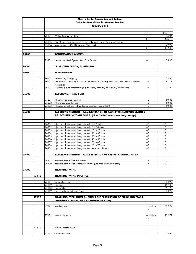|       |       |       | Alberta Dental Association and College                                                |           |        |
|-------|-------|-------|---------------------------------------------------------------------------------------|-----------|--------|
|       |       |       | <b>Guide for Dental Fees for General Dentists</b>                                     |           |        |
|       |       |       | January 2018                                                                          |           |        |
|       |       |       |                                                                                       |           |        |
|       |       |       |                                                                                       |           | Fee    |
|       |       | 95104 | Written Odontology Report                                                             | +E        | 45.04  |
|       |       |       |                                                                                       | to        | 485.17 |
|       |       | 95105 | Post Mortem Examination of Tissues in Forensic Cases (non-identification)             |           | I.C.   |
|       |       | 95106 | Management of Oral Disease or Abnormality                                             |           | 79.92  |
|       |       |       |                                                                                       | to        | 167.83 |
| 95200 |       |       |                                                                                       |           |        |
|       |       |       | <b>IDENTIFICATION SYSTEMS</b>                                                         |           |        |
|       |       | 95201 | Identification Disk System, Acid Etch/Bonded                                          | +L        | 75.95  |
|       |       |       |                                                                                       |           |        |
| 96000 |       |       | DRUGS/MEDICATION, DISPENSING                                                          |           |        |
|       |       |       |                                                                                       |           |        |
| 96100 |       |       | <b>PRESCRIPTIONS</b>                                                                  |           |        |
|       |       |       |                                                                                       |           |        |
|       |       | 96101 | Prescription, Emergency                                                               |           | 34.60  |
|       |       | 96102 | Emergency Dispensing of One or Two Doses of a Therapeutic Drug, plus Giving a Written | +E        | 47.11  |
|       |       |       | Prescription                                                                          |           |        |
|       |       | 96103 | Dispensing, Non Emergency (e.g. fluorides, vitamins, other drugs/medications)         | $+E$      | 37.92  |
|       |       |       |                                                                                       |           |        |
| 96200 |       |       | <b>INJECTIONS, THERAPEUTIC</b>                                                        |           |        |
|       |       | 96201 | Intramuscular Drug Injection                                                          | +E        | 50.86  |
|       |       | 96202 | Intravenous Drug Injection                                                            | $+E$      | 50.86  |
|       |       | 96203 | Intralesional Delivery (Intra-articular Injections - see 78600)                       | $+E$      | 50.86  |
|       |       |       |                                                                                       |           |        |
| 96300 |       |       | <b>INJECTIONS AESTHETIC - ADMINISTRATION OF AESTHETIC NEUROMODULATORS</b>             |           |        |
|       |       |       | (EG. BOTULINUM TOXIN TYPE A) (Note "units" refers to a drug dosage)                   |           |        |
|       |       |       |                                                                                       |           |        |
|       |       |       |                                                                                       |           |        |
|       |       | 96301 | Injections of neuromodulator, aesthetic 1 to 5 units                                  | +E        | I.C.   |
|       |       | 96302 | Injections of neuromodulator, aesthetic 6 to 10 units                                 | +E        | I.C.   |
|       |       | 96303 | Injections of neuromodulator, aesthetic 11 to 20 units                                | $+E$      | I.C.   |
|       |       | 96304 | Injections of neuromodulator, aesthetic 21 to 30 units                                | $+E$      | I.C.   |
|       |       | 96305 | Injections of neuromodulator, aesthetic 31 to 40 units                                | $+E$      | I.C.   |
|       |       | 96306 | Injections of neuromodulator, aesthetic 41 to 50 units                                | $+E$      | I.C.   |
|       |       | 96307 | Injections of neuromodulator, aesthetic 51 to 60 units                                | $+E$      | I.C.   |
|       |       | 96308 | Injections of neuromodulator, aesthetic 61 to 70 units                                | +E        | I.C.   |
|       |       | 96309 | Injections of neuromodulator, aesthetic more than 70 units                            | $+E$      | I.C.   |
| 96400 |       |       | <b>INJECTIONS AESTHETIC - ADMINISTRATION OF AESTHETIC DERMAL FILLERS</b>              |           |        |
|       |       |       |                                                                                       |           |        |
|       |       |       | 96401 Aesthetic dermal filler first syringe                                           | $+E$      | I.C.   |
|       |       | 96409 | Aesthetic dermal filler subsequent syringe (use once for each syringe)                | $+E$      | I.C.   |
|       |       |       |                                                                                       |           |        |
| 97000 |       |       | <b>BLEACHING, VITAL</b>                                                               |           |        |
|       |       |       |                                                                                       |           |        |
|       | 97110 |       | <b>BLEACHING, VITAL, IN OFFICE</b>                                                    |           |        |
|       |       |       |                                                                                       |           |        |
|       |       | 97111 | One unit of time                                                                      |           | 83.92  |
|       |       | 97112 | Two units                                                                             |           | 167.83 |
|       |       | 97113 | Three units                                                                           |           | 251.77 |
|       |       | 97119 | Each additional unit over three                                                       |           | 83.92  |
|       |       |       | BLEACHING, VITAL HOME (INCLUDES THE FABRICATION OF BLEACHING TRAYS,                   |           |        |
|       | 97120 |       |                                                                                       |           |        |
|       |       |       | DISPENSING THE SYSTEM AND FOLLOW-UP CARE)                                             |           |        |
|       |       | 97121 | Maxillary Arch                                                                        | +L and/or | 239.79 |
|       |       |       |                                                                                       | +E        |        |
|       |       |       |                                                                                       |           |        |
|       |       | 97122 | Mandibular Arch                                                                       | +L and/or | 239.79 |
|       |       |       |                                                                                       | +E        |        |
|       |       |       |                                                                                       |           |        |
|       |       |       |                                                                                       |           |        |
|       | 97130 |       | <b>MICRO-ABRASION</b>                                                                 |           |        |
|       |       |       |                                                                                       |           |        |
|       |       | 97131 | One unit of time                                                                      |           | 75.94  |